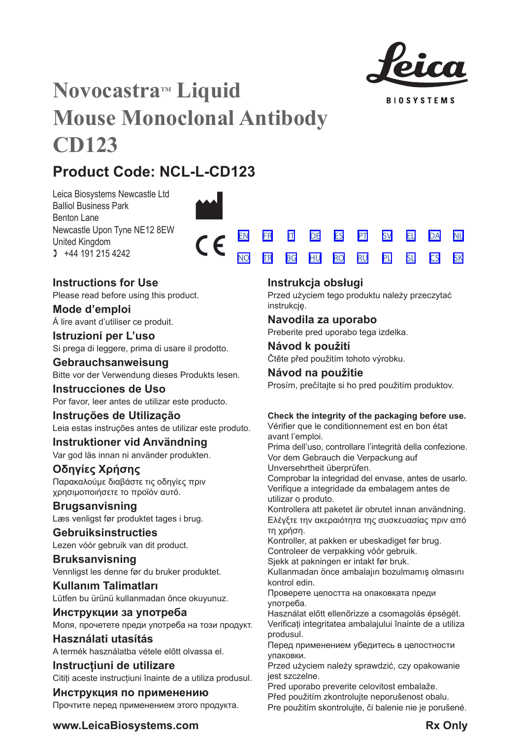

**BIOSYSTEMS** 

[SV](#page-26-0) [EL](#page-30-0) [DA](#page-34-0) [PL](#page-66-0) [SL](#page-70-0) [CS](#page-74-0)

[NL](#page-38-0)

[SK](#page-78-0)

# **Novocastra™ Liquid Mouse Monoclonal Antibody CD123**

## **Product Code: NCL-L-CD123**

Leica Biosystems Newcastle Ltd Balliol Business Park Benton Lane Newcastle Upon Tyne NE12 8EW United Kingdom  $1 +44 191 215 4242$ 



## **Instructions for Use**

Please read before using this product.

**Mode d'emploi** Á lire avant d'utiliser ce produit.

**Istruzioni per L'uso** Si prega di leggere, prima di usare il prodotto.

**Gebrauchsanweisung** Bitte vor der Verwendung dieses Produkts lesen.

**Instrucciones de Uso** Por favor, leer antes de utilizar este producto.

## **Instruções de Utilização**

Leia estas instruções antes de utilizar este produto.

## **Instruktioner vid Användning**

Var god läs innan ni använder produkten.

## **Οδηγίες Χρήσης**

Παρακαλούμε διαβάστε τις οδηγίες πριν χρησιμοποιήσετε το προϊόν αυτό.

## **Brugsanvisning**

Læs venligst før produktet tages i brug.

## **Gebruiksinstructies**

Lezen vóór gebruik van dit product.

## **Bruksanvisning** Vennligst les denne før du bruker produktet.

**Kullanım Talimatları** Lütfen bu ürünü kullanmadan önce okuyunuz.

## **Инструкции за употреба** Моля, прочетете преди употреба на този продукт.

**Használati utasítás** A termék használatba vétele előtt olvassa el.

## **Instrucțiuni de utilizare** Cititi aceste instructiuni înainte de a utiliza produsul.

**Инструкция по применению** Прочтите перед применением этого продукта.

## **Instrukcja obsługi**

[EN](#page-2-0) [FR](#page-6-0) [IT](#page-10-0) [DE](#page-14-0) [ES](#page-18-0) [PT](#page-22-0) <u>[NO](#page-42-0) [TR](#page-46-0) [BG](#page-50-0) [HU](#page-54-0) [RO](#page-58-0) [RU](#page-62-0)</u>

> Przed użyciem tego produktu należy przeczytać instrukcję.

## **Navodila za uporabo**

Preberite pred uporabo tega izdelka.

## **Návod k použití** Čtěte před použitím tohoto výrobku.

## **Návod na použitie**

Prosím, prečítajte si ho pred použitím produktov.

## **Check the integrity of the packaging before use.**

Vérifier que le conditionnement est en bon état avant l'emploi.

Prima dell'uso, controllare l'integrità della confezione. Vor dem Gebrauch die Verpackung auf

Unversehrtheit überprüfen.

Comprobar la integridad del envase, antes de usarlo. Verifique a integridade da embalagem antes de utilizar o produto.

Kontrollera att paketet är obrutet innan användning. Ελέγξτε την ακεραιότητα της συσκευασίας πριν από τη χρήση.

Kontroller, at pakken er ubeskadiget før brug. Controleer de verpakking vóór gebruik.

Sjekk at pakningen er intakt før bruk.

Kullanmadan önce ambalajın bozulmamış olmasını kontrol edin.

Проверете целостта на опаковката преди употреба.

Használat előtt ellenőrizze a csomagolás épségét. Verificați integritatea ambalajului înainte de a utiliza produsul.

Перед применением убедитесь в целостности упаковки.

Przed użyciem należy sprawdzić, czy opakowanie jest szczelne.

Pred uporabo preverite celovitost embalaže.

Před použitím zkontrolujte neporušenost obalu. Pre použitím skontrolujte, či balenie nie je porušené.

**www.LeicaBiosystems.com Rx** Only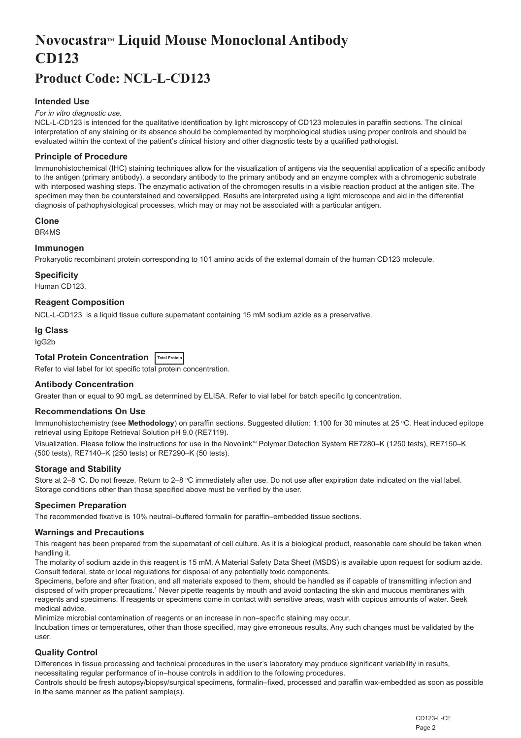## <span id="page-2-0"></span>**NovocastraTM Liquid Mouse Monoclonal Antibody CD123**

## **Product Code: NCL-L-CD123**

## **Intended Use**

#### *For in vitro diagnostic use.*

NCL-L-CD123 is intended for the qualitative identification by light microscopy of CD123 molecules in paraffin sections. The clinical interpretation of any staining or its absence should be complemented by morphological studies using proper controls and should be evaluated within the context of the patient's clinical history and other diagnostic tests by a qualified pathologist.

## **Principle of Procedure**

Immunohistochemical (IHC) staining techniques allow for the visualization of antigens via the sequential application of a specific antibody to the antigen (primary antibody), a secondary antibody to the primary antibody and an enzyme complex with a chromogenic substrate with interposed washing steps. The enzymatic activation of the chromogen results in a visible reaction product at the antigen site. The specimen may then be counterstained and coverslipped. Results are interpreted using a light microscope and aid in the differential diagnosis of pathophysiological processes, which may or may not be associated with a particular antigen.

#### **Clone**

BR4MS

## **Immunogen**

Prokaryotic recombinant protein corresponding to 101 amino acids of the external domain of the human CD123 molecule.

## **Specificity**

Human CD123.

## **Reagent Composition**

NCL-L-CD123 is a liquid tissue culture supernatant containing 15 mM sodium azide as a preservative.

## **Ig Class**

IgG2b

## **Total Protein Concentration Total Protein**

Refer to vial label for lot specific total protein concentration.

## **Antibody Concentration**

Greater than or equal to 90 mg/L as determined by ELISA. Refer to vial label for batch specific Ig concentration.

## **Recommendations On Use**

lmmunohistochemistry (see **Methodology**) on paraffin sections. Suggested dilution: 1:100 for 30 minutes at 25 °C. Heat induced epitope retrieval using Epitope Retrieval Solution pH 9.0 (RE7119).

Visualization. Please follow the instructions for use in the Novolink™ Polymer Detection System RE7280–K (1250 tests), RE7150–K (500 tests), RE7140–K (250 tests) or RE7290–K (50 tests).

## **Storage and Stability**

Store at 2–8 ℃. Do not freeze. Return to 2–8 ℃ immediately after use. Do not use after expiration date indicated on the vial label. Storage conditions other than those specified above must be verified by the user.

## **Specimen Preparation**

The recommended fixative is 10% neutral–buffered formalin for paraffin–embedded tissue sections.

## **Warnings and Precautions**

This reagent has been prepared from the supernatant of cell culture. As it is a biological product, reasonable care should be taken when handling it.

The molarity of sodium azide in this reagent is 15 mM. A Material Safety Data Sheet (MSDS) is available upon request for sodium azide. Consult federal, state or local regulations for disposal of any potentially toxic components.

Specimens, before and after fixation, and all materials exposed to them, should be handled as if capable of transmitting infection and disposed of with proper precautions.1 Never pipette reagents by mouth and avoid contacting the skin and mucous membranes with reagents and specimens. If reagents or specimens come in contact with sensitive areas, wash with copious amounts of water. Seek medical advice.

Minimize microbial contamination of reagents or an increase in non–specific staining may occur.

Incubation times or temperatures, other than those specified, may give erroneous results. Any such changes must be validated by the user.

## **Quality Control**

Differences in tissue processing and technical procedures in the user's laboratory may produce significant variability in results, necessitating regular performance of in–house controls in addition to the following procedures.

Controls should be fresh autopsy/biopsy/surgical specimens, formalin–fixed, processed and paraffin wax-embedded as soon as possible in the same manner as the patient sample(s).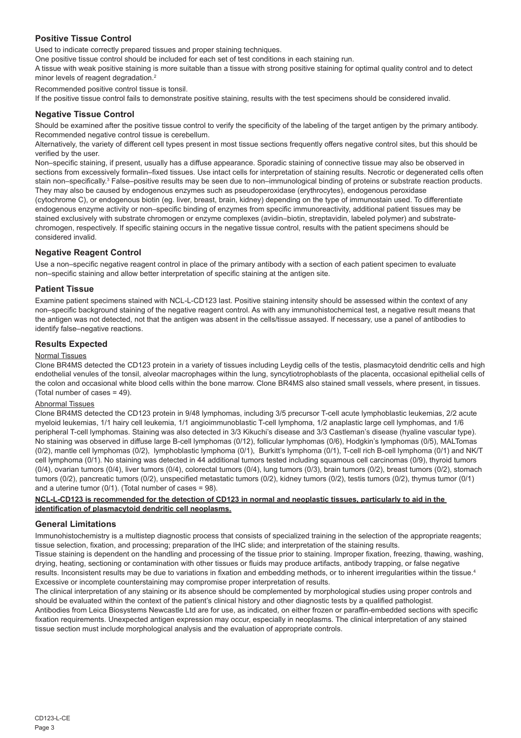## **Positive Tissue Control**

Used to indicate correctly prepared tissues and proper staining techniques.

One positive tissue control should be included for each set of test conditions in each staining run.

A tissue with weak positive staining is more suitable than a tissue with strong positive staining for optimal quality control and to detect minor levels of reagent degradation.<sup>2</sup>

Recommended positive control tissue is tonsil.

If the positive tissue control fails to demonstrate positive staining, results with the test specimens should be considered invalid.

## **Negative Tissue Control**

Should be examined after the positive tissue control to verify the specificity of the labeling of the target antigen by the primary antibody. Recommended negative control tissue is cerebellum.

Alternatively, the variety of different cell types present in most tissue sections frequently offers negative control sites, but this should be verified by the user.

Non–specific staining, if present, usually has a diffuse appearance. Sporadic staining of connective tissue may also be observed in sections from excessively formalin–fixed tissues. Use intact cells for interpretation of staining results. Necrotic or degenerated cells often stain non–specifically.<sup>s</sup> False–positive results may be seen due to non–immunological binding of proteins or substrate reaction products. They may also be caused by endogenous enzymes such as pseudoperoxidase (erythrocytes), endogenous peroxidase (cytochrome C), or endogenous biotin (eg. liver, breast, brain, kidney) depending on the type of immunostain used. To differentiate endogenous enzyme activity or non–specific binding of enzymes from specific immunoreactivity, additional patient tissues may be stained exclusively with substrate chromogen or enzyme complexes (avidin–biotin, streptavidin, labeled polymer) and substratechromogen, respectively. If specific staining occurs in the negative tissue control, results with the patient specimens should be considered invalid.

## **Negative Reagent Control**

Use a non–specific negative reagent control in place of the primary antibody with a section of each patient specimen to evaluate non–specific staining and allow better interpretation of specific staining at the antigen site.

## **Patient Tissue**

Examine patient specimens stained with NCL-L-CD123 last. Positive staining intensity should be assessed within the context of any non–specific background staining of the negative reagent control. As with any immunohistochemical test, a negative result means that the antigen was not detected, not that the antigen was absent in the cells/tissue assayed. If necessary, use a panel of antibodies to identify false–negative reactions.

## **Results Expected**

#### Normal Tissues

Clone BR4MS detected the CD123 protein in a variety of tissues including Leydig cells of the testis, plasmacytoid dendritic cells and high endothelial venules of the tonsil, alveolar macrophages within the lung, syncytiotrophoblasts of the placenta, occasional epithelial cells of the colon and occasional white blood cells within the bone marrow. Clone BR4MS also stained small vessels, where present, in tissues. (Total number of cases = 49).

#### Abnormal Tissues

Clone BR4MS detected the CD123 protein in 9/48 lymphomas, including 3/5 precursor T-cell acute lymphoblastic leukemias, 2/2 acute myeloid leukemias, 1/1 hairy cell leukemia, 1/1 angioimmunoblastic T-cell lymphoma, 1/2 anaplastic large cell lymphomas, and 1/6 peripheral T-cell lymphomas. Staining was also detected in 3/3 Kikuchi's disease and 3/3 Castleman's disease (hyaline vascular type). No staining was observed in diffuse large B-cell lymphomas (0/12), follicular lymphomas (0/6), Hodgkin's lymphomas (0/5), MALTomas (0/2), mantle cell lymphomas (0/2), lymphoblastic lymphoma (0/1), Burkitt's lymphoma (0/1), T-cell rich B-cell lymphoma (0/1) and NK/T cell lymphoma (0/1). No staining was detected in 44 additional tumors tested including squamous cell carcinomas (0/9), thyroid tumors (0/4), ovarian tumors (0/4), liver tumors (0/4), colorectal tumors (0/4), lung tumors (0/3), brain tumors (0/2), breast tumors (0/2), stomach tumors (0/2), pancreatic tumors (0/2), unspecified metastatic tumors (0/2), kidney tumors (0/2), testis tumors (0/2), thymus tumor (0/1) and a uterine tumor  $(0/1)$ . (Total number of cases = 98).

#### **NCL-L-CD123 is recommended for the detection of CD123 in normal and neoplastic tissues, particularly to aid in the identification of plasmacytoid dendritic cell neoplasms.**

#### **General Limitations**

Immunohistochemistry is a multistep diagnostic process that consists of specialized training in the selection of the appropriate reagents; tissue selection, fixation, and processing; preparation of the IHC slide; and interpretation of the staining results.

Tissue staining is dependent on the handling and processing of the tissue prior to staining. Improper fixation, freezing, thawing, washing, drying, heating, sectioning or contamination with other tissues or fluids may produce artifacts, antibody trapping, or false negative results. Inconsistent results may be due to variations in fixation and embedding methods, or to inherent irregularities within the tissue.4 Excessive or incomplete counterstaining may compromise proper interpretation of results.

The clinical interpretation of any staining or its absence should be complemented by morphological studies using proper controls and should be evaluated within the context of the patient's clinical history and other diagnostic tests by a qualified pathologist. Antibodies from Leica Biosystems Newcastle Ltd are for use, as indicated, on either frozen or paraffin-embedded sections with specific fixation requirements. Unexpected antigen expression may occur, especially in neoplasms. The clinical interpretation of any stained tissue section must include morphological analysis and the evaluation of appropriate controls.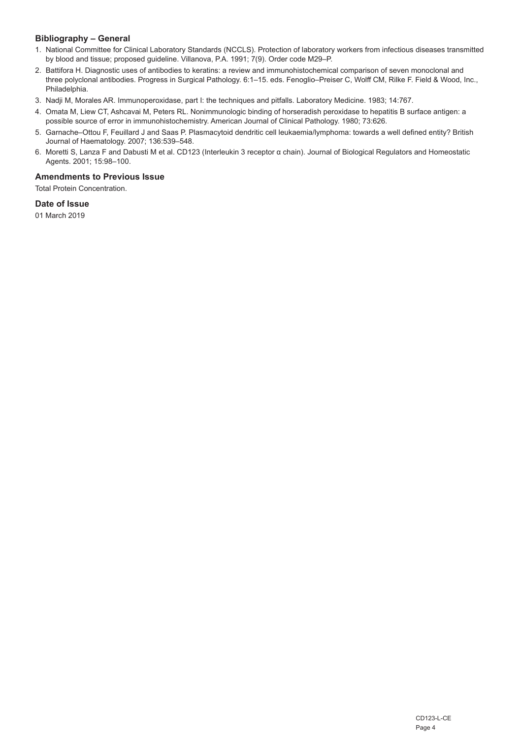## **Bibliography – General**

- 1. National Committee for Clinical Laboratory Standards (NCCLS). Protection of laboratory workers from infectious diseases transmitted by blood and tissue; proposed guideline. Villanova, P.A. 1991; 7(9). Order code M29–P.
- 2. Battifora H. Diagnostic uses of antibodies to keratins: a review and immunohistochemical comparison of seven monoclonal and three polyclonal antibodies. Progress in Surgical Pathology. 6:1–15. eds. Fenoglio–Preiser C, Wolff CM, Rilke F. Field & Wood, Inc., Philadelphia.
- 3. Nadji M, Morales AR. Immunoperoxidase, part I: the techniques and pitfalls. Laboratory Medicine. 1983; 14:767.
- 4. Omata M, Liew CT, Ashcavai M, Peters RL. Nonimmunologic binding of horseradish peroxidase to hepatitis B surface antigen: a possible source of error in immunohistochemistry. American Journal of Clinical Pathology. 1980; 73:626.
- 5. Garnache–Ottou F, Feuillard J and Saas P. Plasmacytoid dendritic cell leukaemia/lymphoma: towards a well defined entity? British Journal of Haematology. 2007; 136:539–548.
- 6. Moretti S, Lanza F and Dabusti M et al. CD123 (Interleukin 3 receptor α chain). Journal of Biological Regulators and Homeostatic Agents. 2001; 15:98–100.

## **Amendments to Previous Issue**

Total Protein Concentration.

#### **Date of Issue**

01 March 2019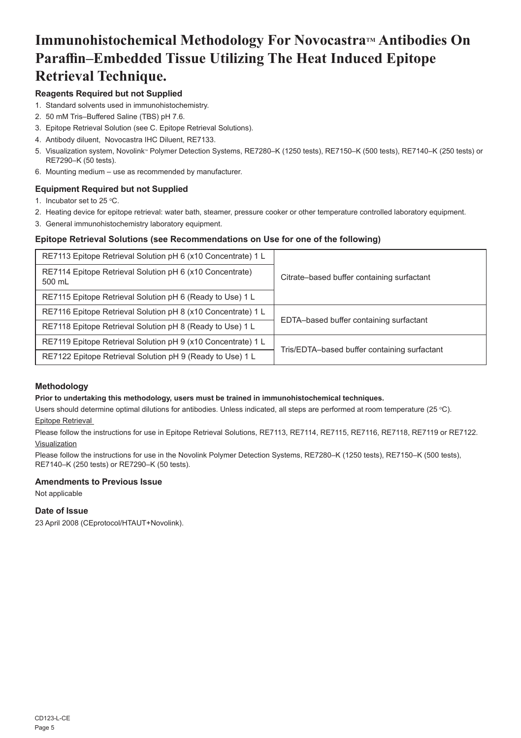## **Immunohistochemical Methodology For Novocastra™ Antibodies On Paraffin–Embedded Tissue Utilizing The Heat Induced Epitope Retrieval Technique.**

## **Reagents Required but not Supplied**

- 1. Standard solvents used in immunohistochemistry.
- 2. 50 mM Tris–Buffered Saline (TBS) pH 7.6.
- 3. Epitope Retrieval Solution (see C. Epitope Retrieval Solutions).
- 4. Antibody diluent, Novocastra IHC Diluent, RE7133.
- 5. Visualization system, Novolink™ Polymer Detection Systems, RE7280–K (1250 tests), RE7150–K (500 tests), RE7140–K (250 tests) or RE7290–K (50 tests).
- 6. Mounting medium use as recommended by manufacturer.

## **Equipment Required but not Supplied**

- 1. Incubator set to  $25 \degree C$ .
- 2. Heating device for epitope retrieval: water bath, steamer, pressure cooker or other temperature controlled laboratory equipment.
- 3. General immunohistochemistry laboratory equipment.

## **Epitope Retrieval Solutions (see Recommendations on Use for one of the following)**

| Citrate-based buffer containing surfactant |
|--------------------------------------------|
|                                            |
| EDTA-based buffer containing surfactant    |
|                                            |
|                                            |

## **Methodology**

**Prior to undertaking this methodology, users must be trained in immunohistochemical techniques.**

Users should determine optimal dilutions for antibodies. Unless indicated, all steps are performed at room temperature (25 °C).

Epitope Retrieval

Please follow the instructions for use in Epitope Retrieval Solutions, RE7113, RE7114, RE7115, RE7116, RE7118, RE7119 or RE7122. Visualization

Please follow the instructions for use in the Novolink Polymer Detection Systems, RE7280–K (1250 tests), RE7150–K (500 tests), RE7140–K (250 tests) or RE7290–K (50 tests).

## **Amendments to Previous Issue**

Not applicable

## **Date of Issue**

23 April 2008 (CEprotocol/HTAUT+Novolink).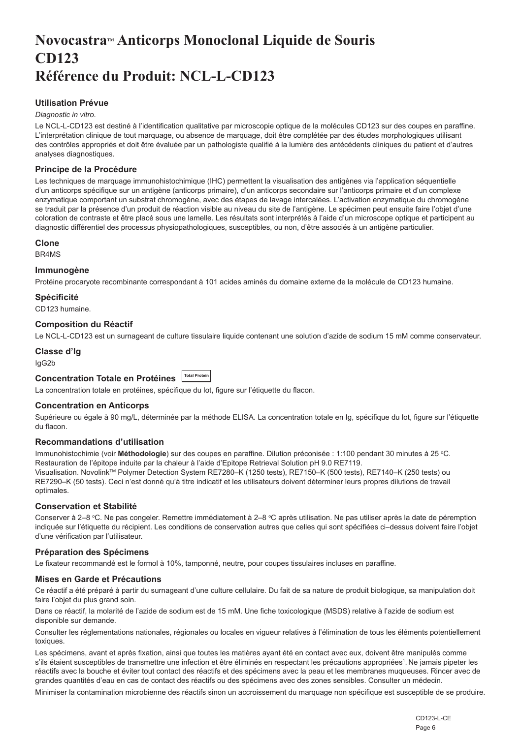## <span id="page-6-0"></span>**NovocastraTM Anticorps Monoclonal Liquide de Souris CD123 Référence du Produit: NCL-L-CD123**

## **Utilisation Prévue**

#### *Diagnostic in vitro*.

Le NCL-L-CD123 est destiné à l'identification qualitative par microscopie optique de la molécules CD123 sur des coupes en paraffine. L'interprétation clinique de tout marquage, ou absence de marquage, doit être complétée par des études morphologiques utilisant des contrôles appropriés et doit être évaluée par un pathologiste qualifié à la lumière des antécédents cliniques du patient et d'autres analyses diagnostiques.

### **Principe de la Procédure**

Les techniques de marquage immunohistochimique (IHC) permettent la visualisation des antigènes via l'application séquentielle d'un anticorps spécifique sur un antigène (anticorps primaire), d'un anticorps secondaire sur l'anticorps primaire et d'un complexe enzymatique comportant un substrat chromogène, avec des étapes de lavage intercalées. L'activation enzymatique du chromogène se traduit par la présence d'un produit de réaction visible au niveau du site de l'antigène. Le spécimen peut ensuite faire l'objet d'une coloration de contraste et être placé sous une lamelle. Les résultats sont interprétés à l'aide d'un microscope optique et participent au diagnostic différentiel des processus physiopathologiques, susceptibles, ou non, d'être associés à un antigène particulier.

#### **Clone**

BR4MS

#### **Immunogène**

Protéine procaryote recombinante correspondant à 101 acides aminés du domaine externe de la molécule de CD123 humaine.

#### **Spécificité**

CD123 humaine.

## **Composition du Réactif**

Le NCL-L-CD123 est un surnageant de culture tissulaire liquide contenant une solution d'azide de sodium 15 mM comme conservateur.

## **Classe d'Ig**

IgG2b

## **Concentration Totale en Protéines Total Protein**

La concentration totale en protéines, spécifique du lot, figure sur l'étiquette du flacon.

## **Concentration en Anticorps**

Supérieure ou égale à 90 mg/L, déterminée par la méthode ELISA. La concentration totale en Ig, spécifique du lot, figure sur l'étiquette du flacon.

## **Recommandations d'utilisation**

Immunohistochimie (voir **Méthodologie**) sur des coupes en paraffine. Dilution préconisée : 1:100 pendant 30 minutes à 25 °C. Restauration de l'épitope induite par la chaleur à l'aide d'Epitope Retrieval Solution pH 9.0 RE7119. Visualisation. Novolink™ Polymer Detection System RE7280–K (1250 tests), RE7150–K (500 tests), RE7140–K (250 tests) ou RE7290–K (50 tests). Ceci n'est donné qu'à titre indicatif et les utilisateurs doivent déterminer leurs propres dilutions de travail optimales.

#### **Conservation et Stabilité**

Conserver à 2–8 °C. Ne pas congeler. Remettre immédiatement à 2–8 °C après utilisation. Ne pas utiliser après la date de péremption indiquée sur l'étiquette du récipient. Les conditions de conservation autres que celles qui sont spécifiées ci–dessus doivent faire l'objet d'une vérification par l'utilisateur.

#### **Préparation des Spécimens**

Le fixateur recommandé est le formol à 10%, tamponné, neutre, pour coupes tissulaires incluses en paraffine.

#### **Mises en Garde et Précautions**

Ce réactif a été préparé à partir du surnageant d'une culture cellulaire. Du fait de sa nature de produit biologique, sa manipulation doit faire l'objet du plus grand soin.

Dans ce réactif, la molarité de l'azide de sodium est de 15 mM. Une fiche toxicologique (MSDS) relative à l'azide de sodium est disponible sur demande.

Consulter les réglementations nationales, régionales ou locales en vigueur relatives à l'élimination de tous les éléments potentiellement toxiques.

Les spécimens, avant et après fixation, ainsi que toutes les matières ayant été en contact avec eux, doivent être manipulés comme s'ils étaient susceptibles de transmettre une infection et être éliminés en respectant les précautions appropriées<sup>1</sup>. Ne jamais pipeter les réactifs avec la bouche et éviter tout contact des réactifs et des spécimens avec la peau et les membranes muqueuses. Rincer avec de grandes quantités d'eau en cas de contact des réactifs ou des spécimens avec des zones sensibles. Consulter un médecin.

Minimiser la contamination microbienne des réactifs sinon un accroissement du marquage non spécifique est susceptible de se produire.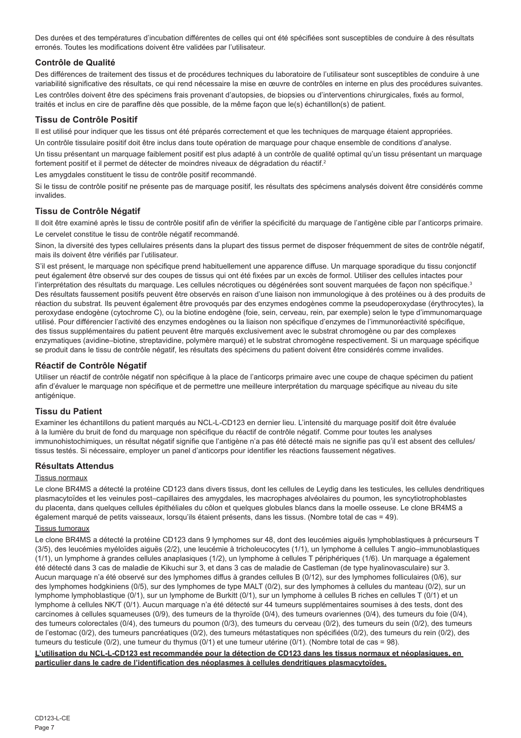Des durées et des températures d'incubation différentes de celles qui ont été spécifiées sont susceptibles de conduire à des résultats erronés. Toutes les modifications doivent être validées par l'utilisateur.

## **Contrôle de Qualité**

Des différences de traitement des tissus et de procédures techniques du laboratoire de l'utilisateur sont susceptibles de conduire à une variabilité significative des résultats, ce qui rend nécessaire la mise en œuvre de contrôles en interne en plus des procédures suivantes. Les contrôles doivent être des spécimens frais provenant d'autopsies, de biopsies ou d'interventions chirurgicales, fixés au formol, traités et inclus en cire de paraffine dès que possible, de la même façon que le(s) échantillon(s) de patient.

## **Tissu de Contrôle Positif**

Il est utilisé pour indiquer que les tissus ont été préparés correctement et que les techniques de marquage étaient appropriées.

Un contrôle tissulaire positif doit être inclus dans toute opération de marquage pour chaque ensemble de conditions d'analyse.

Un tissu présentant un marquage faiblement positif est plus adapté à un contrôle de qualité optimal qu'un tissu présentant un marquage fortement positif et il permet de détecter de moindres niveaux de dégradation du réactif.<sup>2</sup>

Les amygdales constituent le tissu de contrôle positif recommandé.

Si le tissu de contrôle positif ne présente pas de marquage positif, les résultats des spécimens analysés doivent être considérés comme invalides.

#### **Tissu de Contrôle Négatif**

Il doit être examiné après le tissu de contrôle positif afin de vérifier la spécificité du marquage de l'antigène cible par l'anticorps primaire.

Le cervelet constitue le tissu de contrôle négatif recommandé.

Sinon, la diversité des types cellulaires présents dans la plupart des tissus permet de disposer fréquemment de sites de contrôle négatif, mais ils doivent être vérifiés par l'utilisateur.

S'il est présent, le marquage non spécifique prend habituellement une apparence diffuse. Un marquage sporadique du tissu conjonctif peut également être observé sur des coupes de tissus qui ont été fixées par un excès de formol. Utiliser des cellules intactes pour l'interprétation des résultats du marquage. Les cellules nécrotiques ou dégénérées sont souvent marquées de façon non spécifique.<sup>3</sup> Des résultats faussement positifs peuvent être observés en raison d'une liaison non immunologique à des protéines ou à des produits de réaction du substrat. Ils peuvent également être provoqués par des enzymes endogènes comme la pseudoperoxydase (érythrocytes), la peroxydase endogène (cytochrome C), ou la biotine endogène (foie, sein, cerveau, rein, par exemple) selon le type d'immunomarquage utilisé. Pour différencier l'activité des enzymes endogènes ou la liaison non spécifique d'enzymes de l'immunoréactivité spécifique, des tissus supplémentaires du patient peuvent être marqués exclusivement avec le substrat chromogène ou par des complexes enzymatiques (avidine–biotine, streptavidine, polymère marqué) et le substrat chromogène respectivement. Si un marquage spécifique se produit dans le tissu de contrôle négatif, les résultats des spécimens du patient doivent être considérés comme invalides.

## **Réactif de Contrôle Négatif**

Utiliser un réactif de contrôle négatif non spécifique à la place de l'anticorps primaire avec une coupe de chaque spécimen du patient afin d'évaluer le marquage non spécifique et de permettre une meilleure interprétation du marquage spécifique au niveau du site antigénique.

#### **Tissu du Patient**

Examiner les échantillons du patient marqués au NCL-L-CD123 en dernier lieu. L'intensité du marquage positif doit être évaluée à la lumière du bruit de fond du marquage non spécifique du réactif de contrôle négatif. Comme pour toutes les analyses immunohistochimiques, un résultat négatif signifie que l'antigène n'a pas été détecté mais ne signifie pas qu'il est absent des cellules/ tissus testés. Si nécessaire, employer un panel d'anticorps pour identifier les réactions faussement négatives.

## **Résultats Attendus**

## Tissus normaux

Le clone BR4MS a détecté la protéine CD123 dans divers tissus, dont les cellules de Leydig dans les testicules, les cellules dendritiques plasmacytoïdes et les veinules post–capillaires des amygdales, les macrophages alvéolaires du poumon, les syncytiotrophoblastes du placenta, dans quelques cellules épithéliales du côlon et quelques globules blancs dans la moelle osseuse. Le clone BR4MS a également marqué de petits vaisseaux, lorsqu'ils étaient présents, dans les tissus. (Nombre total de cas = 49).

#### Tissus tumoraux

Le clone BR4MS a détecté la protéine CD123 dans 9 lymphomes sur 48, dont des leucémies aiguës lymphoblastiques à précurseurs T (3/5), des leucémies myéloïdes aiguës (2/2), une leucémie à tricholeucocytes (1/1), un lymphome à cellules T angio–immunoblastiques (1/1), un lymphome à grandes cellules anaplasiques (1/2), un lymphome à cellules T périphériques (1/6). Un marquage a également été détecté dans 3 cas de maladie de Kikuchi sur 3, et dans 3 cas de maladie de Castleman (de type hyalinovasculaire) sur 3. Aucun marquage n'a été observé sur des lymphomes diffus à grandes cellules B (0/12), sur des lymphomes folliculaires (0/6), sur des lymphomes hodgkiniens (0/5), sur des lymphomes de type MALT (0/2), sur des lymphomes à cellules du manteau (0/2), sur un lymphome lymphoblastique (0/1), sur un lymphome de Burkitt (0/1), sur un lymphome à cellules B riches en cellules T (0/1) et un lymphome à cellules NK/T (0/1). Aucun marquage n'a été détecté sur 44 tumeurs supplémentaires soumises à des tests, dont des carcinomes à cellules squameuses (0/9), des tumeurs de la thyroïde (0/4), des tumeurs ovariennes (0/4), des tumeurs du foie (0/4), des tumeurs colorectales (0/4), des tumeurs du poumon (0/3), des tumeurs du cerveau (0/2), des tumeurs du sein (0/2), des tumeurs de l'estomac (0/2), des tumeurs pancréatiques (0/2), des tumeurs métastatiques non spécifiées (0/2), des tumeurs du rein (0/2), des tumeurs du testicule (0/2), une tumeur du thymus (0/1) et une tumeur utérine (0/1). (Nombre total de cas = 98).

**L'utilisation du NCL-L-CD123 est recommandée pour la détection de CD123 dans les tissus normaux et néoplasiques, en particulier dans le cadre de l'identification des néoplasmes à cellules dendritiques plasmacytoïdes.**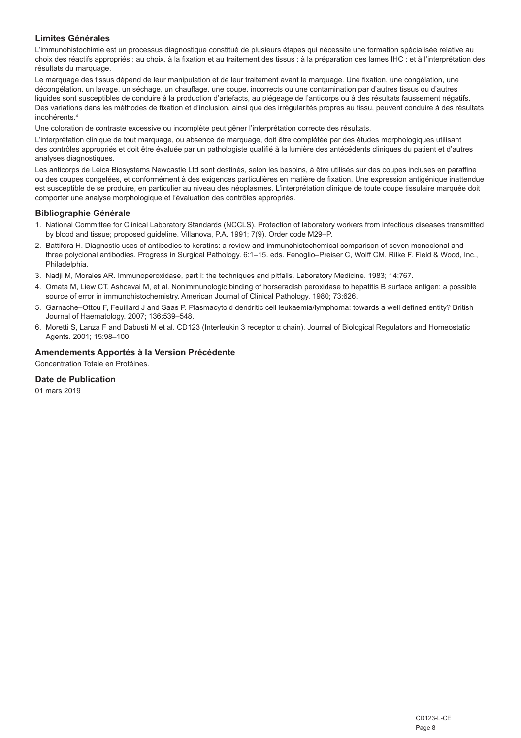## **Limites Générales**

L'immunohistochimie est un processus diagnostique constitué de plusieurs étapes qui nécessite une formation spécialisée relative au choix des réactifs appropriés ; au choix, à la fixation et au traitement des tissus ; à la préparation des lames IHC ; et à l'interprétation des résultats du marquage.

Le marquage des tissus dépend de leur manipulation et de leur traitement avant le marquage. Une fixation, une congélation, une décongélation, un lavage, un séchage, un chauffage, une coupe, incorrects ou une contamination par d'autres tissus ou d'autres liquides sont susceptibles de conduire à la production d'artefacts, au piégeage de l'anticorps ou à des résultats faussement négatifs. Des variations dans les méthodes de fixation et d'inclusion, ainsi que des irrégularités propres au tissu, peuvent conduire à des résultats incohérents.4

Une coloration de contraste excessive ou incomplète peut gêner l'interprétation correcte des résultats.

L'interprétation clinique de tout marquage, ou absence de marquage, doit être complétée par des études morphologiques utilisant des contrôles appropriés et doit être évaluée par un pathologiste qualifié à la lumière des antécédents cliniques du patient et d'autres analyses diagnostiques.

Les anticorps de Leica Biosystems Newcastle Ltd sont destinés, selon les besoins, à être utilisés sur des coupes incluses en paraffine ou des coupes congelées, et conformément à des exigences particulières en matière de fixation. Une expression antigénique inattendue est susceptible de se produire, en particulier au niveau des néoplasmes. L'interprétation clinique de toute coupe tissulaire marquée doit comporter une analyse morphologique et l'évaluation des contrôles appropriés.

#### **Bibliographie Générale**

- 1. National Committee for Clinical Laboratory Standards (NCCLS). Protection of laboratory workers from infectious diseases transmitted by blood and tissue; proposed guideline. Villanova, P.A. 1991; 7(9). Order code M29–P.
- 2. Battifora H. Diagnostic uses of antibodies to keratins: a review and immunohistochemical comparison of seven monoclonal and three polyclonal antibodies. Progress in Surgical Pathology. 6:1–15. eds. Fenoglio–Preiser C, Wolff CM, Rilke F. Field & Wood, Inc., Philadelphia.
- 3. Nadji M, Morales AR. Immunoperoxidase, part I: the techniques and pitfalls. Laboratory Medicine. 1983; 14:767.
- 4. Omata M, Liew CT, Ashcavai M, et al. Nonimmunologic binding of horseradish peroxidase to hepatitis B surface antigen: a possible source of error in immunohistochemistry. American Journal of Clinical Pathology. 1980; 73:626.
- 5. Garnache–Ottou F, Feuillard J and Saas P. Plasmacytoid dendritic cell leukaemia/lymphoma: towards a well defined entity? British Journal of Haematology. 2007; 136:539–548.
- 6. Moretti S, Lanza F and Dabusti M et al. CD123 (Interleukin 3 receptor α chain). Journal of Biological Regulators and Homeostatic Agents. 2001; 15:98–100.

## **Amendements Apportés à la Version Précédente**

Concentration Totale en Protéines.

## **Date de Publication**

01 mars 2019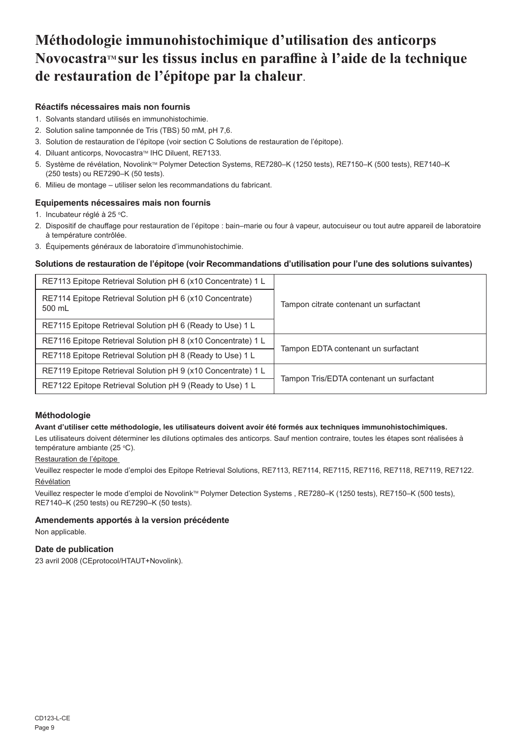## **Méthodologie immunohistochimique d'utilisation des anticorps**  Novocastra™ sur les tissus inclus en paraffine à l'aide de la technique **de restauration de l'épitope par la chaleur**.

## **Réactifs nécessaires mais non fournis**

- 1. Solvants standard utilisés en immunohistochimie.
- 2. Solution saline tamponnée de Tris (TBS) 50 mM, pH 7,6.
- 3. Solution de restauration de l'épitope (voir section C Solutions de restauration de l'épitope).
- 4. Diluant anticorps, Novocastra™ IHC Diluent, RE7133.
- 5. Système de révélation, Novolink™ Polymer Detection Systems, RE7280–K (1250 tests), RE7150–K (500 tests), RE7140–K (250 tests) ou RE7290–K (50 tests).
- 6. Milieu de montage utiliser selon les recommandations du fabricant.

## **Equipements nécessaires mais non fournis**

- 1. Incubateur réglé à 25 °C.
- 2. Dispositif de chauffage pour restauration de l'épitope : bain–marie ou four à vapeur, autocuiseur ou tout autre appareil de laboratoire à température contrôlée.
- 3. Équipements généraux de laboratoire d'immunohistochimie.

#### **Solutions de restauration de l'épitope (voir Recommandations d'utilisation pour l'une des solutions suivantes)**

| RE7113 Epitope Retrieval Solution pH 6 (x10 Concentrate) 1 L       |                                          |
|--------------------------------------------------------------------|------------------------------------------|
| RE7114 Epitope Retrieval Solution pH 6 (x10 Concentrate)<br>500 mL | Tampon citrate contenant un surfactant   |
| RE7115 Epitope Retrieval Solution pH 6 (Ready to Use) 1 L          |                                          |
| RE7116 Epitope Retrieval Solution pH 8 (x10 Concentrate) 1 L       | Tampon EDTA contenant un surfactant      |
| RE7118 Epitope Retrieval Solution pH 8 (Ready to Use) 1 L          |                                          |
| RE7119 Epitope Retrieval Solution pH 9 (x10 Concentrate) 1 L       | Tampon Tris/EDTA contenant un surfactant |
| RE7122 Epitope Retrieval Solution pH 9 (Ready to Use) 1 L          |                                          |

## **Méthodologie**

#### **Avant d'utiliser cette méthodologie, les utilisateurs doivent avoir été formés aux techniques immunohistochimiques.**

Les utilisateurs doivent déterminer les dilutions optimales des anticorps. Sauf mention contraire, toutes les étapes sont réalisées à température ambiante (25 °C).

## Restauration de l'épitope

Veuillez respecter le mode d'emploi des Epitope Retrieval Solutions, RE7113, RE7114, RE7115, RE7116, RE7118, RE7119, RE7122. Révélation

Veuillez respecter le mode d'emploi de Novolink™ Polymer Detection Systems , RE7280–K (1250 tests), RE7150–K (500 tests), RE7140–K (250 tests) ou RE7290–K (50 tests).

#### **Amendements apportés à la version précédente**

Non applicable.

## **Date de publication**

23 avril 2008 (CEprotocol/HTAUT+Novolink).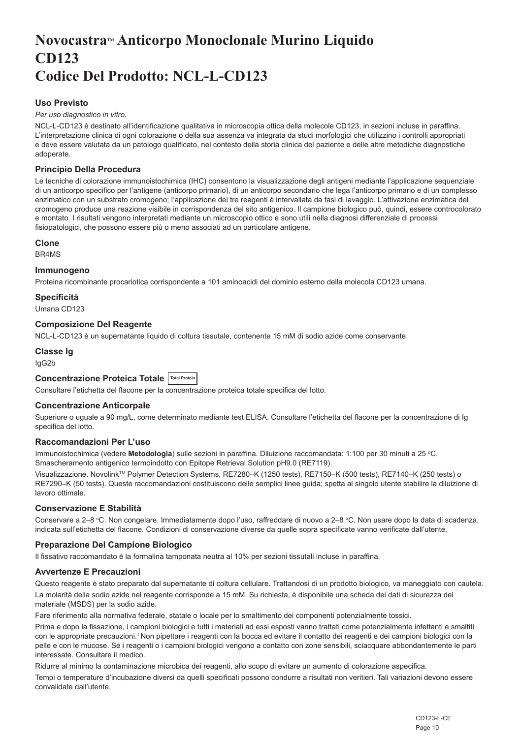## <span id="page-10-0"></span>**NovocastraTM Anticorpo Monoclonale Murino Liquido CD123 Codice Del Prodotto: NCL-L-CD123**

## **Uso Previsto**

#### *Per uso diagnostico in vitro*.

NCL-L-CD123 è destinato all'identificazione qualitativa in microscopia ottica della molecole CD123, in sezioni incluse in paraffina. L'interpretazione clinica di ogni colorazione o della sua assenza va integrata da studi morfologici che utilizzino i controlli appropriati e deve essere valutata da un patologo qualificato, nel contesto della storia clinica del paziente e delle altre metodiche diagnostiche adoperate.

### **Principio Della Procedura**

Le tecniche di colorazione immunoistochimica (IHC) consentono la visualizzazione degli antigeni mediante l'applicazione sequenziale di un anticorpo specifico per l'antigene (anticorpo primario), di un anticorpo secondario che lega l'anticorpo primario e di un complesso enzimatico con un substrato cromogeno; l'applicazione dei tre reagenti è intervallata da fasi di lavaggio. L'attivazione enzimatica del cromogeno produce una reazione visibile in corrispondenza del sito antigenico. Il campione biologico può, quindi, essere controcolorato e montato. I risultati vengono interpretati mediante un microscopio ottico e sono utili nella diagnosi differenziale di processi fisiopatologici, che possono essere più o meno associati ad un particolare antigene.

#### **Clone**

BR4MS

#### **Immunogeno**

Proteina ricombinante procariotica corrispondente a 101 aminoacidi del dominio esterno della molecola CD123 umana.

#### **Specificità**

Umana CD123

#### **Composizione Del Reagente**

NCL-L-CD123 è un supernatante liquido di coltura tissutale, contenente 15 mM di sodio azide come conservante.

**Classe Ig** IgG2b

## **Concentrazione Proteica Totale Total Protein**

Consultare l'etichetta del flacone per la concentrazione proteica totale specifica del lotto.

## **Concentrazione Anticorpale**

Superiore o uguale a 90 mg/L, come determinato mediante test ELISA. Consultare l'etichetta del flacone per la concentrazione di Ig specifica del lotto.

#### **Raccomandazioni Per L'uso**

Immunoistochimica (vedere **Metodologia**) sulle sezioni in paraffina. Diluizione raccomandata: 1:100 per 30 minuti a 25 °C. Smascheramento antigenico termoindotto con Epitope Retrieval Solution pH9.0 (RE7119).

Visualizzazione. NovolinkTM Polymer Detection Systems, RE7280–K (1250 tests), RE7150–K (500 tests), RE7140–K (250 tests) o RE7290–K (50 tests). Queste raccomandazioni costituiscono delle semplici linee guida; spetta al singolo utente stabilire la diluizione di lavoro ottimale.

#### **Conservazione E Stabilità**

Conservare a 2–8 °C. Non congelare. Immediatamente dopo l'uso, raffreddare di nuovo a 2–8 °C. Non usare dopo la data di scadenza, indicata sull'etichetta del flacone. Condizioni di conservazione diverse da quelle sopra specificate vanno verificate dall'utente.

#### **Preparazione Del Campione Biologico**

Il fissativo raccomandato è la formalina tamponata neutra al 10% per sezioni tissutali incluse in paraffina.

#### **Avvertenze E Precauzioni**

Questo reagente è stato preparato dal supernatante di coltura cellulare. Trattandosi di un prodotto biologico, va maneggiato con cautela. La molarità della sodio azide nel reagente corrisponde a 15 mM. Su richiesta, è disponibile una scheda dei dati di sicurezza del materiale (MSDS) per la sodio azide.

Fare riferimento alla normativa federale, statale o locale per lo smaltimento dei componenti potenzialmente tossici.

Prima e dopo la fissazione, i campioni biologici e tutti i materiali ad essi esposti vanno trattati come potenzialmente infettanti e smaltiti con le appropriate precauzioni.<sup>1</sup>Non pipettare i reagenti con la bocca ed evitare il contatto dei reagenti e dei campioni biologici con la pelle e con le mucose. Se i reagenti o i campioni biologici vengono a contatto con zone sensibili, sciacquare abbondantemente le parti interessate. Consultare il medico.

Ridurre al minimo la contaminazione microbica dei reagenti, allo scopo di evitare un aumento di colorazione aspecifica.

Tempi o temperature d'incubazione diversi da quelli specificati possono condurre a risultati non veritieri. Tali variazioni devono essere convalidate dall'utente.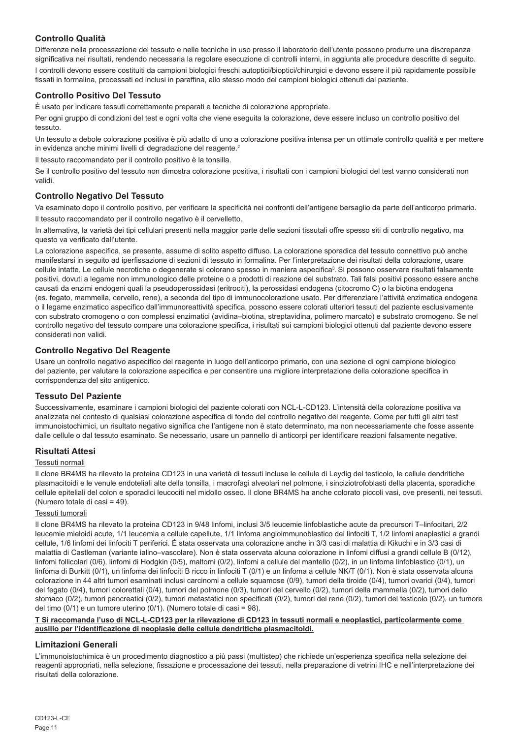## **Controllo Qualità**

Differenze nella processazione del tessuto e nelle tecniche in uso presso il laboratorio dell'utente possono produrre una discrepanza significativa nei risultati, rendendo necessaria la regolare esecuzione di controlli interni, in aggiunta alle procedure descritte di seguito. I controlli devono essere costituiti da campioni biologici freschi autoptici/bioptici/chirurgici e devono essere il più rapidamente possibile fissati in formalina, processati ed inclusi in paraffina, allo stesso modo dei campioni biologici ottenuti dal paziente.

## **Controllo Positivo Del Tessuto**

È usato per indicare tessuti correttamente preparati e tecniche di colorazione appropriate.

Per ogni gruppo di condizioni del test e ogni volta che viene eseguita la colorazione, deve essere incluso un controllo positivo del tessuto.

Un tessuto a debole colorazione positiva è più adatto di uno a colorazione positiva intensa per un ottimale controllo qualità e per mettere in evidenza anche minimi livelli di degradazione del reagente.<sup>2</sup>

Il tessuto raccomandato per il controllo positivo è la tonsilla.

Se il controllo positivo del tessuto non dimostra colorazione positiva, i risultati con i campioni biologici del test vanno considerati non validi.

## **Controllo Negativo Del Tessuto**

Va esaminato dopo il controllo positivo, per verificare la specificità nei confronti dell'antigene bersaglio da parte dell'anticorpo primario. Il tessuto raccomandato per il controllo negativo è il cervelletto.

In alternativa, la varietà dei tipi cellulari presenti nella maggior parte delle sezioni tissutali offre spesso siti di controllo negativo, ma questo va verificato dall'utente.

La colorazione aspecifica, se presente, assume di solito aspetto diffuso. La colorazione sporadica del tessuto connettivo può anche manifestarsi in seguito ad iperfissazione di sezioni di tessuto in formalina. Per l'interpretazione dei risultati della colorazione, usare cellule intatte. Le cellule necrotiche o degenerate si colorano spesso in maniera aspecifica<sup>3</sup>. Si possono osservare risultati falsamente positivi, dovuti a legame non immunologico delle proteine o a prodotti di reazione del substrato. Tali falsi positivi possono essere anche causati da enzimi endogeni quali la pseudoperossidasi (eritrociti), la perossidasi endogena (citocromo C) o la biotina endogena (es. fegato, mammella, cervello, rene), a seconda del tipo di immunocolorazione usato. Per differenziare l'attività enzimatica endogena o il legame enzimatico aspecifico dall'immunoreattività specifica, possono essere colorati ulteriori tessuti del paziente esclusivamente con substrato cromogeno o con complessi enzimatici (avidina–biotina, streptavidina, polimero marcato) e substrato cromogeno. Se nel controllo negativo del tessuto compare una colorazione specifica, i risultati sui campioni biologici ottenuti dal paziente devono essere considerati non validi.

## **Controllo Negativo Del Reagente**

Usare un controllo negativo aspecifico del reagente in luogo dell'anticorpo primario, con una sezione di ogni campione biologico del paziente, per valutare la colorazione aspecifica e per consentire una migliore interpretazione della colorazione specifica in corrispondenza del sito antigenico.

## **Tessuto Del Paziente**

Successivamente, esaminare i campioni biologici del paziente colorati con NCL-L-CD123. L'intensità della colorazione positiva va analizzata nel contesto di qualsiasi colorazione aspecifica di fondo del controllo negativo del reagente. Come per tutti gli altri test immunoistochimici, un risultato negativo significa che l'antigene non è stato determinato, ma non necessariamente che fosse assente dalle cellule o dal tessuto esaminato. Se necessario, usare un pannello di anticorpi per identificare reazioni falsamente negative.

## **Risultati Attesi**

#### Tessuti normali

Il clone BR4MS ha rilevato la proteina CD123 in una varietà di tessuti incluse le cellule di Leydig del testicolo, le cellule dendritiche plasmacitoidi e le venule endoteliali alte della tonsilla, i macrofagi alveolari nel polmone, i sinciziotrofoblasti della placenta, sporadiche cellule epiteliali del colon e sporadici leucociti nel midollo osseo. Il clone BR4MS ha anche colorato piccoli vasi, ove presenti, nei tessuti. (Numero totale di casi = 49).

#### Tessuti tumorali

Il clone BR4MS ha rilevato la proteina CD123 in 9/48 linfomi, inclusi 3/5 leucemie linfoblastiche acute da precursori T–linfocitari, 2/2 leucemie mieloidi acute, 1/1 leucemia a cellule capellute, 1/1 linfoma angioimmunoblastico dei linfociti T, 1/2 linfomi anaplastici a grandi cellule, 1/6 linfomi dei linfociti T periferici. È stata osservata una colorazione anche in 3/3 casi di malattia di Kikuchi e in 3/3 casi di malattia di Castleman (variante ialino–vascolare). Non è stata osservata alcuna colorazione in linfomi diffusi a grandi cellule B (0/12), linfomi follicolari (0/6), linfomi di Hodgkin (0/5), maltomi (0/2), linfomi a cellule del mantello (0/2), in un linfoma linfoblastico (0/1), un linfoma di Burkitt (0/1), un linfoma dei linfociti B ricco in linfociti T (0/1) e un linfoma a cellule NK/T (0/1). Non è stata osservata alcuna colorazione in 44 altri tumori esaminati inclusi carcinomi a cellule squamose (0/9), tumori della tiroide (0/4), tumori ovarici (0/4), tumori del fegato (0/4), tumori colorettali (0/4), tumori del polmone (0/3), tumori del cervello (0/2), tumori della mammella (0/2), tumori dello stomaco (0/2), tumori pancreatici (0/2), tumori metastatici non specificati (0/2), tumori del rene (0/2), tumori del testicolo (0/2), un tumore del timo (0/1) e un tumore uterino (0/1). (Numero totale di casi = 98).

#### **T Si raccomanda l'uso di NCL-L-CD123 per la rilevazione di CD123 in tessuti normali e neoplastici, particolarmente come ausilio per l'identificazione di neoplasie delle cellule dendritiche plasmacitoidi.**

#### **Limitazioni Generali**

L'immunoistochimica è un procedimento diagnostico a più passi (multistep) che richiede un'esperienza specifica nella selezione dei reagenti appropriati, nella selezione, fissazione e processazione dei tessuti, nella preparazione di vetrini IHC e nell'interpretazione dei risultati della colorazione.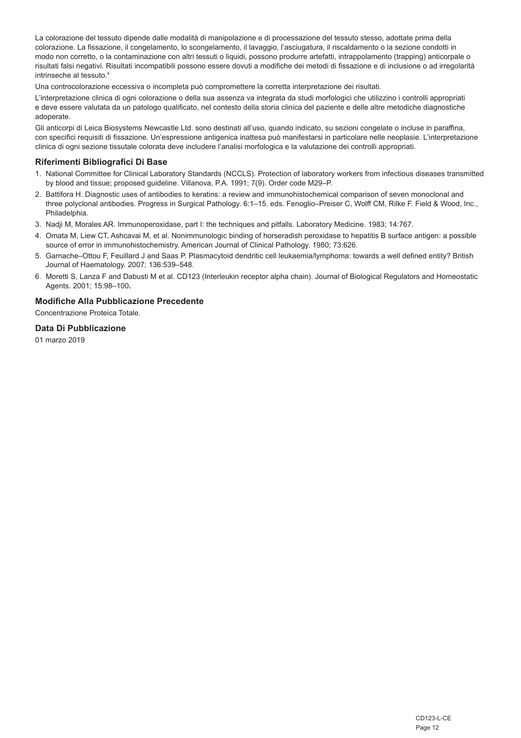La colorazione del tessuto dipende dalle modalità di manipolazione e di processazione del tessuto stesso, adottate prima della colorazione. La fissazione, il congelamento, lo scongelamento, il lavaggio, l'asciugatura, il riscaldamento o la sezione condotti in modo non corretto, o la contaminazione con altri tessuti o liquidi, possono produrre artefatti, intrappolamento (trapping) anticorpale o risultati falsi negativi. Risultati incompatibili possono essere dovuti a modifiche dei metodi di fissazione e di inclusione o ad irregolarità intrinseche al tessuto.4

Una controcolorazione eccessiva o incompleta può compromettere la corretta interpretazione dei risultati.

L'interpretazione clinica di ogni colorazione o della sua assenza va integrata da studi morfologici che utilizzino i controlli appropriati e deve essere valutata da un patologo qualificato, nel contesto della storia clinica del paziente e delle altre metodiche diagnostiche adoperate.

Gli anticorpi di Leica Biosystems Newcastle Ltd. sono destinati all'uso, quando indicato, su sezioni congelate o incluse in paraffina, con specifici requisiti di fissazione. Un'espressione antigenica inattesa può manifestarsi in particolare nelle neoplasie. L'interpretazione clinica di ogni sezione tissutale colorata deve includere l'analisi morfologica e la valutazione dei controlli appropriati.

## **Riferimenti Bibliografici Di Base**

- 1. National Committee for Clinical Laboratory Standards (NCCLS). Protection of laboratory workers from infectious diseases transmitted by blood and tissue; proposed guideline. Villanova, P.A. 1991; 7(9). Order code M29–P.
- 2. Battifora H. Diagnostic uses of antibodies to keratins: a review and immunohistochemical comparison of seven monoclonal and three polyclonal antibodies. Progress in Surgical Pathology. 6:1–15. eds. Fenoglio–Preiser C, Wolff CM, Rilke F. Field & Wood, Inc., Philadelphia.
- 3. Nadji M, Morales AR. Immunoperoxidase, part I: the techniques and pitfalls. Laboratory Medicine. 1983; 14:767.
- 4. Omata M, Liew CT, Ashcavai M, et al. Nonimmunologic binding of horseradish peroxidase to hepatitis B surface antigen: a possible source of error in immunohistochemistry. American Journal of Clinical Pathology. 1980; 73:626.
- 5. Garnache–Ottou F, Feuillard J and Saas P. Plasmacytoid dendritic cell leukaemia/lymphoma: towards a well defined entity? British Journal of Haematology. 2007; 136:539–548.
- 6. Moretti S, Lanza F and Dabusti M et al. CD123 (Interleukin receptor alpha chain). Journal of Biological Regulators and Homeostatic Agents. 2001; 15:98–100**.**

## **Modifiche Alla Pubblicazione Precedente**

Concentrazione Proteica Totale.

**Data Di Pubblicazione**

01 marzo 2019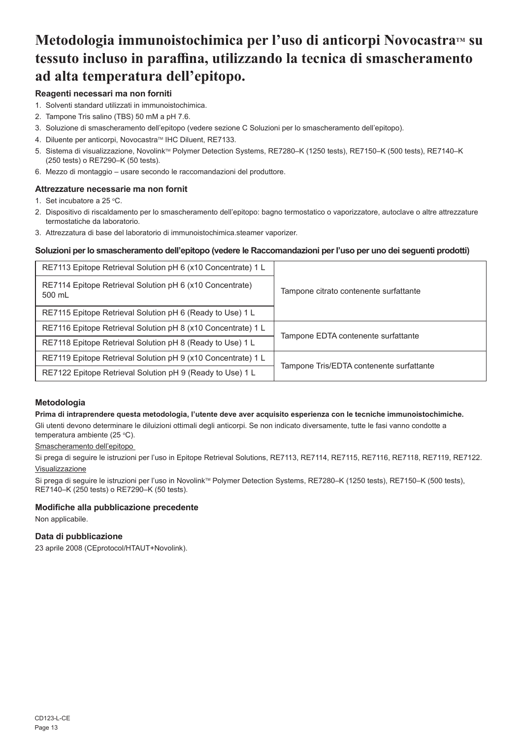## Metodologia immunoistochimica per l'uso di anticorpi Novocastra™ su **tessuto incluso in paraffina, utilizzando la tecnica di smascheramento ad alta temperatura dell'epitopo.**

## **Reagenti necessari ma non forniti**

- 1. Solventi standard utilizzati in immunoistochimica.
- 2. Tampone Tris salino (TBS) 50 mM a pH 7.6.
- 3. Soluzione di smascheramento dell'epitopo (vedere sezione C Soluzioni per lo smascheramento dell'epitopo).
- 4. Diluente per anticorpi, Novocastra™ IHC Diluent, RE7133.
- 5. Sistema di visualizzazione, Novolink™ Polymer Detection Systems, RE7280–K (1250 tests), RE7150–K (500 tests), RE7140–K (250 tests) o RE7290–K (50 tests).
- 6. Mezzo di montaggio usare secondo le raccomandazioni del produttore.

## **Attrezzature necessarie ma non fornit**

- 1. Set incubatore a 25  $\degree$ C.
- 2. Dispositivo di riscaldamento per lo smascheramento dell'epitopo: bagno termostatico o vaporizzatore, autoclave o altre attrezzature termostatiche da laboratorio.
- 3. Attrezzatura di base del laboratorio di immunoistochimica.steamer vaporizer.

## **Soluzioni per lo smascheramento dell'epitopo (vedere le Raccomandazioni per l'uso per uno dei seguenti prodotti)**

| RE7113 Epitope Retrieval Solution pH 6 (x10 Concentrate) 1 L       | Tampone citrato contenente surfattante   |
|--------------------------------------------------------------------|------------------------------------------|
| RE7114 Epitope Retrieval Solution pH 6 (x10 Concentrate)<br>500 mL |                                          |
| RE7115 Epitope Retrieval Solution pH 6 (Ready to Use) 1 L          |                                          |
| RE7116 Epitope Retrieval Solution pH 8 (x10 Concentrate) 1 L       | Tampone EDTA contenente surfattante      |
| RE7118 Epitope Retrieval Solution pH 8 (Ready to Use) 1 L          |                                          |
| RE7119 Epitope Retrieval Solution pH 9 (x10 Concentrate) 1 L       | Tampone Tris/EDTA contenente surfattante |
| RE7122 Epitope Retrieval Solution pH 9 (Ready to Use) 1 L          |                                          |

## **Metodologia**

#### **Prima di intraprendere questa metodologia, l'utente deve aver acquisito esperienza con le tecniche immunoistochimiche.**

Gli utenti devono determinare le diluizioni ottimali degli anticorpi. Se non indicato diversamente, tutte le fasi vanno condotte a temperatura ambiente (25 °C).

#### Smascheramento dell'epitopo

Si prega di seguire le istruzioni per l'uso in Epitope Retrieval Solutions, RE7113, RE7114, RE7115, RE7116, RE7118, RE7119, RE7122.

## Visualizzazione

Si prega di seguire le istruzioni per l'uso in Novolink™ Polymer Detection Systems, RE7280–K (1250 tests), RE7150–K (500 tests), RE7140–K (250 tests) o RE7290–K (50 tests).

## **Modifiche alla pubblicazione precedente**

Non applicabile.

## **Data di pubblicazione**

23 aprile 2008 (CEprotocol/HTAUT+Novolink).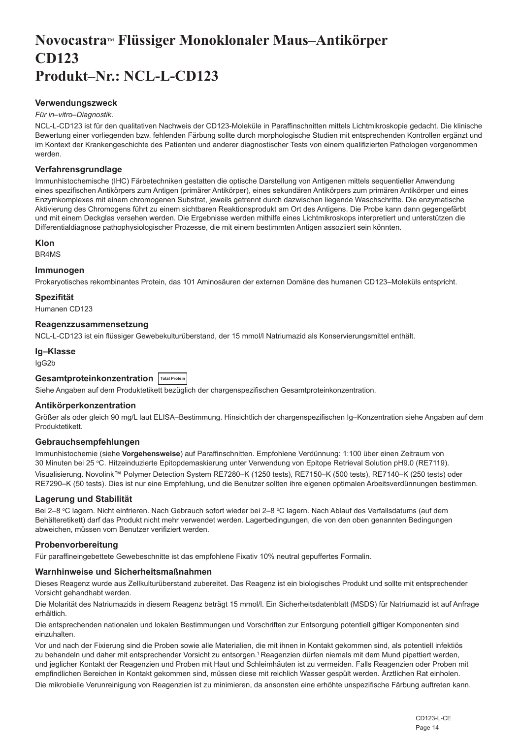## <span id="page-14-0"></span>**NovocastraTM Flüssiger Monoklonaler Maus–Antikörper CD123 Produkt–Nr.: NCL-L-CD123**

## **Verwendungszweck**

#### *Für in–vitro–Diagnostik*.

NCL-L-CD123 ist für den qualitativen Nachweis der CD123-Moleküle in Paraffinschnitten mittels Lichtmikroskopie gedacht. Die klinische Bewertung einer vorliegenden bzw. fehlenden Färbung sollte durch morphologische Studien mit entsprechenden Kontrollen ergänzt und im Kontext der Krankengeschichte des Patienten und anderer diagnostischer Tests von einem qualifizierten Pathologen vorgenommen werden.

#### **Verfahrensgrundlage**

Immunhistochemische (IHC) Färbetechniken gestatten die optische Darstellung von Antigenen mittels sequentieller Anwendung eines spezifischen Antikörpers zum Antigen (primärer Antikörper), eines sekundären Antikörpers zum primären Antikörper und eines Enzymkomplexes mit einem chromogenen Substrat, jeweils getrennt durch dazwischen liegende Waschschritte. Die enzymatische Aktivierung des Chromogens führt zu einem sichtbaren Reaktionsprodukt am Ort des Antigens. Die Probe kann dann gegengefärbt und mit einem Deckglas versehen werden. Die Ergebnisse werden mithilfe eines Lichtmikroskops interpretiert und unterstützen die Differentialdiagnose pathophysiologischer Prozesse, die mit einem bestimmten Antigen assoziiert sein könnten.

#### **Klon**

BR4MS

#### **Immunogen**

Prokaryotisches rekombinantes Protein, das 101 Aminosäuren der externen Domäne des humanen CD123–Moleküls entspricht.

#### **Spezifität**

Humanen CD123

#### **Reagenzzusammensetzung**

NCL-L-CD123 ist ein flüssiger Gewebekulturüberstand, der 15 mmol/l Natriumazid als Konservierungsmittel enthält.

## **Ig–Klasse**

IgG2b

## **Gesamtproteinkonzentration Total Protein**

Siehe Angaben auf dem Produktetikett bezüglich der chargenspezifischen Gesamtproteinkonzentration.

## **Antikörperkonzentration**

Größer als oder gleich 90 mg/L laut ELISA–Bestimmung. Hinsichtlich der chargenspezifischen Ig–Konzentration siehe Angaben auf dem Produktetikett.

#### **Gebrauchsempfehlungen**

Immunhistochemie (siehe **Vorgehensweise**) auf Paraffinschnitten. Empfohlene Verdünnung: 1:100 über einen Zeitraum von 30 Minuten bei 25 °C. Hitzeinduzierte Epitopdemaskierung unter Verwendung von Epitope Retrieval Solution pH9.0 (RE7119). Visualisierung. Novolink™ Polymer Detection System RE7280–K (1250 tests), RE7150–K (500 tests), RE7140–K (250 tests) oder RE7290–K (50 tests). Dies ist nur eine Empfehlung, und die Benutzer sollten ihre eigenen optimalen Arbeitsverdünnungen bestimmen.

#### **Lagerung und Stabilität**

Bei 2–8 °C lagern. Nicht einfrieren. Nach Gebrauch sofort wieder bei 2–8 °C lagern. Nach Ablauf des Verfallsdatums (auf dem Behälteretikett) darf das Produkt nicht mehr verwendet werden. Lagerbedingungen, die von den oben genannten Bedingungen abweichen, müssen vom Benutzer verifiziert werden.

#### **Probenvorbereitung**

Für paraffineingebettete Gewebeschnitte ist das empfohlene Fixativ 10% neutral gepuffertes Formalin.

#### **Warnhinweise und Sicherheitsmaßnahmen**

Dieses Reagenz wurde aus Zellkulturüberstand zubereitet. Das Reagenz ist ein biologisches Produkt und sollte mit entsprechender Vorsicht gehandhabt werden.

Die Molarität des Natriumazids in diesem Reagenz beträgt 15 mmol/l. Ein Sicherheitsdatenblatt (MSDS) für Natriumazid ist auf Anfrage erhältlich.

Die entsprechenden nationalen und lokalen Bestimmungen und Vorschriften zur Entsorgung potentiell giftiger Komponenten sind einzuhalten.

Vor und nach der Fixierung sind die Proben sowie alle Materialien, die mit ihnen in Kontakt gekommen sind, als potentiell infektiös zu behandeln und daher mit entsprechender Vorsicht zu entsorgen.<sup>1</sup> Reagenzien dürfen niemals mit dem Mund pipettiert werden, und jeglicher Kontakt der Reagenzien und Proben mit Haut und Schleimhäuten ist zu vermeiden. Falls Reagenzien oder Proben mit empfindlichen Bereichen in Kontakt gekommen sind, müssen diese mit reichlich Wasser gespült werden. Ärztlichen Rat einholen.

Die mikrobielle Verunreinigung von Reagenzien ist zu minimieren, da ansonsten eine erhöhte unspezifische Färbung auftreten kann.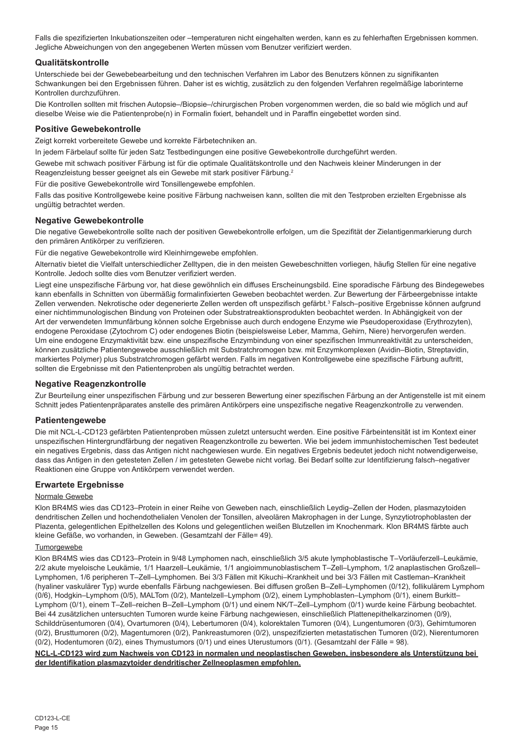Falls die spezifizierten Inkubationszeiten oder –temperaturen nicht eingehalten werden, kann es zu fehlerhaften Ergebnissen kommen. Jegliche Abweichungen von den angegebenen Werten müssen vom Benutzer verifiziert werden.

## **Qualitätskontrolle**

Unterschiede bei der Gewebebearbeitung und den technischen Verfahren im Labor des Benutzers können zu signifikanten Schwankungen bei den Ergebnissen führen. Daher ist es wichtig, zusätzlich zu den folgenden Verfahren regelmäßige laborinterne Kontrollen durchzuführen.

Die Kontrollen sollten mit frischen Autopsie–/Biopsie–/chirurgischen Proben vorgenommen werden, die so bald wie möglich und auf dieselbe Weise wie die Patientenprobe(n) in Formalin fixiert, behandelt und in Paraffin eingebettet worden sind.

## **Positive Gewebekontrolle**

Zeigt korrekt vorbereitete Gewebe und korrekte Färbetechniken an.

In jedem Färbelauf sollte für jeden Satz Testbedingungen eine positive Gewebekontrolle durchgeführt werden.

Gewebe mit schwach positiver Färbung ist für die optimale Qualitätskontrolle und den Nachweis kleiner Minderungen in der Reagenzleistung besser geeignet als ein Gewebe mit stark positiver Färbung.<sup>2</sup>

Für die positive Gewebekontrolle wird Tonsillengewebe empfohlen.

Falls das positive Kontrollgewebe keine positive Färbung nachweisen kann, sollten die mit den Testproben erzielten Ergebnisse als ungültig betrachtet werden.

## **Negative Gewebekontrolle**

Die negative Gewebekontrolle sollte nach der positiven Gewebekontrolle erfolgen, um die Spezifität der Zielantigenmarkierung durch den primären Antikörper zu verifizieren.

Für die negative Gewebekontrolle wird Kleinhirngewebe empfohlen.

Alternativ bietet die Vielfalt unterschiedlicher Zelltypen, die in den meisten Gewebeschnitten vorliegen, häufig Stellen für eine negative Kontrolle. Jedoch sollte dies vom Benutzer verifiziert werden.

Liegt eine unspezifische Färbung vor, hat diese gewöhnlich ein diffuses Erscheinungsbild. Eine sporadische Färbung des Bindegewebes kann ebenfalls in Schnitten von übermäßig formalinfixierten Geweben beobachtet werden. Zur Bewertung der Färbeergebnisse intakte Zellen verwenden. Nekrotische oder degenerierte Zellen werden oft unspezifisch gefärbt.<sup>3</sup> Falsch–positive Ergebnisse können aufgrund einer nichtimmunologischen Bindung von Proteinen oder Substratreaktionsprodukten beobachtet werden. In Abhängigkeit von der Art der verwendeten Immunfärbung können solche Ergebnisse auch durch endogene Enzyme wie Pseudoperoxidase (Erythrozyten), endogene Peroxidase (Zytochrom C) oder endogenes Biotin (beispielsweise Leber, Mamma, Gehirn, Niere) hervorgerufen werden. Um eine endogene Enzymaktivität bzw. eine unspezifische Enzymbindung von einer spezifischen Immunreaktivität zu unterscheiden, können zusätzliche Patientengewebe ausschließlich mit Substratchromogen bzw. mit Enzymkomplexen (Avidin–Biotin, Streptavidin, markiertes Polymer) plus Substratchromogen gefärbt werden. Falls im negativen Kontrollgewebe eine spezifische Färbung auftritt, sollten die Ergebnisse mit den Patientenproben als ungültig betrachtet werden.

#### **Negative Reagenzkontrolle**

Zur Beurteilung einer unspezifischen Färbung und zur besseren Bewertung einer spezifischen Färbung an der Antigenstelle ist mit einem Schnitt jedes Patientenpräparates anstelle des primären Antikörpers eine unspezifische negative Reagenzkontrolle zu verwenden.

## **Patientengewebe**

Die mit NCL-L-CD123 gefärbten Patientenproben müssen zuletzt untersucht werden. Eine positive Färbeintensität ist im Kontext einer unspezifischen Hintergrundfärbung der negativen Reagenzkontrolle zu bewerten. Wie bei jedem immunhistochemischen Test bedeutet ein negatives Ergebnis, dass das Antigen nicht nachgewiesen wurde. Ein negatives Ergebnis bedeutet jedoch nicht notwendigerweise, dass das Antigen in den getesteten Zellen / im getesteten Gewebe nicht vorlag. Bei Bedarf sollte zur Identifizierung falsch–negativer Reaktionen eine Gruppe von Antikörpern verwendet werden.

## **Erwartete Ergebnisse**

#### Normale Gewebe

Klon BR4MS wies das CD123–Protein in einer Reihe von Geweben nach, einschließlich Leydig–Zellen der Hoden, plasmazytoiden dendritischen Zellen und hochendothelialen Venolen der Tonsillen, alveolären Makrophagen in der Lunge, Synzytiotrophoblasten der Plazenta, gelegentlichen Epithelzellen des Kolons und gelegentlichen weißen Blutzellen im Knochenmark. Klon BR4MS färbte auch kleine Gefäße, wo vorhanden, in Geweben. (Gesamtzahl der Fälle= 49).

## **Tumorgewebe**

Klon BR4MS wies das CD123–Protein in 9/48 Lymphomen nach, einschließlich 3/5 akute lymphoblastische T–Vorläuferzell–Leukämie, 2/2 akute myeloische Leukämie, 1/1 Haarzell–Leukämie, 1/1 angioimmunoblastischem T–Zell–Lymphom, 1/2 anaplastischen Großzell– Lymphomen, 1/6 peripheren T–Zell–Lymphomen. Bei 3/3 Fällen mit Kikuchi–Krankheit und bei 3/3 Fällen mit Castleman–Krankheit (hyaliner vaskulärer Typ) wurde ebenfalls Färbung nachgewiesen. Bei diffusen großen B–Zell–Lymphomen (0/12), follikulärem Lymphom (0/6), Hodgkin–Lymphom (0/5), MALTom (0/2), Mantelzell–Lymphom (0/2), einem Lymphoblasten–Lymphom (0/1), einem Burkitt– Lymphom (0/1), einem T–Zell–reichen B–Zell–Lymphom (0/1) und einem NK/T–Zell–Lymphom (0/1) wurde keine Färbung beobachtet. Bei 44 zusätzlichen untersuchten Tumoren wurde keine Färbung nachgewiesen, einschließlich Plattenepithelkarzinomen (0/9), Schilddrüsentumoren (0/4), Ovartumoren (0/4), Lebertumoren (0/4), kolorektalen Tumoren (0/4), Lungentumoren (0/3), Gehirntumoren (0/2), Brusttumoren (0/2), Magentumoren (0/2), Pankreastumoren (0/2), unspezifizierten metastatischen Tumoren (0/2), Nierentumoren (0/2), Hodentumoren (0/2), eines Thymustumors (0/1) und eines Uterustumors (0/1). (Gesamtzahl der Fälle = 98).

**NCL-L-CD123 wird zum Nachweis von CD123 in normalen und neoplastischen Geweben, insbesondere als Unterstützung bei der Identifikation plasmazytoider dendritischer Zellneoplasmen empfohlen.**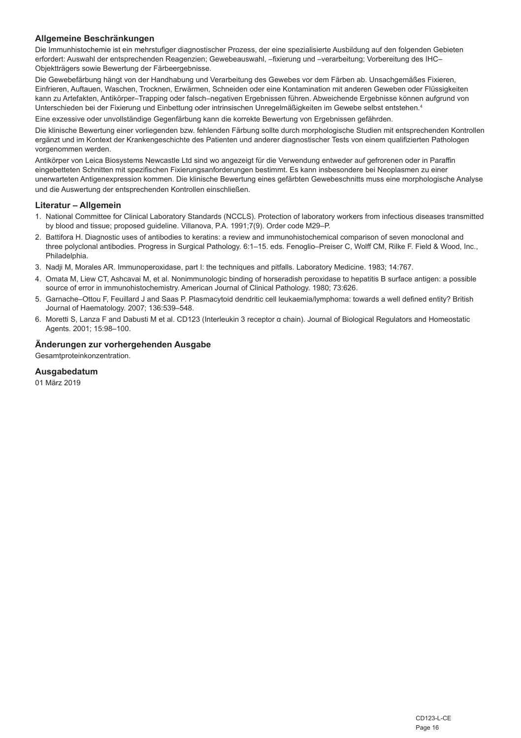## **Allgemeine Beschränkungen**

Die Immunhistochemie ist ein mehrstufiger diagnostischer Prozess, der eine spezialisierte Ausbildung auf den folgenden Gebieten erfordert: Auswahl der entsprechenden Reagenzien; Gewebeauswahl, –fixierung und –verarbeitung; Vorbereitung des IHC– Objektträgers sowie Bewertung der Färbeergebnisse.

Die Gewebefärbung hängt von der Handhabung und Verarbeitung des Gewebes vor dem Färben ab. Unsachgemäßes Fixieren, Einfrieren, Auftauen, Waschen, Trocknen, Erwärmen, Schneiden oder eine Kontamination mit anderen Geweben oder Flüssigkeiten kann zu Artefakten, Antikörper–Trapping oder falsch–negativen Ergebnissen führen. Abweichende Ergebnisse können aufgrund von Unterschieden bei der Fixierung und Einbettung oder intrinsischen Unregelmäßigkeiten im Gewebe selbst entstehen.4

Eine exzessive oder unvollständige Gegenfärbung kann die korrekte Bewertung von Ergebnissen gefährden.

Die klinische Bewertung einer vorliegenden bzw. fehlenden Färbung sollte durch morphologische Studien mit entsprechenden Kontrollen ergänzt und im Kontext der Krankengeschichte des Patienten und anderer diagnostischer Tests von einem qualifizierten Pathologen vorgenommen werden.

Antikörper von Leica Biosystems Newcastle Ltd sind wo angezeigt für die Verwendung entweder auf gefrorenen oder in Paraffin eingebetteten Schnitten mit spezifischen Fixierungsanforderungen bestimmt. Es kann insbesondere bei Neoplasmen zu einer unerwarteten Antigenexpression kommen. Die klinische Bewertung eines gefärbten Gewebeschnitts muss eine morphologische Analyse und die Auswertung der entsprechenden Kontrollen einschließen.

## **Literatur – Allgemein**

- 1. National Committee for Clinical Laboratory Standards (NCCLS). Protection of laboratory workers from infectious diseases transmitted by blood and tissue; proposed guideline. Villanova, P.A. 1991;7(9). Order code M29–P.
- 2. Battifora H. Diagnostic uses of antibodies to keratins: a review and immunohistochemical comparison of seven monoclonal and three polyclonal antibodies. Progress in Surgical Pathology. 6:1–15. eds. Fenoglio–Preiser C, Wolff CM, Rilke F. Field & Wood, Inc., Philadelphia.
- 3. Nadji M, Morales AR. Immunoperoxidase, part I: the techniques and pitfalls. Laboratory Medicine. 1983; 14:767.
- 4. Omata M, Liew CT, Ashcavai M, et al. Nonimmunologic binding of horseradish peroxidase to hepatitis B surface antigen: a possible source of error in immunohistochemistry. American Journal of Clinical Pathology. 1980; 73:626.
- 5. Garnache–Ottou F, Feuillard J and Saas P. Plasmacytoid dendritic cell leukaemia/lymphoma: towards a well defined entity? British Journal of Haematology. 2007; 136:539–548.
- 6. Moretti S, Lanza F and Dabusti M et al. CD123 (Interleukin 3 receptor α chain). Journal of Biological Regulators and Homeostatic Agents. 2001; 15:98–100.

## **Änderungen zur vorhergehenden Ausgabe**

Gesamtproteinkonzentration.

## **Ausgabedatum**

01 März 2019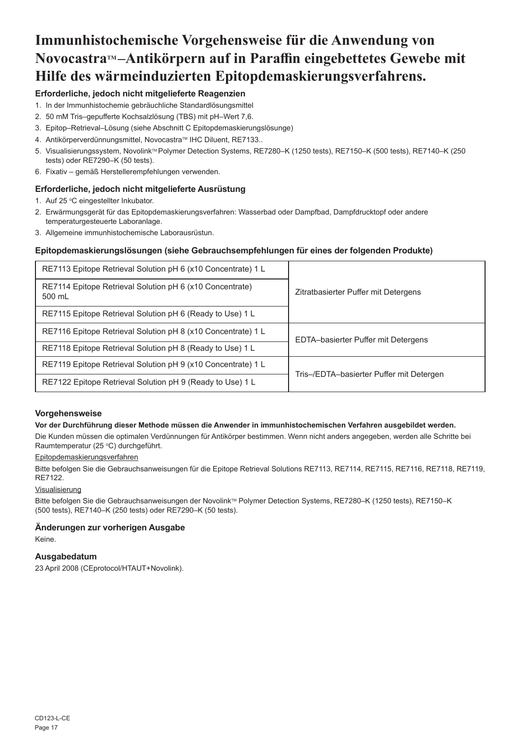## **Immunhistochemische Vorgehensweise für die Anwendung von NovocastraTM –Antikörpern auf in Paraffin eingebettetes Gewebe mit Hilfe des wärmeinduzierten Epitopdemaskierungsverfahrens.**

## **Erforderliche, jedoch nicht mitgelieferte Reagenzien**

- 1. In der Immunhistochemie gebräuchliche Standardlösungsmittel
- 2. 50 mM Tris–gepufferte Kochsalzlösung (TBS) mit pH–Wert 7,6.
- 3. Epitop–Retrieval–Lösung (siehe Abschnitt C Epitopdemaskierungslösunge)
- 4. Antikörperverdünnungsmittel, Novocastra™ IHC Diluent, RE7133..
- 5. Visualisierungssystem, NovolinkTM Polymer Detection Systems, RE7280–K (1250 tests), RE7150–K (500 tests), RE7140–K (250 tests) oder RE7290–K (50 tests).
- 6. Fixativ gemäß Herstellerempfehlungen verwenden.

## **Erforderliche, jedoch nicht mitgelieferte Ausrüstung**

- 1. Auf 25 °C eingestellter Inkubator.
- 2. Erwärmungsgerät für das Epitopdemaskierungsverfahren: Wasserbad oder Dampfbad, Dampfdrucktopf oder andere temperaturgesteuerte Laboranlage.
- 3. Allgemeine immunhistochemische Laborausrüstun.

## **Epitopdemaskierungslösungen (siehe Gebrauchsempfehlungen für eines der folgenden Produkte)**

| RE7113 Epitope Retrieval Solution pH 6 (x10 Concentrate) 1 L       |                                          |
|--------------------------------------------------------------------|------------------------------------------|
| RE7114 Epitope Retrieval Solution pH 6 (x10 Concentrate)<br>500 mL | Zitratbasierter Puffer mit Detergens     |
| RE7115 Epitope Retrieval Solution pH 6 (Ready to Use) 1 L          |                                          |
| RE7116 Epitope Retrieval Solution pH 8 (x10 Concentrate) 1 L       | EDTA-basierter Puffer mit Detergens      |
| RE7118 Epitope Retrieval Solution pH 8 (Ready to Use) 1 L          |                                          |
| RE7119 Epitope Retrieval Solution pH 9 (x10 Concentrate) 1 L       | Tris-/EDTA-basierter Puffer mit Detergen |
| RE7122 Epitope Retrieval Solution pH 9 (Ready to Use) 1 L          |                                          |

## **Vorgehensweise**

#### **Vor der Durchführung dieser Methode müssen die Anwender in immunhistochemischen Verfahren ausgebildet werden.**

Die Kunden müssen die optimalen Verdünnungen für Antikörper bestimmen. Wenn nicht anders angegeben, werden alle Schritte bei Raumtemperatur (25 ℃) durchgeführt.

## Epitopdemaskierungsverfahren

Bitte befolgen Sie die Gebrauchsanweisungen für die Epitope Retrieval Solutions RE7113, RE7114, RE7115, RE7116, RE7118, RE7119, RE7122.

## Visualisierung

Bitte befolgen Sie die Gebrauchsanweisungen der Novolink™ Polymer Detection Systems, RE7280–K (1250 tests), RE7150–K (500 tests), RE7140–K (250 tests) oder RE7290–K (50 tests).

## **Änderungen zur vorherigen Ausgabe**

Keine.

## **Ausgabedatum**

23 April 2008 (CEprotocol/HTAUT+Novolink).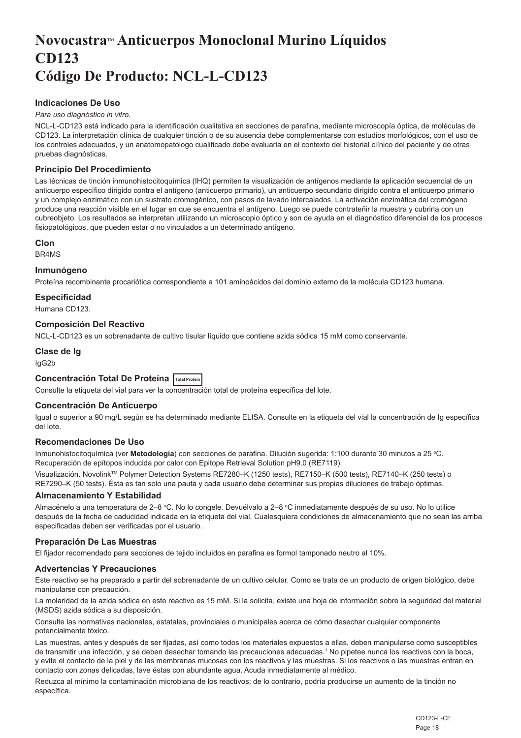## <span id="page-18-0"></span>**NovocastraTM Anticuerpos Monoclonal Murino Líquidos CD123 Código De Producto: NCL-L-CD123**

## **Indicaciones De Uso**

#### *Para uso diagnóstico in vitro*.

NCL-L-CD123 está indicado para la identificación cualitativa en secciones de parafina, mediante microscopía óptica, de moléculas de CD123. La interpretación clínica de cualquier tinción o de su ausencia debe complementarse con estudios morfológicos, con el uso de los controles adecuados, y un anatomopatólogo cualificado debe evaluarla en el contexto del historial clínico del paciente y de otras pruebas diagnósticas.

## **Principio Del Procedimiento**

Las técnicas de tinción inmunohistocitoquímica (IHQ) permiten la visualización de antígenos mediante la aplicación secuencial de un anticuerpo específico dirigido contra el antígeno (anticuerpo primario), un anticuerpo secundario dirigido contra el anticuerpo primario y un complejo enzimático con un sustrato cromogénico, con pasos de lavado intercalados. La activación enzimática del cromógeno produce una reacción visible en el lugar en que se encuentra el antígeno. Luego se puede contrateñir la muestra y cubrirla con un cubreobjeto. Los resultados se interpretan utilizando un microscopio óptico y son de ayuda en el diagnóstico diferencial de los procesos fisiopatológicos, que pueden estar o no vinculados a un determinado antígeno.

#### **Clon**

BR4MS

## **Inmunógeno**

Proteína recombinante procariótica correspondiente a 101 aminoácidos del dominio externo de la molécula CD123 humana.

## **Especificidad**

Humana CD123.

#### **Composición Del Reactivo**

NCL-L-CD123 es un sobrenadante de cultivo tisular líquido que contiene azida sódica 15 mM como conservante.

## **Clase de Ig**

IgG2b

## **Concentración Total De Proteína Total Protein**

Consulte la etiqueta del vial para ver la concentración total de proteína específica del lote.

## **Concentración De Anticuerpo**

Igual o superior a 90 mg/L según se ha determinado mediante ELISA. Consulte en la etiqueta del vial la concentración de Ig específica del lote.

## **Recomendaciones De Uso**

Inmunohistocitoquímica (ver **Metodología**) con secciones de parafina. Dilución sugerida: 1:100 durante 30 minutos a 25 °C. Recuperación de epítopos inducida por calor con Epitope Retrieval Solution pH9.0 (RE7119).

Visualización. NovolinkTM Polymer Detection Systems RE7280–K (1250 tests), RE7150–K (500 tests), RE7140–K (250 tests) o RE7290–K (50 tests). Ésta es tan solo una pauta y cada usuario debe determinar sus propias diluciones de trabajo óptimas.

#### **Almacenamiento Y Estabilidad**

Almacénelo a una temperatura de 2–8 °C. No lo congele. Devuélvalo a 2–8 °C inmediatamente después de su uso. No lo utilice después de la fecha de caducidad indicada en la etiqueta del vial. Cualesquiera condiciones de almacenamiento que no sean las arriba especificadas deben ser verificadas por el usuario.

## **Preparación De Las Muestras**

El fijador recomendado para secciones de tejido incluidos en parafina es formol tamponado neutro al 10%.

## **Advertencias Y Precauciones**

Este reactivo se ha preparado a partir del sobrenadante de un cultivo celular. Como se trata de un producto de origen biológico, debe manipularse con precaución.

La molaridad de la azida sódica en este reactivo es 15 mM. Si la solicita, existe una hoja de información sobre la seguridad del material (MSDS) azida sódica a su disposición.

Consulte las normativas nacionales, estatales, provinciales o municipales acerca de cómo desechar cualquier componente potencialmente tóxico.

Las muestras, antes y después de ser fijadas, así como todos los materiales expuestos a ellas, deben manipularse como susceptibles de transmitir una infección, y se deben desechar tomando las precauciones adecuadas.<sup>1</sup> No pipetee nunca los reactivos con la boca, y evite el contacto de la piel y de las membranas mucosas con los reactivos y las muestras. Si los reactivos o las muestras entran en contacto con zonas delicadas, lave éstas con abundante agua. Acuda inmediatamente al médico.

Reduzca al mínimo la contaminación microbiana de los reactivos; de lo contrario, podría producirse un aumento de la tinción no específica.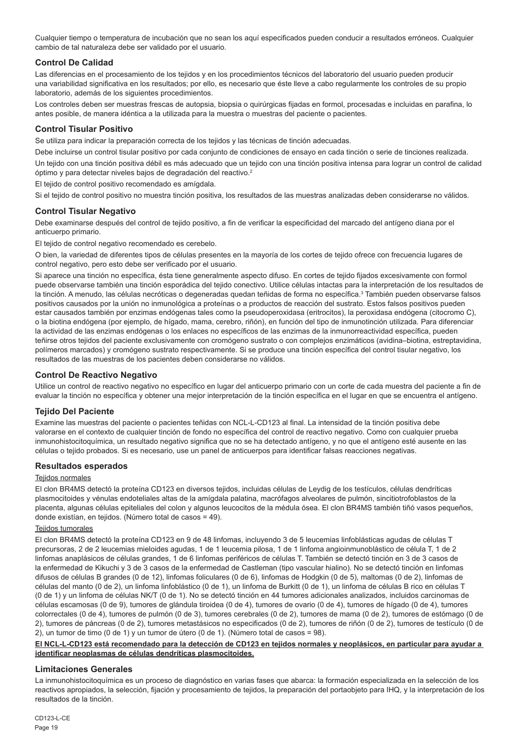Cualquier tiempo o temperatura de incubación que no sean los aquí especificados pueden conducir a resultados erróneos. Cualquier cambio de tal naturaleza debe ser validado por el usuario.

## **Control De Calidad**

Las diferencias en el procesamiento de los tejidos y en los procedimientos técnicos del laboratorio del usuario pueden producir una variabilidad significativa en los resultados; por ello, es necesario que éste lleve a cabo regularmente los controles de su propio laboratorio, además de los siguientes procedimientos.

Los controles deben ser muestras frescas de autopsia, biopsia o quirúrgicas fijadas en formol, procesadas e incluidas en parafina, lo antes posible, de manera idéntica a la utilizada para la muestra o muestras del paciente o pacientes.

## **Control Tisular Positivo**

Se utiliza para indicar la preparación correcta de los tejidos y las técnicas de tinción adecuadas.

Debe incluirse un control tisular positivo por cada conjunto de condiciones de ensayo en cada tinción o serie de tinciones realizada.

Un tejido con una tinción positiva débil es más adecuado que un tejido con una tinción positiva intensa para lograr un control de calidad óptimo y para detectar niveles bajos de degradación del reactivo.<sup>2</sup>

El tejido de control positivo recomendado es amígdala.

Si el tejido de control positivo no muestra tinción positiva, los resultados de las muestras analizadas deben considerarse no válidos.

#### **Control Tisular Negativo**

Debe examinarse después del control de tejido positivo, a fin de verificar la especificidad del marcado del antígeno diana por el anticuerpo primario.

El tejido de control negativo recomendado es cerebelo.

O bien, la variedad de diferentes tipos de células presentes en la mayoría de los cortes de tejido ofrece con frecuencia lugares de control negativo, pero esto debe ser verificado por el usuario.

Si aparece una tinción no específica, ésta tiene generalmente aspecto difuso. En cortes de tejido fijados excesivamente con formol puede observarse también una tinción esporádica del tejido conectivo. Utilice células intactas para la interpretación de los resultados de la tinción. A menudo, las células necróticas o degeneradas quedan teñidas de forma no específica.<sup>3</sup> También pueden observarse falsos positivos causados por la unión no inmunológica a proteínas o a productos de reacción del sustrato. Estos falsos positivos pueden estar causados también por enzimas endógenas tales como la pseudoperoxidasa (eritrocitos), la peroxidasa endógena (citocromo C), o la biotina endógena (por ejemplo, de hígado, mama, cerebro, riñón), en función del tipo de inmunotinción utilizada. Para diferenciar la actividad de las enzimas endógenas o los enlaces no específicos de las enzimas de la inmunorreactividad específica, pueden teñirse otros tejidos del paciente exclusivamente con cromógeno sustrato o con complejos enzimáticos (avidina–biotina, estreptavidina, polímeros marcados) y cromógeno sustrato respectivamente. Si se produce una tinción específica del control tisular negativo, los resultados de las muestras de los pacientes deben considerarse no válidos.

## **Control De Reactivo Negativo**

Utilice un control de reactivo negativo no específico en lugar del anticuerpo primario con un corte de cada muestra del paciente a fin de evaluar la tinción no específica y obtener una mejor interpretación de la tinción específica en el lugar en que se encuentra el antígeno.

## **Tejido Del Paciente**

Examine las muestras del paciente o pacientes teñidas con NCL-L-CD123 al final. La intensidad de la tinción positiva debe valorarse en el contexto de cualquier tinción de fondo no específica del control de reactivo negativo. Como con cualquier prueba inmunohistocitoquímica, un resultado negativo significa que no se ha detectado antígeno, y no que el antígeno esté ausente en las células o tejido probados. Si es necesario, use un panel de anticuerpos para identificar falsas reacciones negativas.

#### **Resultados esperados**

#### Teiidos normales

El clon BR4MS detectó la proteína CD123 en diversos tejidos, incluidas células de Leydig de los testículos, células dendríticas plasmocitoides y vénulas endoteliales altas de la amígdala palatina, macrófagos alveolares de pulmón, sincitiotrofoblastos de la placenta, algunas células epiteliales del colon y algunos leucocitos de la médula ósea. El clon BR4MS también tiñó vasos pequeños, donde existían, en tejidos. (Número total de casos = 49).

#### Teiidos tumorales

El clon BR4MS detectó la proteína CD123 en 9 de 48 linfomas, incluyendo 3 de 5 leucemias linfoblásticas agudas de células T precursoras, 2 de 2 leucemias mieloides agudas, 1 de 1 leucemia pilosa, 1 de 1 linfoma angioinmunoblástico de célula T, 1 de 2 linfomas anaplásicos de células grandes, 1 de 6 linfomas periféricos de células T. También se detectó tinción en 3 de 3 casos de la enfermedad de Kikuchi y 3 de 3 casos de la enfermedad de Castleman (tipo vascular hialino). No se detectó tinción en linfomas difusos de células B grandes (0 de 12), linfomas foliculares (0 de 6), linfomas de Hodgkin (0 de 5), maltomas (0 de 2), linfomas de células del manto (0 de 2), un linfoma linfoblástico (0 de 1), un linfoma de Burkitt (0 de 1), un linfoma de células B rico en células T (0 de 1) y un linfoma de células NK/T (0 de 1). No se detectó tinción en 44 tumores adicionales analizados, incluidos carcinomas de células escamosas (0 de 9), tumores de glándula tiroidea (0 de 4), tumores de ovario (0 de 4), tumores de hígado (0 de 4), tumores colorrectales (0 de 4), tumores de pulmón (0 de 3), tumores cerebrales (0 de 2), tumores de mama (0 de 2), tumores de estómago (0 de 2), tumores de páncreas (0 de 2), tumores metastásicos no especificados (0 de 2), tumores de riñón (0 de 2), tumores de testículo (0 de 2), un tumor de timo (0 de 1) y un tumor de útero (0 de 1). (Número total de casos = 98).

**El NCL-L-CD123 está recomendado para la detección de CD123 en tejidos normales y neoplásicos, en particular para ayudar a identificar neoplasmas de células dendríticas plasmocitoides.**

## **Limitaciones Generales**

La inmunohistocitoquímica es un proceso de diagnóstico en varias fases que abarca: la formación especializada en la selección de los reactivos apropiados, la selección, fijación y procesamiento de tejidos, la preparación del portaobjeto para IHQ, y la interpretación de los resultados de la tinción.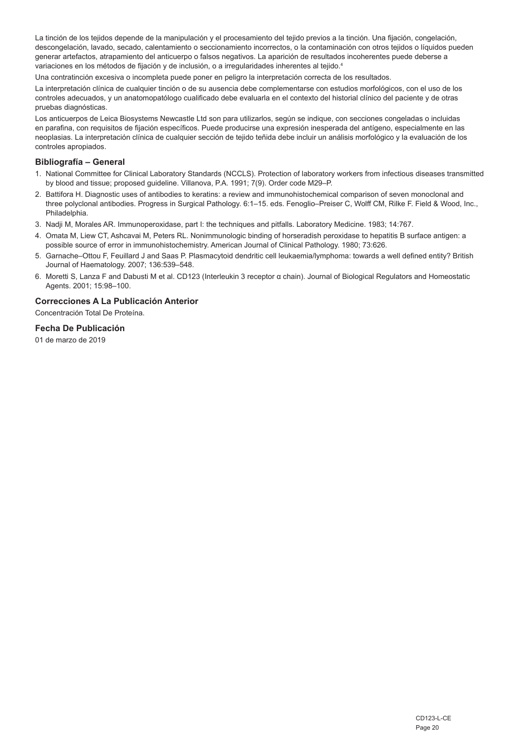La tinción de los tejidos depende de la manipulación y el procesamiento del tejido previos a la tinción. Una fijación, congelación, descongelación, lavado, secado, calentamiento o seccionamiento incorrectos, o la contaminación con otros tejidos o líquidos pueden generar artefactos, atrapamiento del anticuerpo o falsos negativos. La aparición de resultados incoherentes puede deberse a variaciones en los métodos de fijación y de inclusión, o a irregularidades inherentes al tejido.4

Una contratinción excesiva o incompleta puede poner en peligro la interpretación correcta de los resultados.

La interpretación clínica de cualquier tinción o de su ausencia debe complementarse con estudios morfológicos, con el uso de los controles adecuados, y un anatomopatólogo cualificado debe evaluarla en el contexto del historial clínico del paciente y de otras pruebas diagnósticas.

Los anticuerpos de Leica Biosystems Newcastle Ltd son para utilizarlos, según se indique, con secciones congeladas o incluidas en parafina, con requisitos de fijación específicos. Puede producirse una expresión inesperada del antígeno, especialmente en las neoplasias. La interpretación clínica de cualquier sección de tejido teñida debe incluir un análisis morfológico y la evaluación de los controles apropiados.

## **Bibliografía – General**

- 1. National Committee for Clinical Laboratory Standards (NCCLS). Protection of laboratory workers from infectious diseases transmitted by blood and tissue; proposed guideline. Villanova, P.A. 1991; 7(9). Order code M29–P.
- 2. Battifora H. Diagnostic uses of antibodies to keratins: a review and immunohistochemical comparison of seven monoclonal and three polyclonal antibodies. Progress in Surgical Pathology. 6:1–15. eds. Fenoglio–Preiser C, Wolff CM, Rilke F. Field & Wood, Inc., Philadelphia.
- 3. Nadji M, Morales AR. Immunoperoxidase, part I: the techniques and pitfalls. Laboratory Medicine. 1983; 14:767.
- 4. Omata M, Liew CT, Ashcavai M, Peters RL. Nonimmunologic binding of horseradish peroxidase to hepatitis B surface antigen: a possible source of error in immunohistochemistry. American Journal of Clinical Pathology. 1980; 73:626.
- 5. Garnache–Ottou F, Feuillard J and Saas P. Plasmacytoid dendritic cell leukaemia/lymphoma: towards a well defined entity? British Journal of Haematology. 2007; 136:539–548.
- 6. Moretti S, Lanza F and Dabusti M et al. CD123 (Interleukin 3 receptor α chain). Journal of Biological Regulators and Homeostatic Agents. 2001; 15:98–100.

## **Correcciones A La Publicación Anterior**

Concentración Total De Proteína.

## **Fecha De Publicación**

01 de marzo de 2019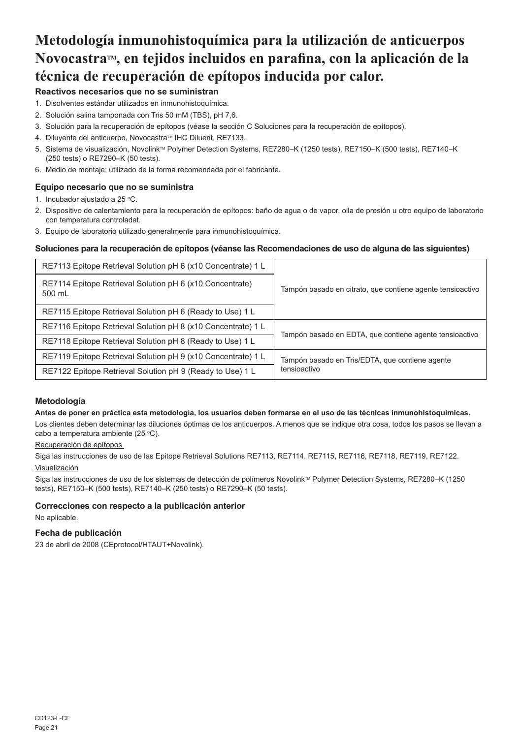## **Metodología inmunohistoquímica para la utilización de anticuerpos NovocastraTM, en tejidos incluidos en parafina, con la aplicación de la técnica de recuperación de epítopos inducida por calor.**

## **Reactivos necesarios que no se suministran**

- 1. Disolventes estándar utilizados en inmunohistoquímica.
- 2. Solución salina tamponada con Tris 50 mM (TBS), pH 7,6.
- 3. Solución para la recuperación de epítopos (véase la sección C Soluciones para la recuperación de epítopos).
- 4. Diluyente del anticuerpo, Novocastra™ IHC Diluent, RE7133.
- 5. Sistema de visualización, Novolink™ Polymer Detection Systems, RE7280–K (1250 tests), RE7150–K (500 tests), RE7140–K (250 tests) o RE7290–K (50 tests).
- 6. Medio de montaje; utilizado de la forma recomendada por el fabricante.

## **Equipo necesario que no se suministra**

- 1. Incubador ajustado a 25 °C.
- 2. Dispositivo de calentamiento para la recuperación de epítopos: baño de agua o de vapor, olla de presión u otro equipo de laboratorio con temperatura controladat.
- 3. Equipo de laboratorio utilizado generalmente para inmunohistoquímica.

## **Soluciones para la recuperación de epítopos (véanse las Recomendaciones de uso de alguna de las siguientes)**

| RE7113 Epitope Retrieval Solution pH 6 (x10 Concentrate) 1 L       | Tampón basado en citrato, que contiene agente tensioactivo      |
|--------------------------------------------------------------------|-----------------------------------------------------------------|
| RE7114 Epitope Retrieval Solution pH 6 (x10 Concentrate)<br>500 mL |                                                                 |
| RE7115 Epitope Retrieval Solution pH 6 (Ready to Use) 1 L          |                                                                 |
| RE7116 Epitope Retrieval Solution pH 8 (x10 Concentrate) 1 L       | Tampón basado en EDTA, que contiene agente tensioactivo         |
| RE7118 Epitope Retrieval Solution pH 8 (Ready to Use) 1 L          |                                                                 |
| RE7119 Epitope Retrieval Solution pH 9 (x10 Concentrate) 1 L       | Tampón basado en Tris/EDTA, que contiene agente<br>tensioactivo |
| RE7122 Epitope Retrieval Solution pH 9 (Ready to Use) 1 L          |                                                                 |

## **Metodología**

#### **Antes de poner en práctica esta metodología, los usuarios deben formarse en el uso de las técnicas inmunohistoquímicas.**

Los clientes deben determinar las diluciones óptimas de los anticuerpos. A menos que se indique otra cosa, todos los pasos se llevan a cabo a temperatura ambiente (25 °C).

## Recuperación de epítopos

Siga las instrucciones de uso de las Epitope Retrieval Solutions RE7113, RE7114, RE7115, RE7116, RE7118, RE7119, RE7122. Visualización

Siga las instrucciones de uso de los sistemas de detección de polímeros Novolink™ Polymer Detection Systems, RE7280–K (1250 tests), RE7150–K (500 tests), RE7140–K (250 tests) o RE7290–K (50 tests).

## **Correcciones con respecto a la publicación anterior**

No aplicable.

## **Fecha de publicación**

23 de abril de 2008 (CEprotocol/HTAUT+Novolink).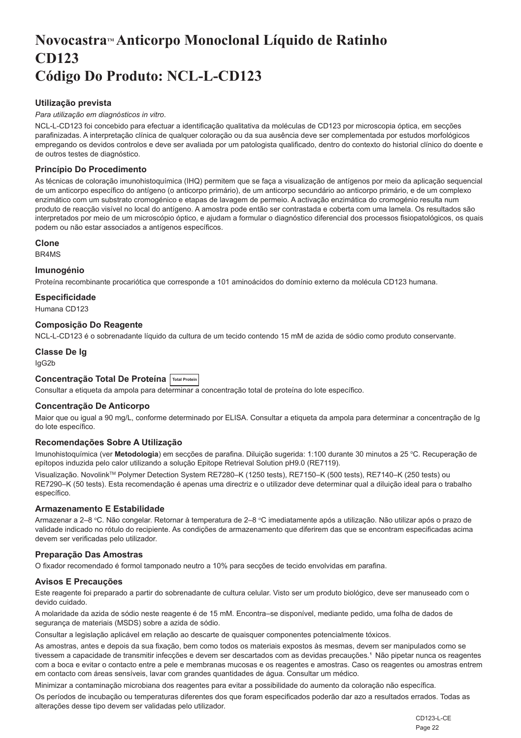## <span id="page-22-0"></span>**NovocastraTM Anticorpo Monoclonal Líquido de Ratinho CD123 Código Do Produto: NCL-L-CD123**

## **Utilização prevista**

## *Para utilização em diagnósticos in vitro*.

NCL-L-CD123 foi concebido para efectuar a identificação qualitativa da moléculas de CD123 por microscopia óptica, em secções parafinizadas. A interpretação clínica de qualquer coloração ou da sua ausência deve ser complementada por estudos morfológicos empregando os devidos controlos e deve ser avaliada por um patologista qualificado, dentro do contexto do historial clínico do doente e de outros testes de diagnóstico.

### **Princípio Do Procedimento**

As técnicas de coloração imunohistoquímica (IHQ) permitem que se faça a visualização de antígenos por meio da aplicação sequencial de um anticorpo específico do antígeno (o anticorpo primário), de um anticorpo secundário ao anticorpo primário, e de um complexo enzimático com um substrato cromogénico e etapas de lavagem de permeio. A activação enzimática do cromogénio resulta num produto de reacção visível no local do antígeno. A amostra pode então ser contrastada e coberta com uma lamela. Os resultados são interpretados por meio de um microscópio óptico, e ajudam a formular o diagnóstico diferencial dos processos fisiopatológicos, os quais podem ou não estar associados a antígenos específicos.

#### **Clone**

BR4MS

## **Imunogénio**

Proteína recombinante procariótica que corresponde a 101 aminoácidos do domínio externo da molécula CD123 humana.

#### **Especificidade**

Humana CD123

#### **Composição Do Reagente**

NCL-L-CD123 é o sobrenadante líquido da cultura de um tecido contendo 15 mM de azida de sódio como produto conservante.

## **Classe De Ig**

IgG2b

## **Concentração Total De Proteína Total Protein**

Consultar a etiqueta da ampola para determinar a concentração total de proteína do lote específico.

#### **Concentração De Anticorpo**

Maior que ou igual a 90 mg/L, conforme determinado por ELISA. Consultar a etiqueta da ampola para determinar a concentração de Ig do lote específico.

#### **Recomendações Sobre A Utilização**

Imunohistoquímica (ver **Metodologia**) em secções de parafina. Diluição sugerida: 1:100 durante 30 minutos a 25 °C. Recuperação de epítopos induzida pelo calor utilizando a solução Epitope Retrieval Solution pH9.0 (RE7119).

Visualização. NovolinkTM Polymer Detection System RE7280–K (1250 tests), RE7150–K (500 tests), RE7140–K (250 tests) ou RE7290–K (50 tests). Esta recomendação é apenas uma directriz e o utilizador deve determinar qual a diluição ideal para o trabalho específico.

## **Armazenamento E Estabilidade**

Armazenar a 2–8 °C. Não congelar. Retornar à temperatura de 2–8 °C imediatamente após a utilização. Não utilizar após o prazo de validade indicado no rótulo do recipiente. As condições de armazenamento que diferirem das que se encontram especificadas acima devem ser verificadas pelo utilizador.

#### **Preparação Das Amostras**

O fixador recomendado é formol tamponado neutro a 10% para secções de tecido envolvidas em parafina.

#### **Avisos E Precauções**

Este reagente foi preparado a partir do sobrenadante de cultura celular. Visto ser um produto biológico, deve ser manuseado com o devido cuidado.

A molaridade da azida de sódio neste reagente é de 15 mM. Encontra–se disponível, mediante pedido, uma folha de dados de segurança de materiais (MSDS) sobre a azida de sódio.

Consultar a legislação aplicável em relação ao descarte de quaisquer componentes potencialmente tóxicos.

As amostras, antes e depois da sua fixação, bem como todos os materiais expostos às mesmas, devem ser manipulados como se tivessem a capacidade de transmitir infecções e devem ser descartados com as devidas precauções.<sup>1</sup> Não pipetar nunca os reagentes com a boca e evitar o contacto entre a pele e membranas mucosas e os reagentes e amostras. Caso os reagentes ou amostras entrem em contacto com áreas sensíveis, lavar com grandes quantidades de água. Consultar um médico.

Minimizar a contaminação microbiana dos reagentes para evitar a possibilidade do aumento da coloração não específica.

Os períodos de incubação ou temperaturas diferentes dos que foram especificados poderão dar azo a resultados errados. Todas as alterações desse tipo devem ser validadas pelo utilizador.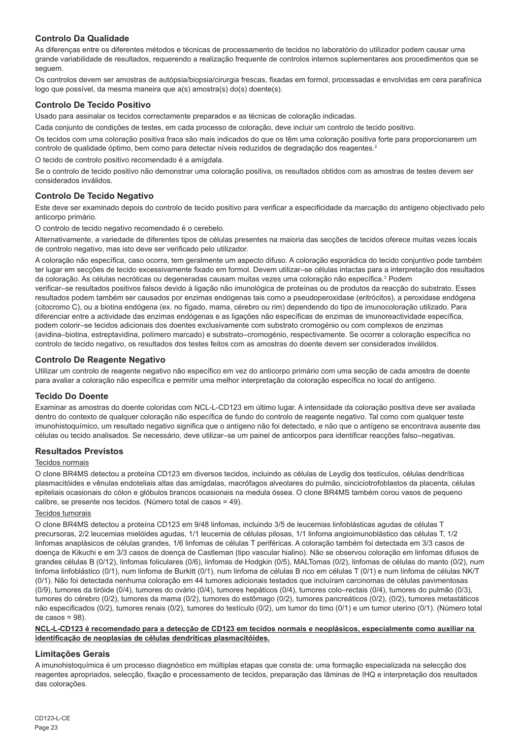## **Controlo Da Qualidade**

As diferenças entre os diferentes métodos e técnicas de processamento de tecidos no laboratório do utilizador podem causar uma grande variabilidade de resultados, requerendo a realização frequente de controlos internos suplementares aos procedimentos que se seguem.

Os controlos devem ser amostras de autópsia/biopsia/cirurgia frescas, fixadas em formol, processadas e envolvidas em cera parafínica logo que possível, da mesma maneira que a(s) amostra(s) do(s) doente(s).

## **Controlo De Tecido Positivo**

Usado para assinalar os tecidos correctamente preparados e as técnicas de coloração indicadas.

Cada conjunto de condições de testes, em cada processo de coloração, deve incluir um controlo de tecido positivo.

Os tecidos com uma coloração positiva fraca são mais indicados do que os têm uma coloração positiva forte para proporcionarem um controlo de qualidade óptimo, bem como para detectar níveis reduzidos de degradação dos reagentes.<sup>2</sup>

O tecido de controlo positivo recomendado é a amígdala.

Se o controlo de tecido positivo não demonstrar uma coloração positiva, os resultados obtidos com as amostras de testes devem ser considerados inválidos.

## **Controlo De Tecido Negativo**

Este deve ser examinado depois do controlo de tecido positivo para verificar a especificidade da marcação do antígeno objectivado pelo anticorpo primário.

O controlo de tecido negativo recomendado é o cerebelo.

Alternativamente, a variedade de diferentes tipos de células presentes na maioria das secções de tecidos oferece muitas vezes locais de controlo negativo, mas isto deve ser verificado pelo utilizador.

A coloração não específica, caso ocorra, tem geralmente um aspecto difuso. A coloração esporádica do tecido conjuntivo pode também ter lugar em secções de tecido excessivamente fixado em formol. Devem utilizar–se células intactas para a interpretação dos resultados da coloração. As células necróticas ou degeneradas causam muitas vezes uma coloração não específica.<sup>3</sup> Podem

verificar–se resultados positivos falsos devido à ligação não imunológica de proteínas ou de produtos da reacção do substrato. Esses resultados podem também ser causados por enzimas endógenas tais como a pseudoperoxidase (eritrócitos), a peroxidase endógena (citocromo C), ou a biotina endógena (ex. no fígado, mama, cérebro ou rim) dependendo do tipo de imunocoloração utilizado. Para diferenciar entre a actividade das enzimas endógenas e as ligações não específicas de enzimas de imunoreactividade específica, podem colorir–se tecidos adicionais dos doentes exclusivamente com substrato cromogénio ou com complexos de enzimas (avidina–biotina, estreptavidina, polímero marcado) e substrato–cromogénio, respectivamente. Se ocorrer a coloração específica no controlo de tecido negativo, os resultados dos testes feitos com as amostras do doente devem ser considerados inválidos.

## **Controlo De Reagente Negativo**

Utilizar um controlo de reagente negativo não específico em vez do anticorpo primário com uma secção de cada amostra de doente para avaliar a coloração não específica e permitir uma melhor interpretação da coloração específica no local do antígeno.

## **Tecido Do Doente**

Examinar as amostras do doente coloridas com NCL-L-CD123 em último lugar. A intensidade da coloração positiva deve ser avaliada dentro do contexto de qualquer coloração não específica de fundo do controlo de reagente negativo. Tal como com qualquer teste imunohistoquímico, um resultado negativo significa que o antígeno não foi detectado, e não que o antígeno se encontrava ausente das células ou tecido analisados. Se necessário, deve utilizar–se um painel de anticorpos para identificar reacções falso–negativas.

## **Resultados Previstos**

#### Tecidos normais

O clone BR4MS detectou a proteína CD123 em diversos tecidos, incluindo as células de Leydig dos testículos, células dendríticas plasmacitóides e vênulas endoteliais altas das amígdalas, macrófagos alveolares do pulmão, sinciciotrofoblastos da placenta, células epiteliais ocasionais do cólon e glóbulos brancos ocasionais na medula óssea. O clone BR4MS também corou vasos de pequeno calibre, se presente nos tecidos. (Número total de casos = 49).

#### Tecidos tumorais

O clone BR4MS detectou a proteína CD123 em 9/48 linfomas, incluindo 3/5 de leucemias linfoblásticas agudas de células T precursoras, 2/2 leucemias mielóides agudas, 1/1 leucemia de células pilosas, 1/1 linfoma angioimunoblástico das células T, 1/2 linfomas anaplásicos de células grandes, 1/6 linfomas de células T periféricas. A coloração também foi detectada em 3/3 casos de doença de Kikuchi e em 3/3 casos de doença de Castleman (tipo vascular hialino). Não se observou coloração em linfomas difusos de grandes células B (0/12), linfomas foliculares (0/6), linfomas de Hodgkin (0/5), MALTomas (0/2), linfomas de células do manto (0/2), num linfoma linfoblástico (0/1), num linfoma de Burkitt (0/1), num linfoma de células B rico em células T (0/1) e num linfoma de células NK/T (0/1). Não foi detectada nenhuma coloração em 44 tumores adicionais testados que incluíram carcinomas de células pavimentosas (0/9), tumores da tiróide (0/4), tumores do ovário (0/4), tumores hepáticos (0/4), tumores colo–rectais (0/4), tumores do pulmão (0/3), tumores do cérebro (0/2), tumores da mama (0/2), tumores do estômago (0/2), tumores pancreáticos (0/2), (0/2), tumores metastáticos não especificados (0/2), tumores renais (0/2), tumores do testículo (0/2), um tumor do timo (0/1) e um tumor uterino (0/1). (Número total de casos = 98).

#### **NCL-L-CD123 é recomendado para a detecção de CD123 em tecidos normais e neoplásicos, especialmente como auxiliar na identificação de neoplasias de células dendríticas plasmacitóides.**

## **Limitações Gerais**

A imunohistoquímica é um processo diagnóstico em múltiplas etapas que consta de: uma formação especializada na selecção dos reagentes apropriados, selecção, fixação e processamento de tecidos, preparação das lâminas de IHQ e interpretação dos resultados das colorações.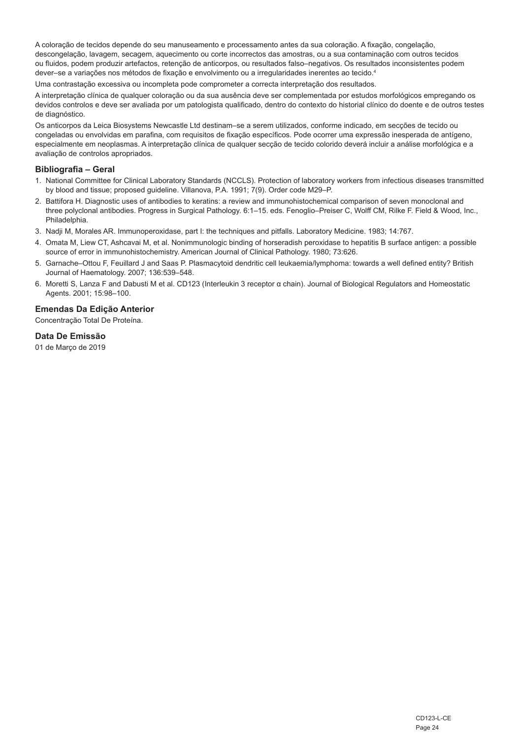A coloração de tecidos depende do seu manuseamento e processamento antes da sua coloração. A fixação, congelação, descongelação, lavagem, secagem, aquecimento ou corte incorrectos das amostras, ou a sua contaminação com outros tecidos ou fluidos, podem produzir artefactos, retenção de anticorpos, ou resultados falso–negativos. Os resultados inconsistentes podem dever–se a variações nos métodos de fixação e envolvimento ou a irregularidades inerentes ao tecido.4

Uma contrastação excessiva ou incompleta pode comprometer a correcta interpretação dos resultados.

A interpretação clínica de qualquer coloração ou da sua ausência deve ser complementada por estudos morfológicos empregando os devidos controlos e deve ser avaliada por um patologista qualificado, dentro do contexto do historial clínico do doente e de outros testes de diagnóstico.

Os anticorpos da Leica Biosystems Newcastle Ltd destinam–se a serem utilizados, conforme indicado, em secções de tecido ou congeladas ou envolvidas em parafina, com requisitos de fixação específicos. Pode ocorrer uma expressão inesperada de antígeno, especialmente em neoplasmas. A interpretação clínica de qualquer secção de tecido colorido deverá incluir a análise morfológica e a avaliação de controlos apropriados.

### **Bibliografia – Geral**

- 1. National Committee for Clinical Laboratory Standards (NCCLS). Protection of laboratory workers from infectious diseases transmitted by blood and tissue; proposed guideline. Villanova, P.A. 1991; 7(9). Order code M29–P.
- 2. Battifora H. Diagnostic uses of antibodies to keratins: a review and immunohistochemical comparison of seven monoclonal and three polyclonal antibodies. Progress in Surgical Pathology. 6:1–15. eds. Fenoglio–Preiser C, Wolff CM, Rilke F. Field & Wood, Inc., Philadelphia.
- 3. Nadji M, Morales AR. Immunoperoxidase, part I: the techniques and pitfalls. Laboratory Medicine. 1983; 14:767.
- 4. Omata M, Liew CT, Ashcavai M, et al. Nonimmunologic binding of horseradish peroxidase to hepatitis B surface antigen: a possible source of error in immunohistochemistry. American Journal of Clinical Pathology. 1980; 73:626.
- 5. Garnache–Ottou F, Feuillard J and Saas P. Plasmacytoid dendritic cell leukaemia/lymphoma: towards a well defined entity? British Journal of Haematology. 2007; 136:539–548.
- 6. Moretti S, Lanza F and Dabusti M et al. CD123 (Interleukin 3 receptor α chain). Journal of Biological Regulators and Homeostatic Agents. 2001; 15:98–100.

## **Emendas Da Edição Anterior**

Concentração Total De Proteína.

## **Data De Emissão**

01 de Março de 2019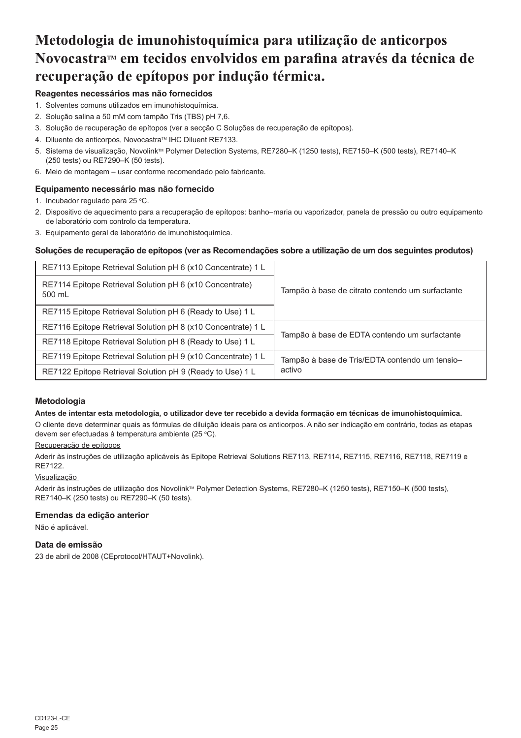## **Metodologia de imunohistoquímica para utilização de anticorpos**  Novocastra™ em tecidos envolvidos em parafina através da técnica de **recuperação de epítopos por indução térmica.**

## **Reagentes necessários mas não fornecidos**

- 1. Solventes comuns utilizados em imunohistoquímica.
- 2. Solução salina a 50 mM com tampão Tris (TBS) pH 7,6.
- 3. Solução de recuperação de epítopos (ver a secção C Soluções de recuperação de epítopos).
- 4. Diluente de anticorpos, Novocastra™ IHC Diluent RE7133.
- 5. Sistema de visualização, Novolink™ Polymer Detection Systems, RE7280–K (1250 tests), RE7150–K (500 tests), RE7140–K (250 tests) ou RE7290–K (50 tests).
- 6. Meio de montagem usar conforme recomendado pelo fabricante.

## **Equipamento necessário mas não fornecido**

- 1. Incubador regulado para 25 °C.
- 2. Dispositivo de aquecimento para a recuperação de epítopos: banho–maria ou vaporizador, panela de pressão ou outro equipamento de laboratório com controlo da temperatura.
- 3. Equipamento geral de laboratório de imunohistoquímica.

## **Soluções de recuperação de epítopos (ver as Recomendações sobre a utilização de um dos seguintes produtos)**

| RE7113 Epitope Retrieval Solution pH 6 (x10 Concentrate) 1 L       | Tampão à base de citrato contendo um surfactante         |
|--------------------------------------------------------------------|----------------------------------------------------------|
| RE7114 Epitope Retrieval Solution pH 6 (x10 Concentrate)<br>500 mL |                                                          |
| RE7115 Epitope Retrieval Solution pH 6 (Ready to Use) 1 L          |                                                          |
| RE7116 Epitope Retrieval Solution pH 8 (x10 Concentrate) 1 L       | Tampão à base de EDTA contendo um surfactante            |
| RE7118 Epitope Retrieval Solution pH 8 (Ready to Use) 1 L          |                                                          |
| RE7119 Epitope Retrieval Solution pH 9 (x10 Concentrate) 1 L       | Tampão à base de Tris/EDTA contendo um tensio-<br>activo |
| RE7122 Epitope Retrieval Solution pH 9 (Ready to Use) 1 L          |                                                          |

## **Metodologia**

#### **Antes de intentar esta metodologia, o utilizador deve ter recebido a devida formação em técnicas de imunohistoquímica.**

O cliente deve determinar quais as fórmulas de diluição ideais para os anticorpos. A não ser indicação em contrário, todas as etapas devem ser efectuadas à temperatura ambiente (25 °C).

## Recuperação de epítopos

Aderir às instruções de utilização aplicáveis às Epitope Retrieval Solutions RE7113, RE7114, RE7115, RE7116, RE7118, RE7119 e RE7122.

### Visualização

Aderir às instruções de utilização dos Novolink™ Polymer Detection Systems, RE7280–K (1250 tests), RE7150–K (500 tests), RE7140–K (250 tests) ou RE7290–K (50 tests).

## **Emendas da edição anterior**

Não é aplicável.

## **Data de emissão**

23 de abril de 2008 (CEprotocol/HTAUT+Novolink).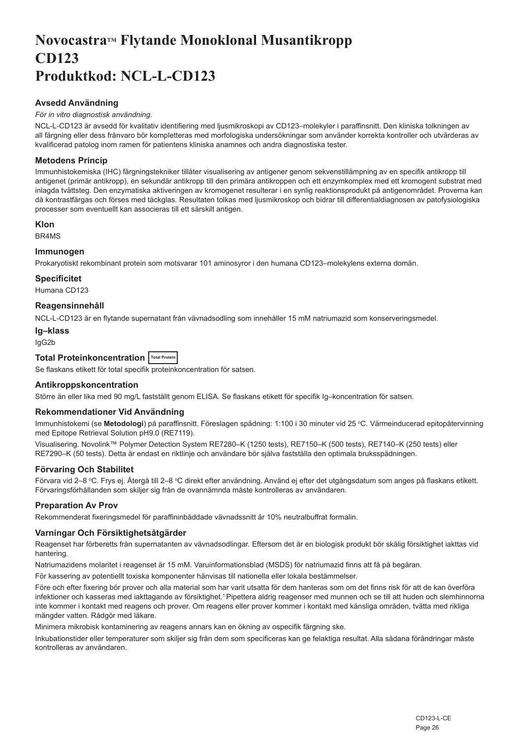## <span id="page-26-0"></span>**NovocastraTM Flytande Monoklonal Musantikropp CD123 Produktkod: NCL-L-CD123**

## **Avsedd Användning**

### *För in vitro diagnostisk användning*.

NCL-L-CD123 är avsedd för kvalitativ identifiering med ljusmikroskopi av CD123–molekyler i paraffinsnitt. Den kliniska tolkningen av all färgning eller dess frånvaro bör kompletteras med morfologiska undersökningar som använder korrekta kontroller och utvärderas av kvalificerad patolog inom ramen för patientens kliniska anamnes och andra diagnostiska tester.

## **Metodens Princip**

Immunhistokemiska (IHC) färgningstekniker tillåter visualisering av antigener genom sekvenstillämpning av en specifik antikropp till antigenet (primär antikropp), en sekundär antikropp till den primära antikroppen och ett enzymkomplex med ett kromogent substrat med inlagda tvättsteg. Den enzymatiska aktiveringen av kromogenet resulterar i en synlig reaktionsprodukt på antigenområdet. Proverna kan då kontrastfärgas och förses med täckglas. Resultaten tolkas med ljusmikroskop och bidrar till differentialdiagnosen av patofysiologiska processer som eventuellt kan associeras till ett särskilt antigen.

## **Klon**

BR4MS

## **Immunogen**

Prokaryotiskt rekombinant protein som motsvarar 101 aminosyror i den humana CD123–molekylens externa domän.

## **Specificitet**

Humana CD123

## **Reagensinnehåll**

NCL-L-CD123 är en flytande supernatant från vävnadsodling som innehåller 15 mM natriumazid som konserveringsmedel.

#### **Ig–klass**

IgG2b

## **Total Proteinkoncentration Total Protein**

Se flaskans etikett för total specifik proteinkoncentration för satsen.

## **Antikroppskoncentration**

Större än eller lika med 90 mg/L fastställt genom ELISA. Se flaskans etikett för specifik Ig–koncentration för satsen.

## **Rekommendationer Vid Användning**

Immunhistokemi (se **Metodologi**) på paraffinsnitt. Föreslagen spädning: 1:100 i 30 minuter vid 25 °C. Värmeinducerad epitopåtervinning med Epitope Retrieval Solution pH9.0 (RE7119).

Visualisering. Novolink™ Polymer Detection System RE7280–K (1250 tests), RE7150–K (500 tests), RE7140–K (250 tests) eller RE7290–K (50 tests). Detta är endast en riktlinje och användare bör själva fastställa den optimala bruksspädningen.

## **Förvaring Och Stabilitet**

Förvara vid 2–8 °C. Frys ej. Atergå till 2–8 °C direkt efter användning. Använd ej efter det utgångsdatum som anges på flaskans etikett. Förvaringsförhållanden som skiljer sig från de ovannämnda måste kontrolleras av användaren.

## **Preparation Av Prov**

Rekommenderat fixeringsmedel för paraffininbäddade vävnadssnitt är 10% neutralbuffrat formalin.

## **Varningar Och Försiktighetsåtgärder**

Reagenset har förberetts från supernatanten av vävnadsodlingar. Eftersom det är en biologisk produkt bör skälig försiktighet iakttas vid hantering.

Natriumazidens molaritet i reagenset är 15 mM. Varuinformationsblad (MSDS) för natriumazid finns att få på begäran.

För kassering av potentiellt toxiska komponenter hänvisas till nationella eller lokala bestämmelser.

Före och efter fixering bör prover och alla material som har varit utsatta för dem hanteras som om det finns risk för att de kan överföra infektioner och kasseras med iakttagande av försiktighet.<sup>1</sup> Pipettera aldrig reagenser med munnen och se till att huden och slemhinnorna inte kommer i kontakt med reagens och prover. Om reagens eller prover kommer i kontakt med känsliga områden, tvätta med rikliga mängder vatten. Rådgör med läkare.

Minimera mikrobisk kontaminering av reagens annars kan en ökning av ospecifik färgning ske.

Inkubationstider eller temperaturer som skiljer sig från dem som specificeras kan ge felaktiga resultat. Alla sådana förändringar måste kontrolleras av användaren.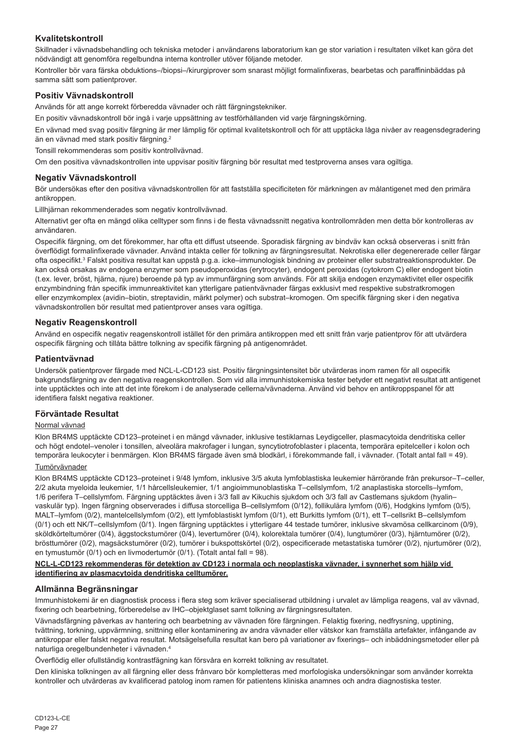## **Kvalitetskontroll**

Skillnader i vävnadsbehandling och tekniska metoder i användarens laboratorium kan ge stor variation i resultaten vilket kan göra det nödvändigt att genomföra regelbundna interna kontroller utöver följande metoder.

Kontroller bör vara färska obduktions–/biopsi–/kirurgiprover som snarast möjligt formalinfixeras, bearbetas och paraffininbäddas på samma sätt som patientprover.

## **Positiv Vävnadskontroll**

Används för att ange korrekt förberedda vävnader och rätt färgningstekniker.

En positiv vävnadskontroll bör ingå i varje uppsättning av testförhållanden vid varje färgningskörning.

En vävnad med svag positiv färgning är mer lämplig för optimal kvalitetskontroll och för att upptäcka låga nivåer av reagensdegradering än en vävnad med stark positiv färgning.<sup>2</sup>

Tonsill rekommenderas som positiv kontrollvävnad.

Om den positiva vävnadskontrollen inte uppvisar positiv färgning bör resultat med testproverna anses vara ogiltiga.

### **Negativ Vävnadskontroll**

Bör undersökas efter den positiva vävnadskontrollen för att fastställa specificiteten för märkningen av målantigenet med den primära antikroppen.

Lillhjärnan rekommenderades som negativ kontrollvävnad.

Alternativt ger ofta en mängd olika celltyper som finns i de flesta vävnadssnitt negativa kontrollområden men detta bör kontrolleras av användaren.

Ospecifik färgning, om det förekommer, har ofta ett diffust utseende. Sporadisk färgning av bindväv kan också observeras i snitt från överflödigt formalinfixerade vävnader. Använd intakta celler för tolkning av färgningsresultat. Nekrotiska eller degenererade celler färgar ofta ospecifikt.<sup>3</sup> Falskt positiva resultat kan uppstå p.g.a. icke–immunologisk bindning av proteiner eller substratreaktionsprodukter. De kan också orsakas av endogena enzymer som pseudoperoxidas (erytrocyter), endogent peroxidas (cytokrom C) eller endogent biotin (t.ex. lever, bröst, hjärna, njure) beroende på typ av immunfärgning som används. För att skilja endogen enzymaktivitet eller ospecifik enzymbindning från specifik immunreaktivitet kan ytterligare patientvävnader färgas exklusivt med respektive substratkromogen eller enzymkomplex (avidin–biotin, streptavidin, märkt polymer) och substrat–kromogen. Om specifik färgning sker i den negativa vävnadskontrollen bör resultat med patientprover anses vara ogiltiga.

## **Negativ Reagenskontroll**

Använd en ospecifik negativ reagenskontroll istället för den primära antikroppen med ett snitt från varje patientprov för att utvärdera ospecifik färgning och tillåta bättre tolkning av specifik färgning på antigenområdet.

#### **Patientvävnad**

Undersök patientprover färgade med NCL-L-CD123 sist. Positiv färgningsintensitet bör utvärderas inom ramen för all ospecifik bakgrundsfärgning av den negativa reagenskontrollen. Som vid alla immunhistokemiska tester betyder ett negativt resultat att antigenet inte upptäcktes och inte att det inte förekom i de analyserade cellerna/vävnaderna. Använd vid behov en antikroppspanel för att identifiera falskt negativa reaktioner.

#### **Förväntade Resultat**

#### Normal vävnad

Klon BR4MS upptäckte CD123–proteinet i en mängd vävnader, inklusive testiklarnas Leydigceller, plasmacytoida dendritiska celler och högt endotel–venoler i tonsillen, alveolära makrofager i lungan, syncytiotrofoblaster i placenta, temporära epitelceller i kolon och temporära leukocyter i benmärgen. Klon BR4MS färgade även små blodkärl, i förekommande fall, i vävnader. (Totalt antal fall = 49).

#### Tumörvävnader

Klon BR4MS upptäckte CD123–proteinet i 9/48 lymfom, inklusive 3/5 akuta lymfoblastiska leukemier härrörande från prekursor–T–celler, 2/2 akuta myeloida leukemier, 1/1 hårcellsleukemier, 1/1 angioimmunoblastiska T–cellslymfom, 1/2 anaplastiska storcells–lymfom, 1/6 perifera T–cellslymfom. Färgning upptäcktes även i 3/3 fall av Kikuchis sjukdom och 3/3 fall av Castlemans sjukdom (hyalin– vaskulär typ). Ingen färgning observerades i diffusa storcelliga B–cellslymfom (0/12), follikulära lymfom (0/6), Hodgkins lymfom (0/5), MALT–lymfom (0/2), mantelcellslymfom (0/2), ett lymfoblastiskt lymfom (0/1), ett Burkitts lymfom (0/1), ett T–cellsrikt B–cellslymfom (0/1) och ett NK/T–cellslymfom (0/1). Ingen färgning upptäcktes i ytterligare 44 testade tumörer, inklusive skvamösa cellkarcinom (0/9), sköldkörteltumörer (0/4), äggstockstumörer (0/4), levertumörer (0/4), kolorektala tumörer (0/4), lungtumörer (0/3), hjärntumörer (0/2), brösttumörer (0/2), magsäckstumörer (0/2), tumörer i bukspottskörtel (0/2), ospecificerade metastatiska tumörer (0/2), njurtumörer (0/2), en tymustumör (0/1) och en livmodertumör (0/1). (Totalt antal fall = 98).

#### **NCL-L-CD123 rekommenderas för detektion av CD123 i normala och neoplastiska vävnader, i synnerhet som hjälp vid identifiering av plasmacytoida dendritiska celltumörer.**

## **Allmänna Begränsningar**

Immunhistokemi är en diagnostisk process i flera steg som kräver specialiserad utbildning i urvalet av lämpliga reagens, val av vävnad, fixering och bearbetning, förberedelse av IHC–objektglaset samt tolkning av färgningsresultaten.

Vävnadsfärgning påverkas av hantering och bearbetning av vävnaden före färgningen. Felaktig fixering, nedfrysning, upptining, tvättning, torkning, uppvärmning, snittning eller kontaminering av andra vävnader eller vätskor kan framställa artefakter, infångande av antikroppar eller falskt negativa resultat. Motsägelsefulla resultat kan bero på variationer av fixerings– och inbäddningsmetoder eller på naturliga oregelbundenheter i vävnaden.4

Överflödig eller ofullständig kontrastfägning kan försvåra en korrekt tolkning av resultatet.

Den kliniska tolkningen av all färgning eller dess frånvaro bör kompletteras med morfologiska undersökningar som använder korrekta kontroller och utvärderas av kvalificerad patolog inom ramen för patientens kliniska anamnes och andra diagnostiska tester.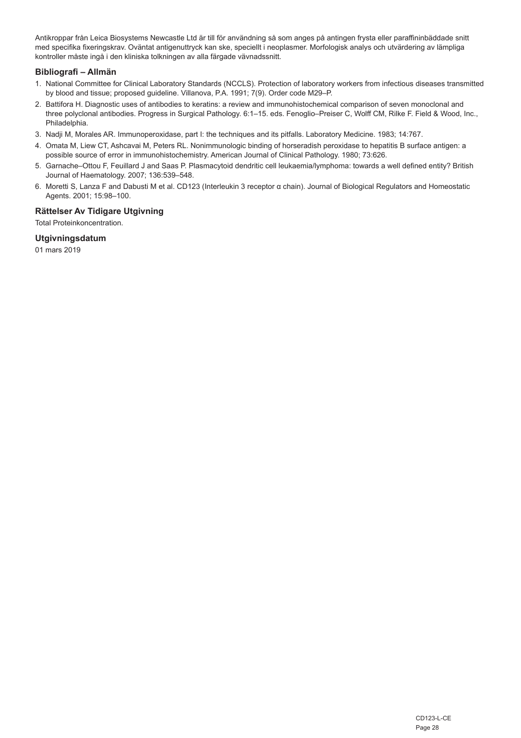Antikroppar från Leica Biosystems Newcastle Ltd är till för användning så som anges på antingen frysta eller paraffininbäddade snitt med specifika fixeringskrav. Oväntat antigenuttryck kan ske, speciellt i neoplasmer. Morfologisk analys och utvärdering av lämpliga kontroller måste ingå i den kliniska tolkningen av alla färgade vävnadssnitt.

## **Bibliografi – Allmän**

- 1. National Committee for Clinical Laboratory Standards (NCCLS). Protection of laboratory workers from infectious diseases transmitted by blood and tissue; proposed guideline. Villanova, P.A. 1991; 7(9). Order code M29–P.
- 2. Battifora H. Diagnostic uses of antibodies to keratins: a review and immunohistochemical comparison of seven monoclonal and three polyclonal antibodies. Progress in Surgical Pathology. 6:1–15. eds. Fenoglio–Preiser C, Wolff CM, Rilke F. Field & Wood, Inc., Philadelphia.
- 3. Nadji M, Morales AR. Immunoperoxidase, part I: the techniques and its pitfalls. Laboratory Medicine. 1983; 14:767.
- 4. Omata M, Liew CT, Ashcavai M, Peters RL. Nonimmunologic binding of horseradish peroxidase to hepatitis B surface antigen: a possible source of error in immunohistochemistry. American Journal of Clinical Pathology. 1980; 73:626.
- 5. Garnache–Ottou F, Feuillard J and Saas P. Plasmacytoid dendritic cell leukaemia/lymphoma: towards a well defined entity? British Journal of Haematology. 2007; 136:539–548.
- 6. Moretti S, Lanza F and Dabusti M et al. CD123 (Interleukin 3 receptor α chain). Journal of Biological Regulators and Homeostatic Agents. 2001; 15:98–100.

## **Rättelser Av Tidigare Utgivning**

Total Proteinkoncentration.

## **Utgivningsdatum**

01 mars 2019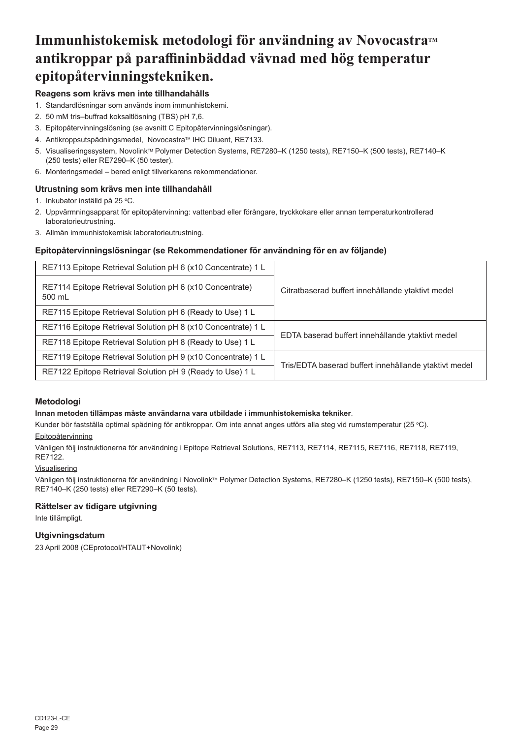## **Immunhistokemisk metodologi för användning av NovocastraTM antikroppar på paraffininbäddad vävnad med hög temperatur epitopåtervinningstekniken.**

## **Reagens som krävs men inte tillhandahålls**

- 1. Standardlösningar som används inom immunhistokemi.
- 2. 50 mM tris–buffrad koksaltlösning (TBS) pH 7,6.
- 3. Epitopåtervinningslösning (se avsnitt C Epitopåtervinningslösningar).
- 4. Antikroppsutspädningsmedel, Novocastra™ IHC Diluent, RE7133.
- 5. Visualiseringssystem, NovolinkTM Polymer Detection Systems, RE7280–K (1250 tests), RE7150–K (500 tests), RE7140–K (250 tests) eller RE7290–K (50 tester).
- 6. Monteringsmedel bered enligt tillverkarens rekommendationer.

## **Utrustning som krävs men inte tillhandahåll**

- 1. Inkubator inställd på 25 °C.
- 2. Uppvärmningsapparat för epitopåtervinning: vattenbad eller förångare, tryckkokare eller annan temperaturkontrollerad laboratorieutrustning.
- 3. Allmän immunhistokemisk laboratorieutrustning.

## **Epitopåtervinningslösningar (se Rekommendationer för användning för en av följande)**

| RE7113 Epitope Retrieval Solution pH 6 (x10 Concentrate) 1 L       |                                                       |
|--------------------------------------------------------------------|-------------------------------------------------------|
| RE7114 Epitope Retrieval Solution pH 6 (x10 Concentrate)<br>500 mL | Citratbaserad buffert innehållande ytaktivt medel     |
| RE7115 Epitope Retrieval Solution pH 6 (Ready to Use) 1 L          |                                                       |
| RE7116 Epitope Retrieval Solution pH 8 (x10 Concentrate) 1 L       | EDTA baserad buffert innehållande ytaktivt medel      |
| RE7118 Epitope Retrieval Solution pH 8 (Ready to Use) 1 L          |                                                       |
| RE7119 Epitope Retrieval Solution pH 9 (x10 Concentrate) 1 L       | Tris/EDTA baserad buffert innehållande ytaktivt medel |
| RE7122 Epitope Retrieval Solution pH 9 (Ready to Use) 1 L          |                                                       |

## **Metodologi**

## **Innan metoden tillämpas måste användarna vara utbildade i immunhistokemiska tekniker**.

Kunder bör fastställa optimal spädning för antikroppar. Om inte annat anges utförs alla steg vid rumstemperatur (25 °C).

## Epitopåtervinning

Vänligen följ instruktionerna för användning i Epitope Retrieval Solutions, RE7113, RE7114, RE7115, RE7116, RE7118, RE7119, RE7122.

## **Visualisering**

Vänligen följ instruktionerna för användning i Novolink™ Polymer Detection Systems, RE7280–K (1250 tests), RE7150–K (500 tests), RE7140–K (250 tests) eller RE7290–K (50 tests).

## **Rättelser av tidigare utgivning**

Inte tillämpligt.

## **Utgivningsdatum**

23 April 2008 (CEprotocol/HTAUT+Novolink)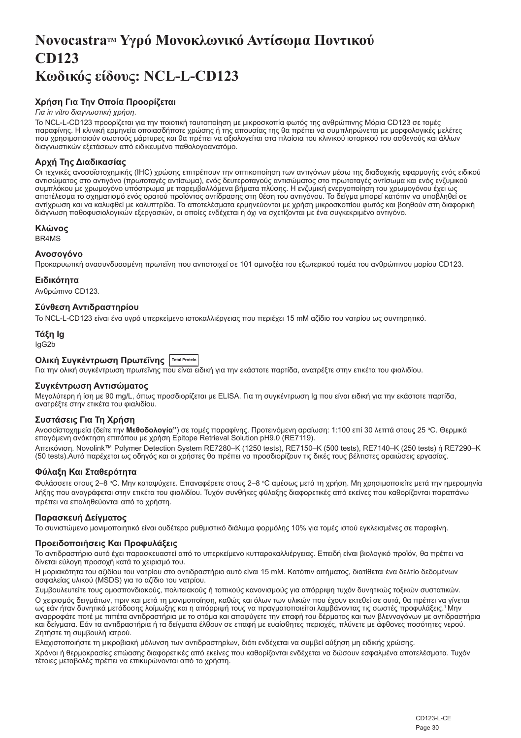## <span id="page-30-0"></span>**NovocastraTM Υγρό Μονοκλωνικό Αντίσωμα Ποντικού CD123 Κωδικός είδους: NCL-L-CD123**

## **Χρήση Για Την Οποία Προορίζεται**

#### *Για in vitro διαγνωστική χρήση*.

Το NCL-L-CD123 προορίζεται για την ποιοτική ταυτοποίηση με μικροσκοπία φωτός της ανθρώπινης Μόρια CD123 σε τομές παραφίνης. Η κλινική ερμηνεία οποιασδήποτε χρώσης ή της απουσίας της θα πρέπει να συμπληρώνεται με μορφολογικές μελέτες που χρησιμοποιούν σωστούς μάρτυρες και θα πρέπει να αξιολογείται στα πλαίσια του κλινικού ιστορικού του ασθενούς και άλλων διαγνωστικών εξετάσεων από ειδικευμένο παθολογοανατόμο.

## **Αρχή Της Διαδικασίας**

Οι τεχνικές ανοσοϊστοχημικής (IHC) χρώσης επιτρέπουν την οπτικοποίηση των αντιγόνων μέσω της διαδοχικής εφαρμογής ενός ειδικού αντισώματος στο αντιγόνο (πρωτοταγές αντίσωμα), ενός δευτεροταγούς αντισώματος στο πρωτοταγές αντίσωμα και ενός ενζυμικού συμπλόκου με χρωμογόνο υπόστρωμα με παρεμβαλλόμενα βήματα πλύσης. Η ενζυμική ενεργοποίηση του χρωμογόνου έχει ως αποτέλεσμα το σχηματισμό ενός ορατού προϊόντος αντίδρασης στη θέση του αντιγόνου. Το δείγμα μπορεί κατόπιν να υποβληθεί σε αντίχρωση και να καλυφθεί με καλυπτρίδα. Τα αποτελέσματα ερμηνεύονται με χρήση μικροσκοπίου φωτός και βοηθούν στη διαφορική διάγνωση παθοφυσιολογικών εξεργασιών, οι οποίες ενδέχεται ή όχι να σχετίζονται με ένα συγκεκριμένο αντιγόνο.

## **Κλώνος**

BR4MS

## **Ανοσογόνο**

Προκαρυωτική ανασυνδυασμένη πρωτεΐνη που αντιστοιχεί σε 101 αμινοξέα του εξωτερικού τομέα του ανθρώπινου μορίου CD123.

#### **Ειδικότητα**

Ανθρώπινο CD123.

## **Σύνθεση Αντιδραστηρίου**

Το NCL-L-CD123 είναι ένα υγρό υπερκείμενο ιστοκαλλιέργειας που περιέχει 15 mM αζίδιο του νατρίου ως συντηρητικό.

#### **Τάξη Ig** IgG2b

## **Ολική Συγκέντρωση Πρωτεΐνης Total Protein**

Για την ολική συγκέντρωση πρωτεΐνης που είναι ειδική για την εκάστοτε παρτίδα, ανατρέξτε στην ετικέτα του φιαλιδίου.

## **Συγκέντρωση Αντισώματος**

Μεγαλύτερη ή ίση με 90 mg/L, όπως προσδιορίζεται με ELISA. Για τη συγκέντρωση Ig που είναι ειδική για την εκάστοτε παρτίδα, ανατρέξτε στην ετικέτα του φιαλιδίου.

## **Συστάσεις Για Τη Χρήση**

Ανοσοϊστοχημεία (δείτε την **Μεθοδολογία''**) σε τομές παραφίνης. Προτεινόμενη αραίωση: 1:100 επί 30 λεπτά στους 25 °C. Θερμικά επαγόμενη ανάκτηση επιτόπου με χρήση Epitope Retrieval Solution pH9.0 (RE7119).

Απεικόνιση. Novolink™ Polymer Detection System RE7280–K (1250 tests), RE7150–K (500 tests), RE7140–K (250 tests) ή RE7290–K (50 tests).Αυτό παρέχεται ως οδηγός και οι χρήστες θα πρέπει να προσδιορίζουν τις δικές τους βέλτιστες αραιώσεις εργασίας.

## **Φύλαξη Και Σταθερότητα**

Φυλάσσετε στους 2–8 °C. Μην καταψύχετε. Επαναφέρετε στους 2–8 °C αμέσως μετά τη χρήση. Μη χρησιμοποιείτε μετά την ημερομηνία λήξης που αναγράφεται στην ετικέτα του φιαλιδίου. Τυχόν συνθήκες φύλαξης διαφορετικές από εκείνες που καθορίζονται παραπάνω πρέπει να επαληθεύονται από το χρήστη.

## **Παρασκευή Δείγματος**

Το συνιστώμενο μονιμοποιητικό είναι ουδέτερο ρυθμιστικό διάλυμα φορμόλης 10% για τομές ιστού εγκλεισμένες σε παραφίνη.

## **Προειδοποιήσεις Και Προφυλάξεις**

Το αντιδραστήριο αυτό έχει παρασκευαστεί από το υπερκείμενο κυτταροκαλλιέργειας. Επειδή είναι βιολογικό προϊόν, θα πρέπει να δίνεται εύλογη προσοχή κατά το χειρισμό του.

Η μοριακότητα του αζιδίου του νατρίου στο αντιδραστήριο αυτό είναι 15 mM. Kατόπιν αιτήματος, διατίθεται ένα δελτίο δεδομένων ασφαλείας υλικού (MSDS) για το αζίδιο του νατρίου.

Συμβουλευτείτε τους ομοσπονδιακούς, πολιτειακούς ή τοπικούς κανονισμούς για απόρριψη τυχόν δυνητικώς τοξικών συστατικών.

Ο χειρισμός δειγμάτων, πριν και μετά τη μονιμοποίηση, καθώς και όλων των υλικών που έχουν εκτεθεί σε αυτά, θα πρέπει να γίνεται ως εάν ήταν δυνητικά μετάδοσης λοίμωξης και η απόρριψή τους να πραγματοποιείται λαμβάνοντας τις σωστές προφυλάξεις.<sup>1</sup>Μην αναρροφάτε ποτέ με πιπέτα αντιδραστήρια με το στόμα και αποφύγετε την επαφή του δέρματος και των βλεννογόνων με αντιδραστήρια και δείγματα. Εάν τα αντιδραστήρια ή τα δείγματα έλθουν σε επαφή με ευαίσθητες περιοχές, πλύνετε με άφθονες ποσότητες νερού. Ζητήστε τη συμβουλή ιατρού.

Ελαχιστοποιήστε τη μικροβιακή μόλυνση των αντιδραστηρίων, διότι ενδέχεται να συμβεί αύξηση μη ειδικής χρώσης.

Χρόνοι ή θερμοκρασίες επώασης διαφορετικές από εκείνες που καθορίζονται ενδέχεται να δώσουν εσφαλμένα αποτελέσματα. Τυχόν τέτοιες μεταβολές πρέπει να επικυρώνονται από το χρήστη.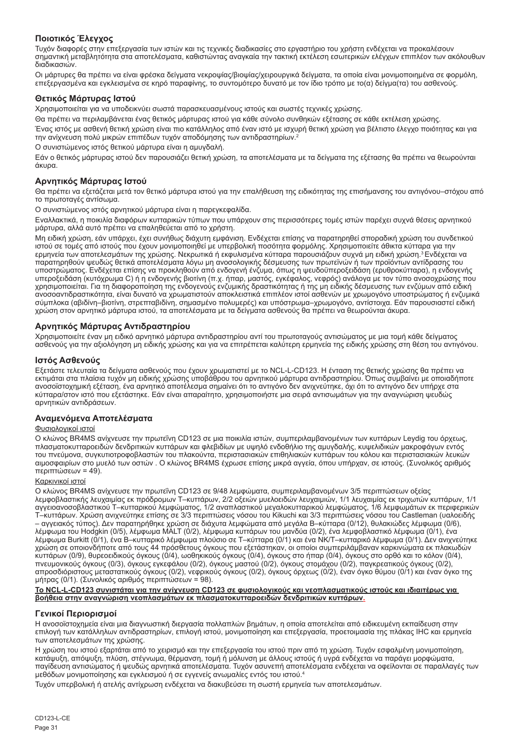## **Ποιοτικός Έλεγχος**

Τυχόν διαφορές στην επεξεργασία των ιστών και τις τεχνικές διαδικασίες στο εργαστήριο του χρήστη ενδέχεται να προκαλέσουν σημαντική μεταβλητότητα στα αποτελέσματα, καθιστώντας αναγκαία την τακτική εκτέλεση εσωτερικών ελέγχων επιπλέον των ακόλουθων διαδικασιών.

Οι μάρτυρες θα πρέπει να είναι φρέσκα δείγματα νεκροψίας/βιοψίας/χειρουργικά δείγματα, τα οποία είναι μονιμοποιημένα σε φορμόλη, επεξεργασμένα και εγκλεισμένα σε κηρό παραφίνης, το συντομότερο δυνατό με τον ίδιο τρόπο με το(α) δείγμα(τα) του ασθενούς.

## **Θετικός Μάρτυρας Ιστού**

Χρησιμοποιείται για να υποδεικνύει σωστά παρασκευασμένους ιστούς και σωστές τεχνικές χρώσης.

Θα πρέπει να περιλαμβάνεται ένας θετικός μάρτυρας ιστού για κάθε σύνολο συνθηκών εξέτασης σε κάθε εκτέλεση χρώσης.

Ένας ιστός με ασθενή θετική χρώση είναι πιο κατάλληλος από έναν ιστό με ισχυρή θετική χρώση για βέλτιστο έλεγχο ποιότητας και για την ανίχνευση πολύ μικρών επιπέδων τυχόν αποδόμησης των αντιδραστηρίων.<sup>2</sup>

Ο συνιστώμενος ιστός θετικού μάρτυρα είναι η αμυγδαλή.

Εάν ο θετικός μάρτυρας ιστού δεν παρουσιάζει θετική χρώση, τα αποτελέσματα με τα δείγματα της εξέτασης θα πρέπει να θεωρούνται άκυρα.

## **Αρνητικός Μάρτυρας Ιστού**

Θα πρέπει να εξετάζεται μετά τον θετικό μάρτυρα ιστού για την επαλήθευση της ειδικότητας της επισήμανσης του αντιγόνου–στόχου από το πρωτοταγές αντίσωμα.

Ο συνιστώμενος ιστός αρνητικού μάρτυρα είναι η παρεγκεφαλίδα.

Εναλλακτικά, η ποικιλία διαφόρων κυτταρικών τύπων που υπάρχουν στις περισσότερες τομές ιστών παρέχει συχνά θέσεις αρνητικού μάρτυρα, αλλά αυτό πρέπει να επαληθεύεται από το χρήστη.

Μη ειδική χρώση, εάν υπάρχει, έχει συνήθως διάχυτη εμφάνιση. Ενδέχεται επίσης να παρατηρηθεί σποραδική χρώση του συνδετικού ιστού σε τομές από ιστούς που έχουν μονιμοποιηθεί με υπερβολική ποσότητα φορμόλης. Χρησιμοποιείτε άθικτα κύτταρα για την<br>ερμηνεία των αποτελεσμάτων της χρώσης. Νεκρωτικά ή εκφυλισμένα κύτταρα παρουσιάζουν συχνά μη ειδική παρατηρηθούν ψευδώς θετικά αποτελέσματα λόγω μη ανοσολογικής δέσμευσης των πρωτεϊνών ή των προϊόντων αντίδρασης του υποστρώματος. Ενδέχεται επίσης να προκληθούν από ενδογενή ένζυμα, όπως η ψευδοϋπεροξειδάση (ερυθροκύτταρα), η ενδογενής<br>υπεροξειδάση (κυτόχρωμα C) ή η ενδογενής βιοτίνη (π.χ. ήπαρ, μαστός, εγκέφαλος, νεφρός) ανάλογα με το χρησιμοποιείται. Για τη διαφοροποίηση της ενδογενούς ενζυμικής δραστικότητας ή της μη ειδικής δέσμευσης των ενζύμων από ειδική ανοσοαντιδραστικότητα, είναι δυνατό να χρωματιστούν αποκλειστικά επιπλέον ιστοί ασθενών με χρωμογόνο υποστρώματος ή ενζυμικά σύμπλοκα (αβιδίνη–βιοτίνη, στρεπταβιδίνη, σημασμένο πολυμερές) και υπόστρωμα–χρωμογόνο, αντίστοιχα. Εάν παρουσιαστεί ειδική χρώση στον αρνητικό μάρτυρα ιστού, τα αποτελέσματα με τα δείγματα ασθενούς θα πρέπει να θεωρούνται άκυρα.

## **Αρνητικός Μάρτυρας Αντιδραστηρίου**

Χρησιμοποιείτε έναν μη ειδικό αρνητικό μάρτυρα αντιδραστηρίου αντί του πρωτοταγούς αντισώματος με μια τομή κάθε δείγματος ασθενούς για την αξιολόγηση μη ειδικής χρώσης και για να επιτρέπεται καλύτερη ερμηνεία της ειδικής χρώσης στη θέση του αντιγόνου.

## **Ιστός Ασθενούς**

Εξετάστε τελευταία τα δείγματα ασθενούς που έχουν χρωματιστεί με το NCL-L-CD123. Η ένταση της θετικής χρώσης θα πρέπει να εκτιμάται στα πλαίσια τυχόν μη ειδικής χρώσης υποβάθρου του αρνητικού μάρτυρα αντιδραστηρίου. Όπως συμβαίνει με οποιαδήποτε ανοσοϊστοχημική εξέταση, ένα αρνητικό αποτέλεσμα σημαίνει ότι το αντιγόνο δεν ανιχνεύτηκε, όχι ότι το αντιγόνο δεν υπήρχε στα κύτταρα/στον ιστό που εξετάστηκε. Εάν είναι απαραίτητο, χρησιμοποιήστε μια σειρά αντισωμάτων για την αναγνώριση ψευδώς αρνητικών αντιδράσεων.

## **Αναμενόμενα Αποτελέσματα**

#### Φυσιολογικοί ιστοί

Ο κλώνος BR4MS ανίχνευσε την πρωτεΐνη CD123 σε μια ποικιλία ιστών, συμπεριλαμβανομένων των κυττάρων Leydig του όρχεως,<br>πλασματοκυτταροειδών δενδριτικών κυττάρων και φλεβιδίων με υψηλό ενδοθήλιο της αμυγδαλής, κυψελιδικών του πνεύμονα, συγκυτιοτροφοβλαστών του πλακούντα, περιστασιακών επιθηλιακών κυττάρων του κόλου και περιστασιακών λευκών αιμοσφαιρίων στο μυελό των οστών . Ο κλώνος BR4MS έχρωσε επίσης μικρά αγγεία, όπου υπήρχαν, σε ιστούς. (Συνολικός αριθμός περιπτώσεων = 49).

#### Καρκινικοί ιστοί

Ο κλώνος BR4MS ανίχνευσε την πρωτεΐνη CD123 σε 9/48 λεμφώματα, συμπεριλαμβανομένων 3/5 περιπτώσεων οξείας λεμφοβλαστικής λευχαιμίας εκ πρόδρομων T–κυττάρων, 2/2 οξειών μυελοειδών λευχαιμιών, 1/1 λευχαιμίας εκ τριχωτών κυττάρων, 1/1 αγγειοανοσοβλαστικού T–κυτταρικού λεμφώματος, 1/2 αναπλαστικού μεγαλοκυτταρικού λεμφώματος, 1/6 λεμφωμάτων εκ περιφερικών<br>T–κυττάρων. Χρώση ανιχνεύτηκε επίσης σε 3/3 περιπτώσεις νόσου του Kikuchi και 3/3 περιπτώσεις νόσου – αγγειακός τύπος). Δεν παρατηρήθηκε χρώση σε διάχυτα λεμφώματα από μεγάλα B–κύτταρα (0/12), θυλακιώδες λέμφωμα (0/6), λέμφωμα του Hodgkin (0/5), λέμφωμα MALT (0/2), λέμφωμα κυττάρων του μανδύα (0/2), ένα λεμφοβλαστικό λέμφωμα (0/1), ένα<br>λέμφωμα Burkitt (0/1), ένα B–κυτταρικό λέμφωμα πλούσιο σε T–κύτταρα (0/1) και ένα ΝΚ/Τ–κυτταρικό λέμφω χρώση σε οποιονδήποτε από τους 44 πρόσθετους όγκους που εξετάστηκαν, οι οποίοι συμπεριλάμβαναν καρκινώματα εκ πλακωδών κυττάρων (0/9), θυρεοειδικούς όγκους (0/4), ωοθηκικούς όγκους (0/4), όγκους στο ήπαρ (0/4), όγκους στο ορθό και το κόλον (0/4), πνευμονικούς όγκους (0/3), όγκους εγκεφάλου (0/2), όγκους μαστού (0/2), όγκους στομάχου (0/2), παγκρεατικούς όγκους (0/2), απροσδιόριστους μεταστατικούς όγκους (0/2), νεφρικούς όγκους (0/2), όγκους όρχεως (0/2), έναν όγκο θύμου (0/1) και έναν όγκο της μήτρας (0/1). (Συνολικός αριθμός περιπτώσεων = 98).

#### **Το NCL-L-CD123 συνιστάται για την ανίχνευση CD123 σε φυσιολογικούς και νεοπλασματικούς ιστούς και ιδιαιτέρως για βοήθεια στην αναγνώριση νεοπλασμάτων εκ πλασματοκυτταροειδών δενδριτικών κυττάρων.**

## **Γενικοί Περιορισμοί**

Η ανοσοϊστοχημεία είναι μια διαγνωστική διεργασία πολλαπλών βημάτων, η οποία αποτελείται από ειδικευμένη εκπαίδευση στην επιλογή των κατάλληλων αντιδραστηρίων, επιλογή ιστού, μονιμοποίηση και επεξεργασία, προετοιμασία της πλάκας IHC και ερμηνεία των αποτελεσμάτων της χρώσης.

Η χρώση του ιστού εξαρτάται από το χειρισμό και την επεξεργασία του ιστού πριν από τη χρώση. Τυχόν εσφαλμένη μονιμοποίηση, κατάψυξη, απόψυξη, πλύση, στέγνωμα, θέρμανση, τομή ή μόλυνση με άλλους ιστούς ή υγρά ενδέχεται να παράγει μορφώματα, παγίδευση αντισώματος ή ψευδώς αρνητικά αποτελέσματα. Τυχόν ασυνεπή αποτελέσματα ενδέχεται να οφείλονται σε παραλλαγές των μεθόδων μονιμοποίησης και εγκλεισμού ή σε εγγενείς ανωμαλίες εντός του ιστού.4

Τυχόν υπερβολική ή ατελής αντίχρωση ενδέχεται να διακυβεύσει τη σωστή ερμηνεία των αποτελεσμάτων.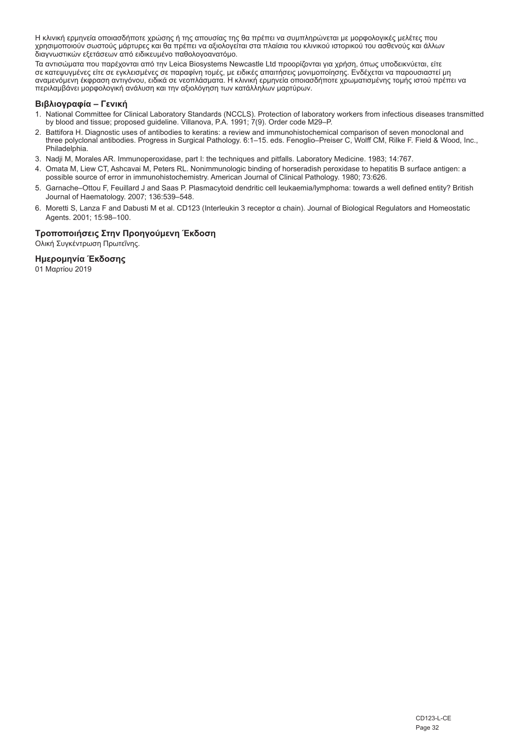Η κλινική ερμηνεία οποιασδήποτε χρώσης ή της απουσίας της θα πρέπει να συμπληρώνεται με μορφολογικές μελέτες που χρησιμοποιούν σωστούς μάρτυρες και θα πρέπει να αξιολογείται στα πλαίσια του κλινικού ιστορικού του ασθενούς και άλλων διαγνωστικών εξετάσεων από ειδικευμένο παθολογοανατόμο.

Τα αντισώματα που παρέχονται από την Leica Biosystems Newcastle Ltd προορίζονται για χρήση, όπως υποδεικνύεται, είτε σε κατεψυγμένες είτε σε εγκλεισμένες σε παραφίνη τομές, με ειδικές απαιτήσεις μονιμοποίησης. Ενδέχεται να παρουσιαστεί μη<br>αναμενόμενη έκφραση αντιγόνου, ειδικά σε νεοπλάσματα. Η κλινική ερμηνεία οποιασδήποτε χρωματισμένης περιλαμβάνει μορφολογική ανάλυση και την αξιολόγηση των κατάλληλων μαρτύρων.

## **Βιβλιογραφία – Γενική**

- 1. National Committee for Clinical Laboratory Standards (NCCLS). Protection of laboratory workers from infectious diseases transmitted by blood and tissue; proposed guideline. Villanova, P.A. 1991; 7(9). Order code M29–P.
- 2. Battifora H. Diagnostic uses of antibodies to keratins: a review and immunohistochemical comparison of seven monoclonal and three polyclonal antibodies. Progress in Surgical Pathology. 6:1–15. eds. Fenoglio–Preiser C, Wolff CM, Rilke F. Field & Wood, Inc., Philadelphia.
- 3. Nadji M, Morales AR. Immunoperoxidase, part I: the techniques and pitfalls. Laboratory Medicine. 1983; 14:767.
- 4. Omata M, Liew CT, Ashcavai M, Peters RL. Nonimmunologic binding of horseradish peroxidase to hepatitis B surface antigen: a possible source of error in immunohistochemistry. American Journal of Clinical Pathology. 1980; 73:626.
- 5. Garnache–Ottou F, Feuillard J and Saas P. Plasmacytoid dendritic cell leukaemia/lymphoma: towards a well defined entity? British Journal of Haematology. 2007; 136:539–548.
- 6. Moretti S, Lanza F and Dabusti M et al. CD123 (Interleukin 3 receptor α chain). Journal of Biological Regulators and Homeostatic Agents. 2001; 15:98–100.

## **Τροποποιήσεις Στην Προηγούμενη Έκδοση**

Ολική Συγκέντρωση Πρωτεΐνης.

#### **Ημερομηνία Έκδοσης**

01 Μαρτίου 2019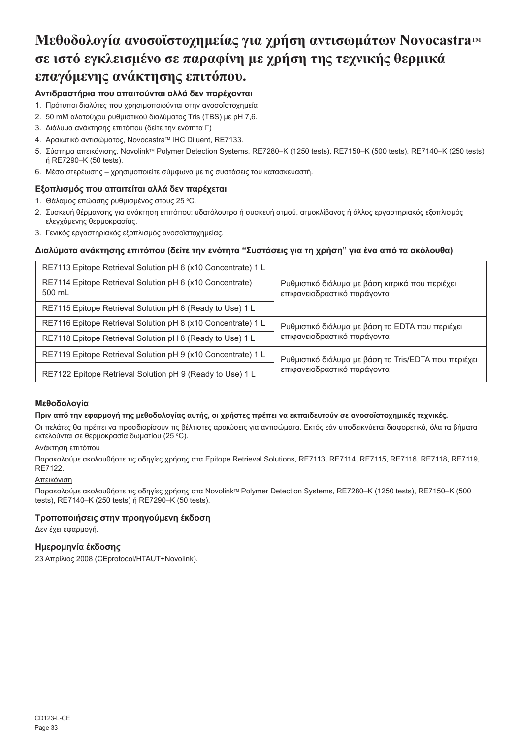## **Μεθοδολογία ανοσοϊστοχημείας για χρήση αντισωμάτων Novocastra™ σε ιστό εγκλεισμένο σε παραφίνη με χρήση της τεχνικής θερμικά επαγόμενης ανάκτησης επιτόπου.**

## **Αντιδραστήρια που απαιτούνται αλλά δεν παρέχονται**

- 1. Πρότυποι διαλύτες που χρησιμοποιούνται στην ανοσοϊστοχημεία
- 2. 50 mM αλατούχου ρυθμιστικού διαλύματος Tris (TBS) με pH 7,6.
- 3. Διάλυμα ανάκτησης επιτόπου (δείτε την ενότητα Γ)
- 4. Αραιωτικό αντισώματος, Novocastra™ IHC Diluent, RE7133.
- 5. Σύστημα απεικόνισης, NovolinkTM Polymer Detection Systems, RE7280–K (1250 tests), RE7150–K (500 tests), RE7140–K (250 tests) ή RE7290–K (50 tests).
- 6. Μέσο στερέωσης χρησιμοποιείτε σύμφωνα με τις συστάσεις του κατασκευαστή.

## **Εξοπλισμός που απαιτείται αλλά δεν παρέχεται**

- 1. Θάλαμος επώασης ρυθμισμένος στους 25 ℃.
- 2. Συσκευή θέρμανσης για ανάκτηση επιτόπου: υδατόλουτρο ή συσκευή ατμού, ατμοκλίβανος ή άλλος εργαστηριακός εξοπλισμός ελεγχόμενης θερμοκρασίας.
- 3. Γενικός εργαστηριακός εξοπλισμός ανοσοϊστοχημείας.

## **Διαλύματα ανάκτησης επιτόπου (δείτε την ενότητα "Συστάσεις για τη χρήση" για ένα από τα ακόλουθα)**

| RE7113 Epitope Retrieval Solution pH 6 (x10 Concentrate) 1 L       | Ρυθμιστικό διάλυμα με βάση κιτρικά που περιέχει<br>επιφανειοδραστικό παράγοντα      |
|--------------------------------------------------------------------|-------------------------------------------------------------------------------------|
| RE7114 Epitope Retrieval Solution pH 6 (x10 Concentrate)<br>500 mL |                                                                                     |
| RE7115 Epitope Retrieval Solution pH 6 (Ready to Use) 1 L          |                                                                                     |
| RE7116 Epitope Retrieval Solution pH 8 (x10 Concentrate) 1 L       | Ρυθμιστικό διάλυμα με βάση το ΕDTA που περιέχει<br>επιφανειοδραστικό παράγοντα      |
| RE7118 Epitope Retrieval Solution pH 8 (Ready to Use) 1 L          |                                                                                     |
| RE7119 Epitope Retrieval Solution pH 9 (x10 Concentrate) 1 L       | Ρυθμιστικό διάλυμα με βάση το Tris/EDTA που περιέχει<br>επιφανειοδραστικό παράγοντα |
| RE7122 Epitope Retrieval Solution pH 9 (Ready to Use) 1 L          |                                                                                     |

## **Μεθοδολογία**

#### **Πριν από την εφαρμογή της μεθοδολογίας αυτής, οι χρήστες πρέπει να εκπαιδευτούν σε ανοσοϊστοχημικές τεχνικές.**

Οι πελάτες θα πρέπει να προσδιορίσουν τις βέλτιστες αραιώσεις για αντισώματα. Εκτός εάν υποδεικνύεται διαφορετικά, όλα τα βήματα εκτελούνται σε θερμοκρασία δωματίου (25 °C).

## Ανάκτηση επιτόπου

Παρακαλούμε ακολουθήστε τις οδηγίες χρήσης στα Epitope Retrieval Solutions, RE7113, RE7114, RE7115, RE7116, RE7118, RE7119, RE7122.

## Απεικόνιση

Παρακαλούμε ακολουθήστε τις οδηγίες χρήσης στα NovolinkTM Polymer Detection Systems, RE7280–K (1250 tests), RE7150–K (500 tests), RE7140–K (250 tests) ή RE7290–K (50 tests).

## **Τροποποιήσεις στην προηγούμενη έκδοση**

Δεν έχει εφαρμογή.

## **Ημερομηνία έκδοσης**

23 Απρίλιος 2008 (CEprotocol/HTAUT+Novolink).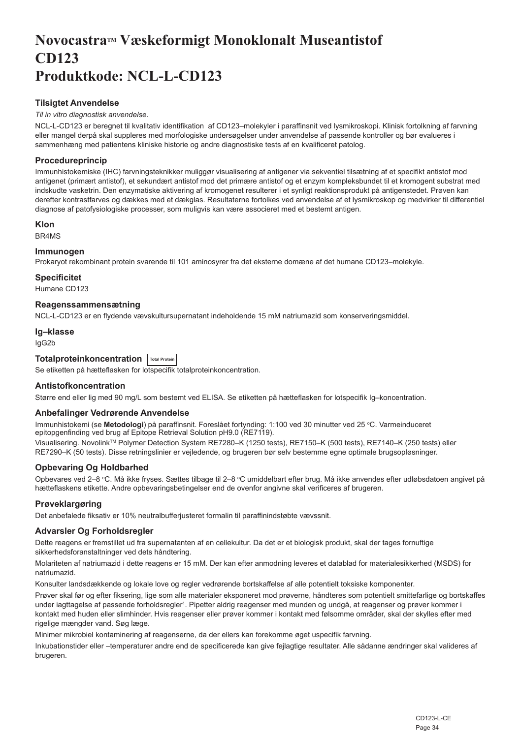## <span id="page-34-0"></span>**NovocastraTM Væskeformigt Monoklonalt Museantistof CD123 Produktkode: NCL-L-CD123**

## **Tilsigtet Anvendelse**

## *Til in vitro diagnostisk anvendelse*.

NCL-L-CD123 er beregnet til kvalitativ identifikation af CD123–molekyler i paraffinsnit ved lysmikroskopi. Klinisk fortolkning af farvning eller mangel derpå skal suppleres med morfologiske undersøgelser under anvendelse af passende kontroller og bør evalueres i sammenhæng med patientens kliniske historie og andre diagnostiske tests af en kvalificeret patolog.

## **Procedureprincip**

Immunhistokemiske (IHC) farvningsteknikker muliggør visualisering af antigener via sekventiel tilsætning af et specifikt antistof mod antigenet (primært antistof), et sekundært antistof mod det primære antistof og et enzym kompleksbundet til et kromogent substrat med indskudte vasketrin. Den enzymatiske aktivering af kromogenet resulterer i et synligt reaktionsprodukt på antigenstedet. Prøven kan derefter kontrastfarves og dækkes med et dækglas. Resultaterne fortolkes ved anvendelse af et lysmikroskop og medvirker til differentiel diagnose af patofysiologiske processer, som muligvis kan være associeret med et bestemt antigen.

## **Klon**

BR4MS

## **Immunogen**

Prokaryot rekombinant protein svarende til 101 aminosyrer fra det eksterne domæne af det humane CD123–molekyle.

## **Specificitet**

Humane CD123

#### **Reagenssammensætning**

NCL-L-CD123 er en flydende vævskultursupernatant indeholdende 15 mM natriumazid som konserveringsmiddel.

#### **Ig–klasse**

IgG2b

## **Totalproteinkoncentration Total Protein**

Se etiketten på hætteflasken for lotspecifik totalproteinkoncentration.

## **Antistofkoncentration**

Større end eller lig med 90 mg/L som bestemt ved ELISA. Se etiketten på hætteflasken for lotspecifik Ig–koncentration.

### **Anbefalinger Vedrørende Anvendelse**

Immunhistokemi (se **Metodologi**) på paraffinsnit. Foreslået fortynding: 1:100 ved 30 minutter ved 25 °C. Varmeinduceret epitopgenfinding ved brug af Epitope Retrieval Solution pH9.0 (RE7119). Visualisering. Novolink™ Polymer Detection System RE7280–K (1250 tests), RE7150–K (500 tests), RE7140–K (250 tests) eller RE7290–K (50 tests). Disse retningslinier er vejledende, og brugeren bør selv bestemme egne optimale brugsopløsninger.

## **Opbevaring Og Holdbarhed**

Opbevares ved 2–8 °C. Må ikke fryses. Sættes tilbage til 2–8 °C umiddelbart efter brug. Må ikke anvendes efter udløbsdatoen angivet på hætteflaskens etikette. Andre opbevaringsbetingelser end de ovenfor angivne skal verificeres af brugeren.

## **Prøveklargøring**

Det anbefalede fiksativ er 10% neutralbufferjusteret formalin til paraffinindstøbte vævssnit.

## **Advarsler Og Forholdsregler**

Dette reagens er fremstillet ud fra supernatanten af en cellekultur. Da det er et biologisk produkt, skal der tages fornuftige sikkerhedsforanstaltninger ved dets håndtering.

Molariteten af natriumazid i dette reagens er 15 mM. Der kan efter anmodning leveres et datablad for materialesikkerhed (MSDS) for natriumazid.

Konsulter landsdækkende og lokale love og regler vedrørende bortskaffelse af alle potentielt toksiske komponenter.

Prøver skal før og efter fiksering, lige som alle materialer eksponeret mod prøverne, håndteres som potentielt smittefarlige og bortskaffes under iagttagelse af passende forholdsregler<sup>1</sup>. Pipetter aldrig reagenser med munden og undgå, at reagenser og prøver kommer i kontakt med huden eller slimhinder. Hvis reagenser eller prøver kommer i kontakt med følsomme områder, skal der skylles efter med rigelige mængder vand. Søg læge.

Minimer mikrobiel kontaminering af reagenserne, da der ellers kan forekomme øget uspecifik farvning.

Inkubationstider eller –temperaturer andre end de specificerede kan give fejlagtige resultater. Alle sådanne ændringer skal valideres af brugeren.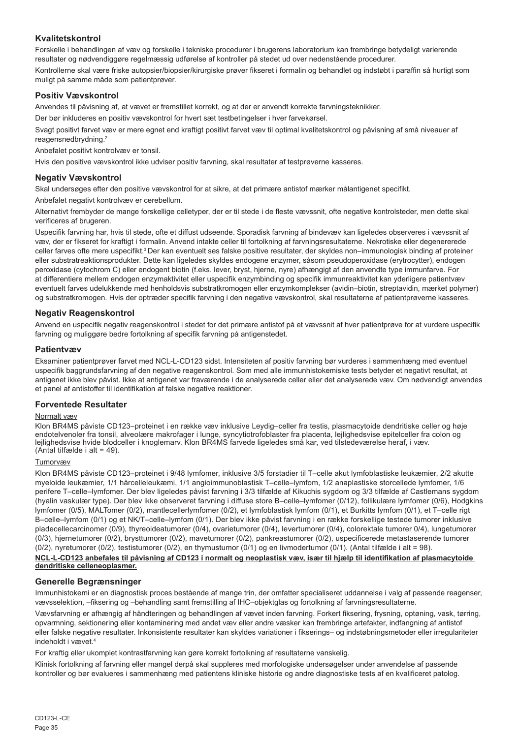## **Kvalitetskontrol**

Forskelle i behandlingen af væv og forskelle i tekniske procedurer i brugerens laboratorium kan frembringe betydeligt varierende resultater og nødvendiggøre regelmæssig udførelse af kontroller på stedet ud over nedenstående procedurer. Kontrollerne skal være friske autopsier/biopsier/kirurgiske prøver fikseret i formalin og behandlet og indstøbt i paraffin så hurtigt som muligt på samme måde som patientprøver.

## **Positiv Vævskontrol**

Anvendes til påvisning af, at vævet er fremstillet korrekt, og at der er anvendt korrekte farvningsteknikker.

Der bør inkluderes en positiv vævskontrol for hvert sæt testbetingelser i hver farvekørsel.

Svagt positivt farvet væv er mere egnet end kraftigt positivt farvet væv til optimal kvalitetskontrol og påvisning af små niveauer af reagensnedbrydning.<sup>2</sup>

Anbefalet positivt kontrolvæv er tonsil.

Hvis den positive vævskontrol ikke udviser positiv farvning, skal resultater af testprøverne kasseres.

## **Negativ Vævskontrol**

Skal undersøges efter den positive vævskontrol for at sikre, at det primære antistof mærker målantigenet specifikt.

Anbefalet negativt kontrolvæv er cerebellum.

Alternativt frembyder de mange forskellige celletyper, der er til stede i de fleste vævssnit, ofte negative kontrolsteder, men dette skal verificeres af brugeren.

Uspecifik farvning har, hvis til stede, ofte et diffust udseende. Sporadisk farvning af bindevæv kan ligeledes observeres i vævssnit af væv, der er fikseret for kraftigt i formalin. Anvend intakte celler til fortolkning af farvningsresultaterne. Nekrotiske eller degenererede celler farves ofte mere uspecifikt.<sup>3</sup>Der kan eventuelt ses falske positive resultater, der skyldes non–immunologisk binding af proteiner eller substratreaktionsprodukter. Dette kan ligeledes skyldes endogene enzymer, såsom pseudoperoxidase (erytrocytter), endogen peroxidase (cytochrom C) eller endogent biotin (f.eks. lever, bryst, hjerne, nyre) afhængigt af den anvendte type immunfarve. For at differentiere mellem endogen enzymaktivitet eller uspecifik enzymbinding og specifik immunreaktivitet kan yderligere patientvæv eventuelt farves udelukkende med henholdsvis substratkromogen eller enzymkomplekser (avidin–biotin, streptavidin, mærket polymer) og substratkromogen. Hvis der optræder specifik farvning i den negative vævskontrol, skal resultaterne af patientprøverne kasseres.

## **Negativ Reagenskontrol**

Anvend en uspecifik negativ reagenskontrol i stedet for det primære antistof på et vævssnit af hver patientprøve for at vurdere uspecifik farvning og muliggøre bedre fortolkning af specifik farvning på antigenstedet.

## **Patientvæv**

Eksaminer patientprøver farvet med NCL-L-CD123 sidst. Intensiteten af positiv farvning bør vurderes i sammenhæng med eventuel uspecifik baggrundsfarvning af den negative reagenskontrol. Som med alle immunhistokemiske tests betyder et negativt resultat, at antigenet ikke blev påvist. Ikke at antigenet var fraværende i de analyserede celler eller det analyserede væv. Om nødvendigt anvendes et panel af antistoffer til identifikation af falske negative reaktioner.

## **Forventede Resultater**

#### Normalt væv

Klon BR4MS påviste CD123–proteinet i en række væv inklusive Leydig–celler fra testis, plasmacytoide dendritiske celler og høje endotelvenoler fra tonsil, alveolære makrofager i lunge, syncytiotrofoblaster fra placenta, lejlighedsvise epitelceller fra colon og lejlighedsvise hvide blodceller i knoglemarv. Klon BR4MS farvede ligeledes små kar, ved tilstedeværelse heraf, i væv. (Antal tilfælde i alt = 49).

## Tumorvæv

Klon BR4MS påviste CD123–proteinet i 9/48 lymfomer, inklusive 3/5 forstadier til T–celle akut lymfoblastiske leukæmier, 2/2 akutte myeloide leukæmier, 1/1 hårcelleleukæmi, 1/1 angioimmunoblastisk T–celle–lymfom, 1/2 anaplastiske storcellede lymfomer, 1/6 perifere T–celle–lymfomer. Der blev ligeledes påvist farvning i 3/3 tilfælde af Kikuchis sygdom og 3/3 tilfælde af Castlemans sygdom (hyalin vaskulær type). Der blev ikke observeret farvning i diffuse store B–celle–lymfomer (0/12), follikulære lymfomer (0/6), Hodgkins lymfomer (0/5), MALTomer (0/2), mantlecellerlymfomer (0/2), et lymfoblastisk lymfom (0/1), et Burkitts lymfom (0/1), et T–celle rigt B–celle–lymfom (0/1) og et NK/T–celle–lymfom (0/1). Der blev ikke påvist farvning i en række forskellige testede tumorer inklusive pladecellecarcinomer (0/9), thyreoideatumorer (0/4), ovarietumorer (0/4), levertumorer (0/4), colorektale tumorer 0/4), lungetumorer (0/3), hjernetumorer (0/2), brysttumorer (0/2), mavetumorer (0/2), pankreastumorer (0/2), uspecificerede metastaserende tumorer (0/2), nyretumorer (0/2), testistumorer (0/2), en thymustumor (0/1) og en livmodertumor (0/1). (Antal tilfælde i alt = 98). **NCL-L-CD123 anbefales til påvisning af CD123 i normalt og neoplastisk væv, især til hjælp til identifikation af plasmacytoide dendritiske celleneoplasmer.**

## **Generelle Begrænsninger**

Immunhistokemi er en diagnostisk proces bestående af mange trin, der omfatter specialiseret uddannelse i valg af passende reagenser, vævsselektion, –fiksering og –behandling samt fremstilling af IHC–objektglas og fortolkning af farvningsresultaterne.

Vævsfarvning er afhængig af håndteringen og behandlingen af vævet inden farvning. Forkert fiksering, frysning, optøning, vask, tørring, opvarmning, sektionering eller kontaminering med andet væv eller andre væsker kan frembringe artefakter, indfangning af antistof eller falske negative resultater. Inkonsistente resultater kan skyldes variationer i fikserings– og indstøbningsmetoder eller irregulariteter indeholdt i vævet.4

For kraftig eller ukomplet kontrastfarvning kan gøre korrekt fortolkning af resultaterne vanskelig.

Klinisk fortolkning af farvning eller mangel derpå skal suppleres med morfologiske undersøgelser under anvendelse af passende kontroller og bør evalueres i sammenhæng med patientens kliniske historie og andre diagnostiske tests af en kvalificeret patolog.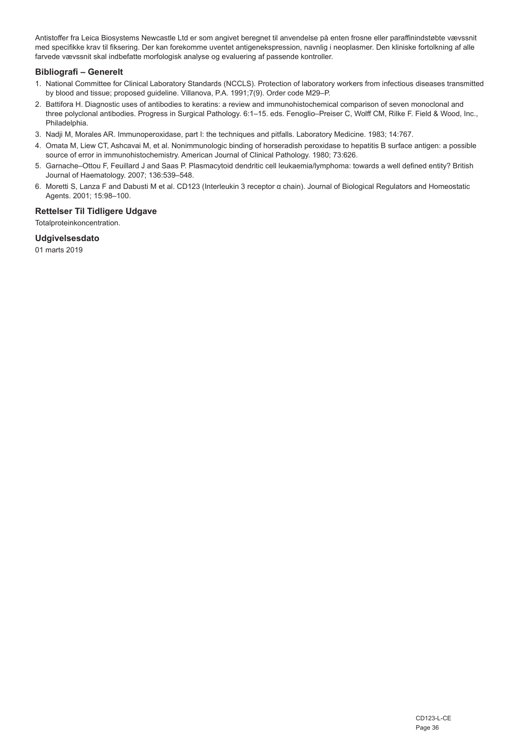Antistoffer fra Leica Biosystems Newcastle Ltd er som angivet beregnet til anvendelse på enten frosne eller paraffinindstøbte vævssnit med specifikke krav til fiksering. Der kan forekomme uventet antigenekspression, navnlig i neoplasmer. Den kliniske fortolkning af alle farvede vævssnit skal indbefatte morfologisk analyse og evaluering af passende kontroller.

### **Bibliografi – Generelt**

- 1. National Committee for Clinical Laboratory Standards (NCCLS). Protection of laboratory workers from infectious diseases transmitted by blood and tissue; proposed guideline. Villanova, P.A. 1991;7(9). Order code M29–P.
- 2. Battifora H. Diagnostic uses of antibodies to keratins: a review and immunohistochemical comparison of seven monoclonal and three polyclonal antibodies. Progress in Surgical Pathology. 6:1–15. eds. Fenoglio–Preiser C, Wolff CM, Rilke F. Field & Wood, Inc., Philadelphia.
- 3. Nadji M, Morales AR. Immunoperoxidase, part I: the techniques and pitfalls. Laboratory Medicine. 1983; 14:767.
- 4. Omata M, Liew CT, Ashcavai M, et al. Nonimmunologic binding of horseradish peroxidase to hepatitis B surface antigen: a possible source of error in immunohistochemistry. American Journal of Clinical Pathology. 1980; 73:626.
- 5. Garnache–Ottou F, Feuillard J and Saas P. Plasmacytoid dendritic cell leukaemia/lymphoma: towards a well defined entity? British Journal of Haematology. 2007; 136:539–548.
- 6. Moretti S, Lanza F and Dabusti M et al. CD123 (Interleukin 3 receptor α chain). Journal of Biological Regulators and Homeostatic Agents. 2001; 15:98–100.

# **Rettelser Til Tidligere Udgave**

Totalproteinkoncentration.

# **Udgivelsesdato**

01 marts 2019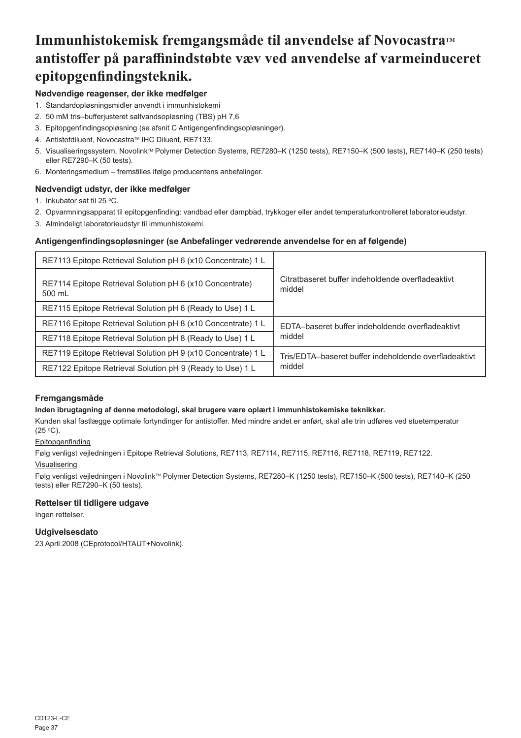# **Immunhistokemisk fremgangsmåde til anvendelse af Novocastra™ antistoffer på paraffinindstøbte væv ved anvendelse af varmeinduceret epitopgenfindingsteknik.**

# **Nødvendige reagenser, der ikke medfølger**

- 1. Standardopløsningsmidler anvendt i immunhistokemi
- 2. 50 mM tris–bufferjusteret saltvandsopløsning (TBS) pH 7,6
- 3. Epitopgenfindingsopløsning (se afsnit C Antigengenfindingsopløsninger).
- 4. Antistofdiluent, Novocastra™ IHC Diluent, RE7133.
- 5. Visualiseringssystem, Novolink™ Polymer Detection Systems, RE7280–K (1250 tests), RE7150–K (500 tests), RE7140–K (250 tests) eller RE7290-K (50 tests).
- 6. Monteringsmedium fremstilles ifølge producentens anbefalinger.

# **Nødvendigt udstyr, der ikke medfølger**

- 1. Inkubator sat til 25 °C.
- 2. Opvarmningsapparat til epitopgenfinding: vandbad eller dampbad, trykkoger eller andet temperaturkontrolleret laboratorieudstyr.
- 3. Almindeligt laboratorieudstyr til immunhistokemi.

# **Antigengenfindingsopløsninger (se Anbefalinger vedrørende anvendelse for en af følgende)**

| RE7113 Epitope Retrieval Solution pH 6 (x10 Concentrate) 1 L       |                                                                 |
|--------------------------------------------------------------------|-----------------------------------------------------------------|
| RE7114 Epitope Retrieval Solution pH 6 (x10 Concentrate)<br>500 mL | Citratbaseret buffer indeholdende overfladeaktivt<br>middel     |
| RE7115 Epitope Retrieval Solution pH 6 (Ready to Use) 1 L          |                                                                 |
| RE7116 Epitope Retrieval Solution pH 8 (x10 Concentrate) 1 L       | EDTA-baseret buffer indeholdende overfladeaktivt                |
| RE7118 Epitope Retrieval Solution pH 8 (Ready to Use) 1 L          | middel                                                          |
| RE7119 Epitope Retrieval Solution pH 9 (x10 Concentrate) 1 L       | Tris/EDTA-baseret buffer indeholdende overfladeaktivt<br>middel |
| RE7122 Epitope Retrieval Solution pH 9 (Ready to Use) 1 L          |                                                                 |

#### **Fremgangsmåde**

#### **Inden ibrugtagning af denne metodologi, skal brugere være oplært i immunhistokemiske teknikker.**

Kunden skal fastlægge optimale fortyndinger for antistoffer. Med mindre andet er anført, skal alle trin udføres ved stuetemperatur (25 <sup>o</sup> C).

# Epitopgenfinding

Følg venligst vejledningen i Epitope Retrieval Solutions, RE7113, RE7114, RE7115, RE7116, RE7118, RE7119, RE7122.

#### Visualisering

Følg venligst vejledningen i Novolink™ Polymer Detection Systems, RE7280-K (1250 tests), RE7150-K (500 tests), RE7140-K (250 tests) eller RE7290–K (50 tests).

#### **Rettelser til tidligere udgave**

Ingen rettelser.

### **Udgivelsesdato**

23 April 2008 (CEprotocol/HTAUT+Novolink).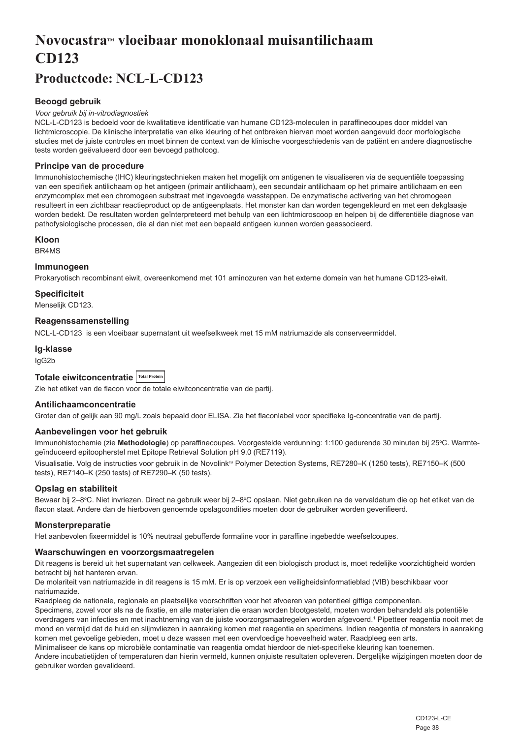# **NovocastraTM vloeibaar monoklonaal muisantilichaam CD123**

# **Productcode: NCL-L-CD123**

# **Beoogd gebruik**

#### *Voor gebruik bij in-vitrodiagnostiek*

NCL-L-CD123 is bedoeld voor de kwalitatieve identificatie van humane CD123-moleculen in paraffinecoupes door middel van lichtmicroscopie. De klinische interpretatie van elke kleuring of het ontbreken hiervan moet worden aangevuld door morfologische studies met de juiste controles en moet binnen de context van de klinische voorgeschiedenis van de patiënt en andere diagnostische tests worden geëvalueerd door een bevoegd patholoog.

#### **Principe van de procedure**

Immunohistochemische (IHC) kleuringstechnieken maken het mogelijk om antigenen te visualiseren via de sequentiële toepassing van een specifiek antilichaam op het antigeen (primair antilichaam), een secundair antilichaam op het primaire antilichaam en een enzymcomplex met een chromogeen substraat met ingevoegde wasstappen. De enzymatische activering van het chromogeen resulteert in een zichtbaar reactieproduct op de antigeenplaats. Het monster kan dan worden tegengekleurd en met een dekglaasje worden bedekt. De resultaten worden geïnterpreteerd met behulp van een lichtmicroscoop en helpen bij de differentiële diagnose van pathofysiologische processen, die al dan niet met een bepaald antigeen kunnen worden geassocieerd.

#### **Kloon**

BR4MS

#### **Immunogeen**

Prokaryotisch recombinant eiwit, overeenkomend met 101 aminozuren van het externe domein van het humane CD123-eiwit.

# **Specificiteit**

Menselijk CD123.

# **Reagenssamenstelling**

NCL-L-CD123 is een vloeibaar supernatant uit weefselkweek met 15 mM natriumazide als conserveermiddel.

#### **Ig-klasse**

IgG2b

# **Totale eiwitconcentratie Total Protein**

Zie het etiket van de flacon voor de totale eiwitconcentratie van de partij.

#### **Antilichaamconcentratie**

Groter dan of gelijk aan 90 mg/L zoals bepaald door ELISA. Zie het flaconlabel voor specifieke Ig-concentratie van de partij.

#### **Aanbevelingen voor het gebruik**

lmmunohistochemie (zie **Methodologie**) op paraffinecoupes. Voorgestelde verdunning: 1:100 gedurende 30 minuten bij 25ºC. Warmtegeïnduceerd epitoopherstel met Epitope Retrieval Solution pH 9.0 (RE7119).

Visualisatie. Volg de instructies voor gebruik in de Novolink™ Polymer Detection Systems, RE7280–K (1250 tests), RE7150–K (500 tests), RE7140–K (250 tests) of RE7290–K (50 tests).

#### **Opslag en stabiliteit**

Bewaar bij 2–8℃. Niet invriezen. Direct na gebruik weer bij 2–8℃ opslaan. Niet gebruiken na de vervaldatum die op het etiket van de flacon staat. Andere dan de hierboven genoemde opslagcondities moeten door de gebruiker worden geverifieerd.

#### **Monsterpreparatie**

Het aanbevolen fixeermiddel is 10% neutraal gebufferde formaline voor in paraffine ingebedde weefselcoupes.

#### **Waarschuwingen en voorzorgsmaatregelen**

Dit reagens is bereid uit het supernatant van celkweek. Aangezien dit een biologisch product is, moet redelijke voorzichtigheid worden betracht bij het hanteren ervan.

De molariteit van natriumazide in dit reagens is 15 mM. Er is op verzoek een veiligheidsinformatieblad (VIB) beschikbaar voor natriumazide.

Raadpleeg de nationale, regionale en plaatselijke voorschriften voor het afvoeren van potentieel giftige componenten.

Specimens, zowel voor als na de fixatie, en alle materialen die eraan worden blootgesteld, moeten worden behandeld als potentiële overdragers van infecties en met inachtneming van de juiste voorzorgsmaatregelen worden afgevoerd.<sup>1</sup> Pipetteer reagentia nooit met de mond en vermijd dat de huid en slijmvliezen in aanraking komen met reagentia en specimens. Indien reagentia of monsters in aanraking komen met gevoelige gebieden, moet u deze wassen met een overvloedige hoeveelheid water. Raadpleeg een arts.

Minimaliseer de kans op microbiële contaminatie van reagentia omdat hierdoor de niet-specifieke kleuring kan toenemen.

Andere incubatietijden of temperaturen dan hierin vermeld, kunnen onjuiste resultaten opleveren. Dergelijke wijzigingen moeten door de gebruiker worden gevalideerd.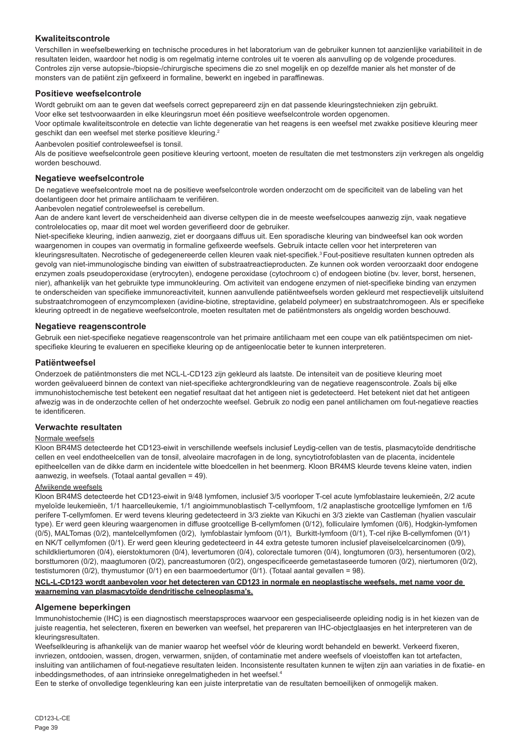# **Kwaliteitscontrole**

Verschillen in weefselbewerking en technische procedures in het laboratorium van de gebruiker kunnen tot aanzienlijke variabiliteit in de resultaten leiden, waardoor het nodig is om regelmatig interne controles uit te voeren als aanvulling op de volgende procedures. Controles zijn verse autopsie-/biopsie-/chirurgische specimens die zo snel mogelijk en op dezelfde manier als het monster of de monsters van de patiënt zijn gefixeerd in formaline, bewerkt en ingebed in paraffinewas.

#### **Positieve weefselcontrole**

Wordt gebruikt om aan te geven dat weefsels correct geprepareerd zijn en dat passende kleuringstechnieken zijn gebruikt. Voor elke set testvoorwaarden in elke kleuringsrun moet één positieve weefselcontrole worden opgenomen. Voor optimale kwaliteitscontrole en detectie van lichte degeneratie van het reagens is een weefsel met zwakke positieve kleuring meer geschikt dan een weefsel met sterke positieve kleuring.<sup>2</sup>

Aanbevolen positief controleweefsel is tonsil.

Als de positieve weefselcontrole geen positieve kleuring vertoont, moeten de resultaten die met testmonsters zijn verkregen als ongeldig worden beschouwd.

#### **Negatieve weefselcontrole**

De negatieve weefselcontrole moet na de positieve weefselcontrole worden onderzocht om de specificiteit van de labeling van het doelantigeen door het primaire antilichaam te verifiëren.

Aanbevolen negatief controleweefsel is cerebellum.

Aan de andere kant levert de verscheidenheid aan diverse celtypen die in de meeste weefselcoupes aanwezig zijn, vaak negatieve controlelocaties op, maar dit moet wel worden geverifieerd door de gebruiker.

Niet-specifieke kleuring, indien aanwezig, ziet er doorgaans diffuus uit. Een sporadische kleuring van bindweefsel kan ook worden waargenomen in coupes van overmatig in formaline gefixeerde weefsels. Gebruik intacte cellen voor het interpreteren van kleuringsresultaten. Necrotische of gedegenereerde cellen kleuren vaak niet-specifiek.<sup>3</sup> Fout-positieve resultaten kunnen optreden als gevolg van niet-immunologische binding van eiwitten of substraatreactieproducten. Ze kunnen ook worden veroorzaakt door endogene enzymen zoals pseudoperoxidase (erytrocyten), endogene peroxidase (cytochroom c) of endogeen biotine (bv. lever, borst, hersenen, nier), afhankelijk van het gebruikte type immunokleuring. Om activiteit van endogene enzymen of niet-specifieke binding van enzymen te onderscheiden van specifieke immunoreactiviteit, kunnen aanvullende patiëntweefsels worden gekleurd met respectievelijk uitsluitend substraatchromogeen of enzymcomplexen (avidine-biotine, streptavidine, gelabeld polymeer) en substraatchromogeen. Als er specifieke kleuring optreedt in de negatieve weefselcontrole, moeten resultaten met de patiëntmonsters als ongeldig worden beschouwd.

#### **Negatieve reagenscontrole**

Gebruik een niet-specifieke negatieve reagenscontrole van het primaire antilichaam met een coupe van elk patiëntspecimen om nietspecifieke kleuring te evalueren en specifieke kleuring op de antigeenlocatie beter te kunnen interpreteren.

#### **Patiëntweefsel**

Onderzoek de patiëntmonsters die met NCL-L-CD123 zijn gekleurd als laatste. De intensiteit van de positieve kleuring moet worden geëvalueerd binnen de context van niet-specifieke achtergrondkleuring van de negatieve reagenscontrole. Zoals bij elke immunohistochemische test betekent een negatief resultaat dat het antigeen niet is gedetecteerd. Het betekent niet dat het antigeen afwezig was in de onderzochte cellen of het onderzochte weefsel. Gebruik zo nodig een panel antilichamen om fout-negatieve reacties te identificeren.

#### **Verwachte resultaten**

# Normale weefsels

Kloon BR4MS detecteerde het CD123-eiwit in verschillende weefsels inclusief Leydig-cellen van de testis, plasmacytoïde dendritische cellen en veel endotheelcellen van de tonsil, alveolaire macrofagen in de long, syncytiotrofoblasten van de placenta, incidentele epitheelcellen van de dikke darm en incidentele witte bloedcellen in het beenmerg. Kloon BR4MS kleurde tevens kleine vaten, indien aanwezig, in weefsels. (Totaal aantal gevallen = 49).

#### Afwijkende weefsels

Kloon BR4MS detecteerde het CD123-eiwit in 9/48 lymfomen, inclusief 3/5 voorloper T-cel acute lymfoblastaire leukemieën, 2/2 acute myeloïde leukemieën, 1/1 haarcelleukemie, 1/1 angioimmunoblastisch T-cellymfoom, 1/2 anaplastische grootcellige lymfomen en 1/6 perifere T-cellymfomen. Er werd tevens kleuring gedetecteerd in 3/3 ziekte van Kikuchi en 3/3 ziekte van Castleman (hyalien vasculair type). Er werd geen kleuring waargenomen in diffuse grootcellige B-cellymfomen (0/12), folliculaire lymfomen (0/6), Hodgkin-lymfomen (0/5), MALTomas (0/2), mantelcellymfomen (0/2), lymfoblastair lymfoom (0/1), Burkitt-lymfoom (0/1), T-cel rijke B-cellymfomen (0/1) en NK/T cellymfomen (0/1). Er werd geen kleuring gedetecteerd in 44 extra geteste tumoren inclusief plaveiselcelcarcinomen (0/9), schildkliertumoren (0/4), eierstoktumoren (0/4), levertumoren (0/4), colorectale tumoren (0/4), longtumoren (0/3), hersentumoren (0/2), borsttumoren (0/2), maagtumoren (0/2), pancreastumoren (0/2), ongespecificeerde gemetastaseerde tumoren (0/2), niertumoren (0/2), testistumoren (0/2), thymustumor (0/1) en een baarmoedertumor (0/1). (Totaal aantal gevallen = 98).

#### **NCL-L-CD123 wordt aanbevolen voor het detecteren van CD123 in normale en neoplastische weefsels, met name voor de waarneming van plasmacytoïde dendritische celneoplasma's.**

#### **Algemene beperkingen**

Immunohistochemie (IHC) is een diagnostisch meerstapsproces waarvoor een gespecialiseerde opleiding nodig is in het kiezen van de juiste reagentia, het selecteren, fixeren en bewerken van weefsel, het prepareren van IHC-objectglaasjes en het interpreteren van de kleuringsresultaten.

Weefselkleuring is afhankelijk van de manier waarop het weefsel vóór de kleuring wordt behandeld en bewerkt. Verkeerd fixeren, invriezen, ontdooien, wassen, drogen, verwarmen, snijden, of contaminatie met andere weefsels of vloeistoffen kan tot artefacten, insluiting van antilichamen of fout-negatieve resultaten leiden. Inconsistente resultaten kunnen te wijten zijn aan variaties in de fixatie- en inbeddingsmethodes, of aan intrinsieke onregelmatigheden in het weefsel.<sup>4</sup>

Een te sterke of onvolledige tegenkleuring kan een juiste interpretatie van de resultaten bemoeilijken of onmogelijk maken.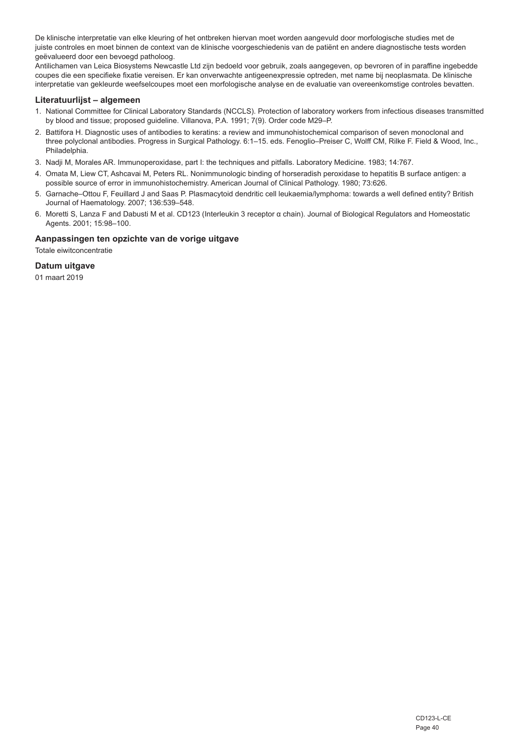De klinische interpretatie van elke kleuring of het ontbreken hiervan moet worden aangevuld door morfologische studies met de juiste controles en moet binnen de context van de klinische voorgeschiedenis van de patiënt en andere diagnostische tests worden geëvalueerd door een bevoegd patholoog.

Antilichamen van Leica Biosystems Newcastle Ltd zijn bedoeld voor gebruik, zoals aangegeven, op bevroren of in paraffine ingebedde coupes die een specifieke fixatie vereisen. Er kan onverwachte antigeenexpressie optreden, met name bij neoplasmata. De klinische interpretatie van gekleurde weefselcoupes moet een morfologische analyse en de evaluatie van overeenkomstige controles bevatten.

#### **Literatuurlijst – algemeen**

- 1. National Committee for Clinical Laboratory Standards (NCCLS). Protection of laboratory workers from infectious diseases transmitted by blood and tissue; proposed guideline. Villanova, P.A. 1991; 7(9). Order code M29–P.
- 2. Battifora H. Diagnostic uses of antibodies to keratins: a review and immunohistochemical comparison of seven monoclonal and three polyclonal antibodies. Progress in Surgical Pathology. 6:1–15. eds. Fenoglio–Preiser C, Wolff CM, Rilke F. Field & Wood, Inc., Philadelphia.
- 3. Nadji M, Morales AR. Immunoperoxidase, part I: the techniques and pitfalls. Laboratory Medicine. 1983; 14:767.
- 4. Omata M, Liew CT, Ashcavai M, Peters RL. Nonimmunologic binding of horseradish peroxidase to hepatitis B surface antigen: a possible source of error in immunohistochemistry. American Journal of Clinical Pathology. 1980; 73:626.
- 5. Garnache–Ottou F, Feuillard J and Saas P. Plasmacytoid dendritic cell leukaemia/lymphoma: towards a well defined entity? British Journal of Haematology. 2007; 136:539–548.
- 6. Moretti S, Lanza F and Dabusti M et al. CD123 (Interleukin 3 receptor α chain). Journal of Biological Regulators and Homeostatic Agents. 2001; 15:98–100.

#### **Aanpassingen ten opzichte van de vorige uitgave**

Totale eiwitconcentratie

**Datum uitgave**

01 maart 2019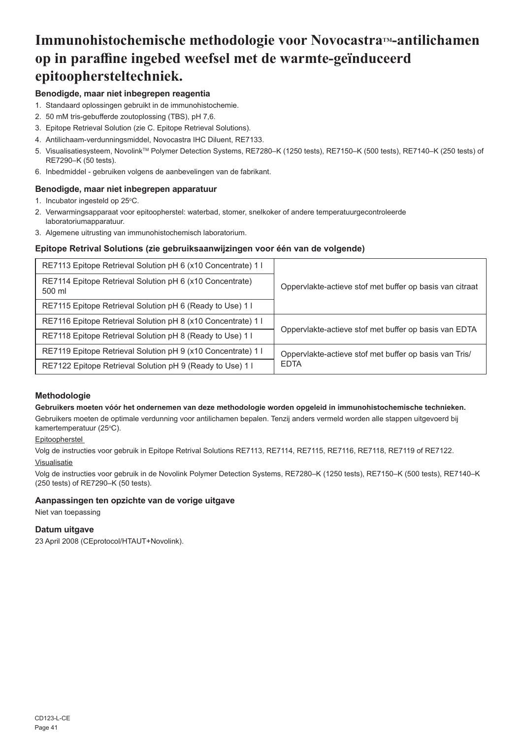# Immunohistochemische methodologie voor Novocastra<sup>m</sup>-antilichamen **op in paraffine ingebed weefsel met de warmte-geïnduceerd epitoophersteltechniek.**

# **Benodigde, maar niet inbegrepen reagentia**

- 1. Standaard oplossingen gebruikt in de immunohistochemie.
- 2. 50 mM tris-gebufferde zoutoplossing (TBS), pH 7,6.
- 3. Epitope Retrieval Solution (zie C. Epitope Retrieval Solutions).
- 4. Antilichaam-verdunningsmiddel, Novocastra IHC Diluent, RE7133.
- 5. Visualisatiesysteem, NovolinkTM Polymer Detection Systems, RE7280–K (1250 tests), RE7150–K (500 tests), RE7140–K (250 tests) of RE7290–K (50 tests).
- 6. Inbedmiddel gebruiken volgens de aanbevelingen van de fabrikant.

# **Benodigde, maar niet inbegrepen apparatuur**

- 1. Incubator ingesteld op 25°C.
- 2. Verwarmingsapparaat voor epitoopherstel: waterbad, stomer, snelkoker of andere temperatuurgecontroleerde laboratoriumapparatuur.
- 3. Algemene uitrusting van immunohistochemisch laboratorium.

# **Epitope Retrival Solutions (zie gebruiksaanwijzingen voor één van de volgende)**

| RE7113 Epitope Retrieval Solution pH 6 (x10 Concentrate) 1         | Oppervlakte-actieve stof met buffer op basis van citraat              |
|--------------------------------------------------------------------|-----------------------------------------------------------------------|
| RE7114 Epitope Retrieval Solution pH 6 (x10 Concentrate)<br>500 ml |                                                                       |
| RE7115 Epitope Retrieval Solution pH 6 (Ready to Use) 1            |                                                                       |
| RE7116 Epitope Retrieval Solution pH 8 (x10 Concentrate) 1         | Oppervlakte-actieve stof met buffer op basis van EDTA                 |
| RE7118 Epitope Retrieval Solution pH 8 (Ready to Use) 1            |                                                                       |
| RE7119 Epitope Retrieval Solution pH 9 (x10 Concentrate) 1         | Oppervlakte-actieve stof met buffer op basis van Tris/<br><b>EDTA</b> |
| RE7122 Epitope Retrieval Solution pH 9 (Ready to Use) 1            |                                                                       |

#### **Methodologie**

#### **Gebruikers moeten vóór het ondernemen van deze methodologie worden opgeleid in immunohistochemische technieken.**

Gebruikers moeten de optimale verdunning voor antilichamen bepalen. Tenzij anders vermeld worden alle stappen uitgevoerd bij kamertemperatuur (25ºC).

#### Epitoopherstel

Volg de instructies voor gebruik in Epitope Retrival Solutions RE7113, RE7114, RE7115, RE7116, RE7118, RE7119 of RE7122. Visualisatie

Volg de instructies voor gebruik in de Novolink Polymer Detection Systems, RE7280–K (1250 tests), RE7150–K (500 tests), RE7140–K (250 tests) of RE7290–K (50 tests).

#### **Aanpassingen ten opzichte van de vorige uitgave**

Niet van toepassing

# **Datum uitgave**

23 April 2008 (CEprotocol/HTAUT+Novolink).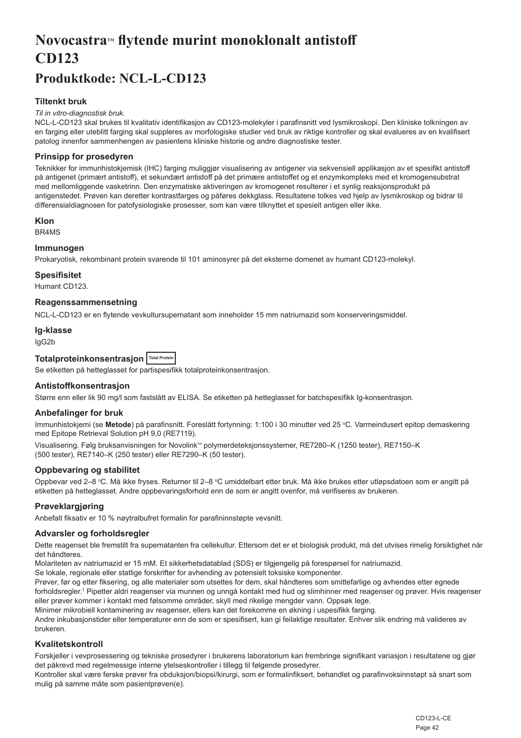# Novocastra<sup>*M*</sup> flytende murint monoklonalt antistoff **CD123**

# **Produktkode: NCL-L-CD123**

# **Tiltenkt bruk**

#### *Til in vitro-diagnostisk bruk.*

NCL-L-CD123 skal brukes til kvalitativ identifikasjon av CD123-molekyler i parafinsnitt ved lysmikroskopi. Den kliniske tolkningen av en farging eller uteblitt farging skal suppleres av morfologiske studier ved bruk av riktige kontroller og skal evalueres av en kvalifisert patolog innenfor sammenhengen av pasientens kliniske historie og andre diagnostiske tester.

# **Prinsipp for prosedyren**

Teknikker for immunhistokjemisk (IHC) farging muliggjør visualisering av antigener via sekvensiell applikasjon av et spesifikt antistoff på antigenet (primært antistoff), et sekundært antistoff på det primære antistoffet og et enzymkompleks med et kromogensubstrat med mellomliggende vasketrinn. Den enzymatiske aktiveringen av kromogenet resulterer i et synlig reaksjonsprodukt på antigenstedet. Prøven kan deretter kontrastfarges og påføres dekkglass. Resultatene tolkes ved hjelp av lysmikroskop og bidrar til differensialdiagnosen for patofysiologiske prosesser, som kan være tilknyttet et spesielt antigen eller ikke.

#### **Klon**

BR4MS

## **Immunogen**

Prokaryotisk, rekombinant protein svarende til 101 aminosyrer på det eksterne domenet av humant CD123-molekyl.

# **Spesifisitet**

Humant CD123.

#### **Reagenssammensetning**

NCL-L-CD123 er en flytende vevkultursupernatant som inneholder 15 mm natriumazid som konserveringsmiddel.

#### **Ig-klasse**

IgG2b

# **Totalproteinkonsentrasjon Total Protein**

Se etiketten på hetteglasset for partispesifikk totalproteinkonsentrasjon.

#### **Antistoffkonsentrasjon**

Større enn eller lik 90 mg/l som fastslått av ELISA. Se etiketten på hetteglasset for batchspesifikk Ig-konsentrasjon.

#### **Anbefalinger for bruk**

Immunhistokjemi (se **Metode**) på parafinsnitt. Foreslått fortynning: 1:100 i 30 minutter ved 25 <sup>o</sup> C. Varmeindusert epitop demaskering med Epitope Retrieval Solution pH 9,0 (RE7119).

Visualisering. Følg bruksanvisningen for Novolink™ polymerdeteksjonssystemer, RE7280–K (1250 tester), RE7150–K (500 tester), RE7140–K (250 tester) eller RE7290–K (50 tester).

# **Oppbevaring og stabilitet**

Oppbevar ved 2–8 °C. Må ikke fryses. Returner til 2–8 °C umiddelbart etter bruk. Må ikke brukes etter utløpsdatoen som er angitt på etiketten på hetteglasset. Andre oppbevaringsforhold enn de som er angitt ovenfor, må verifiseres av brukeren.

# **Prøveklargjøring**

Anbefalt fiksativ er 10 % nøytralbufret formalin for parafininnstøpte vevsnitt.

# **Advarsler og forholdsregler**

Dette reagenset ble fremstilt fra supernatanten fra cellekultur. Ettersom det er et biologisk produkt, må det utvises rimelig forsiktighet når det håndteres.

Molariteten av natriumazid er 15 mM. Et sikkerhetsdatablad (SDS) er tilgjengelig på forespørsel for natriumazid.

Se lokale, regionale eller statlige forskrifter for avhending av potensielt toksiske komponenter.

Prøver, før og etter fiksering, og alle materialer som utsettes for dem, skal håndteres som smittefarlige og avhendes etter egnede forholdsregler.<sup>1</sup> Pipetter aldri reagenser via munnen og unngå kontakt med hud og slimhinner med reagenser og prøver. Hvis reagenser eller prøver kommer i kontakt med følsomme områder, skyll med rikelige mengder vann. Oppsøk lege.

Minimer mikrobiell kontaminering av reagenser, ellers kan det forekomme en økning i uspesifikk farging.

Andre inkubasjonstider eller temperaturer enn de som er spesifisert, kan gi feilaktige resultater. Enhver slik endring må valideres av brukeren.

#### **Kvalitetskontroll**

Forskieller i vevprosessering og tekniske prosedyrer i brukerens laboratorium kan frembringe signifikant variasion i resultatene og gjør det påkrevd med regelmessige interne ytelseskontroller i tillegg til følgende prosedyrer.

Kontroller skal være ferske prøver fra obduksjon/biopsi/kirurgi, som er formalinfiksert, behandlet og parafinvoksinnstøpt så snart som mulig på samme måte som pasientprøven(e).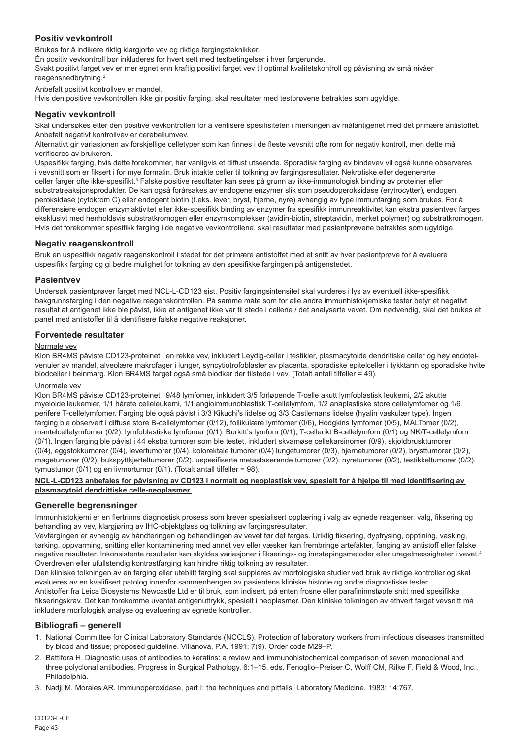# **Positiv vevkontroll**

Brukes for å indikere riktig klargjorte vev og riktige fargingsteknikker.

Én positiv vevkontroll bør inkluderes for hvert sett med testbetingelser i hver fargerunde.

Svakt positivt farget vev er mer egnet enn kraftig positivt farget vev til optimal kvalitetskontroll og påvisning av små nivåer reagensnedbrytning.<sup>2</sup>

Anbefalt positivt kontrollvev er mandel.

Hvis den positive vevkontrollen ikke gir positiv farging, skal resultater med testprøvene betraktes som ugyldige.

#### **Negativ vevkontroll**

Skal undersøkes etter den positive vevkontrollen for å verifisere spesifisiteten i merkingen av målantigenet med det primære antistoffet. Anbefalt negativt kontrollvev er cerebellumvev.

Alternativt gir variasjonen av forskjellige celletyper som kan finnes i de fleste vevsnitt ofte rom for negativ kontroll, men dette må verifiseres av brukeren.

Uspesifikk farging, hvis dette forekommer, har vanligvis et diffust utseende. Sporadisk farging av bindevev vil også kunne observeres i vevsnitt som er fiksert i for mye formalin. Bruk intakte celler til tolkning av fargingsresultater. Nekrotiske eller degenererte celler farger ofte ikke-spesifikt.<sup>3</sup> Falske positive resultater kan sees på grunn av ikke-immunologisk binding av proteiner eller substratreaksjonsprodukter. De kan også forårsakes av endogene enzymer slik som pseudoperoksidase (erytrocytter), endogen peroksidase (cytokrom C) eller endogent biotin (f.eks. lever, bryst, hjerne, nyre) avhengig av type immunfarging som brukes. For å differensiere endogen enzymaktivitet eller ikke-spesifikk binding av enzymer fra spesifikk immunreaktivitet kan ekstra pasientvev farges eksklusivt med henholdsvis substratkromogen eller enzymkomplekser (avidin-biotin, streptavidin, merket polymer) og substratkromogen. Hvis det forekommer spesifikk farging i de negative vevkontrollene, skal resultater med pasientprøvene betraktes som ugyldige.

#### **Negativ reagenskontroll**

Bruk en uspesifikk negativ reagenskontroll i stedet for det primære antistoffet med et snitt av hver pasientprøve for å evaluere uspesifikk farging og gi bedre mulighet for tolkning av den spesifikke fargingen på antigenstedet.

#### **Pasientvev**

Undersøk pasientprøver farget med NCL-L-CD123 sist. Positiv fargingsintensitet skal vurderes i lys av eventuell ikke-spesifikk bakgrunnsfarging i den negative reagenskontrollen. På samme måte som for alle andre immunhistokjemiske tester betyr et negativt resultat at antigenet ikke ble påvist, ikke at antigenet ikke var til stede i cellene / det analyserte vevet. Om nødvendig, skal det brukes et panel med antistoffer til å identifisere falske negative reaksjoner.

#### **Forventede resultater**

#### Normale vev

Klon BR4MS påviste CD123-proteinet i en rekke vev, inkludert Leydig-celler i testikler, plasmacytoide dendritiske celler og høy endotelvenuler av mandel, alveolære makrofager i lunger, syncytiotrofoblaster av placenta, sporadiske epitelceller i tykktarm og sporadiske hvite blodceller i beinmarg. Klon BR4MS farget også små blodkar der tilstede i vev. (Totalt antall tilfeller = 49).

#### Unormale vev

Klon BR4MS påviste CD123-proteinet i 9/48 lymfomer, inkludert 3/5 forløpende T-celle akutt lymfoblastisk leukemi, 2/2 akutte myeloide leukemier, 1/1 hårete celleleukemi, 1/1 angioimmunoblastisk T-cellelymfom, 1/2 anaplastiske store cellelymfomer og 1/6 perifere T-cellelymfomer. Farging ble også påvist i 3/3 Kikuchi's lidelse og 3/3 Castlemans lidelse (hyalin vaskulær type). Ingen farging ble observert i diffuse store B-cellelymfomer (0/12), follikulære lymfomer (0/6), Hodgkins lymfomer (0/5), MALTomer (0/2), mantelcellelymfomer (0/2), lymfoblastiske lymfomer (0/1), Burkitt's lymfom (0/1), T-cellerikt B-cellelymfom (0/1) og NK/T-cellelymfom (0/1). Ingen farging ble påvist i 44 ekstra tumorer som ble testet, inkludert skvamøse cellekarsinomer (0/9), skjoldbrusktumorer (0/4), eggstokkumorer (0/4), levertumorer (0/4), kolorektale tumorer (0/4) lungetumorer (0/3), hjernetumorer (0/2), brysttumorer (0/2), magetumorer (0/2), bukspyttkjerteltumorer (0/2), uspesifiserte metastaserende tumorer (0/2), nyretumorer (0/2), testikkeltumorer (0/2), tymustumor (0/1) og en livmortumor (0/1). (Totalt antall tilfeller = 98).

#### **NCL-L-CD123 anbefales for påvisning av CD123 i normalt og neoplastisk vev, spesielt for å hjelpe til med identifisering av plasmacytoid dendrittiske celle-neoplasmer.**

#### **Generelle begrensninger**

Immunhistokjemi er en flertrinns diagnostisk prosess som krever spesialisert opplæring i valg av egnede reagenser, valg, fiksering og behandling av vev, klargjøring av IHC-objektglass og tolkning av fargingsresultater.

Vevfargingen er avhengig av håndteringen og behandlingen av vevet før det farges. Uriktig fiksering, dypfrysing, opptining, vasking, tørking, oppvarming, snitting eller kontaminering med annet vev eller væsker kan frembringe artefakter, fanging av antistoff eller falske negative resultater. Inkonsistente resultater kan skyldes variasjoner i fikserings- og innstøpingsmetoder eller uregelmessigheter i vevet.4 Overdreven eller ufullstendig kontrastfarging kan hindre riktig tolkning av resultater.

Den kliniske tolkningen av en farging eller uteblitt farging skal suppleres av morfologiske studier ved bruk av riktige kontroller og skal evalueres av en kvalifisert patolog innenfor sammenhengen av pasientens kliniske historie og andre diagnostiske tester. Antistoffer fra Leica Biosystems Newcastle Ltd er til bruk, som indisert, på enten frosne eller parafininnstøpte snitt med spesifikke fikseringskrav. Det kan forekomme uventet antigenuttrykk, spesielt i neoplasmer. Den kliniske tolkningen av ethvert farget vevsnitt må inkludere morfologisk analyse og evaluering av egnede kontroller.

### **Bibliografi – generell**

- 1. National Committee for Clinical Laboratory Standards (NCCLS). Protection of laboratory workers from infectious diseases transmitted by blood and tissue; proposed guideline. Villanova, P.A. 1991; 7(9). Order code M29–P.
- 2. Battifora H. Diagnostic uses of antibodies to keratins: a review and immunohistochemical comparison of seven monoclonal and three polyclonal antibodies. Progress in Surgical Pathology. 6:1–15. eds. Fenoglio–Preiser C, Wolff CM, Rilke F. Field & Wood, Inc., Philadelphia.
- 3. Nadji M, Morales AR. Immunoperoxidase, part I: the techniques and pitfalls. Laboratory Medicine. 1983; 14:767.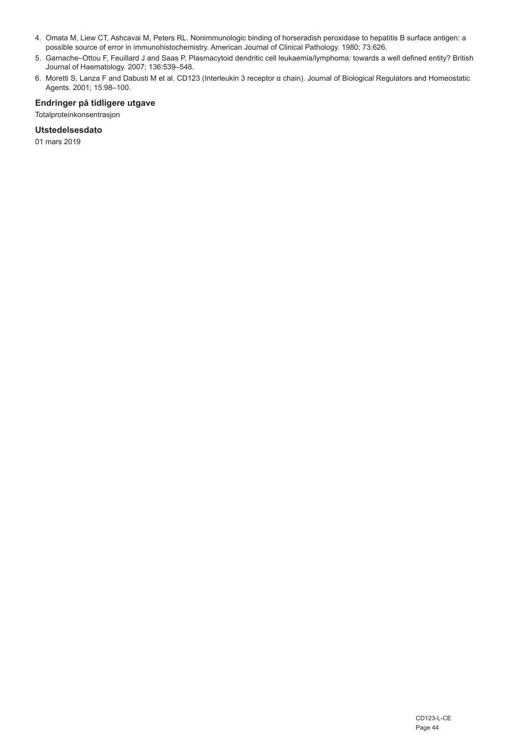- 4. Omata M, Liew CT, Ashcavai M, Peters RL. Nonimmunologic binding of horseradish peroxidase to hepatitis B surface antigen: a possible source of error in immunohistochemistry. American Journal of Clinical Pathology. 1980; 73:626.
- 5. Garnache–Ottou F, Feuillard J and Saas P. Plasmacytoid dendritic cell leukaemia/lymphoma: towards a well defined entity? British Journal of Haematology. 2007; 136:539–548.
- 6. Moretti S, Lanza F and Dabusti M et al. CD123 (Interleukin 3 receptor α chain). Journal of Biological Regulators and Homeostatic Agents. 2001; 15:98–100.

# **Endringer på tidligere utgave**

Totalproteinkonsentrasjon

#### **Utstedelsesdato**

01 mars 2019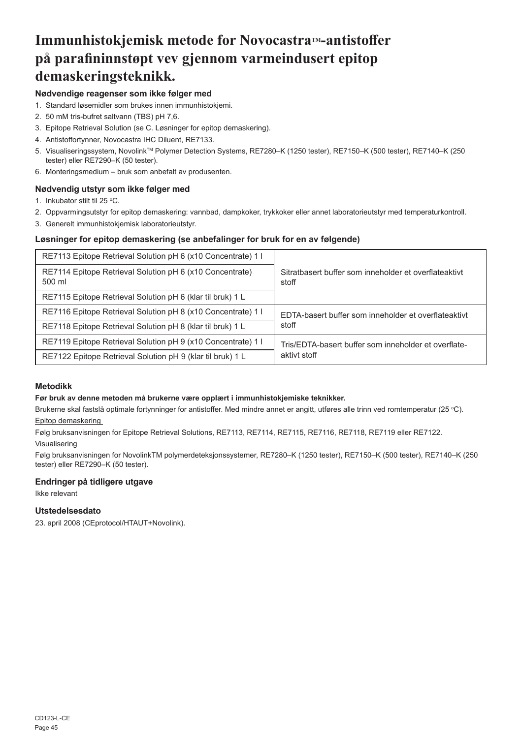# **Immunhistokjemisk metode for NovocastraTM-antistoffer på parafininnstøpt vev gjennom varmeindusert epitop demaskeringsteknikk.**

# **Nødvendige reagenser som ikke følger med**

- 1. Standard løsemidler som brukes innen immunhistokjemi.
- 2. 50 mM tris-bufret saltvann (TBS) pH 7,6.
- 3. Epitope Retrieval Solution (se C. Løsninger for epitop demaskering).
- 4. Antistoffortynner, Novocastra IHC Diluent, RE7133.
- 5. Visualiseringssystem, NovolinkTM Polymer Detection Systems, RE7280–K (1250 tester), RE7150–K (500 tester), RE7140–K (250 tester) eller RE7290–K (50 tester).
- 6. Monteringsmedium bruk som anbefalt av produsenten.

# **Nødvendig utstyr som ikke følger med**

- 1. Inkubator stilt til 25 °C.
- 2. Oppvarmingsutstyr for epitop demaskering: vannbad, dampkoker, trykkoker eller annet laboratorieutstyr med temperaturkontroll.
- 3. Generelt immunhistokjemisk laboratorieutstyr.

# **Løsninger for epitop demaskering (se anbefalinger for bruk for en av følgende)**

| RE7113 Epitope Retrieval Solution pH 6 (x10 Concentrate) 1 I       |                                                                      |
|--------------------------------------------------------------------|----------------------------------------------------------------------|
| RE7114 Epitope Retrieval Solution pH 6 (x10 Concentrate)<br>500 ml | Sitratbasert buffer som inneholder et overflateaktivt<br>stoff       |
| RE7115 Epitope Retrieval Solution pH 6 (klar til bruk) 1 L         |                                                                      |
| RE7116 Epitope Retrieval Solution pH 8 (x10 Concentrate) 1         | EDTA-basert buffer som inneholder et overflateaktivt                 |
| RE7118 Epitope Retrieval Solution pH 8 (klar til bruk) 1 L         | stoff                                                                |
| RE7119 Epitope Retrieval Solution pH 9 (x10 Concentrate) 1         | Tris/EDTA-basert buffer som inneholder et overflate-<br>aktivt stoff |
| RE7122 Epitope Retrieval Solution pH 9 (klar til bruk) 1 L         |                                                                      |

### **Metodikk**

#### **Før bruk av denne metoden må brukerne være opplært i immunhistokjemiske teknikker.**

Brukerne skal fastslå optimale fortynninger for antistoffer. Med mindre annet er angitt, utføres alle trinn ved romtemperatur (25 °C). Epitop demaskering

Følg bruksanvisningen for Epitope Retrieval Solutions, RE7113, RE7114, RE7115, RE7116, RE7118, RE7119 eller RE7122. Visualisering

Følg bruksanvisningen for NovolinkTM polymerdeteksjonssystemer, RE7280–K (1250 tester), RE7150–K (500 tester), RE7140–K (250 tester) eller RE7290–K (50 tester).

#### **Endringer på tidligere utgave**

Ikke relevant

#### **Utstedelsesdato**

23. april 2008 (CEprotocol/HTAUT+Novolink).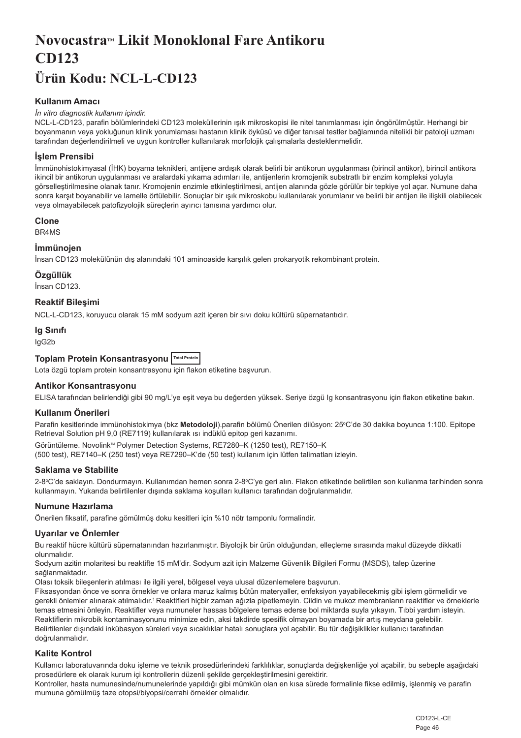# **Novocastra™ Likit Monoklonal Fare Antikoru CD123 Ürün Kodu: NCL-L-CD123**

# **Kullanım Amacı**

#### *İn vitro diagnostik kullanım içindir.*

NCL-L-CD123, parafin bölümlerindeki CD123 moleküllerinin ışık mikroskopisi ile nitel tanımlanması için öngörülmüştür. Herhangi bir boyanmanın veya yokluğunun klinik yorumlaması hastanın klinik öyküsü ve diğer tanısal testler bağlamında nitelikli bir patoloji uzmanı tarafından değerlendirilmeli ve uygun kontroller kullanılarak morfolojik çalışmalarla desteklenmelidir.

# **İşlem Prensibi**

İmmünohistokimyasal (İHK) boyama teknikleri, antijene ardışık olarak belirli bir antikorun uygulanması (birincil antikor), birincil antikora ikincil bir antikorun uygulanması ve aralardaki yıkama adımları ile, antijenlerin kromojenik substratlı bir enzim kompleksi yoluyla görselleştirilmesine olanak tanır. Kromojenin enzimle etkinleştirilmesi, antijen alanında gözle görülür bir tepkiye yol açar. Numune daha sonra karşıt boyanabilir ve lamelle örtülebilir. Sonuçlar bir ışık mikroskobu kullanılarak yorumlanır ve belirli bir antijen ile ilişkili olabilecek veya olmayabilecek patofizyolojik süreçlerin ayırıcı tanısına yardımcı olur.

#### **Clone**

BR4MS

#### **İmmünojen**

İnsan CD123 molekülünün dış alanındaki 101 aminoaside karşılık gelen prokaryotik rekombinant protein.

#### **Özgüllük**

İnsan CD123.

#### **Reaktif Bileşimi**

NCL-L-CD123, koruyucu olarak 15 mM sodyum azit içeren bir sıvı doku kültürü süpernatantıdır.

#### **Ig Sınıfı**

IgG2b

# **Toplam Protein Konsantrasyonu Total Protein**

Lota özgü toplam protein konsantrasyonu için flakon etiketine başvurun.

#### **Antikor Konsantrasyonu**

ELISA tarafından belirlendiği gibi 90 mg/L'ye eşit veya bu değerden yüksek. Seriye özgü Ig konsantrasyonu için flakon etiketine bakın.

#### **Kullanım Önerileri**

Parafin kesitlerinde immünohistokimya (bkz **Metodoloji**).parafin bölümü Onerilen dilüsyon: 25ºC'de 30 dakika boyunca 1:100. Epitope Retrieval Solution pH 9,0 (RE7119) kullanılarak ısı indüklü epitop geri kazanımı.

Görüntüleme. Novolink™ Polymer Detection Systems, RE7280–K (1250 test), RE7150–K (500 test), RE7140–K (250 test) veya RE7290–K'de (50 test) kullanım için lütfen talimatları izleyin.

#### **Saklama ve Stabilite**

2-8ºC'de saklayın. Dondurmayın. Kullanımdan hemen sonra 2-8ºC'ye geri alın. Flakon etiketinde belirtilen son kullanma tarihinden sonra kullanmayın. Yukarıda belirtilenler dışında saklama koşulları kullanıcı tarafından doğrulanmalıdır.

#### **Numune Hazırlama**

Önerilen fiksatif, parafine gömülmüş doku kesitleri için %10 nötr tamponlu formalindir.

# **Uyarılar ve Önlemler**

Bu reaktif hücre kültürü süpernatanından hazırlanmıştır. Biyolojik bir ürün olduğundan, elleçleme sırasında makul düzeyde dikkatli olunmalıdır.

Sodyum azitin molaritesi bu reaktifte 15 mM'dir. Sodyum azit için Malzeme Güvenlik Bilgileri Formu (MSDS), talep üzerine sağlanmaktadır.

Olası toksik bileşenlerin atılması ile ilgili yerel, bölgesel veya ulusal düzenlemelere başvurun.

Fiksasyondan önce ve sonra örnekler ve onlara maruz kalmış bütün materyaller, enfeksiyon yayabilecekmiş gibi işlem görmelidir ve gerekli önlemler alınarak atılmalıdır.<sup>1</sup>Reaktifleri hiçbir zaman ağızla pipetlemeyin. Cildin ve mukoz membranların reaktifler ve örneklerle temas etmesini önleyin. Reaktifler veya numuneler hassas bölgelere temas ederse bol miktarda suyla yıkayın. Tıbbi yardım isteyin. Reaktiflerin mikrobik kontaminasyonunu minimize edin, aksi takdirde spesifik olmayan boyamada bir artış meydana gelebilir. Belirtilenler dışındaki inkübasyon süreleri veya sıcaklıklar hatalı sonuçlara yol açabilir. Bu tür değişiklikler kullanıcı tarafından doğrulanmalıdır.

#### **Kalite Kontrol**

Kullanıcı laboratuvarında doku işleme ve teknik prosedürlerindeki farklılıklar, sonuçlarda değişkenliğe yol açabilir, bu sebeple aşağıdaki prosedürlere ek olarak kurum içi kontrollerin düzenli şekilde gerçekleştirilmesini gerektirir.

Kontroller, hasta numunesinde/numunelerinde yapıldığı gibi mümkün olan en kısa sürede formalinle fikse edilmiş, işlenmiş ve parafin mumuna gömülmüş taze otopsi/biyopsi/cerrahi örnekler olmalıdır.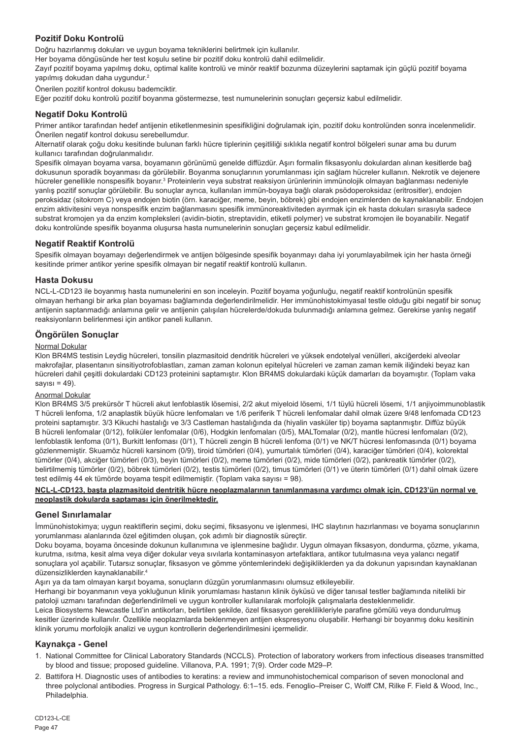# **Pozitif Doku Kontrolü**

Doğru hazırlanmış dokuları ve uygun boyama tekniklerini belirtmek için kullanılır.

Her boyama döngüsünde her test koşulu setine bir pozitif doku kontrolü dahil edilmelidir.

Zayıf pozitif boyama yapılmış doku, optimal kalite kontrolü ve minör reaktif bozunma düzeylerini saptamak için güçlü pozitif boyama yapılmış dokudan daha uygundur.<sup>2</sup>

Önerilen pozitif kontrol dokusu bademciktir.

Eğer pozitif doku kontrolü pozitif boyanma göstermezse, test numunelerinin sonuçları geçersiz kabul edilmelidir.

### **Negatif Doku Kontrolü**

Primer antikor tarafından hedef antijenin etiketlenmesinin spesifikliğini doğrulamak için, pozitif doku kontrolünden sonra incelenmelidir. Önerilen negatif kontrol dokusu serebellumdur.

Alternatif olarak çoğu doku kesitinde bulunan farklı hücre tiplerinin çeşitliliği sıklıkla negatif kontrol bölgeleri sunar ama bu durum kullanıcı tarafından doğrulanmalıdır.

Spesifik olmayan boyama varsa, boyamanın görünümü genelde diffüzdür. Aşırı formalin fiksasyonlu dokulardan alınan kesitlerde bağ dokusunun sporadik boyanması da görülebilir. Boyanma sonuçlarının yorumlanması için sağlam hücreler kullanın. Nekrotik ve dejenere hücreler genellikle nonspesifik boyanır.<sup>3</sup> Proteinlerin veya substrat reaksiyon ürünlerinin immünolojik olmayan bağlanması nedeniyle yanlış pozitif sonuçlar görülebilir. Bu sonuçlar ayrıca, kullanılan immün-boyaya bağlı olarak psödoperoksidaz (eritrositler), endojen peroksidaz (sitokrom C) veya endojen biotin (örn. karaciğer, meme, beyin, böbrek) gibi endojen enzimlerden de kaynaklanabilir. Endojen enzim aktivitesini veya nonspesifik enzim bağlanmasını spesifik immünoreaktiviteden ayırmak için ek hasta dokuları sırasıyla sadece substrat kromojen ya da enzim kompleksleri (avidin-biotin, streptavidin, etiketli polymer) ve substrat kromojen ile boyanabilir. Negatif doku kontrolünde spesifik boyanma oluşursa hasta numunelerinin sonuçları geçersiz kabul edilmelidir.

# **Negatif Reaktif Kontrolü**

Spesifik olmayan boyamayı değerlendirmek ve antijen bölgesinde spesifik boyanmayı daha iyi yorumlayabilmek için her hasta örneği kesitinde primer antikor yerine spesifik olmayan bir negatif reaktif kontrolü kullanın.

#### **Hasta Dokusu**

NCL-L-CD123 ile boyanmış hasta numunelerini en son inceleyin. Pozitif boyama yoğunluğu, negatif reaktif kontrolünün spesifik olmayan herhangi bir arka plan boyaması bağlamında değerlendirilmelidir. Her immünohistokimyasal testle olduğu gibi negatif bir sonuç antijenin saptanmadığı anlamına gelir ve antijenin çalışılan hücrelerde/dokuda bulunmadığı anlamına gelmez. Gerekirse yanlış negatif reaksiyonların belirlenmesi için antikor paneli kullanın.

# **Öngörülen Sonuçlar**

#### Normal Dokular

Klon BR4MS testisin Leydig hücreleri, tonsilin plazmasitoid dendritik hücreleri ve yüksek endotelyal venülleri, akciğerdeki alveolar makrofajlar, plasentanın sinsitiyotrofoblastları, zaman zaman kolonun epitelyal hücreleri ve zaman zaman kemik iliğindeki beyaz kan hücreleri dahil çeşitli dokulardaki CD123 proteinini saptamıştır. Klon BR4MS dokulardaki küçük damarları da boyamıştır. (Toplam vaka  $savısı = 49$ ).

### Anormal Dokular

Klon BR4MS 3/5 prekürsör T hücreli akut lenfoblastik lösemisi, 2/2 akut miyeloid lösemi, 1/1 tüylü hücreli lösemi, 1/1 anjiyoimmunoblastik T hücreli lenfoma, 1/2 anaplastik büyük hücre lenfomaları ve 1/6 periferik T hücreli lenfomalar dahil olmak üzere 9/48 lenfomada CD123 proteini saptamıştır. 3/3 Kikuchi hastalığı ve 3/3 Castleman hastalığında da (hiyalin vasküler tip) boyama saptanmıştır. Diffüz büyük B hücreli lenfomalar (0/12), foliküler lenfomalar (0/6), Hodgkin lenfomaları (0/5), MALTomalar (0/2), mantle hücresi lenfomaları (0/2), lenfoblastik lenfoma (0/1), Burkitt lenfoması (0/1), T hücreli zengin B hücreli lenfoma (0/1) ve NK/T hücresi lenfomasında (0/1) boyama gözlenmemiştir. Skuamöz hücreli karsinom (0/9), tiroid tümörleri (0/4), yumurtalık tümörleri (0/4), karaciğer tümörleri (0/4), kolorektal tümörler (0/4), akciğer tümörleri (0/3), beyin tümörleri (0/2), meme tümörleri (0/2), mide tümörleri (0/2), pankreatik tümörler (0/2), belirtilmemiş tümörler (0/2), böbrek tümörleri (0/2), testis tümörleri (0/2), timus tümörleri (0/1) ve üterin tümörleri (0/1) dahil olmak üzere test edilmiş 44 ek tümörde boyama tespit edilmemiştir. (Toplam vaka sayısı = 98).

#### **NCL-L-CD123, başta plazmasitoid dentritik hücre neoplazmalarının tanımlanmasına yardımcı olmak için, CD123'ün normal ve neoplastik dokularda saptaması için önerilmektedir.**

#### **Genel Sınırlamalar**

İmmünohistokimya; uygun reaktiflerin seçimi, doku seçimi, fiksasyonu ve işlenmesi, IHC slaytının hazırlanması ve boyama sonuçlarının yorumlanması alanlarında özel eğitimden oluşan, çok adımlı bir diagnostik süreçtir.

Doku boyama, boyama öncesinde dokunun kullanımına ve işlenmesine bağlıdır. Uygun olmayan fiksasyon, dondurma, çözme, yıkama, kurutma, ısıtma, kesit alma veya diğer dokular veya sıvılarla kontaminasyon artefaktlara, antikor tutulmasına veya yalancı negatif sonuçlara yol açabilir. Tutarsız sonuçlar, fiksasyon ve gömme yöntemlerindeki değişikliklerden ya da dokunun yapısından kaynaklanan düzensizliklerden kaynaklanabilir.4

Aşırı ya da tam olmayan karşıt boyama, sonuçların düzgün yorumlanmasını olumsuz etkileyebilir.

Herhangi bir boyanmanın veya yokluğunun klinik yorumlaması hastanın klinik öyküsü ve diğer tanısal testler bağlamında nitelikli bir patoloji uzmanı tarafından değerlendirilmeli ve uygun kontroller kullanılarak morfolojik çalışmalarla desteklenmelidir. Leica Biosystems Newcastle Ltd'in antikorları, belirtilen şekilde, özel fiksasyon gereklilikleriyle parafine gömülü veya dondurulmuş

kesitler üzerinde kullanılır. Özellikle neoplazmlarda beklenmeyen antijen ekspresyonu oluşabilir. Herhangi bir boyanmış doku kesitinin klinik yorumu morfolojik analizi ve uygun kontrollerin değerlendirilmesini içermelidir.

#### **Kaynakça - Genel**

- 1. National Committee for Clinical Laboratory Standards (NCCLS). Protection of laboratory workers from infectious diseases transmitted by blood and tissue; proposed guideline. Villanova, P.A. 1991; 7(9). Order code M29–P.
- 2. Battifora H. Diagnostic uses of antibodies to keratins: a review and immunohistochemical comparison of seven monoclonal and three polyclonal antibodies. Progress in Surgical Pathology. 6:1–15. eds. Fenoglio–Preiser C, Wolff CM, Rilke F. Field & Wood, Inc., Philadelphia.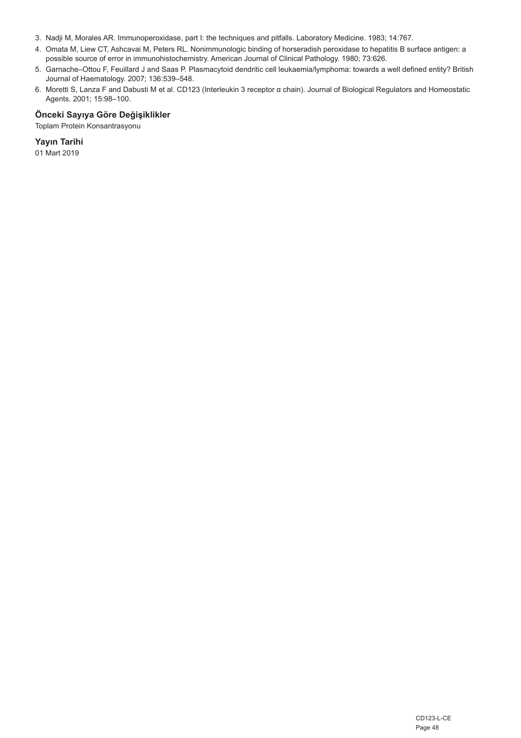- 3. Nadji M, Morales AR. Immunoperoxidase, part I: the techniques and pitfalls. Laboratory Medicine. 1983; 14:767.
- 4. Omata M, Liew CT, Ashcavai M, Peters RL. Nonimmunologic binding of horseradish peroxidase to hepatitis B surface antigen: a possible source of error in immunohistochemistry. American Journal of Clinical Pathology. 1980; 73:626.
- 5. Garnache–Ottou F, Feuillard J and Saas P. Plasmacytoid dendritic cell leukaemia/lymphoma: towards a well defined entity? British Journal of Haematology. 2007; 136:539–548.
- 6. Moretti S, Lanza F and Dabusti M et al. CD123 (Interleukin 3 receptor α chain). Journal of Biological Regulators and Homeostatic Agents. 2001; 15:98–100.

#### **Önceki Sayıya Göre Değişiklikler**

Toplam Protein Konsantrasyonu

# **Yayın Tarihi**

01 Mart 2019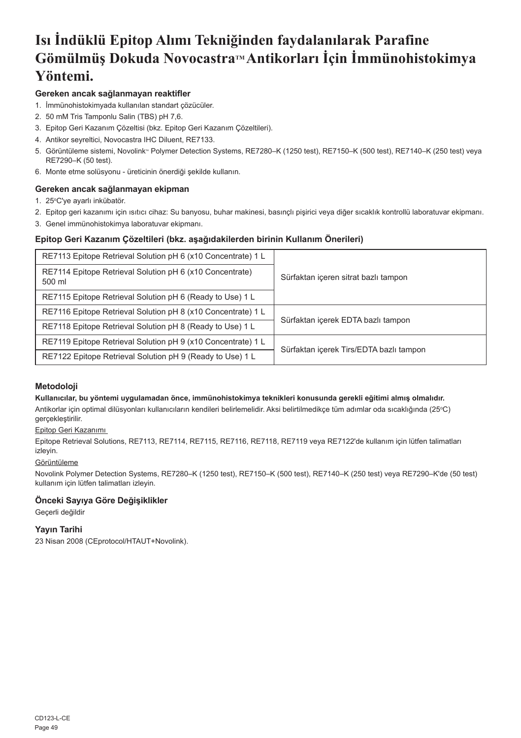# **Isı İndüklü Epitop Alımı Tekniğinden faydalanılarak Parafine Gömülmüş Dokuda NovocastraTM Antikorları İçin İmmünohistokimya Yöntemi.**

# **Gereken ancak sağlanmayan reaktifler**

- 1. İmmünohistokimyada kullanılan standart çözücüler.
- 2. 50 mM Tris Tamponlu Salin (TBS) pH 7,6.
- 3. Epitop Geri Kazanım Çözeltisi (bkz. Epitop Geri Kazanım Çözeltileri).
- 4. Antikor seyreltici, Novocastra IHC Diluent, RE7133.
- 5. Görüntüleme sistemi, Novolink™ Polymer Detection Systems, RE7280–K (1250 test), RE7150–K (500 test), RE7140–K (250 test) veya RE7290–K (50 test).
- 6. Monte etme solüsyonu üreticinin önerdiği şekilde kullanın.

# **Gereken ancak sağlanmayan ekipman**

- 1. 25°C'ye ayarlı inkübatör.
- 2. Epitop geri kazanımı için ısıtıcı cihaz: Su banyosu, buhar makinesi, basınçlı pişirici veya diğer sıcaklık kontrollü laboratuvar ekipmanı.
- 3. Genel immünohistokimya laboratuvar ekipmanı.

#### **Epitop Geri Kazanım Çözeltileri (bkz. aşağıdakilerden birinin Kullanım Önerileri)**

| RE7113 Epitope Retrieval Solution pH 6 (x10 Concentrate) 1 L       |                                         |
|--------------------------------------------------------------------|-----------------------------------------|
| RE7114 Epitope Retrieval Solution pH 6 (x10 Concentrate)<br>500 ml | Sürfaktan içeren sitrat bazlı tampon    |
| RE7115 Epitope Retrieval Solution pH 6 (Ready to Use) 1 L          |                                         |
| RE7116 Epitope Retrieval Solution pH 8 (x10 Concentrate) 1 L       |                                         |
| RE7118 Epitope Retrieval Solution pH 8 (Ready to Use) 1 L          | Sürfaktan içerek EDTA bazlı tampon      |
| RE7119 Epitope Retrieval Solution pH 9 (x10 Concentrate) 1 L       | Sürfaktan içerek Tirs/EDTA bazlı tampon |
| RE7122 Epitope Retrieval Solution pH 9 (Ready to Use) 1 L          |                                         |

#### **Metodoloji**

#### **Kullanıcılar, bu yöntemi uygulamadan önce, immünohistokimya teknikleri konusunda gerekli eğitimi almış olmalıdır.**

Antikorlar için optimal dilüsyonları kullanıcıların kendileri belirlemelidir. Aksi belirtilmedikçe tüm adımlar oda sıcaklığında (25°C) gerçekleştirilir.

#### Epitop Geri Kazanımı

Epitope Retrieval Solutions, RE7113, RE7114, RE7115, RE7116, RE7118, RE7119 veya RE7122'de kullanım için lütfen talimatları izleyin.

#### Görüntüleme

Novolink Polymer Detection Systems, RE7280–K (1250 test), RE7150–K (500 test), RE7140–K (250 test) veya RE7290–K'de (50 test) kullanım için lütfen talimatları izleyin.

#### **Önceki Sayıya Göre Değişiklikler**

Geçerli değildir

# **Yayın Tarihi**

23 Nisan 2008 (CEprotocol/HTAUT+Novolink).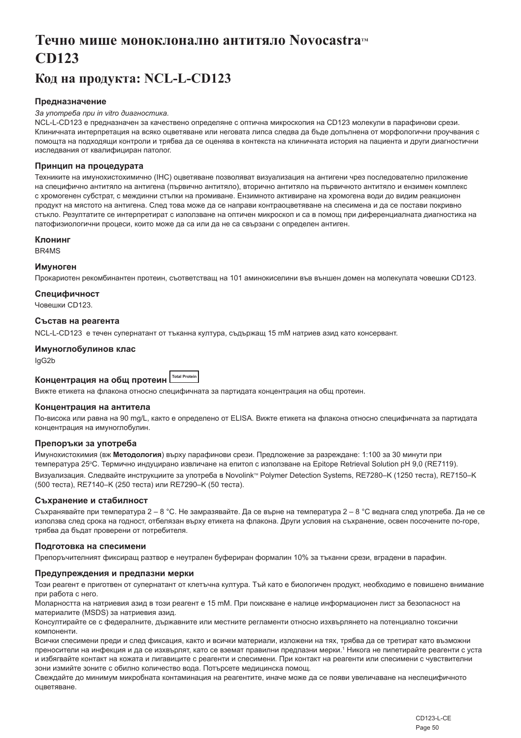# **Течно мише моноклонално антитяло Novocastra**™ **CD123**

# **Код на продукта: NCL-L-CD123**

### **Предназначение**

#### *За употреба при in vitro диагностика.*

NCL-L-CD123 е предназначен за качествено определяне с оптична микроскопия на CD123 молекули в парафинови срези. Клиничната интерпретация на всяко оцветяване или неговата липса следва да бъде допълнена от морфологични проучвания с помощта на подходящи контроли и трябва да се оценява в контекста на клиничната история на пациента и други диагностични изследвания от квалифициран патолог.

#### **Принцип на процедурата**

Техниките на имунохистохимично (IHC) оцветяване позволяват визуализация на антигени чрез последователно приложение на специфично антитяло на антигена (първично антитяло), вторично антитяло на първичното антитяло и ензимен комплекс с хромогенен субстрат, с междинни стъпки на промиване. Ензимното активиране на хромогена води до видим реакционен продукт на мястото на антигена. След това може да се направи контраоцветяване на спесимена и да се постави покривно стъкло. Резултатите се интерпретират с използване на оптичен микроскоп и са в помощ при диференциалната диагностика на патофизиологични процеси, които може да са или да не са свързани с определен антиген.

#### **Клонинг**

BR4MS

#### **Имуноген**

Прокариотен рекомбинантен протеин, съответстващ на 101 аминокиселини във външен домен на молекулата човешки CD123.

# **Специфичност**

Човешки CD123.

#### **Състав на реагента**

NCL-L-CD123 е течен супернатант от тъканна култура, съдържащ 15 mM натриев азид като консервант.

#### **Имуноглобулинов клас**

IgG2b

# **Концентрация на общ протеин Total Protein**

Вижте етикета на флакона относно специфичната за партидата концентрация на общ протеин.

#### **Концентрация на антитела**

По-висока или равна на 90 mg/L, както е определено от ELISA. Вижте етикета на флакона относно специфичната за партидата концентрация на имуноглобулин.

#### **Препоръки за употреба**

Имунохистохимия (вж **Методология**) върху парафинови срези. Предложение за разреждане: 1:100 за 30 минути при температура 25ºС. Термично индуцирано извличане на епитоп с използване на Epitope Retrieval Solution pH 9,0 (RE7119). Визуализация. Следвайте инструкциите за употреба в Novolink™ Polymer Detection Systems, RE7280–K (1250 теста), RE7150–K (500 теста), RE7140–K (250 теста) или RE7290–K (50 теста).

#### **Съхранение и стабилност**

Съхранявайте при температура 2 – 8 °С. Не замразявайте. Да се върне на температура 2 – 8 °С веднага след употреба. Да не се използва след срока на годност, отбелязан върху етикета на флакона. Други условия на съхранение, освен посочените по-горе, трябва да бъдат проверени от потребителя.

#### **Подготовка на спесимени**

Препоръчителният фиксиращ разтвор е неутрален буфериран формалин 10% за тъканни срези, вградени в парафин.

### **Предупреждения и предпазни мерки**

Този реагент е приготвен от супернатант от клетъчна култура. Тъй като е биологичен продукт, необходимо е повишено внимание при работа с него.

Моларността на натриевия азид в този реагент е 15 mM. При поискване е налице информационен лист за безопасност на материалите (MSDS) за натриевия азид.

Консултирайте се с федералните, държавните или местните регламенти относно изхвърлянето на потенциално токсични компоненти.

Всички спесимени преди и след фиксация, както и всички материали, изложени на тях, трябва да се третират като възможни преносители на инфекция и да се изхвърлят, като се вземат правилни предпазни мерки.1 Никога не пипетирайте реагенти с уста и избягвайте контакт на кожата и лигавиците с реагенти и спесимени. При контакт на реагенти или спесимени с чувствителни зони измийте зоните с обилно количество вода. Потърсете медицинска помощ.

Свеждайте до минимум микробната контаминация на реагентите, иначе може да се появи увеличаване на неспецифичното оцветяване.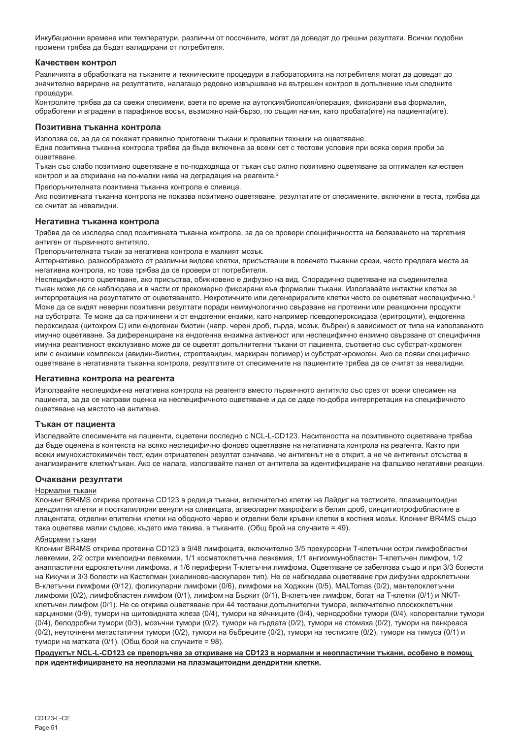Инкубационни времена или температури, различни от посочените, могат да доведат до грешни резултати. Всички подобни промени трябва да бъдат валидирани от потребителя.

#### **Качествен контрол**

Различията в обработката на тъканите и техническите процедури в лабораторията на потребителя могат да доведат до значително вариране на резултатите, налагащо редовно извършване на вътрешен контрол в допълнение към следните процедури.

Контролите трябва да са свежи спесимени, взети по време на аутопсия/биопсия/операция, фиксирани във формалин, обработени и вградени в парафинов восък, възможно най-бързо, по същия начин, като пробата(ите) на пациента(ите).

#### **Позитивна тъканна контрола**

Използва се, за да се покажат правилно приготвени тъкани и правилни техники на оцветяване.

Една позитивна тъканна контрола трябва да бъде включена за всеки сет с тестови условия при всяка серия проби за оцветяване.

Тъкан със слабо позитивно оцветяване е по-подходяща от тъкан със силно позитивно оцветяване за оптимален качествен контрол и за откриване на по-малки нива на деградация на реагента.<sup>2</sup>

Препоръчителната позитивна тъканна контрола е сливица.

Ако позитивната тъканна контрола не показва позитивно оцветяване, резултатите от спесимените, включени в теста, трябва да се считат за невалидни.

#### **Негативна тъканна контрола**

Трябва да се изследва след позитивната тъканна контрола, за да се провери специфичността на белязването на таргетния антиген от първичното антитяло.

Препоръчителната тъкан за негативна контрола е малкият мозък.

Алтернативно, разнообразието от различни видове клетки, присъстващи в повечето тъканни срези, често предлага места за негативна контрола, но това трябва да се провери от потребителя.

Неспецифичното оцветяване, ако присъства, обикновено е дифузно на вид. Спорадично оцветяване на съединителна тъкан може да се наблюдава и в части от прекомерно фиксирани във формалин тъкани. Използвайте интактни клетки за интерпретация на резултатите от оцветяването. Некротичните или дегенериралите клетки често се оцветяват неспецифично.<sup>3</sup> Може да се видят неверни позитивни резултати поради неимунологично свързване на протеини или реакционни продукти на субстрата. Те може да са причинени и от ендогенни ензими, като например псевдопероксидаза (еритроцити), ендогенна пероксидаза (цитохром C) или ендогенен биотин (напр. черен дроб, гърда, мозък, бъбрек) в зависимост от типа на използваното имунно оцветяване. За диференциране на ендогенна ензимна активност или неспецифично ензимно свързване от специфична имунна реактивност ексклузивно може да се оцветят допълнителни тъкани от пациента, съответно със субстрат-хромоген или с ензимни комплекси (авидин-биотин, стрептавидин, маркиран полимер) и субстрат-хромоген. Ако се появи специфично оцветяване в негативната тъканна контрола, резултатите от спесимените на пациентите трябва да се считат за невалидни.

#### **Негативна контрола на реагента**

Използвайте неспецифична негативна контрола на реагента вместо първичното антитяло със срез от всеки спесимен на пациента, за да се направи оценка на неспецифичното оцветяване и да се даде по-добра интерпретация на специфичното оцветяване на мястото на антигена.

#### **Тъкан от пациента**

Изследвайте спесимените на пациенти, оцветени последно с NCL-L-CD123. Наситеността на позитивното оцветяване трябва да бъде оценена в контекста на всяко неспецифично фоново оцветяване на негативната контрола на реагента. Както при всеки имунохистохимичен тест, един отрицателен резултат означава, че антигенът не е открит, а не че антигенът отсъства в анализираните клетки/тъкан. Ако се налага, използвайте панел от антитела за идентифициране на фалшиво негативни реакции.

#### **Очаквани резултати**

#### Нормални тъкани

Клонинг BR4MS открива протеина CD123 в редица тъкани, включително клетки на Лайдиг на тестисите, плазмацитоидни дендритни клетки и посткапилярни венули на сливицата, алвеоларни макрофаги в белия дроб, синцитиотрофобластите в плацентата, отделни епителни клетки на ободното черво и отделни бели кръвни клетки в костния мозък. Клонинг BR4MS също така оцветява малки съдове, където има такива, в тъканите. (Общ брой на случаите = 49).

#### Абнормни тъкани

Клонинг BR4MS открива протеина CD123 в 9/48 лимфоцита, включително 3/5 прекурсорни Т-клетъчни остри лимфобластни левкемии, 2/2 остри миелоидни левкемии, 1/1 косматоклетъчна левкемия, 1/1 ангиоимунобластен T-клетъчен лимфом, 1/2 анапластични едроклетъчни лимфома, и 1/6 периферни T-клетъчни лимфома. Оцветяване се забелязва също и при 3/3 болести на Кикучи и 3/3 болести на Кастелман (хиалиново-васкуларен тип). Не се наблюдава оцветяване при дифузни едроклетъчни B-клетъчни лимфоми (0/12), фоликуларни лимфоми (0/6), лимфоми на Ходжкин (0/5), MALTomas (0/2), мантелоклетъчни лимфоми (0/2), лимфобластен лимфом (0/1), лимфом на Бъркит (0/1), B-клетъчен лимфом, богат на T-клетки (0/1) и NK/Tклетъчен лимфом (0/1). Не се открива оцветяване при 44 тествани допълнителни тумора, включително плоскоклетъчни карциноми (0/9), тумори на щитовидната жлеза (0/4), тумори на яйчниците (0/4), чернодробни тумори (0/4), колоректални тумори (0/4), белодробни тумори (0/3), мозъчни тумори (0/2), тумори на гърдата (0/2), тумори на стомаха (0/2), тумори на панкреаса (0/2), неуточнени метастатични тумори (0/2), тумори на бъбреците (0/2), тумори на тестисите (0/2), тумори на тимуса (0/1) и тумори на матката (0/1). (Общ брой на случаите = 98).

**Продуктът NCL-L-CD123 се препоръчва за откриване на CD123 в нормални и неопластични тъкани, особено в помощ при идентифицирането на неоплазми на плазмацитоидни дендритни клетки.**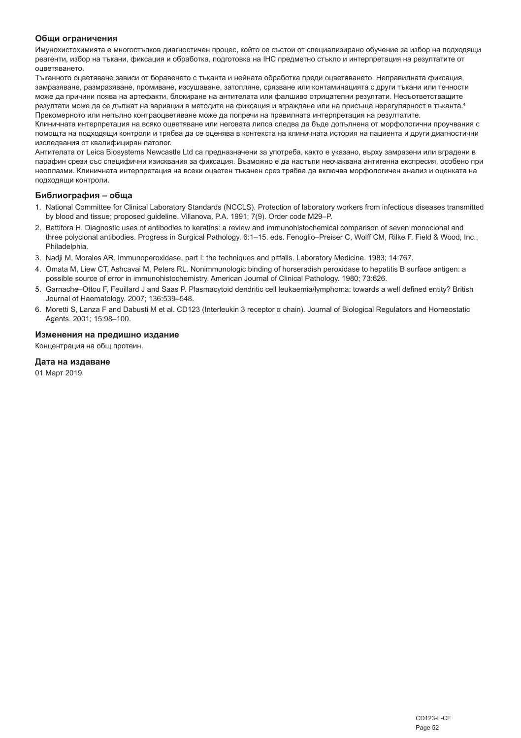### **Общи ограничения**

Имунохистохимията е многостъпков диагностичен процес, който се състои от специализирано обучение за избор на подходящи реагенти, избор на тъкани, фиксация и обработка, подготовка на IHC предметно стъкло и интерпретация на резултатите от оцветяването.

Тъканното оцветяване зависи от боравенето с тъканта и нейната обработка преди оцветяването. Неправилната фиксация, замразяване, размразяване, промиване, изсушаване, затопляне, срязване или контаминацията с други тъкани или течности може да причини поява на артефакти, блокиране на антителата или фалшиво отрицателни резултати. Несъответстващите резултати може да се дължат на вариации в методите на фиксация и вграждане или на присъща нерегулярност в тъканта.4 Прекомерното или непълно контраоцветяване може да попречи на правилната интерпретация на резултатите.

Клиничната интерпретация на всяко оцветяване или неговата липса следва да бъде допълнена от морфологични проучвания с помощта на подходящи контроли и трябва да се оценява в контекста на клиничната история на пациента и други диагностични изследвания от квалифициран патолог.

Антителата от Leica Biosystems Newcastle Ltd са предназначени за употреба, както е указано, върху замразени или вградени в парафин срези със специфични изисквания за фиксация. Възможно е да настъпи неочаквана антигенна експресия, особено при неоплазми. Клиничната интерпретация на всеки оцветен тъканен срез трябва да включва морфологичен анализ и оценката на подходящи контроли.

#### **Библиография – обща**

- 1. National Committee for Clinical Laboratory Standards (NCCLS). Protection of laboratory workers from infectious diseases transmitted by blood and tissue; proposed guideline. Villanova, P.A. 1991; 7(9). Order code M29–P.
- 2. Battifora H. Diagnostic uses of antibodies to keratins: a review and immunohistochemical comparison of seven monoclonal and three polyclonal antibodies. Progress in Surgical Pathology. 6:1–15. eds. Fenoglio–Preiser C, Wolff CM, Rilke F. Field & Wood, Inc., Philadelphia.
- 3. Nadji M, Morales AR. Immunoperoxidase, part I: the techniques and pitfalls. Laboratory Medicine. 1983; 14:767.
- 4. Omata M, Liew CT, Ashcavai M, Peters RL. Nonimmunologic binding of horseradish peroxidase to hepatitis B surface antigen: a possible source of error in immunohistochemistry. American Journal of Clinical Pathology. 1980; 73:626.
- 5. Garnache–Ottou F, Feuillard J and Saas P. Plasmacytoid dendritic cell leukaemia/lymphoma: towards a well defined entity? British Journal of Haematology. 2007; 136:539–548.
- 6. Moretti S, Lanza F and Dabusti M et al. CD123 (Interleukin 3 receptor α chain). Journal of Biological Regulators and Homeostatic Agents. 2001; 15:98–100.

#### **Изменения на предишно издание**

Концентрация на общ протеин.

#### **Дата на издаване**

01 Март 2019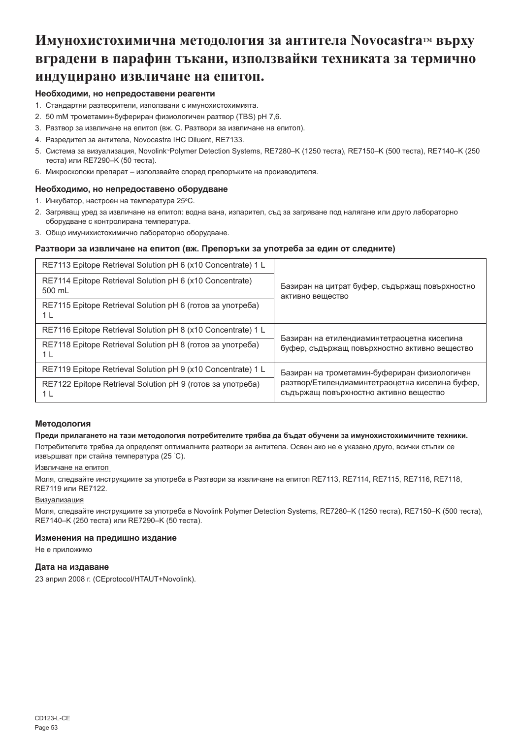# **Имунохистохимична методология за антитела NovocastraTM върху вградени в парафин тъкани, използвайки техниката за термично индуцирано извличане на епитоп.**

#### **Необходими, но непредоставени реагенти**

- 1. Стандартни разтворители, използвани с имунохистохимията.
- 2. 50 mM трометамин-буфериран физиологичен разтвор (TBS) pH 7,6.
- 3. Разтвор за извличане на епитоп (вж. C. Разтвори за извличане на епитоп).
- 4. Разредител за антитела, Novocastra IHC Diluent, RE7133.
- 5. Система за визуализация, Novolink<sup>®</sup>Polymer Detection Systems, RE7280–K (1250 теста), RE7150–K (500 теста), RE7140–K (250 теста) или RE7290–K (50 теста).
- 6. Микроскопски препарат използвайте според препоръките на производителя.

# **Необходимо, но непредоставено оборудване**

- 1. Инкубатор, настроен на температура 25℃.
- 2. Загряващ уред за извличане на епитоп: водна вана, изпарител, съд за загряване под налягане или друго лабораторно оборудване с контролирана температура.
- 3. Общо имунихистохимично лабораторно оборудване.

# **Разтвори за извличане на епитоп (вж. Препоръки за употреба за един от следните)**

| RE7113 Epitope Retrieval Solution pH 6 (x10 Concentrate) 1 L                 | Базиран на цитрат буфер, съдържащ повърхностно<br>активно вешество                                                                        |  |
|------------------------------------------------------------------------------|-------------------------------------------------------------------------------------------------------------------------------------------|--|
| RE7114 Epitope Retrieval Solution pH 6 (x10 Concentrate)<br>500 mL           |                                                                                                                                           |  |
| RE7115 Epitope Retrieval Solution pH 6 (готов за употреба)<br>1 L            |                                                                                                                                           |  |
| RE7116 Epitope Retrieval Solution pH 8 (x10 Concentrate) 1 L                 |                                                                                                                                           |  |
| RE7118 Epitope Retrieval Solution pH 8 (готов за употреба)<br>1 L            | Базиран на етилендиаминтетраоцетна киселина<br>буфер, съдържащ повърхностно активно вещество                                              |  |
| RE7119 Epitope Retrieval Solution pH 9 (x10 Concentrate) 1 L                 | Базиран на трометамин-буфериран физиологичен<br>разтвор/Етилендиаминтетраоцетна киселина буфер,<br>съдържащ повърхностно активно вещество |  |
| RE7122 Epitope Retrieval Solution pH 9 (готов за употреба)<br>1 <sub>L</sub> |                                                                                                                                           |  |

### **Методология**

#### **Преди прилагането на тази методология потребителите трябва да бъдат обучени за имунохистохимичните техники.**

Потребителите трябва да определят оптималните разтвори за антитела. Освен ако не е указано друго, всички стъпки се извършват при стайна температура (25 ° C).

#### Извличане на епитоп

Моля, следвайте инструкциите за употреба в Разтвори за извличане на епитоп RE7113, RE7114, RE7115, RE7116, RE7118, RE7119 или RE7122.

# Визуализация

Моля, следвайте инструкциите за употреба в Novolink Polymer Detection Systems, RE7280–K (1250 теста), RE7150–K (500 теста), RE7140–K (250 теста) или RE7290–K (50 теста).

#### **Изменения на предишно издание**

Не е приложимо

#### **Дата на издаване**

23 април 2008 г. (CEprotocol/HTAUT+Novolink).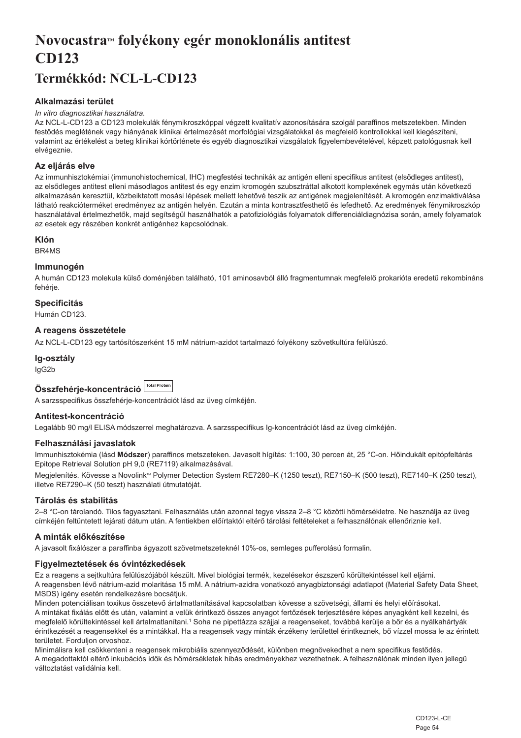# Novocastra™ folyékony egér monoklonális antitest **CD123**

# **Termékkód: NCL-L-CD123**

# **Alkalmazási terület**

#### *In vitro diagnosztikai használatra.*

Az NCL-L-CD123 a CD123 molekulák fénymikroszkóppal végzett kvalitatív azonosítására szolgál paraffinos metszetekben. Minden festődés meglétének vagy hiányának klinikai értelmezését morfológiai vizsgálatokkal és megfelelő kontrollokkal kell kiegészíteni, valamint az értékelést a beteg klinikai kórtörténete és egyéb diagnosztikai vizsgálatok figyelembevételével, képzett patológusnak kell elvégeznie.

# **Az eljárás elve**

Az immunhisztokémiai (immunohistochemical, IHC) megfestési technikák az antigén elleni specifikus antitest (elsődleges antitest), az elsődleges antitest elleni másodlagos antitest és egy enzim kromogén szubsztráttal alkotott komplexének egymás után következő alkalmazásán keresztül, közbeiktatott mosási lépések mellett lehetővé teszik az antigének megjelenítését. A kromogén enzimaktiválása látható reakcióterméket eredményez az antigén helyén. Ezután a minta kontrasztfesthető és lefedhető. Az eredmények fénymikroszkóp használatával értelmezhetők, majd segítségül használhatók a patofiziológiás folyamatok differenciáldiagnózisa során, amely folyamatok az esetek egy részében konkrét antigénhez kapcsolódnak.

# **Klón**

BR4MS

#### **Immunogén**

A humán CD123 molekula külső doménjében található, 101 aminosavból álló fragmentumnak megfelelő prokarióta eredetű rekombináns fehérje.

# **Specificitás**

Humán CD123.

### **A reagens összetétele**

Az NCL-L-CD123 egy tartósítószerként 15 mM nátrium-azidot tartalmazó folyékony szövetkultúra felülúszó.

# **Ig-osztály**

IgG2b

# **Összfehérje-koncentráció Total Protein**

A sarzsspecifikus összfehérje-koncentrációt lásd az üveg címkéjén.

# **Antitest-koncentráció**

Legalább 90 mg/l ELISA módszerrel meghatározva. A sarzsspecifikus Ig-koncentrációt lásd az üveg címkéjén.

#### **Felhasználási javaslatok**

Immunhisztokémia (lásd **Módszer**) paraffinos metszeteken. Javasolt hígítás: 1:100, 30 percen át, 25 °C-on. Hőindukált epitópfeltárás Epitope Retrieval Solution pH 9,0 (RE7119) alkalmazásával.

Megielenítés. Kövesse a Novolink™ Polymer Detection System RE7280–K (1250 teszt), RE7150–K (500 teszt), RE7140–K (250 teszt), illetve RE7290–K (50 teszt) használati útmutatóját.

#### **Tárolás és stabilitás**

2–8 °C-on tárolandó. Tilos fagyasztani. Felhasználás után azonnal tegye vissza 2–8 °C közötti hőmérsékletre. Ne használja az üveg címkéjén feltüntetett lejárati dátum után. A fentiekben előírtaktól eltérő tárolási feltételeket a felhasználónak ellenőriznie kell.

### **A minták előkészítése**

A javasolt fixálószer a paraffinba ágyazott szövetmetszeteknél 10%-os, semleges pufferolású formalin.

#### **Figyelmeztetések és óvintézkedések**

Ez a reagens a sejtkultúra felülúszójából készült. Mivel biológiai termék, kezelésekor észszerű körültekintéssel kell eljárni. A reagensben lévő nátrium-azid molaritása 15 mM. A nátrium-azidra vonatkozó anyagbiztonsági adatlapot (Material Safety Data Sheet, MSDS) igény esetén rendelkezésre bocsátjuk.

Minden potenciálisan toxikus összetevő ártalmatlanításával kapcsolatban kövesse a szövetségi, állami és helyi előírásokat. A mintákat fixálás előtt és után, valamint a velük érintkező összes anyagot fertőzések terjesztésére képes anyagként kell kezelni, és megfelelő körültekintéssel kell ártalmatlanítani.1 Soha ne pipettázza szájjal a reagenseket, továbbá kerülje a bőr és a nyálkahártyák érintkezését a reagensekkel és a mintákkal. Ha a reagensek vagy minták érzékeny területtel érintkeznek, bő vízzel mossa le az érintett területet. Forduljon orvoshoz.

Minimálisra kell csökkenteni a reagensek mikrobiális szennyeződését, különben megnövekedhet a nem specifikus festődés. A megadottaktól eltérő inkubációs idők és hőmérsékletek hibás eredményekhez vezethetnek. A felhasználónak minden ilyen jellegű változtatást validálnia kell.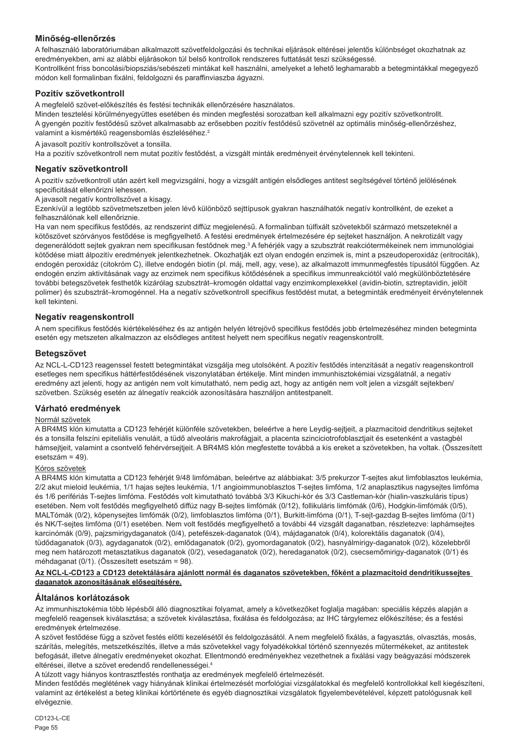# **Minőség-ellenőrzés**

A felhasználó laboratóriumában alkalmazott szövetfeldolgozási és technikai eljárások eltérései jelentős különbséget okozhatnak az eredményekben, ami az alábbi eljárásokon túl belső kontrollok rendszeres futtatását teszi szükségessé. Kontrollként friss boncolási/biopsziás/sebészeti mintákat kell használni, amelyeket a lehető leghamarabb a betegmintákkal megegyező módon kell formalinban fixálni, feldolgozni és paraffinviaszba ágyazni.

### **Pozitív szövetkontroll**

A megfelelő szövet-előkészítés és festési technikák ellenőrzésére használatos.

Minden tesztelési körülményegyüttes esetében és minden megfestési sorozatban kell alkalmazni egy pozitív szövetkontrollt. A gyengén pozitív festődésű szövet alkalmasabb az erősebben pozitív festődésű szövetnél az optimális minőség-ellenőrzéshez, valamint a kismértékű reagensbomlás észleléséhez.<sup>2</sup>

A javasolt pozitív kontrollszövet a tonsilla.

Ha a pozitív szövetkontroll nem mutat pozitív festődést, a vizsgált minták eredményeit érvénytelennek kell tekinteni.

#### **Negatív szövetkontroll**

A pozitív szövetkontroll után azért kell megvizsgálni, hogy a vizsgált antigén elsődleges antitest segítségével történő jelölésének specificitását ellenőrizni lehessen.

A javasolt negatív kontrollszövet a kisagy.

Ezenkívül a legtöbb szövetmetszetben jelen lévő különböző sejttípusok gyakran használhatók negatív kontrollként, de ezeket a felhasználónak kell ellenőriznie.

Ha van nem specifikus festődés, az rendszerint diffúz megjelenésű. A formalinban túlfixált szövetekből származó metszeteknél a kötőszövet szórványos festődése is megfigyelhető. A festési eredmények értelmezésére ép sejteket használjon. A nekrotizált vagy degenerálódott sejtek gyakran nem specifikusan festődnek meg.<sup>3</sup> A fehérjék vagy a szubsztrát reakciótermékeinek nem immunológiai kötődése miatt álpozitív eredmények jelentkezhetnek. Okozhatják ezt olyan endogén enzimek is, mint a pszeudoperoxidáz (eritrociták), endogén peroxidáz (citokróm C), illetve endogén biotin (pl. máj, mell, agy, vese), az alkalmazott immunmegfestés típusától függően. Az endogén enzim aktivitásának vagy az enzimek nem specifikus kötődésének a specifikus immunreakciótól való megkülönböztetésére további betegszövetek festhetők kizárólag szubsztrát–kromogén oldattal vagy enzimkomplexekkel (avidin-biotin, sztreptavidin, jelölt polimer) és szubsztrát–kromogénnel. Ha a negatív szövetkontroll specifikus festődést mutat, a betegminták eredményeit érvénytelennek kell tekinteni.

# **Negatív reagenskontroll**

A nem specifikus festődés kiértékeléséhez és az antigén helyén létrejövő specifikus festődés jobb értelmezéséhez minden betegminta esetén egy metszeten alkalmazzon az elsődleges antitest helyett nem specifikus negatív reagenskontrollt.

#### **Betegszövet**

Az NCL-L-CD123 reagenssel festett betegmintákat vizsgálja meg utolsóként. A pozitív festődés intenzitását a negatív reagenskontroll esetleges nem specifikus háttérfestődésének viszonylatában értékelje. Mint minden immunhisztokémiai vizsgálatnál, a negatív eredmény azt jelenti, hogy az antigén nem volt kimutatható, nem pedig azt, hogy az antigén nem volt jelen a vizsgált sejtekben/ szövetben. Szükség esetén az álnegatív reakciók azonosítására használjon antitestpanelt.

#### **Várható eredmények**

#### Normál szövetek

A BR4MS klón kimutatta a CD123 fehérjét különféle szövetekben, beleértve a here Leydig-sejtjeit, a plazmacitoid dendritikus sejteket és a tonsilla felszíni epiteliális venuláit, a tüdő alveoláris makrofágjait, a placenta szinciciotrofoblasztjait és esetenként a vastagbél hámsejtjeit, valamint a csontvelő fehérvérsejtjeit. A BR4MS klón megfestette továbbá a kis ereket a szövetekben, ha voltak. (Összesített esetszám = 49).

#### Kóros szövetek

A BR4MS klón kimutatta a CD123 fehérjét 9/48 limfómában, beleértve az alábbiakat: 3/5 prekurzor T-sejtes akut limfoblasztos leukémia, 2/2 akut mieloid leukémia, 1/1 hajas sejtes leukémia, 1/1 angioimmunoblasztos T-sejtes limfóma, 1/2 anaplasztikus nagysejtes limfóma és 1/6 perifériás T-sejtes limfóma. Festődés volt kimutatható továbbá 3/3 Kikuchi-kór és 3/3 Castleman-kór (hialin-vaszkuláris típus) esetében. Nem volt festődés megfigyelhető diffúz nagy B-sejtes limfómák (0/12), follikuláris limfómák (0/6), Hodgkin-limfómák (0/5), MALTómák (0/2), köpenysejtes limfómák (0/2), limfoblasztos limfóma (0/1), Burkitt-limfóma (0/1), T-sejt-gazdag B-sejtes limfóma (0/1) és NK/T-sejtes limfóma (0/1) esetében. Nem volt festődés megfigyelhető a további 44 vizsgált daganatban, részletezve: laphámsejtes karcinómák (0/9), pajzsmirigydaganatok (0/4), petefészek-daganatok (0/4), májdaganatok (0/4), kolorektális daganatok (0/4), tüdődaganatok (0/3), agydaganatok (0/2), emlődaganatok (0/2), gyomordaganatok (0/2), hasnyálmirigy-daganatok (0/2), közelebbről meg nem határozott metasztatikus daganatok (0/2), vesedaganatok (0/2), heredaganatok (0/2), csecsemőmirigy-daganatok (0/1) és méhdaganat (0/1). (Összesített esetszám = 98).

#### **Az NCL-L-CD123 a CD123 detektálására ajánlott normál és daganatos szövetekben, főként a plazmacitoid dendritikussejtes daganatok azonosításának elősegítésére.**

#### **Általános korlátozások**

Az immunhisztokémia több lépésből álló diagnosztikai folyamat, amely a következőket foglalja magában: speciális képzés alapján a megfelelő reagensek kiválasztása; a szövetek kiválasztása, fixálása és feldolgozása; az IHC tárgylemez előkészítése; és a festési eredmények értelmezése.

A szövet festődése függ a szövet festés előtti kezelésétől és feldolgozásától. A nem megfelelő fixálás, a fagyasztás, olvasztás, mosás, szárítás, melegítés, metszetkészítés, illetve a más szövetekkel vagy folyadékokkal történő szennyezés műtermékeket, az antitestek befogását, illetve álnegatív eredményeket okozhat. Ellentmondó eredményekhez vezethetnek a fixálási vagy beágyazási módszerek eltérései, illetve a szövet eredendő rendellenességei.4

A túlzott vagy hiányos kontrasztfestés ronthatja az eredmények megfelelő értelmezését.

Minden festődés meglétének vagy hiányának klinikai értelmezését morfológiai vizsgálatokkal és megfelelő kontrollokkal kell kiegészíteni, valamint az értékelést a beteg klinikai kórtörténete és egyéb diagnosztikai vizsgálatok figyelembevételével, képzett patológusnak kell elvégeznie.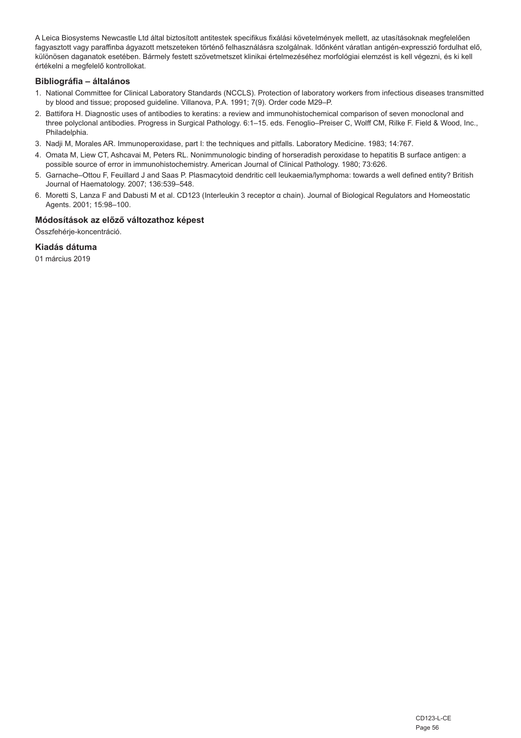A Leica Biosystems Newcastle Ltd által biztosított antitestek specifikus fixálási követelmények mellett, az utasításoknak megfelelően fagyasztott vagy paraffinba ágyazott metszeteken történő felhasználásra szolgálnak. Időnként váratlan antigén-expresszió fordulhat elő, különösen daganatok esetében. Bármely festett szövetmetszet klinikai értelmezéséhez morfológiai elemzést is kell végezni, és ki kell értékelni a megfelelő kontrollokat.

#### **Bibliográfia – általános**

- 1. National Committee for Clinical Laboratory Standards (NCCLS). Protection of laboratory workers from infectious diseases transmitted by blood and tissue; proposed guideline. Villanova, P.A. 1991; 7(9). Order code M29–P.
- 2. Battifora H. Diagnostic uses of antibodies to keratins: a review and immunohistochemical comparison of seven monoclonal and three polyclonal antibodies. Progress in Surgical Pathology. 6:1–15. eds. Fenoglio–Preiser C, Wolff CM, Rilke F. Field & Wood, Inc., Philadelphia.
- 3. Nadji M, Morales AR. Immunoperoxidase, part I: the techniques and pitfalls. Laboratory Medicine. 1983; 14:767.
- 4. Omata M, Liew CT, Ashcavai M, Peters RL. Nonimmunologic binding of horseradish peroxidase to hepatitis B surface antigen: a possible source of error in immunohistochemistry. American Journal of Clinical Pathology. 1980; 73:626.
- 5. Garnache–Ottou F, Feuillard J and Saas P. Plasmacytoid dendritic cell leukaemia/lymphoma: towards a well defined entity? British Journal of Haematology. 2007; 136:539–548.
- 6. Moretti S, Lanza F and Dabusti M et al. CD123 (Interleukin 3 receptor α chain). Journal of Biological Regulators and Homeostatic Agents. 2001; 15:98–100.

# **Módosítások az előző változathoz képest**

Összfehérje-koncentráció.

# **Kiadás dátuma**

01 március 2019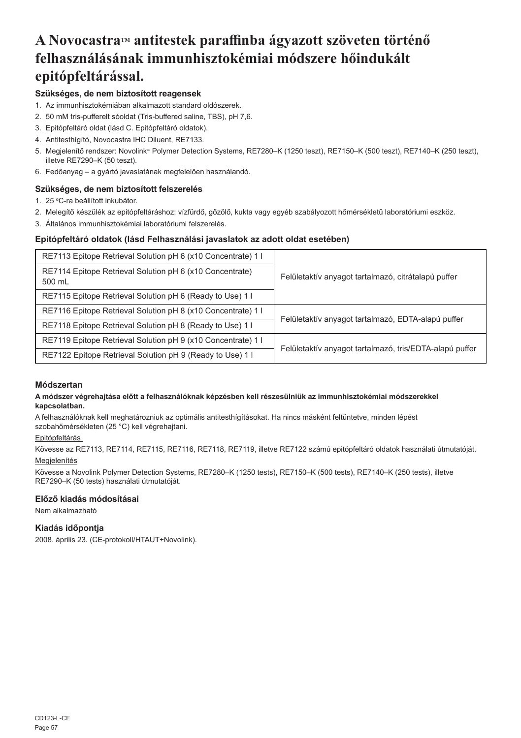# **A NovocastraTM antitestek paraffinba ágyazott szöveten történő felhasználásának immunhisztokémiai módszere hőindukált epitópfeltárással.**

# **Szükséges, de nem biztosított reagensek**

- 1. Az immunhisztokémiában alkalmazott standard oldószerek.
- 2. 50 mM tris-pufferelt sóoldat (Tris-buffered saline, TBS), pH 7,6.
- 3. Epitópfeltáró oldat (lásd C. Epitópfeltáró oldatok).
- 4. Antitesthígító, Novocastra IHC Diluent, RE7133.
- 5. Megjelenítő rendszer: Novolink™ Polymer Detection Systems, RE7280–K (1250 teszt), RE7150–K (500 teszt), RE7140–K (250 teszt), illetve RE7290–K (50 teszt).
- 6. Fedőanyag a gyártó javaslatának megfelelően használandó.

# **Szükséges, de nem biztosított felszerelés**

- 1. 25 °C-ra beállított inkubátor.
- 2. Melegítő készülék az epitópfeltáráshoz: vízfürdő, gőzölő, kukta vagy egyéb szabályozott hőmérsékletű laboratóriumi eszköz.
- 3. Általános immunhisztokémiai laboratóriumi felszerelés.

# **Epitópfeltáró oldatok (lásd Felhasználási javaslatok az adott oldat esetében)**

| RE7113 Epitope Retrieval Solution pH 6 (x10 Concentrate) 1 I       |                                                         |
|--------------------------------------------------------------------|---------------------------------------------------------|
| RE7114 Epitope Retrieval Solution pH 6 (x10 Concentrate)<br>500 mL | Felületaktív anyagot tartalmazó, citrátalapú puffer     |
| RE7115 Epitope Retrieval Solution pH 6 (Ready to Use) 1            |                                                         |
| RE7116 Epitope Retrieval Solution pH 8 (x10 Concentrate) 1 I       |                                                         |
| RE7118 Epitope Retrieval Solution pH 8 (Ready to Use) 1            | Felületaktív anyagot tartalmazó, EDTA-alapú puffer      |
| RE7119 Epitope Retrieval Solution pH 9 (x10 Concentrate) 1         | Felületaktív anyagot tartalmazó, tris/EDTA-alapú puffer |
| RE7122 Epitope Retrieval Solution pH 9 (Ready to Use) 1 I          |                                                         |

#### **Módszertan**

#### **A módszer végrehajtása előtt a felhasználóknak képzésben kell részesülniük az immunhisztokémiai módszerekkel kapcsolatban.**

A felhasználóknak kell meghatározniuk az optimális antitesthígításokat. Ha nincs másként feltüntetve, minden lépést szobahőmérsékleten (25 °C) kell végrehajtani.

#### Epitópfeltárás

Kövesse az RE7113, RE7114, RE7115, RE7116, RE7118, RE7119, illetve RE7122 számú epitópfeltáró oldatok használati útmutatóját.

#### Megjelenítés

Kövesse a Novolink Polymer Detection Systems, RE7280–K (1250 tests), RE7150–K (500 tests), RE7140–K (250 tests), illetve RE7290–K (50 tests) használati útmutatóját.

### **Előző kiadás módosításai**

Nem alkalmazható

# **Kiadás időpontja**

2008. április 23. (CE-protokoll/HTAUT+Novolink).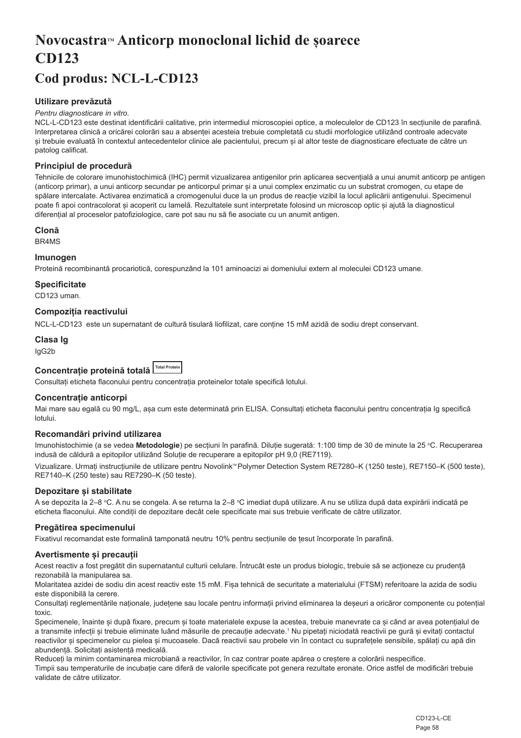# **NovocastraTM Anticorp monoclonal lichid de șoarece CD123**

# **Cod produs: NCL-L-CD123**

# **Utilizare prevăzută**

#### *Pentru diagnosticare in vitro.*

NCL-L-CD123 este destinat identificării calitative, prin intermediul microscopiei optice, a moleculelor de CD123 în secțiunile de parafină. Interpretarea clinică a oricărei colorări sau a absenței acesteia trebuie completată cu studii morfologice utilizând controale adecvate și trebuie evaluată în contextul antecedentelor clinice ale pacientului, precum și al altor teste de diagnosticare efectuate de către un patolog calificat.

#### **Principiul de procedură**

Tehnicile de colorare imunohistochimică (IHC) permit vizualizarea antigenilor prin aplicarea secvențială a unui anumit anticorp pe antigen (anticorp primar), a unui anticorp secundar pe anticorpul primar și a unui complex enzimatic cu un substrat cromogen, cu etape de spălare intercalate. Activarea enzimatică a cromogenului duce la un produs de reacție vizibil la locul aplicării antigenului. Specimenul poate fi apoi contracolorat și acoperit cu lamelă. Rezultatele sunt interpretate folosind un microscop optic și ajută la diagnosticul diferențial al proceselor patofiziologice, care pot sau nu să fie asociate cu un anumit antigen.

#### **Clonă**

BR4MS

#### **Imunogen**

Proteină recombinantă procariotică, corespunzând la 101 aminoacizi ai domeniului extern al moleculei CD123 umane.

#### **Specificitate**

CD123 uman.

#### **Compoziția reactivului**

NCL-L-CD123 este un supernatant de cultură tisulară liofilizat, care conține 15 mM azidă de sodiu drept conservant.

#### **Clasa Ig**

IgG2b

| Concentrație proteină totală Total Protein |  |
|--------------------------------------------|--|
|                                            |  |

Consultați eticheta flaconului pentru concentrația proteinelor totale specifică lotului.

#### **Concentrație anticorpi**

Mai mare sau egală cu 90 mg/L, asa cum este determinată prin ELISA. Consultati eticheta flaconului pentru concentratia Ig specifică lotului.

#### **Recomandări privind utilizarea**

lmunohistochimie (a se vedea **Metodologie**) pe secțiuni în parafină. Diluție sugerată: 1:100 timp de 30 de minute la 25 °C. Recuperarea indusă de căldură a epitopilor utilizând Soluție de recuperare a epitopilor pH 9,0 (RE7119).

Vizualizare. Urmați instrucțiunile de utilizare pentru Novolink™ Polymer Detection System RE7280–K (1250 teste), RE7150–K (500 teste), RE7140–K (250 teste) sau RE7290–K (50 teste).

#### **Depozitare și stabilitate**

A se depozita la 2–8 °C. A nu se congela. A se returna la 2–8 °C imediat după utilizare. A nu se utiliza după data expirării indicată pe eticheta flaconului. Alte condiții de depozitare decât cele specificate mai sus trebuie verificate de către utilizator.

#### **Pregătirea specimenului**

Fixativul recomandat este formalină tamponată neutru 10% pentru secțiunile de țesut încorporate în parafină.

#### **Avertismente și precauții**

Acest reactiv a fost pregătit din supernatantul culturii celulare. Întrucât este un produs biologic, trebuie să se acționeze cu prudență rezonabilă la manipularea sa.

Molaritatea azidei de sodiu din acest reactiv este 15 mM. Fișa tehnică de securitate a materialului (FTSM) referitoare la azida de sodiu este disponibilă la cerere.

Consultați reglementările naționale, județene sau locale pentru informații privind eliminarea la deșeuri a oricăror componente cu potențial toxic.

Specimenele, înainte și după fixare, precum și toate materialele expuse la acestea, trebuie manevrate ca și când ar avea potentialul de a transmite infecții și trebuie eliminate luând măsurile de precauție adecvate.1 Nu pipetați niciodată reactivii pe gură și evitați contactul reactivilor și specimenelor cu pielea și mucoasele. Dacă reactivii sau probele vin în contact cu suprafețele sensibile, spălați cu apă din abundență. Solicitați asistență medicală.

Reduceți la minim contaminarea microbiană a reactivilor, în caz contrar poate apărea o creștere a colorării nespecifice.

Timpii sau temperaturile de incubație care diferă de valorile specificate pot genera rezultate eronate. Orice astfel de modificări trebuie validate de către utilizator.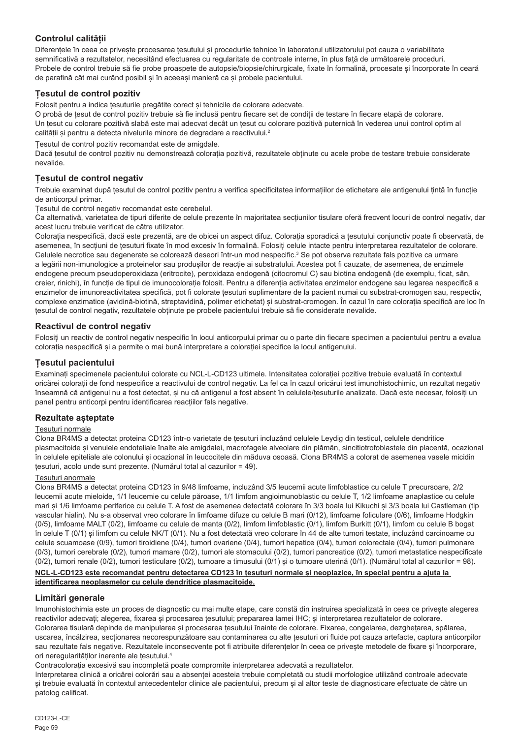# **Controlul calității**

Diferențele în ceea ce privește procesarea țesutului și procedurile tehnice în laboratorul utilizatorului pot cauza o variabilitate semnificativă a rezultatelor, necesitând efectuarea cu regularitate de controale interne, în plus față de următoarele proceduri. Probele de control trebuie să fie probe proaspete de autopsie/biopsie/chirurgicale, fixate în formalină, procesate și încorporate în ceară de parafină cât mai curând posibil și în aceeași manieră ca și probele pacientului.

# **Țesutul de control pozitiv**

Folosit pentru a indica țesuturile pregătite corect și tehnicile de colorare adecvate.

O probă de țesut de control pozitiv trebuie să fie inclusă pentru fiecare set de condiții de testare în fiecare etapă de colorare. Un țesut cu colorare pozitivă slabă este mai adecvat decât un țesut cu colorare pozitivă puternică în vederea unui control optim al calității și pentru a detecta nivelurile minore de degradare a reactivului.<sup>2</sup>

Țesutul de control pozitiv recomandat este de amigdale.

Dacă țesutul de control pozitiv nu demonstrează colorația pozitivă, rezultatele obținute cu acele probe de testare trebuie considerate nevalide.

# **Țesutul de control negativ**

Trebuie examinat după țesutul de control pozitiv pentru a verifica specificitatea informațiilor de etichetare ale antigenului țintă în funcție de anticorpul primar.

Țesutul de control negativ recomandat este cerebelul.

Ca alternativă, varietatea de tipuri diferite de celule prezente în majoritatea secțiunilor tisulare oferă frecvent locuri de control negativ, dar acest lucru trebuie verificat de către utilizator.

Colorația nespecifică, dacă este prezentă, are de obicei un aspect difuz. Colorația sporadică a țesutului conjunctiv poate fi observată, de asemenea, în secțiuni de țesuturi fixate în mod excesiv în formalină. Folosiți celule intacte pentru interpretarea rezultatelor de colorare. Celulele necrotice sau degenerate se colorează deseori într-un mod nespecific.<sup>3</sup> Se pot observa rezultate fals pozitive ca urmare a legării non-imunologice a proteinelor sau produșilor de reacție ai substratului. Acestea pot fi cauzate, de asemenea, de enzimele endogene precum pseudoperoxidaza (eritrocite), peroxidaza endogenă (citocromul C) sau biotina endogenă (de exemplu, ficat, sân, creier, rinichi), în funcție de tipul de imunocolorație folosit. Pentru a diferenția activitatea enzimelor endogene sau legarea nespecifică a enzimelor de imunoreactivitatea specifică, pot fi colorate țesuturi suplimentare de la pacient numai cu substrat-cromogen sau, respectiv, complexe enzimatice (avidină-biotină, streptavidină, polimer etichetat) și substrat-cromogen. În cazul în care colorația specifică are loc în țesutul de control negativ, rezultatele obținute pe probele pacientului trebuie să fie considerate nevalide.

# **Reactivul de control negativ**

Folosiți un reactiv de control negativ nespecific în locul anticorpului primar cu o parte din fiecare specimen a pacientului pentru a evalua colorația nespecifică și a permite o mai bună interpretare a colorației specifice la locul antigenului.

# **Țesutul pacientului**

Examinați specimenele pacientului colorate cu NCL-L-CD123 ultimele. Intensitatea colorației pozitive trebuie evaluată în contextul oricărei colorații de fond nespecifice a reactivului de control negativ. La fel ca în cazul oricărui test imunohistochimic, un rezultat negativ înseamnă că antigenul nu a fost detectat, și nu că antigenul a fost absent în celulele/țesuturile analizate. Dacă este necesar, folosiți un panel pentru anticorpi pentru identificarea reacțiilor fals negative.

#### **Rezultate așteptate**

#### Țesuturi normale

Clona BR4MS a detectat proteina CD123 într-o varietate de țesuturi incluzând celulele Leydig din testicul, celulele dendritice plasmacitoide și venulele endoteliale înalte ale amigdalei, macrofagele alveolare din plămân, sincitiotrofoblastele din placentă, ocazional în celulele epiteliale ale colonului și ocazional în leucocitele din măduva osoasă. Clona BR4MS a colorat de asemenea vasele micidin țesuturi, acolo unde sunt prezente. (Numărul total al cazurilor = 49).

#### Țesuturi anormale

Clona BR4MS a detectat proteina CD123 în 9/48 limfoame, incluzând 3/5 leucemii acute limfoblastice cu celule T precursoare, 2/2 leucemii acute mieloide, 1/1 leucemie cu celule păroase, 1/1 limfom angioimunoblastic cu celule T, 1/2 limfoame anaplastice cu celule mari și 1/6 limfoame periferice cu celule T. A fost de asemenea detectată colorare în 3/3 boala lui Kikuchi și 3/3 boala lui Castleman (tip vascular hialin). Nu s-a observat vreo colorare în limfoame difuze cu celule B mari (0/12), limfoame foliculare (0/6), limfoame Hodgkin (0/5), limfoame MALT (0/2), limfoame cu celule de manta (0/2), limfom limfoblastic (0/1), limfom Burkitt (0/1), limfom cu celule B bogat în celule T (0/1) și limfom cu celule NK/T (0/1). Nu a fost detectată vreo colorare în 44 de alte tumori testate, incluzând carcinoame cu celule scuamoase (0/9), tumori tiroidiene (0/4), tumori ovariene (0/4), tumori hepatice (0/4), tumori colorectale (0/4), tumori pulmonare (0/3), tumori cerebrale (0/2), tumori mamare (0/2), tumori ale stomacului (0/2), tumori pancreatice (0/2), tumori metastatice nespecificate (0/2), tumori renale (0/2), tumori testiculare (0/2), tumoare a timusului (0/1) și o tumoare uterină (0/1). (Numărul total al cazurilor = 98).

#### **NCL-L-CD123 este recomandat pentru detectarea CD123 în țesuturi normale și neoplazice, în special pentru a ajuta la identificarea neoplasmelor cu celule dendritice plasmacitoide.**

#### **Limitări generale**

Imunohistochimia este un proces de diagnostic cu mai multe etape, care constă din instruirea specializată în ceea ce privește alegerea reactivilor adecvați; alegerea, fixarea și procesarea țesutului; prepararea lamei IHC; și interpretarea rezultatelor de colorare. Colorarea tisulară depinde de manipularea și procesarea țesutului înainte de colorare. Fixarea, congelarea, dezghețarea, spălarea, uscarea, încălzirea, secționarea necorespunzătoare sau contaminarea cu alte țesuturi ori fluide pot cauza artefacte, captura anticorpilor sau rezultate fals negative. Rezultatele inconsecvente pot fi atribuite diferentelor în ceea ce privește metodele de fixare și încorporare. ori neregularităților inerente ale țesutului.4

Contracolorația excesivă sau incompletă poate compromite interpretarea adecvată a rezultatelor.

Interpretarea clinică a oricărei colorări sau a absenței acesteia trebuie completată cu studii morfologice utilizând controale adecvate și trebuie evaluată în contextul antecedentelor clinice ale pacientului, precum și al altor teste de diagnosticare efectuate de către un patolog calificat.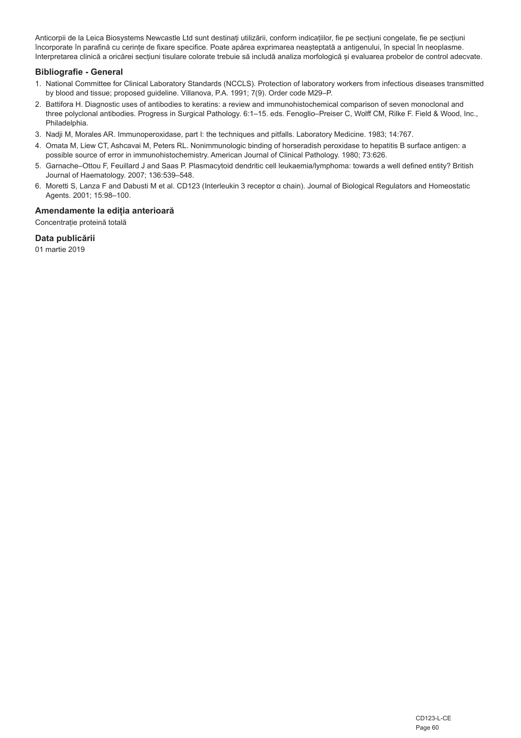Anticorpii de la Leica Biosystems Newcastle Ltd sunt destinați utilizării, conform indicațiilor, fie pe secțiuni congelate, fie pe secțiuni încorporate în parafină cu cerințe de fixare specifice. Poate apărea exprimarea neașteptată a antigenului, în special în neoplasme. Interpretarea clinică a oricărei secțiuni tisulare colorate trebuie să includă analiza morfologică și evaluarea probelor de control adecvate.

#### **Bibliografie - General**

- 1. National Committee for Clinical Laboratory Standards (NCCLS). Protection of laboratory workers from infectious diseases transmitted by blood and tissue; proposed guideline. Villanova, P.A. 1991; 7(9). Order code M29–P.
- 2. Battifora H. Diagnostic uses of antibodies to keratins: a review and immunohistochemical comparison of seven monoclonal and three polyclonal antibodies. Progress in Surgical Pathology. 6:1–15. eds. Fenoglio–Preiser C, Wolff CM, Rilke F. Field & Wood, Inc., Philadelphia.
- 3. Nadji M, Morales AR. Immunoperoxidase, part I: the techniques and pitfalls. Laboratory Medicine. 1983; 14:767.
- 4. Omata M, Liew CT, Ashcavai M, Peters RL. Nonimmunologic binding of horseradish peroxidase to hepatitis B surface antigen: a possible source of error in immunohistochemistry. American Journal of Clinical Pathology. 1980; 73:626.
- 5. Garnache–Ottou F, Feuillard J and Saas P. Plasmacytoid dendritic cell leukaemia/lymphoma: towards a well defined entity? British Journal of Haematology. 2007; 136:539–548.
- 6. Moretti S, Lanza F and Dabusti M et al. CD123 (Interleukin 3 receptor α chain). Journal of Biological Regulators and Homeostatic Agents. 2001; 15:98–100.

# **Amendamente la ediția anterioară**

Concentrație proteină totală

# **Data publicării**

01 martie 2019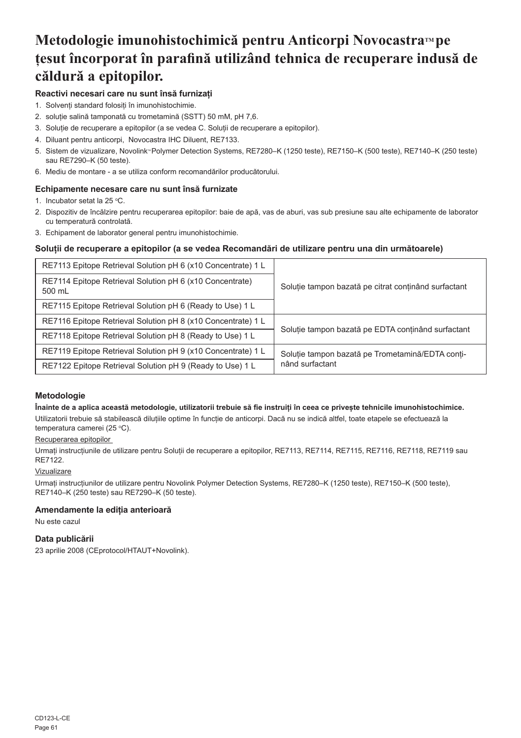# **Metodologie imunohistochimică pentru Anticorpi NovocastraTM pe țesut încorporat în parafină utilizând tehnica de recuperare indusă de căldură a epitopilor.**

# **Reactivi necesari care nu sunt însă furnizați**

- 1. Solvenți standard folosiți în imunohistochimie.
- 2. soluție salină tamponată cu trometamină (SSTT) 50 mM, pH 7,6.
- 3. Soluție de recuperare a epitopilor (a se vedea C. Soluții de recuperare a epitopilor).
- 4. Diluant pentru anticorpi, Novocastra IHC Diluent, RE7133.
- 5. Sistem de vizualizare, Novolink "Polymer Detection Systems, RE7280–K (1250 teste), RE7150–K (500 teste), RE7140–K (250 teste) sau RE7290–K (50 teste).
- 6. Mediu de montare a se utiliza conform recomandărilor producătorului.

# **Echipamente necesare care nu sunt însă furnizate**

- 1. Incubator setat la 25 °C.
- 2. Dispozitiv de încălzire pentru recuperarea epitopilor: baie de apă, vas de aburi, vas sub presiune sau alte echipamente de laborator cu temperatură controlată.
- 3. Echipament de laborator general pentru imunohistochimie.

# **Soluții de recuperare a epitopilor (a se vedea Recomandări de utilizare pentru una din următoarele)**

| RE7113 Epitope Retrieval Solution pH 6 (x10 Concentrate) 1 L       | Solutie tampon bazată pe citrat continând surfactant                |  |
|--------------------------------------------------------------------|---------------------------------------------------------------------|--|
| RE7114 Epitope Retrieval Solution pH 6 (x10 Concentrate)<br>500 mL |                                                                     |  |
| RE7115 Epitope Retrieval Solution pH 6 (Ready to Use) 1 L          |                                                                     |  |
| RE7116 Epitope Retrieval Solution pH 8 (x10 Concentrate) 1 L       |                                                                     |  |
| RE7118 Epitope Retrieval Solution pH 8 (Ready to Use) 1 L          | Soluție tampon bazată pe EDTA conținând surfactant                  |  |
| RE7119 Epitope Retrieval Solution pH 9 (x10 Concentrate) 1 L       | Solutie tampon bazată pe Trometamină/EDTA conti-<br>nând surfactant |  |
| RE7122 Epitope Retrieval Solution pH 9 (Ready to Use) 1 L          |                                                                     |  |

#### **Metodologie**

#### **Înainte de a aplica această metodologie, utilizatorii trebuie să fie instruiți în ceea ce privește tehnicile imunohistochimice.**

Utilizatorii trebuie să stabilească diluțiile optime în funcție de anticorpi. Dacă nu se indică altfel, toate etapele se efectuează la temperatura camerei (25 °C).

# Recuperarea epitopilor

Urmați instrucțiunile de utilizare pentru Soluții de recuperare a epitopilor, RE7113, RE7114, RE7115, RE7116, RE7118, RE7119 sau RE7122.

#### Vizualizare

Urmați instrucțiunilor de utilizare pentru Novolink Polymer Detection Systems, RE7280–K (1250 teste), RE7150–K (500 teste), RE7140–K (250 teste) sau RE7290–K (50 teste).

# **Amendamente la ediția anterioară**

Nu este cazul

### **Data publicării**

23 aprilie 2008 (CEprotocol/HTAUT+Novolink).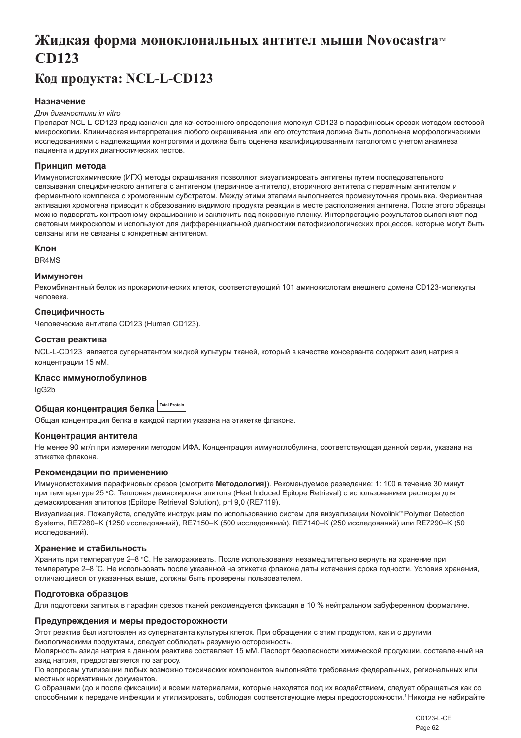# **Жидкая форма моноклональных антител мыши Novocastra CD123**

# **Код продукта: NCL-L-CD123**

#### **Назначение**

#### *Для диагностики in vitro*

Препарат NCL-L-CD123 предназначен для качественного определения молекул CD123 в парафиновых срезах методом световой микроскопии. Клиническая интерпретация любого окрашивания или его отсутствия должна быть дополнена морфологическими исследованиями с надлежащими контролями и должна быть оценена квалифицированным патологом с учетом анамнеза пациента и других диагностических тестов.

#### **Принцип метода**

Иммуногистохимические (ИГХ) методы окрашивания позволяют визуализировать антигены путем последовательного связывания специфического антитела с антигеном (первичное антитело), вторичного антитела с первичным антителом и ферментного комплекса с хромогенным субстратом. Между этими этапами выполняется промежуточная промывка. Ферментная активация хромогена приводит к образованию видимого продукта реакции в месте расположения антигена. После этого образцы можно подвергать контрастному окрашиванию и заключить под покровную пленку. Интерпретацию результатов выполняют под световым микроскопом и используют для дифференциальной диагностики патофизиологических процессов, которые могут быть связаны или не связаны с конкретным антигеном.

#### **Клон**

BR4MS

#### **Иммуноген**

Рекомбинантный белок из прокариотических клеток, соответствующий 101 аминокислотам внешнего домена CD123-молекулы человека.

#### **Специфичность**

Человеческие антитела CD123 (Human CD123).

#### **Состав реактива**

NCL-L-CD123 является супернатантом жидкой культуры тканей, который в качестве консерванта содержит азид натрия в концентрации 15 мМ.

#### **Класс иммуноглобулинов**

IgG2b

# **Общая концентрация белка Total Protein**

Общая концентрация белка в каждой партии указана на этикетке флакона.

#### **Концентрация антитела**

Не менее 90 мг/л при измерении методом ИФА. Концентрация иммуноглобулина, соответствующая данной серии, указана на этикетке флакона.

#### **Рекомендации по применению**

Иммуногистохимия парафиновых срезов (смотрите **Методология)**). Рекомендуемое разведение: 1: 100 в течение 30 минут при температуре 25 °C. Тепловая демаскировка эпитопа (Heat Induced Epitope Retrieval) с использованием раствора для демаскирования эпитопов (Epitope Retrieval Solution), pH 9,0 (RE7119).

Визуализация. Пожалуйста, следуйте инструкциям по использованию систем для визуализации Novolink™ Polymer Detection Systems, RE7280–K (1250 исследований), RE7150–K (500 исследований), RE7140–K (250 исследований) или RE7290–K (50 исследований).

#### **Хранение и стабильность**

Хранить при температуре 2–8 °C. Не замораживать. После использования незамедлительно вернуть на хранение при температуре 2–8 ° C. Не использовать после указанной на этикетке флакона даты истечения срока годности. Условия хранения, отличающиеся от указанных выше, должны быть проверены пользователем.

#### **Подготовка образцов**

Для подготовки залитых в парафин срезов тканей рекомендуется фиксация в 10 % нейтральном забуференном формалине.

#### **Предупреждения и меры предосторожности**

Этот реактив был изготовлен из супернатанта культуры клеток. При обращении с этим продуктом, как и с другими биологическими продуктами, следует соблюдать разумную осторожность.

Молярность азида натрия в данном реактиве составляет 15 мМ. Паспорт безопасности химической продукции, составленный на азид натрия, предоставляется по запросу.

По вопросам утилизации любых возможно токсических компонентов выполняйте требования федеральных, региональных или местных нормативных документов.

С образцами (до и после фиксации) и всеми материалами, которые находятся под их воздействием, следует обращаться как со способными к передаче инфекции и утилизировать, соблюдая соответствующие меры предосторожности.1 Никогда не набирайте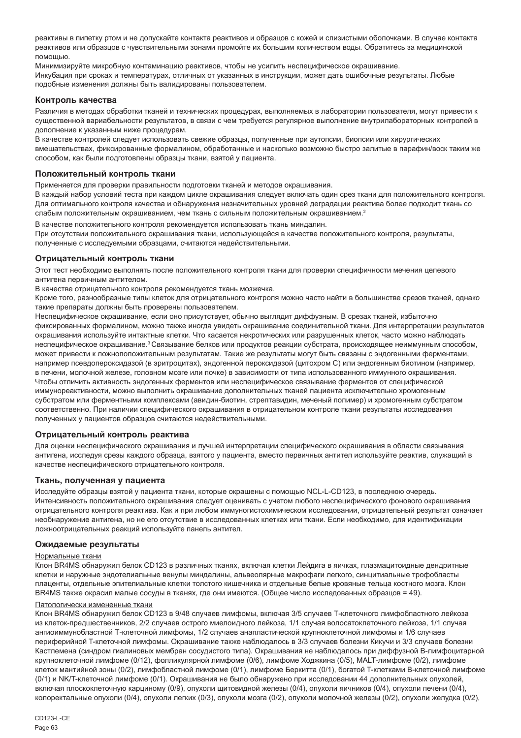реактивы в пипетку ртом и не допускайте контакта реактивов и образцов с кожей и слизистыми оболочками. В случае контакта реактивов или образцов с чувствительными зонами промойте их большим количеством воды. Обратитесь за медицинской помощью.

Минимизируйте микробную контаминацию реактивов, чтобы не усилить неспецифическое окрашивание. Инкубация при сроках и температурах, отличных от указанных в инструкции, может дать ошибочные результаты. Любые подобные изменения должны быть валидированы пользователем.

#### **Контроль качества**

Различия в методах обработки тканей и технических процедурах, выполняемых в лаборатории пользователя, могут привести к существенной вариабельности результатов, в связи с чем требуется регулярное выполнение внутрилабораторных контролей в дополнение к указанным ниже процедурам.

В качестве контролей следует использовать свежие образцы, полученные при аутопсии, биопсии или хирургических вмешательствах, фиксированные формалином, обработанные и насколько возможно быстро залитые в парафин/воск таким же способом, как были подготовлены образцы ткани, взятой у пациента.

#### **Положительный контроль ткани**

Применяется для проверки правильности подготовки тканей и методов окрашивания.

В каждый набор условий теста при каждом цикле окрашивания следует включать один срез ткани для положительного контроля. Для оптимального контроля качества и обнаружения незначительных уровней деградации реактива более подходит ткань со слабым положительным окрашиванием, чем ткань с сильным положительным окрашиванием.<sup>2</sup>

В качестве положительного контроля рекомендуется использовать ткань миндалин.

При отсутствии положительного окрашивания ткани, использующейся в качестве положительного контроля, результаты, полученные с исследуемыми образцами, считаются недействительными.

#### **Отрицательный контроль ткани**

Этот тест необходимо выполнять после положительного контроля ткани для проверки специфичности мечения целевого антигена первичным антителом.

В качестве отрицательного контроля рекомендуется ткань мозжечка.

Кроме того, разнообразные типы клеток для отрицательного контроля можно часто найти в большинстве срезов тканей, однако такие препараты должны быть проверены пользователем.

Неспецифическое окрашивание, если оно присутствует, обычно выглядит диффузным. В срезах тканей, избыточно фиксированных формалином, можно также иногда увидеть окрашивание соединительной ткани. Для интерпретации результатов окрашивания используйте интактные клетки. Что касается некротических или разрушенных клеток, часто можно наблюдать неспецифическое окрашивание.<sup>3</sup> Связывание белков или продуктов реакции субстрата, происходящее неиммунным способом, может привести к ложноположительным результатам. Такие же результаты могут быть связаны с эндогенными ферментами, например псевдопероксидазой (в эритроцитах), эндогенной пероксидазой (цитохром C) или эндогенным биотином (например, в печени, молочной железе, головном мозге или почке) в зависимости от типа использованного иммунного окрашивания. Чтобы отличить активность эндогенных ферментов или неспецифическое связывание ферментов от специфической иммунореактивности, можно выполнить окрашивание дополнительных тканей пациента исключительно хромогенным субстратом или ферментными комплексами (авидин-биотин, стрептавидин, меченый полимер) и хромогенным субстратом соответственно. При наличии специфического окрашивания в отрицательном контроле ткани результаты исследования полученных у пациентов образцов считаются недействительными.

#### **Отрицательный контроль реактива**

Для оценки неспецифического окрашивания и лучшей интерпретации специфического окрашивания в области связывания антигена, исследуя срезы каждого образца, взятого у пациента, вместо первичных антител используйте реактив, служащий в качестве неспецифического отрицательного контроля.

#### **Ткань, полученная у пациента**

Исследуйте образцы взятой у пациента ткани, которые окрашены с помощью NCL-L-CD123, в последнюю очередь. Интенсивность положительного окрашивания следует оценивать с учетом любого неспецифического фонового окрашивания отрицательного контроля реактива. Как и при любом иммуногистохимическом исследовании, отрицательный результат означает необнаружение антигена, но не его отсутствие в исследованных клетках или ткани. Если необходимо, для идентификации ложноотрицательных реакций используйте панель антител.

#### **Ожидаемые результаты**

#### Нормальные ткани

Клон BR4MS обнаружил белок CD123 в различных тканях, включая клетки Лейдига в яичках, плазмацитоидные дендритные клетки и наружные эндотелиальные венулы миндалины, альвеолярные макрофаги легкого, синцитиальные трофобласты плаценты, отдельные эпителиальные клетки толстого кишечника и отдельные белые кровяные тельца костного мозга. Клон BR4MS также окрасил малые сосуды в тканях, где они имеются. (Общее число исследованных образцов = 49).

#### Патологически измененные ткани

Клон BR4MS обнаружил белок CD123 в 9/48 случаев лимфомы, включая 3/5 случаев Т-клеточного лимфобластного лейкоза из клеток-предшественников, 2/2 случаев острого миелоидного лейкоза, 1/1 случая волосатоклеточного лейкоза, 1/1 случая ангиоиммунобластной Т-клеточной лимфомы, 1/2 случаев анапластической крупноклеточной лимфомы и 1/6 случаев периферийной T-клеточной лимфомы. Окрашивание также наблюдалось в 3/3 случаев болезни Кикучи и 3/3 случаев болезни Кастлемена (синдром гиалиновых мембран сосудистого типа). Окрашивания не наблюдалось при диффузной В-лимфоцитарной крупноклеточной лимфоме (0/12), фолликулярной лимфоме (0/6), лимфоме Ходжкина (0/5), MALT-лимфоме (0/2), лимфоме клеток мантийной зоны (0/2), лимфобластной лимфоме (0/1), лимфоме Беркитта (0/1), богатой T-клетками B-клеточной лимфоме (0/1) и NK/T-клеточной лимфоме (0/1). Окрашивания не было обнаружено при исследовании 44 дополнительных опухолей, включая плоскоклеточную карциному (0/9), опухоли щитовидной железы (0/4), опухоли яичников (0/4), опухоли печени (0/4), колоректальные опухоли (0/4), опухоли легких (0/3), опухоли мозга (0/2), опухоли молочной железы (0/2), опухоли желудка (0/2),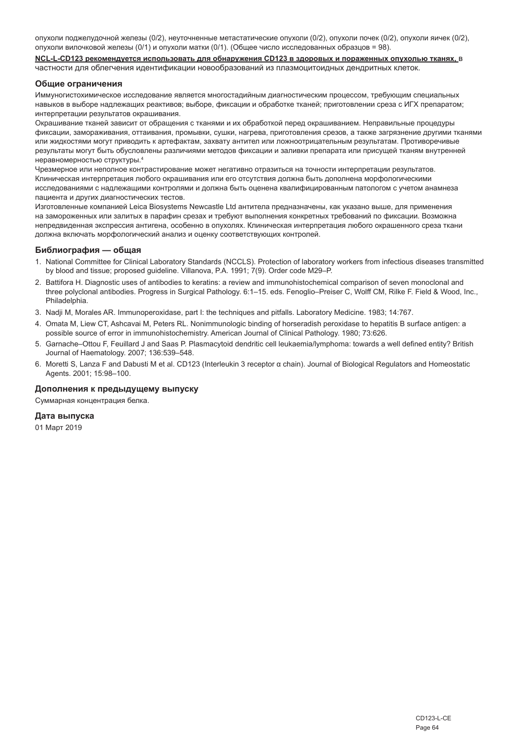опухоли поджелудочной железы (0/2), неуточненные метастатические опухоли (0/2), опухоли почек (0/2), опухоли яичек (0/2), опухоли вилочковой железы (0/1) и опухоли матки (0/1). (Общее число исследованных образцов = 98).

**NCL-L-CD123 рекомендуется использовать для обнаружения CD123 в здоровых и пораженных опухолью тканях,** в частности для облегчения идентификации новообразований из плазмоцитоидных дендритных клеток.

#### **Общие ограничения**

Иммуногистохимическое исследование является многостадийным диагностическим процессом, требующим специальных навыков в выборе надлежащих реактивов; выборе, фиксации и обработке тканей; приготовлении среза с ИГХ препаратом; интерпретации результатов окрашивания.

Окрашивание тканей зависит от обращения с тканями и их обработкой перед окрашиванием. Неправильные процедуры фиксации, замораживания, оттаивания, промывки, сушки, нагрева, приготовления срезов, а также загрязнение другими тканями или жидкостями могут приводить к артефактам, захвату антител или ложноотрицательным результатам. Противоречивые результаты могут быть обусловлены различиями методов фиксации и заливки препарата или присущей тканям внутренней неравномерностью структуры.4

Чрезмерное или неполное контрастирование может негативно отразиться на точности интерпретации результатов. Клиническая интерпретация любого окрашивания или его отсутствия должна быть дополнена морфологическими исследованиями с надлежащими контролями и должна быть оценена квалифицированным патологом с учетом анамнеза пациента и других диагностических тестов.

Изготовленные компанией Leica Biosystems Newcastle Ltd антитела предназначены, как указано выше, для применения на замороженных или залитых в парафин срезах и требуют выполнения конкретных требований по фиксации. Возможна непредвиденная экспрессия антигена, особенно в опухолях. Клиническая интерпретация любого окрашенного среза ткани должна включать морфологический анализ и оценку соответствующих контролей.

#### **Библиография — общая**

- 1. National Committee for Clinical Laboratory Standards (NCCLS). Protection of laboratory workers from infectious diseases transmitted by blood and tissue; proposed guideline. Villanova, P.A. 1991; 7(9). Order code M29–P.
- 2. Battifora H. Diagnostic uses of antibodies to keratins: a review and immunohistochemical comparison of seven monoclonal and three polyclonal antibodies. Progress in Surgical Pathology. 6:1–15. eds. Fenoglio–Preiser C, Wolff CM, Rilke F. Field & Wood, Inc., Philadelphia.
- 3. Nadji M, Morales AR. Immunoperoxidase, part I: the techniques and pitfalls. Laboratory Medicine. 1983; 14:767.
- 4. Omata M, Liew CT, Ashcavai M, Peters RL. Nonimmunologic binding of horseradish peroxidase to hepatitis B surface antigen: a possible source of error in immunohistochemistry. American Journal of Clinical Pathology. 1980; 73:626.
- 5. Garnache–Ottou F, Feuillard J and Saas P. Plasmacytoid dendritic cell leukaemia/lymphoma: towards a well defined entity? British Journal of Haematology. 2007; 136:539–548.
- 6. Moretti S, Lanza F and Dabusti M et al. CD123 (Interleukin 3 receptor α chain). Journal of Biological Regulators and Homeostatic Agents. 2001; 15:98–100.

#### **Дополнения к предыдущему выпуску**

Суммарная концентрация белка.

# **Дата выпуска**

01 Март 2019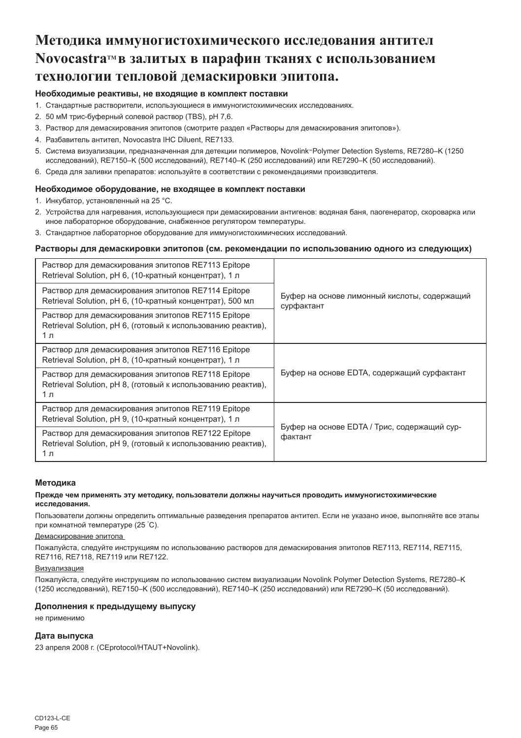# **Методика иммуногистохимического исследования антител NovocastraTM в залитых в парафин тканях с использованием технологии тепловой демаскировки эпитопа.**

# **Необходимые реактивы, не входящие в комплект поставки**

- 1. Стандартные растворители, использующиеся в иммуногистохимических исследованиях.
- 2. 50 мМ трис-буферный солевой раствор (TBS), pH 7,6.
- 3. Раствор для демаскирования эпитопов (смотрите раздел «Растворы для демаскирования эпитопов»).
- 4. Разбавитель антител, Novocastra IHC Diluent, RE7133.
- 5. Система визуализации, предназначенная для детекции полимеров, Novolink® Polymer Detection Systems, RE7280–K (1250 исследований), RE7150–K (500 исследований), RE7140–K (250 исследований) или RE7290–K (50 исследований).
- 6. Среда для заливки препаратов: используйте в соответствии с рекомендациями производителя.

#### **Необходимое оборудование, не входящее в комплект поставки**

- 1. Инкубатор, установленный на 25 °C.
- 2. Устройства для нагревания, использующиеся при демаскировании антигенов: водяная баня, паогенератор, скороварка или иное лабораторное оборудование, снабженное регулятором температуры.
- 3. Стандартное лабораторное оборудование для иммуногистохимических исследований.

#### **Растворы для демаскировки эпитопов (см. рекомендации по использованию одного из следующих)**

| Раствор для демаскирования эпитопов RE7113 Epitope<br>Retrieval Solution, pH 6, (10-кратный концентрат), 1 л              | Буфер на основе лимонный кислоты, содержащий<br>сурфактант |
|---------------------------------------------------------------------------------------------------------------------------|------------------------------------------------------------|
| Раствор для демаскирования эпитопов RE7114 Epitope<br>Retrieval Solution, pH 6, (10-кратный концентрат), 500 мл           |                                                            |
| Раствор для демаскирования эпитопов RE7115 Epitope<br>Retrieval Solution, pH 6, (готовый к использованию реактив),<br>1л  |                                                            |
| Раствор для демаскирования эпитопов RE7116 Epitope<br>Retrieval Solution, pH 8, (10-кратный концентрат), 1 л              | Буфер на основе EDTA, содержащий сурфактант                |
| Раствор для демаскирования эпитопов RE7118 Epitope<br>Retrieval Solution, pH 8, (готовый к использованию реактив),<br>1 л |                                                            |
| Раствор для демаскирования эпитопов RE7119 Epitope<br>Retrieval Solution, pH 9, (10-кратный концентрат), 1 л              | Буфер на основе EDTA / Трис, содержащий сур-<br>фактант    |
| Раствор для демаскирования эпитопов RE7122 Epitope<br>Retrieval Solution, pH 9, (готовый к использованию реактив),<br>1 л |                                                            |

#### **Методика**

#### **Прежде чем применять эту методику, пользователи должны научиться проводить иммуногистохимические исследования.**

Пользователи должны определить оптимальные разведения препаратов антител. Если не указано иное, выполняйте все этапы при комнатной температуре (25 ° C).

#### Демаскирование эпитопа

Пожалуйста, следуйте инструкциям по использованию растворов для демаскирования эпитопов RE7113, RE7114, RE7115, RE7116, RE7118, RE7119 или RE7122.

#### Визуализация

Пожалуйста, следуйте инструкциям по использованию систем визуализации Novolink Polymer Detection Systems, RE7280–K (1250 исследований), RE7150–K (500 исследований), RE7140–K (250 исследований) или RE7290–K (50 исследований).

### **Дополнения к предыдущему выпуску**

не применимо

#### **Дата выпуска**

23 апреля 2008 г. (CEprotocol/HTAUT+Novolink).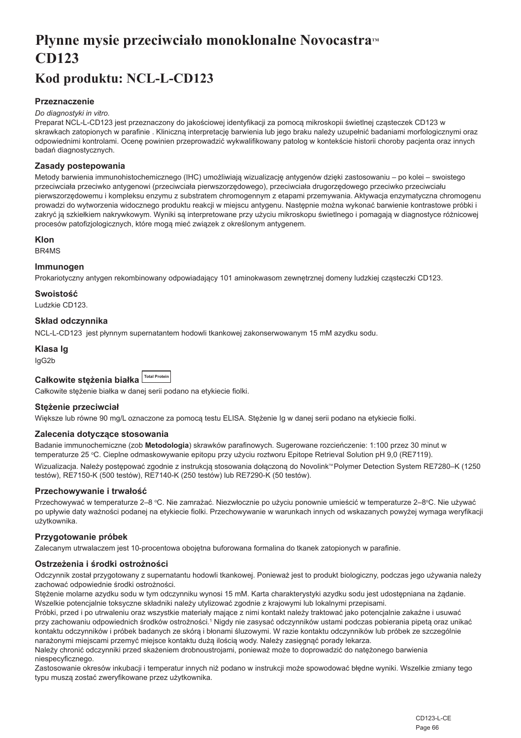# **Płynne mysie przeciwciało monoklonalne Novocastram CD123**

# **Kod produktu: NCL-L-CD123**

# **Przeznaczenie**

#### *Do diagnostyki in vitro.*

Preparat NCL-L-CD123 jest przeznaczony do jakościowej identyfikacji za pomocą mikroskopii świetlnej cząsteczek CD123 w skrawkach zatopionych w parafinie . Kliniczną interpretację barwienia lub jego braku należy uzupełnić badaniami morfologicznymi oraz odpowiednimi kontrolami. Ocenę powinien przeprowadzić wykwalifikowany patolog w kontekście historii choroby pacjenta oraz innych badań diagnostycznych.

### **Zasady postepowania**

Metody barwienia immunohistochemicznego (IHC) umożliwiają wizualizację antygenów dzięki zastosowaniu – po kolei – swoistego przeciwciała przeciwko antygenowi (przeciwciała pierwszorzędowego), przeciwciała drugorzędowego przeciwko przeciwciału pierwszorzędowemu i kompleksu enzymu z substratem chromogennym z etapami przemywania. Aktywacja enzymatyczna chromogenu prowadzi do wytworzenia widocznego produktu reakcji w miejscu antygenu. Następnie można wykonać barwienie kontrastowe próbki i zakryć ją szkiełkiem nakrywkowym. Wyniki są interpretowane przy użyciu mikroskopu świetlnego i pomagają w diagnostyce różnicowej procesów patofizjologicznych, które mogą mieć związek z określonym antygenem.

#### **Klon**

BR4MS

#### **Immunogen**

Prokariotyczny antygen rekombinowany odpowiadający 101 aminokwasom zewnętrznej domeny ludzkiej cząsteczki CD123.

# **Swoistość**

Ludzkie CD123.

# **Skład odczynnika**

NCL-L-CD123 jest płynnym supernatantem hodowli tkankowej zakonserwowanym 15 mM azydku sodu.

#### **Klasa Ig**

IgG2b

Całkowite stężenie białka w danej serii podano na etykiecie fiolki.

### **Stężenie przeciwciał**

**Całkowite stęże** 

Większe lub równe 90 mg/L oznaczone za pomocą testu ELISA. Stężenie Ig w danej serii podano na etykiecie fiolki.

#### **Zalecenia dotyczące stosowania**

Badanie immunochemiczne (zob **Metodologia**) skrawków parafinowych. Sugerowane rozcieńczenie: 1:100 przez 30 minut w temperaturze 25 °C. Cieplne odmaskowywanie epitopu przy użyciu roztworu Epitope Retrieval Solution pH 9,0 (RE7119). Wizualizacia. Należy postepować zgodnie z instrukcja stosowania dołączoną do Novolink™ Polymer Detection System RE7280–K (1250 testów), RE7150-K (500 testów), RE7140-K (250 testów) lub RE7290-K (50 testów).

#### **Przechowywanie i trwałość**

Przechowywać w temperaturze 2–8 °C. Nie zamrażać. Niezwłocznie po użyciu ponownie umieścić w temperaturze 2–8°C. Nie używać po upływie daty ważności podanej na etykiecie fiolki. Przechowywanie w warunkach innych od wskazanych powyżej wymaga weryfikacji użytkownika.

# **Przygotowanie próbek**

Zalecanym utrwalaczem jest 10-procentowa obojętna buforowana formalina do tkanek zatopionych w parafinie.

#### **Ostrzeżenia i środki ostrożności**

Odczynnik został przygotowany z supernatantu hodowli tkankowej. Ponieważ jest to produkt biologiczny, podczas jego używania należy zachować odpowiednie środki ostrożności.

Stężenie molarne azydku sodu w tym odczynniku wynosi 15 mM. Karta charakterystyki azydku sodu jest udostępniana na żądanie. Wszelkie potencjalnie toksyczne składniki należy utylizować zgodnie z krajowymi lub lokalnymi przepisami.

Próbki, przed i po utrwaleniu oraz wszystkie materiały mające z nimi kontakt należy traktować jako potencjalnie zakaźne i usuwać przy zachowaniu odpowiednich środków ostrożności.1 Nigdy nie zasysać odczynników ustami podczas pobierania pipetą oraz unikać kontaktu odczynników i próbek badanych ze skórą i błonami śluzowymi. W razie kontaktu odczynników lub próbek ze szczególnie narażonymi miejscami przemyć miejsce kontaktu dużą ilością wody. Należy zasięgnąć porady lekarza.

Należy chronić odczynniki przed skażeniem drobnoustrojami, ponieważ może to doprowadzić do natężonego barwienia niespecyficznego.

Zastosowanie okresów inkubacji i temperatur innych niż podano w instrukcji może spowodować błędne wyniki. Wszelkie zmiany tego typu muszą zostać zweryfikowane przez użytkownika.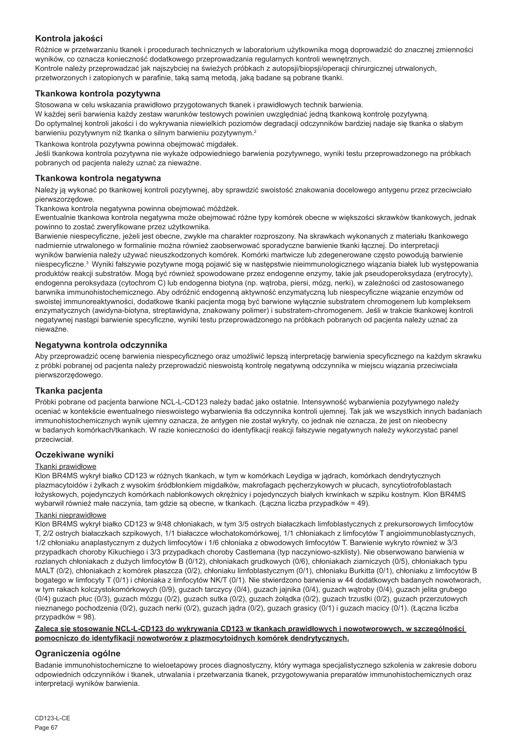# **Kontrola jakości**

Różnice w przetwarzaniu tkanek i procedurach technicznych w laboratorium użytkownika mogą doprowadzić do znacznej zmienności wyników, co oznacza konieczność dodatkowego przeprowadzania regularnych kontroli wewnętrznych. Kontrole należy przeprowadzać jak najszybciej na świeżych próbkach z autopsji/biopsji/operacji chirurgicznej utrwalonych, przetworzonych i zatopionych w parafinie, taką samą metodą, jaką badane są pobrane tkanki.

### **Tkankowa kontrola pozytywna**

Stosowana w celu wskazania prawidłowo przygotowanych tkanek i prawidłowych technik barwienia.

W każdej serii barwienia każdy zestaw warunków testowych powinien uwzględniać jedną tkankową kontrolę pozytywną.

Do optymalnej kontroli jakości i do wykrywania niewielkich poziomów degradacji odczynników bardziej nadaje się tkanka o słabym barwieniu pozytywnym niż tkanka o silnym barwieniu pozytywnym.<sup>2</sup>

Tkankowa kontrola pozytywna powinna obejmować migdałek.

Jeśli tkankowa kontrola pozytywna nie wykaże odpowiedniego barwienia pozytywnego, wyniki testu przeprowadzonego na próbkach pobranych od pacjenta należy uznać za nieważne.

# **Tkankowa kontrola negatywna**

Należy ja wykonać po tkankowej kontroli pozytywnej, aby sprawdzić swoistość znakowania docelowego antygenu przez przeciwciało pierwszorzędowe.

Tkankowa kontrola negatywna powinna obejmować móżdżek.

Ewentualnie tkankowa kontrola negatywna może obejmować różne typy komórek obecne w większości skrawków tkankowych, jednak powinno to zostać zweryfikowane przez użytkownika.

Barwienie niespecyficzne, jeżeli jest obecne, zwykle ma charakter rozproszony. Na skrawkach wykonanych z materiału tkankowego nadmiernie utrwalonego w formalinie można również zaobserwować sporadyczne barwienie tkanki łącznej. Do interpretacji wyników barwienia należy używać nieuszkodzonych komórek. Komórki martwicze lub zdegenerowane często powodują barwienie niespecyficzne.<sup>3</sup>Wyniki fałszywie pozytywne mogą pojawić się w następstwie nieimmunologicznego wiązania białek lub występowania produktów reakcji substratów. Mogą być również spowodowane przez endogenne enzymy, takie jak pseudoperoksydaza (erytrocyty), endogenna peroksydaza (cytochrom C) lub endogenna biotyna (np. wątroba, piersi, mózg, nerki), w zależności od zastosowanego barwnika immunohistochemicznego. Aby odróżnić endogenną aktywność enzymatyczną lub niespecyficzne wiązanie enzymów od swoistej immunoreaktywności, dodatkowe tkanki pacjenta mogą być barwione wyłącznie substratem chromogenem lub kompleksem enzymatycznych (awidyna-biotyna, streptawidyna, znakowany polimer) i substratem-chromogenem. Jeśli w trakcie tkankowej kontroli negatywnej nastąpi barwienie specyficzne, wyniki testu przeprowadzonego na próbkach pobranych od pacjenta należy uznać za nieważne.

# **Negatywna kontrola odczynnika**

Aby przeprowadzić ocenę barwienia niespecyficznego oraz umożliwić lepszą interpretację barwienia specyficznego na każdym skrawku z próbki pobranej od pacjenta należy przeprowadzić nieswoistą kontrolę negatywną odczynnika w miejscu wiązania przeciwciała pierwszorzędowego.

# **Tkanka pacjenta**

Próbki pobrane od pacjenta barwione NCL-L-CD123 należy badać jako ostatnie. Intensywność wybarwienia pozytywnego należy oceniać w kontekście ewentualnego nieswoistego wybarwienia tła odczynnika kontroli ujemnej. Tak jak we wszystkich innych badaniach immunohistochemicznych wynik ujemny oznacza, że antygen nie został wykryty, co jednak nie oznacza, że jest on nieobecny w badanych komórkach/tkankach. W razie konieczności do identyfikacji reakcji fałszywie negatywnych należy wykorzystać panel przeciwciał.

#### **Oczekiwane wyniki**

#### Tkanki prawidłowe

Klon BR4MS wykrył białko CD123 w różnych tkankach, w tym w komórkach Leydiga w jądrach, komórkach dendrytycznych plazmacytoidów i żyłkach z wysokim śródbłonkiem migdałków, makrofagach pęcherzykowych w płucach, syncytiotrofoblastach łożyskowych, pojedynczych komórkach nabłonkowych okrężnicy i pojedynczych białych krwinkach w szpiku kostnym. Klon BR4MS wybarwił również małe naczynia, tam gdzie są obecne, w tkankach. (Łączna liczba przypadków = 49).

#### Tkanki nieprawidłowe

Klon BR4MS wykrył białko CD123 w 9/48 chłoniakach, w tym 3/5 ostrych białaczkach limfoblastycznych z prekursorowych limfocytów T, 2/2 ostrych białaczkach szpikowych, 1/1 białaczce włochatokomórkowej, 1/1 chłoniakach z limfocytów T angioimmunoblastycznych, 1/2 chłoniaku anaplastycznym z dużych limfocytów i 1/6 chłoniaka z obwodowych limfocytów T. Barwienie wykryto również w 3/3 przypadkach choroby Kikuchiego i 3/3 przypadkach choroby Castlemana (typ naczyniowo-szklisty). Nie obserwowano barwienia w rozlanych chłoniakach z dużych limfocytów B (0/12), chłoniakach grudkowych (0/6), chłoniakach ziarniczych (0/5), chłoniakach typu MALT (0/2), chłoniakach z komórek płaszcza (0/2), chłoniaku limfoblastycznym (0/1), chłoniaku Burkitta (0/1), chłoniaku z limfocytów B bogatego w limfocyty T (0/1) i chłoniaka z limfocytów NK/T (0/1). Nie stwierdzono barwienia w 44 dodatkowych badanych nowotworach, w tym rakach kolczystokomórkowych (0/9), guzach tarczycy (0/4), guzach jajnika (0/4), guzach wątroby (0/4), guzach jelita grubego (0/4) guzach płuc (0/3), guzach mózgu (0/2), guzach sutka (0/2), guzach żołądka (0/2), guzach trzustki (0/2), guzach przerzutowych nieznanego pochodzenia (0/2), guzach nerki (0/2), guzach jądra (0/2), guzach grasicy (0/1) i guzach macicy (0/1). (Łączna liczba przypadków = 98).

#### **Zaleca się stosowanie NCL-L-CD123 do wykrywania CD123 w tkankach prawidłowych i nowotworowych, w szczególności pomocniczo do identyfikacji nowotworów z plazmocytoidnych komórek dendrytycznych.**

#### **Ograniczenia ogólne**

Badanie immunohistochemiczne to wieloetapowy proces diagnostyczny, który wymaga specjalistycznego szkolenia w zakresie doboru odpowiednich odczynników i tkanek, utrwalania i przetwarzania tkanek, przygotowywania preparatów immunohistochemicznych oraz interpretacji wyników barwienia.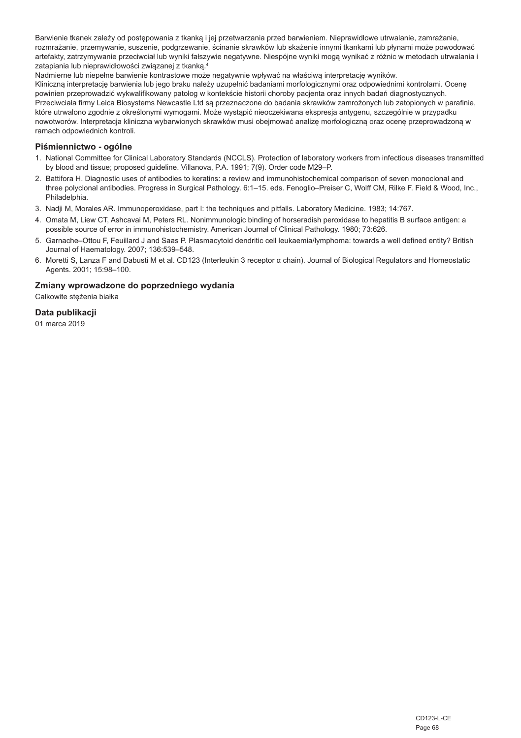Barwienie tkanek zależy od postępowania z tkanką i jej przetwarzania przed barwieniem. Nieprawidłowe utrwalanie, zamrażanie, rozmrażanie, przemywanie, suszenie, podgrzewanie, ścinanie skrawków lub skażenie innymi tkankami lub płynami może powodować artefakty, zatrzymywanie przeciwciał lub wyniki fałszywie negatywne. Niespójne wyniki mogą wynikać z różnic w metodach utrwalania i zatapiania lub nieprawidłowości związanej z tkanką.4

Nadmierne lub niepełne barwienie kontrastowe może negatywnie wpływać na właściwą interpretację wyników. Kliniczną interpretację barwienia lub jego braku należy uzupełnić badaniami morfologicznymi oraz odpowiednimi kontrolami. Ocenę powinien przeprowadzić wykwalifikowany patolog w kontekście historii choroby pacjenta oraz innych badań diagnostycznych. Przeciwciała firmy Leica Biosystems Newcastle Ltd są przeznaczone do badania skrawków zamrożonych lub zatopionych w parafinie, które utrwalono zgodnie z określonymi wymogami. Może wystąpić nieoczekiwana ekspresja antygenu, szczególnie w przypadku nowotworów. Interpretacja kliniczna wybarwionych skrawków musi obejmować analizę morfologiczną oraz ocenę przeprowadzoną w ramach odpowiednich kontroli.

### **Piśmiennictwo - ogólne**

- 1. National Committee for Clinical Laboratory Standards (NCCLS). Protection of laboratory workers from infectious diseases transmitted by blood and tissue; proposed guideline. Villanova, P.A. 1991; 7(9). Order code M29–P.
- 2. Battifora H. Diagnostic uses of antibodies to keratins: a review and immunohistochemical comparison of seven monoclonal and three polyclonal antibodies. Progress in Surgical Pathology. 6:1–15. eds. Fenoglio–Preiser C, Wolff CM, Rilke F. Field & Wood, Inc., Philadelphia.
- 3. Nadji M, Morales AR. Immunoperoxidase, part I: the techniques and pitfalls. Laboratory Medicine. 1983; 14:767.
- 4. Omata M, Liew CT, Ashcavai M, Peters RL. Nonimmunologic binding of horseradish peroxidase to hepatitis B surface antigen: a possible source of error in immunohistochemistry. American Journal of Clinical Pathology. 1980; 73:626.
- 5. Garnache–Ottou F, Feuillard J and Saas P. Plasmacytoid dendritic cell leukaemia/lymphoma: towards a well defined entity? British Journal of Haematology. 2007; 136:539–548.
- 6. Moretti S, Lanza F and Dabusti M et al. CD123 (Interleukin 3 receptor α chain). Journal of Biological Regulators and Homeostatic Agents. 2001; 15:98–100.

#### **Zmiany wprowadzone do poprzedniego wydania**

Całkowite stężenia białka

#### **Data publikacji**

01 marca 2019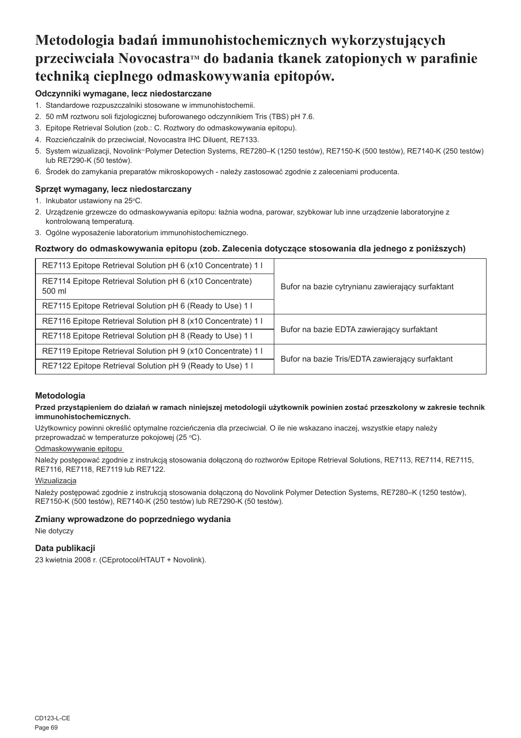# **Metodologia badań immunohistochemicznych wykorzystujących przeciwciała NovocastraTM do badania tkanek zatopionych w parafinie techniką cieplnego odmaskowywania epitopów.**

# **Odczynniki wymagane, lecz niedostarczane**

- 1. Standardowe rozpuszczalniki stosowane w immunohistochemii.
- 2. 50 mM roztworu soli fizjologicznej buforowanego odczynnikiem Tris (TBS) pH 7.6.
- 3. Epitope Retrieval Solution (zob.: C. Roztwory do odmaskowywania epitopu).
- 4. Rozcieńczalnik do przeciwciał, Novocastra IHC Diluent, RE7133.
- 5. System wizualizacji, Novolink "Polymer Detection Systems, RE7280-K (1250 testów), RE7150-K (500 testów), RE7140-K (250 testów) lub RE7290-K (50 testów).
- 6. Środek do zamykania preparatów mikroskopowych należy zastosować zgodnie z zaleceniami producenta.

# **Sprzęt wymagany, lecz niedostarczany**

- 1. Inkubator ustawiony na 25°C.
- 2. Urządzenie grzewcze do odmaskowywania epitopu: łaźnia wodna, parowar, szybkowar lub inne urządzenie laboratoryjne z kontrolowaną temperaturą.
- 3. Ogólne wyposażenie laboratorium immunohistochemicznego.

# **Roztwory do odmaskowywania epitopu (zob. Zalecenia dotyczące stosowania dla jednego z poniższych)**

| RE7113 Epitope Retrieval Solution pH 6 (x10 Concentrate) 1         | Bufor na bazie cytrynianu zawierający surfaktant |
|--------------------------------------------------------------------|--------------------------------------------------|
| RE7114 Epitope Retrieval Solution pH 6 (x10 Concentrate)<br>500 ml |                                                  |
| RE7115 Epitope Retrieval Solution pH 6 (Ready to Use) 1            |                                                  |
| RE7116 Epitope Retrieval Solution pH 8 (x10 Concentrate) 1         |                                                  |
| RE7118 Epitope Retrieval Solution pH 8 (Ready to Use) 1            | Bufor na bazie EDTA zawierający surfaktant       |
| RE7119 Epitope Retrieval Solution pH 9 (x10 Concentrate) 1         | Bufor na bazie Tris/EDTA zawierający surfaktant  |
| RE7122 Epitope Retrieval Solution pH 9 (Ready to Use) 1            |                                                  |

#### **Metodologia**

#### **Przed przystąpieniem do działań w ramach niniejszej metodologii użytkownik powinien zostać przeszkolony w zakresie technik immunohistochemicznych.**

Użytkownicy powinni określić optymalne rozcieńczenia dla przeciwciał. O ile nie wskazano inaczej, wszystkie etapy należy przeprowadzać w temperaturze pokojowej (25 °C).

#### Odmaskowywanie epitopu

Należy postępować zgodnie z instrukcją stosowania dołączoną do roztworów Epitope Retrieval Solutions, RE7113, RE7114, RE7115, RE7116, RE7118, RE7119 lub RE7122.

#### **Wizualizacja**

Należy postępować zgodnie z instrukcją stosowania dołączoną do Novolink Polymer Detection Systems, RE7280–K (1250 testów), RE7150-K (500 testów), RE7140-K (250 testów) lub RE7290-K (50 testów).

# **Zmiany wprowadzone do poprzedniego wydania**

Nie dotyczy

#### **Data publikacji**

23 kwietnia 2008 r. (CEprotocol/HTAUT + Novolink).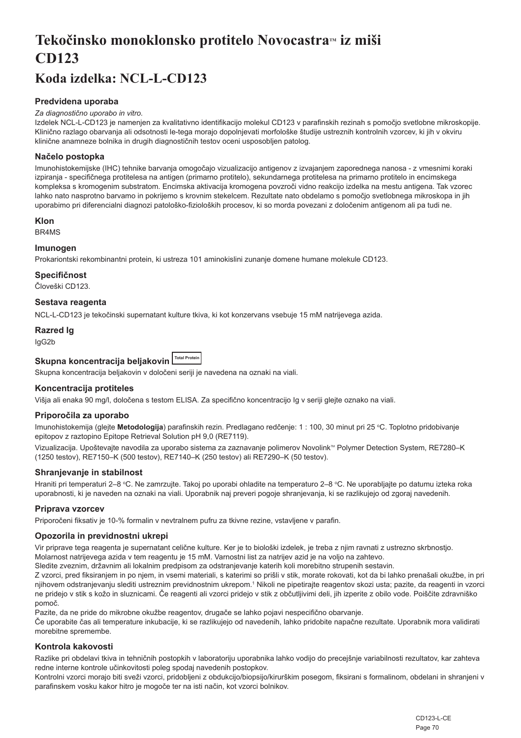# Tekočinsko monoklonsko protitelo Novocastra™ iz miši **CD123**

# **Koda izdelka: NCL-L-CD123**

# **Predvidena uporaba**

#### *Za diagnostično uporabo in vitro.*

Izdelek NCL-L-CD123 je namenjen za kvalitativno identifikacijo molekul CD123 v parafinskih rezinah s pomočjo svetlobne mikroskopije. Klinično razlago obarvanja ali odsotnosti le-tega morajo dopolnjevati morfološke študije ustreznih kontrolnih vzorcev, ki jih v okviru klinične anamneze bolnika in drugih diagnostičnih testov oceni usposobljen patolog.

### **Načelo postopka**

Imunohistokemijske (IHC) tehnike barvanja omogočajo vizualizacijo antigenov z izvajanjem zaporednega nanosa - z vmesnimi koraki izpiranja - specifičnega protitelesa na antigen (primarno protitelo), sekundarnega protitelesa na primarno protitelo in encimskega kompleksa s kromogenim substratom. Encimska aktivacija kromogena povzroči vidno reakcijo izdelka na mestu antigena. Tak vzorec lahko nato nasprotno barvamo in pokrijemo s krovnim stekelcem. Rezultate nato obdelamo s pomočjo svetlobnega mikroskopa in jih uporabimo pri diferencialni diagnozi patološko-fizioloških procesov, ki so morda povezani z določenim antigenom ali pa tudi ne.

#### **Klon**

BR4MS

# **Imunogen**

Prokariontski rekombinantni protein, ki ustreza 101 aminokislini zunanje domene humane molekule CD123.

#### **Specifičnost**

Človeški CD123.

# **Sestava reagenta**

NCL-L-CD123 je tekočinski supernatant kulture tkiva, ki kot konzervans vsebuje 15 mM natrijevega azida.

# **Razred Ig**

IgG2b

# Skupna koncentracija beljakovin **ITotal Protein**

Skupna koncentracija beljakovin v določeni seriji je navedena na oznaki na viali.

#### **Koncentracija protiteles**

Višja ali enaka 90 mg/l, določena s testom ELISA. Za specifično koncentracijo Ig v seriji glejte oznako na viali.

#### **Priporočila za uporabo**

lmunohistokemija (glejte **Metodologija**) parafinskih rezin. Predlagano redčenje: 1 : 100, 30 minut pri 25 °C. Toplotno pridobivanje epitopov z raztopino Epitope Retrieval Solution pH 9,0 (RE7119).

Vizualizacija. Upoštevajte navodila za uporabo sistema za zaznavanje polimerov Novolink™ Polymer Detection System, RE7280–K (1250 testov), RE7150–K (500 testov), RE7140–K (250 testov) ali RE7290–K (50 testov).

#### **Shranjevanje in stabilnost**

Hraniti pri temperaturi 2–8 °C. Ne zamrzujte. Takoj po uporabi ohladite na temperaturo 2–8 °C. Ne uporabljajte po datumu izteka roka uporabnosti, ki je naveden na oznaki na viali. Uporabnik naj preveri pogoje shranjevanja, ki se razlikujejo od zgoraj navedenih.

#### **Priprava vzorcev**

Priporočeni fiksativ je 10-% formalin v nevtralnem pufru za tkivne rezine, vstavljene v parafin.

#### **Opozorila in previdnostni ukrepi**

Vir priprave tega reagenta je supernatant celične kulture. Ker je to biološki izdelek, je treba z njim ravnati z ustrezno skrbnostjo. Molarnost natrijevega azida v tem reagentu je 15 mM. Varnostni list za natrijev azid je na voljo na zahtevo.

Sledite zveznim, državnim ali lokalnim predpisom za odstranjevanje katerih koli morebitno strupenih sestavin.

Z vzorci, pred fiksiranjem in po njem, in vsemi materiali, s katerimi so prišli v stik, morate rokovati, kot da bi lahko prenašali okužbe, in pri njihovem odstranjevanju slediti ustreznim previdnostnim ukrepom.1 Nikoli ne pipetirajte reagentov skozi usta; pazite, da reagenti in vzorci ne pridejo v stik s kožo in sluznicami. Če reagenti ali vzorci pridejo v stik z občutljivimi deli, jih izperite z obilo vode. Poiščite zdravniško pomoč.

Pazite, da ne pride do mikrobne okužbe reagentov, drugače se lahko pojavi nespecifično obarvanje.

Če uporabite čas ali temperature inkubacije, ki se razlikujejo od navedenih, lahko pridobite napačne rezultate. Uporabnik mora validirati morebitne spremembe.

#### **Kontrola kakovosti**

Razlike pri obdelavi tkiva in tehničnih postopkih v laboratoriju uporabnika lahko vodijo do precejšnje variabilnosti rezultatov, kar zahteva redne interne kontrole učinkovitosti poleg spodaj navedenih postopkov.

Kontrolni vzorci morajo biti sveži vzorci, pridobljeni z obdukcijo/biopsijo/kirurškim posegom, fiksirani s formalinom, obdelani in shranjeni v parafinskem vosku kakor hitro je mogoče ter na isti način, kot vzorci bolnikov.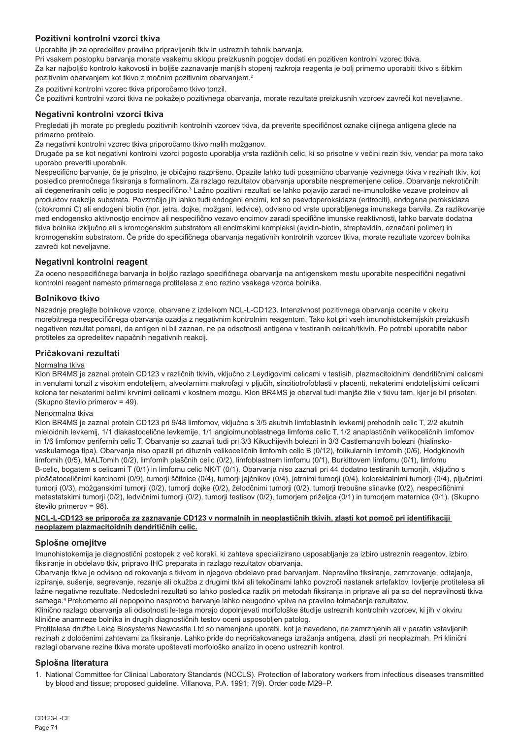# **Pozitivni kontrolni vzorci tkiva**

Uporabite jih za opredelitev pravilno pripravljenih tkiv in ustreznih tehnik barvanja.

Pri vsakem postopku barvanja morate vsakemu sklopu preizkusnih pogojev dodati en pozitiven kontrolni vzorec tkiva.

Za kar najboljšo kontrolo kakovosti in boljše zaznavanje manjših stopenj razkroja reagenta je bolj primerno uporabiti tkivo s šibkim pozitivnim obarvanjem kot tkivo z močnim pozitivnim obarvanjem.<sup>2</sup>

Za pozitivni kontrolni vzorec tkiva priporočamo tkivo tonzil.

Če pozitivni kontrolni vzorci tkiva ne pokažejo pozitivnega obarvanja, morate rezultate preizkusnih vzorcev zavreči kot neveljavne.

#### **Negativni kontrolni vzorci tkiva**

Pregledati jih morate po pregledu pozitivnih kontrolnih vzorcev tkiva, da preverite specifičnost oznake ciljnega antigena glede na primarno protitelo.

Za negativni kontrolni vzorec tkiva priporočamo tkivo malih možganov.

Drugače pa se kot negativni kontrolni vzorci pogosto uporablja vrsta različnih celic, ki so prisotne v večini rezin tkiv, vendar pa mora tako uporabo preveriti uporabnik.

Nespecifično barvanje, če je prisotno, je običajno razpršeno. Opazite lahko tudi posamično obarvanje vezivnega tkiva v rezinah tkiv, kot posledico premočnega fiksiranja s formalinom. Za razlago rezultatov obarvanja uporabite nespremenjene celice. Obarvanje nekrotičnih ali degeneriranih celic je pogosto nespecifično.<sup>3</sup> Lažno pozitivni rezultati se lahko pojavijo zaradi ne-imunološke vezave proteinov ali produktov reakcije substrata. Povzročijo jih lahko tudi endogeni encimi, kot so psevdoperoksidaza (eritrociti), endogena peroksidaza (citokromni C) ali endogeni biotin (npr. jetra, dojke, možgani, ledvice), odvisno od vrste uporabljenega imunskega barvila. Za razlikovanje med endogensko aktivnostjo encimov ali nespecifično vezavo encimov zaradi specifične imunske reaktivnosti, lahko barvate dodatna tkiva bolnika izključno ali s kromogenskim substratom ali encimskimi kompleksi (avidin-biotin, streptavidin, označeni polimer) in kromogenskim substratom. Če pride do specifičnega obarvanja negativnih kontrolnih vzorcev tkiva, morate rezultate vzorcev bolnika zavreči kot neveljavne.

#### **Negativni kontrolni reagent**

Za oceno nespecifičnega barvanja in boljšo razlago specifičnega obarvanja na antigenskem mestu uporabite nespecifični negativni kontrolni reagent namesto primarnega protitelesa z eno rezino vsakega vzorca bolnika.

#### **Bolnikovo tkivo**

Nazadnje preglejte bolnikove vzorce, obarvane z izdelkom NCL-L-CD123. Intenzivnost pozitivnega obarvanja ocenite v okviru morebitnega nespecifičnega obarvanja ozadja z negativnim kontrolnim reagentom. Tako kot pri vseh imunohistokemijskih preizkusih negativen rezultat pomeni, da antigen ni bil zaznan, ne pa odsotnosti antigena v testiranih celicah/tkivih. Po potrebi uporabite nabor protiteles za opredelitev napačnih negativnih reakcij.

#### **Pričakovani rezultati**

#### Normalna tkiva

Klon BR4MS je zaznal protein CD123 v različnih tkivih, vključno z Leydigovimi celicami v testisih, plazmacitoidnimi dendritičnimi celicami in venulami tonzil z visokim endotelijem, alveolarnimi makrofagi v pljučih, sincitiotrofoblasti v placenti, nekaterimi endotelijskimi celicami kolona ter nekaterimi belimi krvnimi celicami v kostnem mozgu. Klon BR4MS je obarval tudi manjše žile v tkivu tam, kjer je bil prisoten. (Skupno število primerov = 49).

#### Nenormalna tkiva

Klon BR4MS je zaznal protein CD123 pri 9/48 limfomov, vključno s 3/5 akutnih limfoblastnih levkemij prehodnih celic T, 2/2 akutnih mieloidnih levkemij, 1/1 dlakastocelične levkemije, 1/1 angioimunoblastnega limfoma celic T, 1/2 anaplastičnih velikoceličnih limfomov in 1/6 limfomov perifernih celic T. Obarvanje so zaznali tudi pri 3/3 Kikuchijevih bolezni in 3/3 Castlemanovih bolezni (hialinskovaskularnega tipa). Obarvanja niso opazili pri difuznih velikoceličnih limfomih celic B (0/12), folikularnih limfomih (0/6), Hodgkinovih limfomih (0/5), MALTomih (0/2), limfomih plaščnih celic (0/2), limfoblastnem limfomu (0/1), Burkittovem limfomu (0/1), limfomu B-celic, bogatem s celicami T (0/1) in limfomu celic NK/T (0/1). Obarvanja niso zaznali pri 44 dodatno testiranih tumorjih, vključno s ploščatoceličnimi karcinomi (0/9), tumorji ščitnice (0/4), tumorji jajčnikov (0/4), jetrnimi tumorji (0/4), kolorektalnimi tumorji (0/4), pljučnimi tumorji (0/3), možganskimi tumorji (0/2), tumorji dojke (0/2), želodčnimi tumorji (0/2), tumorji trebušne slinavke (0/2), nespecifičnimi metastatskimi tumorji (0/2), ledvičnimi tumorji (0/2), tumorji testisov (0/2), tumorjem priželjca (0/1) in tumorjem maternice (0/1). (Skupno število primerov = 98).

#### **NCL-L-CD123 se priporoča za zaznavanje CD123 v normalnih in neoplastičnih tkivih, zlasti kot pomoč pri identifikaciji neoplazem plazmacitoidnih dendritičnih celic.**

#### **Splošne omejitve**

Imunohistokemija je diagnostični postopek z več koraki, ki zahteva specializirano usposabljanje za izbiro ustreznih reagentov, izbiro, fiksiranje in obdelavo tkiv, pripravo IHC preparata in razlago rezultatov obarvanja.

Obarvanje tkiva je odvisno od rokovanja s tkivom in njegovo obdelavo pred barvanjem. Nepravilno fiksiranje, zamrzovanje, odtajanje, izpiranje, sušenje, segrevanje, rezanje ali okužba z drugimi tkivi ali tekočinami lahko povzroči nastanek artefaktov, lovljenje protitelesa ali lažne negativne rezultate. Nedosledni rezultati so lahko posledica razlik pri metodah fiksiranja in priprave ali pa so del nepravilnosti tkiva samega.4 Prekomerno ali nepopolno nasprotno barvanje lahko neugodno vpliva na pravilno tolmačenje rezultatov.

Klinično razlago obarvanja ali odsotnosti le-tega morajo dopolnjevati morfološke študije ustreznih kontrolnih vzorcev, ki jih v okviru klinične anamneze bolnika in drugih diagnostičnih testov oceni usposobljen patolog.

Protitelesa družbe Leica Biosystems Newcastle Ltd so namenjena uporabi, kot je navedeno, na zamrznjenih ali v parafin vstavljenih rezinah z določenimi zahtevami za fiksiranje. Lahko pride do nepričakovanega izražanja antigena, zlasti pri neoplazmah. Pri klinični razlagi obarvane rezine tkiva morate upoštevati morfološko analizo in oceno ustreznih kontrol.

#### **Splošna literatura**

1. National Committee for Clinical Laboratory Standards (NCCLS). Protection of laboratory workers from infectious diseases transmitted by blood and tissue; proposed guideline. Villanova, P.A. 1991; 7(9). Order code M29–P.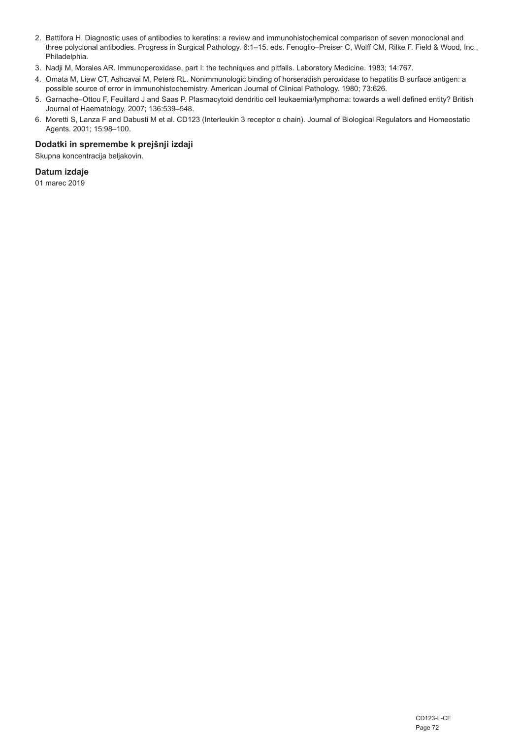- 2. Battifora H. Diagnostic uses of antibodies to keratins: a review and immunohistochemical comparison of seven monoclonal and three polyclonal antibodies. Progress in Surgical Pathology. 6:1–15. eds. Fenoglio–Preiser C, Wolff CM, Rilke F. Field & Wood, Inc., Philadelphia.
- 3. Nadji M, Morales AR. Immunoperoxidase, part I: the techniques and pitfalls. Laboratory Medicine. 1983; 14:767.
- 4. Omata M, Liew CT, Ashcavai M, Peters RL. Nonimmunologic binding of horseradish peroxidase to hepatitis B surface antigen: a possible source of error in immunohistochemistry. American Journal of Clinical Pathology. 1980; 73:626.
- 5. Garnache–Ottou F, Feuillard J and Saas P. Plasmacytoid dendritic cell leukaemia/lymphoma: towards a well defined entity? British Journal of Haematology. 2007; 136:539–548.
- 6. Moretti S, Lanza F and Dabusti M et al. CD123 (Interleukin 3 receptor α chain). Journal of Biological Regulators and Homeostatic Agents. 2001; 15:98–100.

## **Dodatki in spremembe k prejšnji izdaji**

Skupna koncentracija beljakovin.

## **Datum izdaje**

01 marec 2019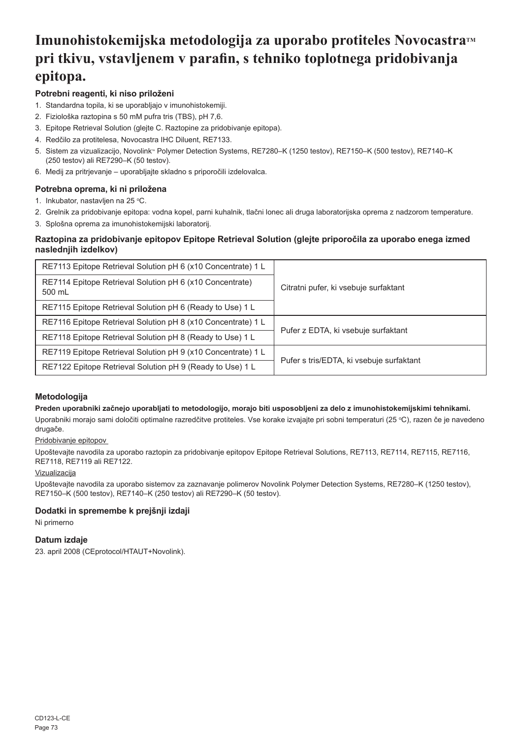# **Imunohistokemijska metodologija za uporabo protiteles NovocastraTM pri tkivu, vstavljenem v parafin, s tehniko toplotnega pridobivanja epitopa.**

## **Potrebni reagenti, ki niso priloženi**

- 1. Standardna topila, ki se uporabljajo v imunohistokemiji.
- 2. Fiziološka raztopina s 50 mM pufra tris (TBS), pH 7,6.
- 3. Epitope Retrieval Solution (glejte C. Raztopine za pridobivanje epitopa).
- 4. Redčilo za protitelesa, Novocastra IHC Diluent, RE7133.
- 5. Sistem za vizualizacijo, Novolink<sup>®</sup> Polymer Detection Systems, RE7280–K (1250 testov), RE7150–K (500 testov), RE7140–K (250 testov) ali RE7290–K (50 testov).
- 6. Medij za pritrjevanje uporabljajte skladno s priporočili izdelovalca.

## **Potrebna oprema, ki ni priložena**

- 1. Inkubator, nastavljen na 25 °C.
- 2. Grelnik za pridobivanje epitopa: vodna kopel, parni kuhalnik, tlačni lonec ali druga laboratorijska oprema z nadzorom temperature.
- 3. Splošna oprema za imunohistokemijski laboratorij.

## **Raztopina za pridobivanje epitopov Epitope Retrieval Solution (glejte priporočila za uporabo enega izmed naslednjih izdelkov)**

| RE7113 Epitope Retrieval Solution pH 6 (x10 Concentrate) 1 L       | Citratni pufer, ki vsebuje surfaktant    |
|--------------------------------------------------------------------|------------------------------------------|
| RE7114 Epitope Retrieval Solution pH 6 (x10 Concentrate)<br>500 mL |                                          |
| RE7115 Epitope Retrieval Solution pH 6 (Ready to Use) 1 L          |                                          |
| RE7116 Epitope Retrieval Solution pH 8 (x10 Concentrate) 1 L       | Pufer z EDTA, ki vsebuje surfaktant      |
| RE7118 Epitope Retrieval Solution pH 8 (Ready to Use) 1 L          |                                          |
| RE7119 Epitope Retrieval Solution pH 9 (x10 Concentrate) 1 L       | Pufer s tris/EDTA, ki vsebuje surfaktant |
| RE7122 Epitope Retrieval Solution pH 9 (Ready to Use) 1 L          |                                          |

### **Metodologija**

#### **Preden uporabniki začnejo uporabljati to metodologijo, morajo biti usposobljeni za delo z imunohistokemijskimi tehnikami.**

Uporabniki morajo sami določiti optimalne razredčitve protiteles. Vse korake izvajajte pri sobni temperaturi (25 °C), razen če je navedeno drugače.

## Pridobivanje epitopov

Upoštevajte navodila za uporabo raztopin za pridobivanje epitopov Epitope Retrieval Solutions, RE7113, RE7114, RE7115, RE7116, RE7118, RE7119 ali RE7122.

## Vizualizacija

Upoštevajte navodila za uporabo sistemov za zaznavanje polimerov Novolink Polymer Detection Systems, RE7280–K (1250 testov), RE7150–K (500 testov), RE7140–K (250 testov) ali RE7290–K (50 testov).

## **Dodatki in spremembe k prejšnji izdaji**

Ni primerno

## **Datum izdaje**

23. april 2008 (CEprotocol/HTAUT+Novolink).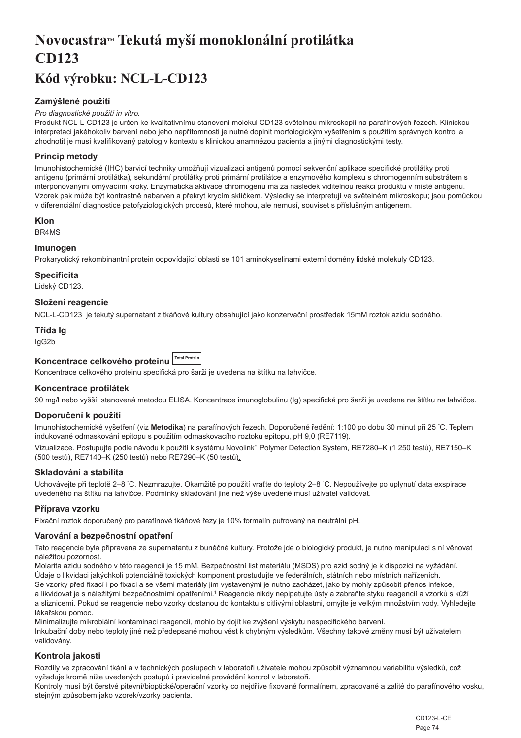# **NovocastraTM Tekutá myší monoklonální protilátka CD123**

## **Kód výrobku: NCL-L-CD123**

## **Zamýšlené použití**

#### *Pro diagnostické použití in vitro.*

Produkt NCL-L-CD123 je určen ke kvalitativnímu stanovení molekul CD123 světelnou mikroskopií na parafínových řezech. Klinickou interpretaci jakéhokoliv barvení nebo jeho nepřítomnosti je nutné doplnit morfologickým vyšetřením s použitím správných kontrol a zhodnotit je musí kvalifikovaný patolog v kontextu s klinickou anamnézou pacienta a jinými diagnostickými testy.

## **Princip metody**

Imunohistochemické (IHC) barvicí techniky umožňují vizualizaci antigenů pomocí sekvenční aplikace specifické protilátky proti antigenu (primární protilátka), sekundární protilátky proti primární protilátce a enzymového komplexu s chromogenním substrátem s interponovanými omývacími kroky. Enzymatická aktivace chromogenu má za následek viditelnou reakci produktu v místě antigenu. Vzorek pak může být kontrastně nabarven a překryt krycím sklíčkem. Výsledky se interpretují ve světelném mikroskopu; jsou pomůckou v diferenciální diagnostice patofyziologických procesů, které mohou, ale nemusí, souviset s příslušným antigenem.

### **Klon**

BR4MS

## **Imunogen**

Prokaryotický rekombinantní protein odpovídající oblasti se 101 aminokyselinami externí domény lidské molekuly CD123.

## **Specificita**

Lidský CD123.

## **Složení reagencie**

NCL-L-CD123 je tekutý supernatant z tkáňové kultury obsahující jako konzervační prostředek 15mM roztok azidu sodného.

## **Třída Ig**

IgG2b

## **Koncentrace celkového proteinu Total Protein**

Koncentrace celkového proteinu specifická pro šarži je uvedena na štítku na lahvičce.

### **Koncentrace protilátek**

90 mg/l nebo vyšší, stanovená metodou ELISA. Koncentrace imunoglobulinu (Ig) specifická pro šarži je uvedena na štítku na lahvičce.

### **Doporučení k použití**

Imunohistochemické vyšetření (viz **Metodika**) na parafínových řezech. Doporučené ředění: 1:100 po dobu 30 minut při 25 ° C. Teplem indukované odmaskování epitopu s použitím odmaskovacího roztoku epitopu, pH 9,0 (RE7119).

Vizualizace. Postupujte podle návodu k použití k systému Novolink™ Polymer Detection System, RE7280–K (1 250 testů), RE7150–K (500 testů), RE7140–K (250 testů) nebo RE7290–K (50 testů).

## **Skladování a stabilita**

Uchovávejte při teplotě 2–8 °C. Nezmrazujte. Okamžitě po použití vraťte do teploty 2–8 °C. Nepoužívejte po uplynutí data exspirace uvedeného na štítku na lahvičce. Podmínky skladování jiné než výše uvedené musí uživatel validovat.

## **Příprava vzorku**

Fixační roztok doporučený pro parafínové tkáňové řezy je 10% formalín pufrovaný na neutrální pH.

### **Varování a bezpečnostní opatření**

Tato reagencie byla připravena ze supernatantu z buněčné kultury. Protože jde o biologický produkt, je nutno manipulaci s ní věnovat náležitou pozornost.

Molarita azidu sodného v této reagencii je 15 mM. Bezpečnostní list materiálu (MSDS) pro azid sodný je k dispozici na vyžádání. Údaje o likvidaci jakýchkoli potenciálně toxických komponent prostudujte ve federálních, státních nebo místních nařízeních. Se vzorky před fixací i po fixaci a se všemi materiály jim vystavenými je nutno zacházet, jako by mohly způsobit přenos infekce, a likvidovat je s náležitými bezpečnostními opatřeními.1 Reagencie nikdy nepipetujte ústy a zabraňte styku reagencií a vzorků s kůží a sliznicemi. Pokud se reagencie nebo vzorky dostanou do kontaktu s citlivými oblastmi, omyjte je velkým množstvím vody. Vyhledejte lékařskou pomoc.

Minimalizujte mikrobiální kontaminaci reagencií, mohlo by dojít ke zvýšení výskytu nespecifického barvení. Inkubační doby nebo teploty jiné než předepsané mohou vést k chybným výsledkům. Všechny takové změny musí být uživatelem validovány.

## **Kontrola jakosti**

Rozdíly ve zpracování tkání a v technických postupech v laboratoři uživatele mohou způsobit významnou variabilitu výsledků, což vyžaduje kromě níže uvedených postupů i pravidelné provádění kontrol v laboratoři.

Kontroly musí být čerstvé pitevní/bioptické/operační vzorky co nejdříve fixované formalínem, zpracované a zalité do parafínového vosku, stejným způsobem jako vzorek/vzorky pacienta.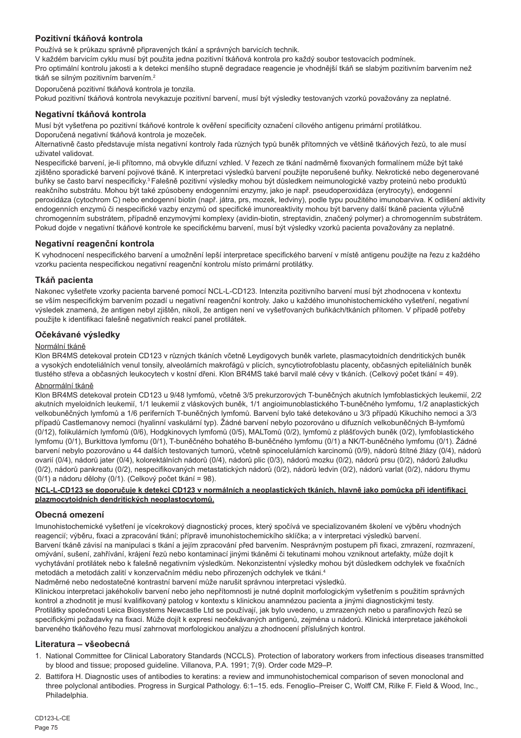## **Pozitivní tkáňová kontrola**

Používá se k průkazu správně připravených tkání a správných barvicích technik.

V každém barvicím cyklu musí být použita jedna pozitivní tkáňová kontrola pro každý soubor testovacích podmínek.

Pro optimální kontrolu jakosti a k detekci menšího stupně degradace reagencie je vhodnější tkáň se slabým pozitivním barvením než tkáň se silným pozitivním barvením.<sup>2</sup>

Doporučená pozitivní tkáňová kontrola je tonzila.

Pokud pozitivní tkáňová kontrola nevykazuje pozitivní barvení, musí být výsledky testovaných vzorků považovány za neplatné.

## **Negativní tkáňová kontrola**

Musí být vyšetřena po pozitivní tkáňové kontrole k ověření specificity označení cílového antigenu primární protilátkou. Doporučená negativní tkáňová kontrola je mozeček.

Alternativně často představuje místa negativní kontroly řada různých typů buněk přítomných ve většině tkáňových řezů, to ale musí uživatel validovat.

Nespecifické barvení, je-li přítomno, má obvykle difuzní vzhled. V řezech ze tkání nadměrně fixovaných formalínem může být také zjištěno sporadické barvení pojivové tkáně. K interpretaci výsledků barvení použijte neporušené buňky. Nekrotické nebo degenerované buňky se často barví nespecificky.<sup>3</sup>Falešně pozitivní výsledky mohou být důsledkem neimunologické vazby proteinů nebo produktů reakčního substrátu. Mohou být také způsobeny endogenními enzymy, jako je např. pseudoperoxidáza (erytrocyty), endogenní peroxidáza (cytochrom C) nebo endogenní biotin (např. játra, prs, mozek, ledviny), podle typu použitého imunobarviva. K odlišení aktivity endogenních enzymů či nespecifické vazby enzymů od specifické imunoreaktivity mohou být barveny další tkáně pacienta výlučně chromogenním substrátem, případně enzymovými komplexy (avidin-biotin, streptavidin, značený polymer) a chromogenním substrátem. Pokud dojde v negativní tkáňové kontrole ke specifickému barvení, musí být výsledky vzorků pacienta považovány za neplatné.

## **Negativní reagenční kontrola**

K vyhodnocení nespecifického barvení a umožnění lepší interpretace specifického barvení v místě antigenu použijte na řezu z každého vzorku pacienta nespecifickou negativní reagenční kontrolu místo primární protilátky.

## **Tkáň pacienta**

Nakonec vyšetřete vzorky pacienta barvené pomocí NCL-L-CD123. Intenzita pozitivního barvení musí být zhodnocena v kontextu se vším nespecifickým barvením pozadí u negativní reagenční kontroly. Jako u každého imunohistochemického vyšetření, negativní výsledek znamená, že antigen nebyl zjištěn, nikoli, že antigen není ve vyšetřovaných buňkách/tkáních přítomen. V případě potřeby použijte k identifikaci falešně negativních reakcí panel protilátek.

## **Očekávané výsledky**

#### Normální tkáně

Klon BR4MS detekoval protein CD123 v různých tkáních včetně Leydigovych buněk varlete, plasmacytoidních dendritických buněk a vysokých endoteliálních venul tonsily, alveolárních makrofágů v plicích, syncytiotrofoblastu placenty, občasných epiteliálních buněk tlustého střeva a občasných leukocytech v kostní dřeni. Klon BR4MS také barvil malé cévy v tkáních. (Celkový počet tkání = 49).

### Abnormální tkáně

Klon BR4MS detekoval protein CD123 u 9/48 lymfomů, včetně 3/5 prekurzorových T-buněčných akutních lymfoblastických leukemií, 2/2 akutních myeloidních leukemií, 1/1 leukemií z vláskových buněk, 1/1 angioimunoblastického T-buněčného lymfomu, 1/2 anaplastických velkobuněčných lymfomů a 1/6 periferních T-buněčných lymfomů. Barvení bylo také detekováno u 3/3 případů Kikuchiho nemoci a 3/3 případů Castlemanovy nemoci (hyalinní vaskulární typ). Žádné barvení nebylo pozorováno u difuzních velkobuněčných B-lymfomů (0/12), folikulárních lymfomů (0/6), Hodgkinovych lymfomů (0/5), MALTomů (0/2), lymfomů z plášťových buněk (0/2), lymfoblastického lymfomu (0/1), Burkittova lymfomu (0/1), T-buněčného bohatého B-buněčného lymfomu (0/1) a NK/T-buněčného lymfomu (0/1). Žádné barvení nebylo pozorováno u 44 dalších testovaných tumorů, včetně spinocelulárních karcinomů (0/9), nádorů štítné žlázy (0/4), nádorů ovarií (0/4), nádorů jater (0/4), kolorektálních nádorů (0/4), nádorů plic (0/3), nádorů mozku (0/2), nádorů prsu (0/2), nádorů žaludku (0/2), nádorů pankreatu (0/2), nespecifikovaných metastatických nádorů (0/2), nádorů ledvin (0/2), nádorů varlat (0/2), nádoru thymu (0/1) a nádoru dělohy (0/1). (Celkový počet tkání = 98).

#### **NCL-L-CD123 se doporučuje k detekci CD123 v normálních a neoplastických tkáních, hlavně jako pomůcka při identifikaci plazmocytoidních dendritických neoplastocytomů.**

### **Obecná omezení**

Imunohistochemické vyšetření je vícekrokový diagnostický proces, který spočívá ve specializovaném školení ve výběru vhodných reagencií; výběru, fixaci a zpracování tkání; přípravě imunohistochemickího sklíčka; a v interpretaci výsledků barvení. Barvení tkáně závisí na manipulaci s tkání a jejím zpracování před barvením. Nesprávným postupem při fixaci, zmrazení, rozmrazení, omývání, sušení, zahřívání, krájení řezů nebo kontaminací jinými tkáněmi či tekutinami mohou vzniknout artefakty, může dojít k vychytávání protilátek nebo k falešně negativním výsledkům. Nekonzistentní výsledky mohou být důsledkem odchylek ve fixačních metodách a metodách zalití v konzervačním médiu nebo přirozených odchylek ve tkáni.4

Nadměrné nebo nedostatečné kontrastní barvení může narušit správnou interpretaci výsledků.

Klinickou interpretaci jakéhokoliv barvení nebo jeho nepřítomnosti je nutné doplnit morfologickým vyšetřením s použitím správných kontrol a zhodnotit je musí kvalifikovaný patolog v kontextu s klinickou anamnézou pacienta a jinými diagnostickými testy. Protilátky společnosti Leica Biosystems Newcastle Ltd se používají, jak bylo uvedeno, u zmrazených nebo u parafínových řezů se specifickými požadavky na fixaci. Může dojít k expresi neočekávaných antigenů, zejména u nádorů. Klinická interpretace jakéhokoli barveného tkáňového řezu musí zahrnovat morfologickou analýzu a zhodnocení příslušných kontrol.

### **Literatura – všeobecná**

- 1. National Committee for Clinical Laboratory Standards (NCCLS). Protection of laboratory workers from infectious diseases transmitted by blood and tissue; proposed guideline. Villanova, P.A. 1991; 7(9). Order code M29–P.
- 2. Battifora H. Diagnostic uses of antibodies to keratins: a review and immunohistochemical comparison of seven monoclonal and three polyclonal antibodies. Progress in Surgical Pathology. 6:1–15. eds. Fenoglio–Preiser C, Wolff CM, Rilke F. Field & Wood, Inc., Philadelphia.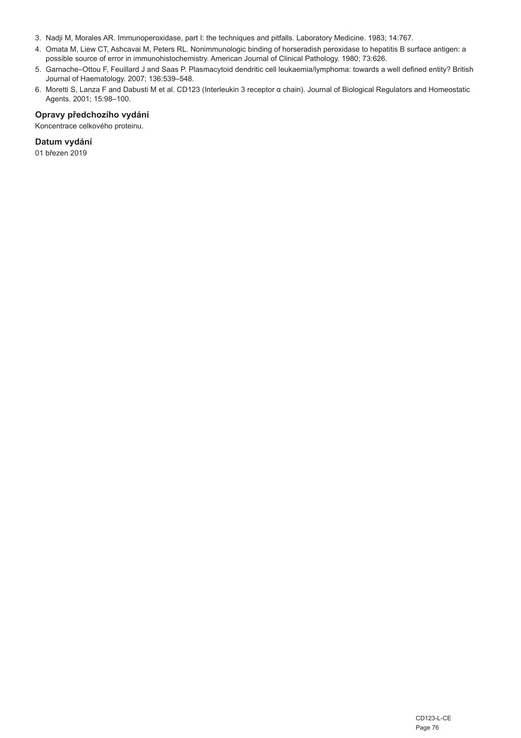- 3. Nadji M, Morales AR. Immunoperoxidase, part I: the techniques and pitfalls. Laboratory Medicine. 1983; 14:767.
- 4. Omata M, Liew CT, Ashcavai M, Peters RL. Nonimmunologic binding of horseradish peroxidase to hepatitis B surface antigen: a possible source of error in immunohistochemistry. American Journal of Clinical Pathology. 1980; 73:626.
- 5. Garnache–Ottou F, Feuillard J and Saas P. Plasmacytoid dendritic cell leukaemia/lymphoma: towards a well defined entity? British Journal of Haematology. 2007; 136:539–548.
- 6. Moretti S, Lanza F and Dabusti M et al. CD123 (Interleukin 3 receptor α chain). Journal of Biological Regulators and Homeostatic Agents. 2001; 15:98–100.

## **Opravy předchozího vydání**

Koncentrace celkového proteinu.

## **Datum vydání**

01 březen 2019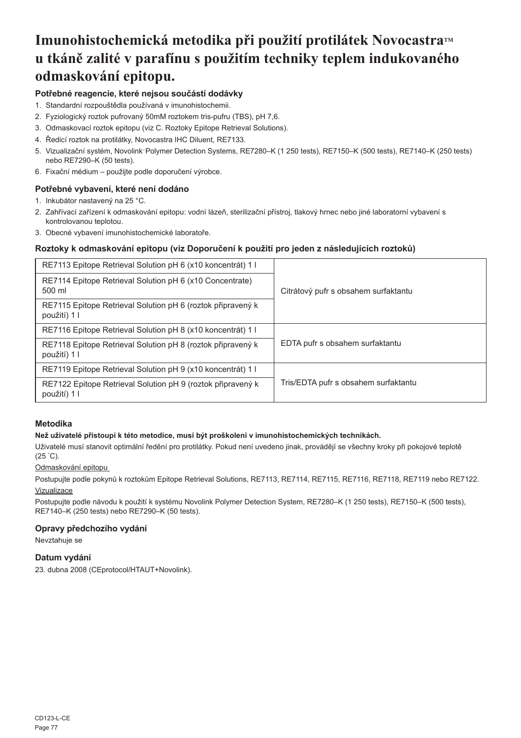## **Imunohistochemická metodika při použití protilátek NovocastraTM u tkáně zalité v parafínu s použitím techniky teplem indukovaného odmaskování epitopu.**

## **Potřebné reagencie, které nejsou součástí dodávky**

- 1. Standardní rozpouštědla používaná v imunohistochemii.
- 2. Fyziologický roztok pufrovaný 50mM roztokem tris-pufru (TBS), pH 7,6.
- 3. Odmaskovací roztok epitopu (viz C. Roztoky Epitope Retrieval Solutions).
- 4. Ředicí roztok na protilátky, Novocastra IHC Diluent, RE7133.
- 5. Vizualizační systém, Novolink™ Polymer Detection Systems, RE7280–K (1 250 tests), RE7150–K (500 tests), RE7140–K (250 tests) nebo RE7290–K (50 tests).
- 6. Fixační médium použijte podle doporučení výrobce.

## **Potřebné vybavení, které není dodáno**

- 1. Inkubátor nastavený na 25 °C.
- 2. Zahřívací zařízení k odmaskování epitopu: vodní lázeň, sterilizační přístroj, tlakový hrnec nebo jiné laboratorní vybavení s kontrolovanou teplotou.
- 3. Obecné vybavení imunohistochemické laboratoře.

## **Roztoky k odmaskování epitopu (viz Doporučení k použití pro jeden z následujících roztoků)**

| RE7113 Epitope Retrieval Solution pH 6 (x10 koncentrát) 1 l                 | Citrátový pufr s obsahem surfaktantu |
|-----------------------------------------------------------------------------|--------------------------------------|
| RE7114 Epitope Retrieval Solution pH 6 (x10 Concentrate)<br>500 ml          |                                      |
| RE7115 Epitope Retrieval Solution pH 6 (roztok připravený k<br>použití) 1 l |                                      |
| RE7116 Epitope Retrieval Solution pH 8 (x10 koncentrát) 1 l                 |                                      |
| RE7118 Epitope Retrieval Solution pH 8 (roztok připravený k<br>použití) 1 l | EDTA pufr s obsahem surfaktantu      |
| RE7119 Epitope Retrieval Solution pH 9 (x10 koncentrát) 1 l                 |                                      |
| RE7122 Epitope Retrieval Solution pH 9 (roztok připravený k<br>použití) 1 l | Tris/EDTA pufr s obsahem surfaktantu |
|                                                                             |                                      |

## **Metodika**

### **Než uživatelé přistoupí k této metodice, musí být proškoleni v imunohistochemických technikách.**

Uživatelé musí stanovit optimální ředění pro protilátky. Pokud není uvedeno jinak, provádějí se všechny kroky při pokojové teplotě (25 ° C).

## Odmaskování epitopu

Postupujte podle pokynů k roztokům Epitope Retrieval Solutions, RE7113, RE7114, RE7115, RE7116, RE7118, RE7119 nebo RE7122.

## **Vizualizace**

Postupujte podle návodu k použití k systému Novolink Polymer Detection System, RE7280–K (1 250 tests), RE7150–K (500 tests), RE7140–K (250 tests) nebo RE7290–K (50 tests).

### **Opravy předchozího vydání**

Nevztahuje se

### **Datum vydání**

23. dubna 2008 (CEprotocol/HTAUT+Novolink).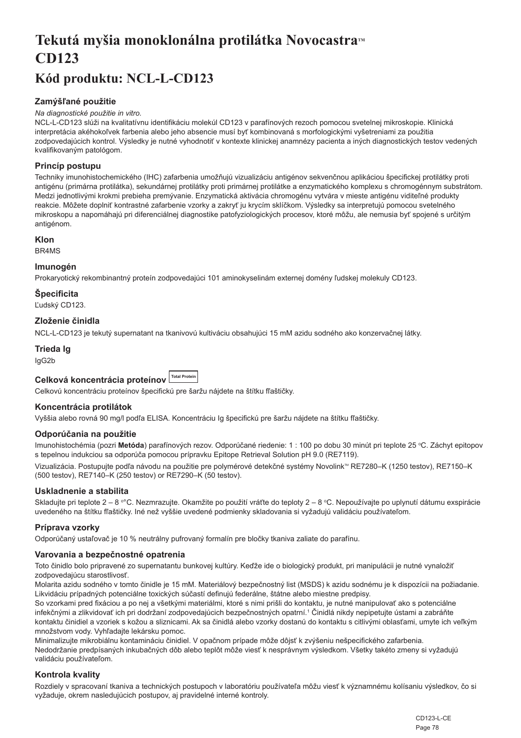# **Tekutá myšia monoklonálna protilátka NovocastraTM CD123**

## **Kód produktu: NCL-L-CD123**

## **Zamýšľané použitie**

#### *Na diagnostické použitie in vitro.*

NCL-L-CD123 slúži na kvalitatívnu identifikáciu molekúl CD123 v parafínových rezoch pomocou svetelnej mikroskopie. Klinická interpretácia akéhokoľvek farbenia alebo jeho absencie musí byť kombinovaná s morfologickými vyšetreniami za použitia zodpovedajúcich kontrol. Výsledky je nutné vyhodnotiť v kontexte klinickej anamnézy pacienta a iných diagnostických testov vedených kvalifikovaným patológom.

## **Princíp postupu**

Techniky imunohistochemického (IHC) zafarbenia umožňujú vizualizáciu antigénov sekvenčnou aplikáciou špecifickej protilátky proti antigénu (primárna protilátka), sekundárnej protilátky proti primárnej protilátke a enzymatického komplexu s chromogénnym substrátom. Medzi jednotlivými krokmi prebieha premývanie. Enzymatická aktivácia chromogénu vytvára v mieste antigénu viditeľné produkty reakcie. Môžete doplniť kontrastné zafarbenie vzorky a zakryť ju krycím sklíčkom. Výsledky sa interpretujú pomocou svetelného mikroskopu a napomáhajú pri diferenciálnej diagnostike patofyziologických procesov, ktoré môžu, ale nemusia byť spojené s určitým antigénom.

### **Klon**

BR4MS

### **Imunogén**

Prokaryotický rekombinantný proteín zodpovedajúci 101 aminokyselinám externej domény ľudskej molekuly CD123.

## **Špecificita**

Ľudský CD123.

## **Zloženie činidla**

NCL-L-CD123 je tekutý supernatant na tkanivovú kultiváciu obsahujúci 15 mM azidu sodného ako konzervačnej látky.

## **Trieda Ig**

IgG2b

## **Celková koncentrácia proteínov Total Protein**

Celkovú koncentráciu proteínov špecifickú pre šaržu nájdete na štítku fľaštičky.

### **Koncentrácia protilátok**

Vyššia alebo rovná 90 mg/l podľa ELISA. Koncentráciu Ig špecifickú pre šaržu nájdete na štítku fľaštičky.

### **Odporúčania na použitie**

lmunohistochémia (pozri **Metóda**) parafínových rezov. Odporúčané riedenie: 1 : 100 po dobu 30 minút pri teplote 25 °C. Záchyt epitopov s tepelnou indukciou sa odporúča pomocou prípravku Epitope Retrieval Solution pH 9.0 (RE7119).

Vizualizácia. Postupujte podľa návodu na použitie pre polymérové detekčné systémy Novolink™ RE7280–K (1250 testov), RE7150–K (500 testov), RE7140–K (250 testov) or RE7290–K (50 testov).

### **Uskladnenie a stabilita**

Skladujte pri teplote 2 – 8 °°C. Nezmrazujte. Okamžite po použití vráťte do teploty 2 – 8 °C. Nepoužívajte po uplynutí dátumu exspirácie uvedeného na štítku fľaštičky. Iné než vyššie uvedené podmienky skladovania si vyžadujú validáciu používateľom.

### **Príprava vzorky**

Odporúčaný ustaľovač je 10 % neutrálny pufrovaný formalín pre bločky tkaniva zaliate do parafínu.

### **Varovania a bezpečnostné opatrenia**

Toto činidlo bolo pripravené zo supernatantu bunkovej kultúry. Keďže ide o biologický produkt, pri manipulácii je nutné vynaložiť zodpovedajúcu starostlivosť.

Molarita azidu sodného v tomto činidle je 15 mM. Materiálový bezpečnostný list (MSDS) k azidu sodnému je k dispozícii na požiadanie. Likvidáciu prípadných potenciálne toxických súčastí definujú federálne, štátne alebo miestne predpisy.

So vzorkami pred fixáciou a po nej a všetkými materiálmi, ktoré s nimi prišli do kontaktu, je nutné manipulovať ako s potenciálne infekčnými a zlikvidovať ich pri dodržaní zodpovedajúcich bezpečnostných opatrní.<sup>1</sup> Činidlá nikdy nepipetujte ústami a zabráňte kontaktu činidiel a vzoriek s kožou a sliznicami. Ak sa činidlá alebo vzorky dostanú do kontaktu s citlivými oblasťami, umyte ich veľkým množstvom vody. Vyhľadajte lekársku pomoc.

Minimalizujte mikrobiálnu kontamináciu činidiel. V opačnom prípade môže dôjsť k zvýšeniu nešpecifického zafarbenia. Nedodržanie predpísaných inkubačných dôb alebo teplôt môže viesť k nesprávnym výsledkom. Všetky takéto zmeny si vyžadujú validáciu používateľom.

## **Kontrola kvality**

Rozdiely v spracovaní tkaniva a technických postupoch v laboratóriu používateľa môžu viesť k významnému kolísaniu výsledkov, čo si vyžaduje, okrem nasledujúcich postupov, aj pravidelné interné kontroly.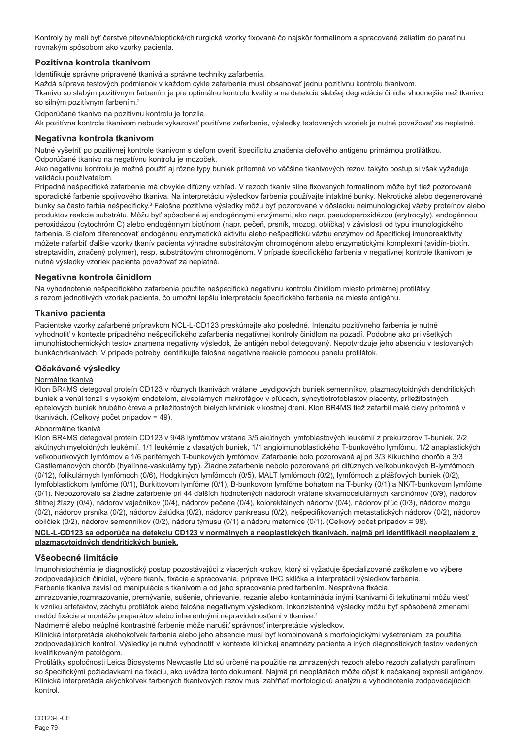Kontroly by mali byť čerstvé pitevné/bioptické/chirurgické vzorky fixované čo najskôr formalínom a spracované zaliatím do parafínu rovnakým spôsobom ako vzorky pacienta.

### **Pozitívna kontrola tkanivom**

Identifikuje správne pripravené tkanivá a správne techniky zafarbenia.

Každá súprava testových podmienok v každom cykle zafarbenia musí obsahovať jednu pozitívnu kontrolu tkanivom.

Tkanivo so slabým pozitívnym farbením je pre optimálnu kontrolu kvality a na detekciu slabšej degradácie činidla vhodnejšie než tkanivo so silným pozitívnym farbením.<sup>2</sup>

Odporúčané tkanivo na pozitívnu kontrolu je tonzila.

Ak pozitívna kontrola tkanivom nebude vykazovať pozitívne zafarbenie, výsledky testovaných vzoriek je nutné považovať za neplatné.

#### **Negatívna kontrola tkanivom**

Nutné vyšetriť po pozitívnej kontrole tkanivom s cieľom overiť špecificitu značenia cieľového antigénu primárnou protilátkou. Odporúčané tkanivo na negatívnu kontrolu je mozoček.

Ako negatívnu kontrolu je možné použiť aj rôzne typy buniek prítomné vo väčšine tkanivových rezov, takýto postup si však vyžaduje validáciu používateľom.

Prípadné nešpecifické zafarbenie má obvykle difúzny vzhľad. V rezoch tkanív silne fixovaných formalínom môže byť tiež pozorované sporadické farbenie spojivového tkaniva. Na interpretáciu výsledkov farbenia používajte intaktné bunky. Nekrotické alebo degenerované bunky sa často farbia nešpecificky.<sup>3</sup> Falošne pozitívne výsledky môžu byť pozorované v dôsledku neimunologickej väzby proteínov alebo produktov reakcie substrátu. Môžu byť spôsobené aj endogénnymi enzýmami, ako napr. pseudoperoxidázou (erytrocyty), endogénnou peroxidázou (cytochróm C) alebo endogénnym biotínom (napr. pečeň, prsník, mozog, oblička) v závislosti od typu imunologického farbenia. S cieľom diferencovať endogénnu enzymatickú aktivitu alebo nešpecifickú väzbu enzýmov od špecifickej imunoreaktivity môžete nafarbiť ďalšie vzorky tkanív pacienta výhradne substrátovým chromogénom alebo enzymatickými komplexmi (avidín-biotín, streptavidín, značený polymér), resp. substrátovým chromogénom. V prípade špecifického farbenia v negatívnej kontrole tkanivom je nutné výsledky vzoriek pacienta považovať za neplatné.

#### **Negatívna kontrola činidlom**

Na vyhodnotenie nešpecifického zafarbenia použite nešpecifickú negatívnu kontrolu činidlom miesto primárnej protilátky s rezom jednotlivých vzoriek pacienta, čo umožní lepšiu interpretáciu špecifického farbenia na mieste antigénu.

### **Tkanivo pacienta**

Pacientske vzorky zafarbené prípravkom NCL-L-CD123 preskúmajte ako posledné. Intenzitu pozitívneho farbenia je nutné vyhodnotiť v kontexte prípadného nešpecifického zafarbenia negatívnej kontroly činidlom na pozadí. Podobne ako pri všetkých imunohistochemických testov znamená negatívny výsledok, že antigén nebol detegovaný. Nepotvrdzuje jeho absenciu v testovaných bunkách/tkanivách. V prípade potreby identifikujte falošne negatívne reakcie pomocou panelu protilátok.

### **Očakávané výsledky**

#### Normálne tkanivá

Klon BR4MS detegoval proteín CD123 v rôznych tkanivách vrátane Leydigových buniek semenníkov, plazmacytoidných dendritických buniek a venúl tonzíl s vysokým endotelom, alveolárnych makrofágov v pľúcach, syncytiotrofoblastov placenty, príležitostných epitelových buniek hrubého čreva a príležitostných bielych krviniek v kostnej dreni. Klon BR4MS tiež zafarbil malé cievy prítomné v tkanivách. (Celkový počet prípadov = 49).

### Abnormálne tkanivá

Klon BR4MS detegoval proteín CD123 v 9/48 lymfómov vrátane 3/5 akútnych lymfoblastových leukémií z prekurzorov T-buniek, 2/2 akútnych myeloidných leukémií, 1/1 leukémie z vlasatých buniek, 1/1 angioimunoblastického T-bunkového lymfómu, 1/2 anaplastických veľkobunkových lymfómov a 1/6 periférnych T-bunkových lymfómov. Zafarbenie bolo pozorované aj pri 3/3 Kikuchiho chorôb a 3/3 Castlemanových chorôb (hyalínne-vaskulárny typ). Žiadne zafarbenie nebolo pozorované pri difúznych veľkobunkových B-lymfómoch (0/12), folikulárnych lymfómoch (0/6), Hodgkiných lymfómoch (0/5), MALT lymfómoch (0/2), lymfómoch z plášťových buniek (0/2), lymfoblastickom lymfóme (0/1), Burkittovom lymfóme (0/1), B-bunkovom lymfóme bohatom na T-bunky (0/1) a NK/T-bunkovom lymfóme (0/1). Nepozorovalo sa žiadne zafarbenie pri 44 ďalších hodnotených nádoroch vrátane skvamocelulárnych karcinómov (0/9), nádorov štítnej žľazy (0/4), nádorov vaječníkov (0/4), nádorov pečene (0/4), kolorektálnych nádorov (0/4), nádorov pľúc (0/3), nádorov mozgu (0/2), nádorov prsníka (0/2), nádorov žalúdka (0/2), nádorov pankreasu (0/2), nešpecifikovaných metastatických nádorov (0/2), nádorov obličiek (0/2), nádorov semenníkov (0/2), nádoru týmusu (0/1) a nádoru maternice (0/1). (Celkový počet prípadov = 98).

**NCL-L-CD123 sa odporúča na detekciu CD123 v normálnych a neoplastických tkanivách, najmä pri identifikácii neoplaziem z plazmacytoidných dendritických buniek.**

### **Všeobecné limitácie**

Imunohistochémia je diagnostický postup pozostávajúci z viacerých krokov, ktorý si vyžaduje špecializované zaškolenie vo výbere zodpovedajúcich činidiel, výbere tkanív, fixácie a spracovania, príprave IHC sklíčka a interpretácii výsledkov farbenia. Farbenie tkaniva závisí od manipulácie s tkanivom a od jeho spracovania pred farbením. Nesprávna fixácia,

zmrazovanie,rozmrazovanie, premývanie, sušenie, ohrievanie, rezanie alebo kontaminácia inými tkanivami či tekutinami môžu viesť k vzniku artefaktov, záchytu protilátok alebo falošne negatívnym výsledkom. Inkonzistentné výsledky môžu byť spôsobené zmenami metód fixácie a montáže preparátov alebo inherentnými nepravidelnosťami v tkanive.4

Nadmerné alebo neúplné kontrastné farbenie môže narušiť správnosť interpretácie výsledkov.

Klinická interpretácia akéhokoľvek farbenia alebo jeho absencie musí byť kombinovaná s morfologickými vyšetreniami za použitia zodpovedajúcich kontrol. Výsledky je nutné vyhodnotiť v kontexte klinickej anamnézy pacienta a iných diagnostických testov vedených kvalifikovaným patológom.

Protilátky spoločnosti Leica Biosystems Newcastle Ltd sú určené na použitie na zmrazených rezoch alebo rezoch zaliatych parafínom so špecifickými požiadavkami na fixáciu, ako uvádza tento dokument. Najmä pri neopláziách môže dôjsť k nečakanej expresii antigénov. Klinická interpretácia akýchkoľvek farbených tkanivových rezov musí zahŕňať morfologickú analýzu a vyhodnotenie zodpovedajúcich kontrol.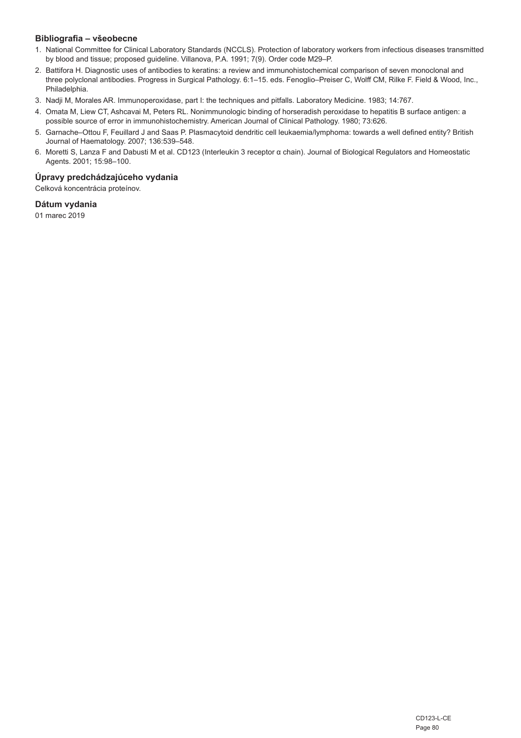## **Bibliografia – všeobecne**

- 1. National Committee for Clinical Laboratory Standards (NCCLS). Protection of laboratory workers from infectious diseases transmitted by blood and tissue; proposed guideline. Villanova, P.A. 1991; 7(9). Order code M29–P.
- 2. Battifora H. Diagnostic uses of antibodies to keratins: a review and immunohistochemical comparison of seven monoclonal and three polyclonal antibodies. Progress in Surgical Pathology. 6:1–15. eds. Fenoglio–Preiser C, Wolff CM, Rilke F. Field & Wood, Inc., Philadelphia.
- 3. Nadji M, Morales AR. Immunoperoxidase, part I: the techniques and pitfalls. Laboratory Medicine. 1983; 14:767.
- 4. Omata M, Liew CT, Ashcavai M, Peters RL. Nonimmunologic binding of horseradish peroxidase to hepatitis B surface antigen: a possible source of error in immunohistochemistry. American Journal of Clinical Pathology. 1980; 73:626.
- 5. Garnache–Ottou F, Feuillard J and Saas P. Plasmacytoid dendritic cell leukaemia/lymphoma: towards a well defined entity? British Journal of Haematology. 2007; 136:539–548.
- 6. Moretti S, Lanza F and Dabusti M et al. CD123 (Interleukin 3 receptor α chain). Journal of Biological Regulators and Homeostatic Agents. 2001; 15:98–100.

## **Úpravy predchádzajúceho vydania**

Celková koncentrácia proteínov.

## **Dátum vydania**

01 marec 2019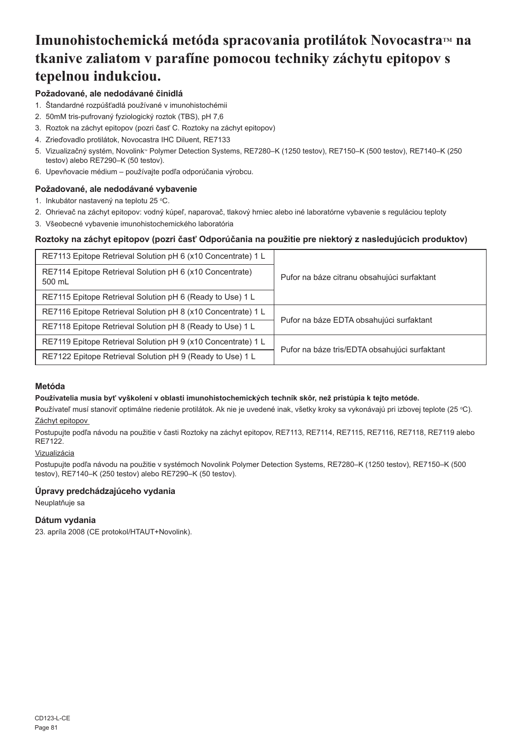## **Imunohistochemická metóda spracovania protilátok Novocastra™ na tkanive zaliatom v parafíne pomocou techniky záchytu epitopov s tepelnou indukciou.**

## **Požadované, ale nedodávané činidlá**

- 1. Štandardné rozpúšťadlá používané v imunohistochémii
- 2. 50mM tris-pufrovaný fyziologický roztok (TBS), pH 7,6
- 3. Roztok na záchyt epitopov (pozri časť C. Roztoky na záchyt epitopov)
- 4. Zrieďovadlo protilátok, Novocastra IHC Diluent, RE7133
- 5. Vizualizačný systém, Novolink™ Polymer Detection Systems, RE7280–K (1250 testov), RE7150–K (500 testov), RE7140–K (250 testov) alebo RE7290–K (50 testov).
- 6. Upevňovacie médium používajte podľa odporúčania výrobcu.

## **Požadované, ale nedodávané vybavenie**

- 1. Inkubátor nastavený na teplotu 25 °C.
- 2. Ohrievač na záchyt epitopov: vodný kúpeľ, naparovač, tlakový hrniec alebo iné laboratórne vybavenie s reguláciou teploty
- 3. Všeobecné vybavenie imunohistochemického laboratória

## **Roztoky na záchyt epitopov (pozri časť Odporúčania na použitie pre niektorý z nasledujúcich produktov)**

| RE7113 Epitope Retrieval Solution pH 6 (x10 Concentrate) 1 L       | Pufor na báze citranu obsahujúci surfaktant   |
|--------------------------------------------------------------------|-----------------------------------------------|
| RE7114 Epitope Retrieval Solution pH 6 (x10 Concentrate)<br>500 mL |                                               |
| RE7115 Epitope Retrieval Solution pH 6 (Ready to Use) 1 L          |                                               |
| RE7116 Epitope Retrieval Solution pH 8 (x10 Concentrate) 1 L       | Pufor na báze EDTA obsahujúci surfaktant      |
| RE7118 Epitope Retrieval Solution pH 8 (Ready to Use) 1 L          |                                               |
| RE7119 Epitope Retrieval Solution pH 9 (x10 Concentrate) 1 L       | Pufor na báze tris/EDTA obsahujúci surfaktant |
| RE7122 Epitope Retrieval Solution pH 9 (Ready to Use) 1 L          |                                               |

## **Metóda**

### **Používatelia musia byť vyškolení v oblasti imunohistochemických techník skôr, než pristúpia k tejto metóde.**

**P**oužívateľ musí stanoviť optimálne riedenie protilátok. Ak nie je uvedené inak, všetky kroky sa vykonávajú pri izbovej teplote (25 °C). Záchyt epitopov

Postupujte podľa návodu na použitie v časti Roztoky na záchyt epitopov, RE7113, RE7114, RE7115, RE7116, RE7118, RE7119 alebo RE7122.

## Vizualizácia

Postupujte podľa návodu na použitie v systémoch Novolink Polymer Detection Systems, RE7280–K (1250 testov), RE7150–K (500 testov), RE7140–K (250 testov) alebo RE7290–K (50 testov).

### **Úpravy predchádzajúceho vydania**

Neuplatňuje sa

## **Dátum vydania**

23. apríla 2008 (CE protokol/HTAUT+Novolink).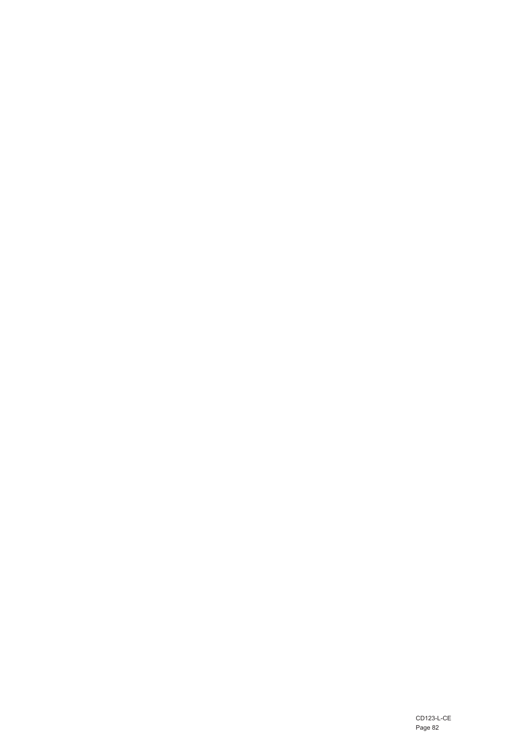CD123-L-CE Page 82